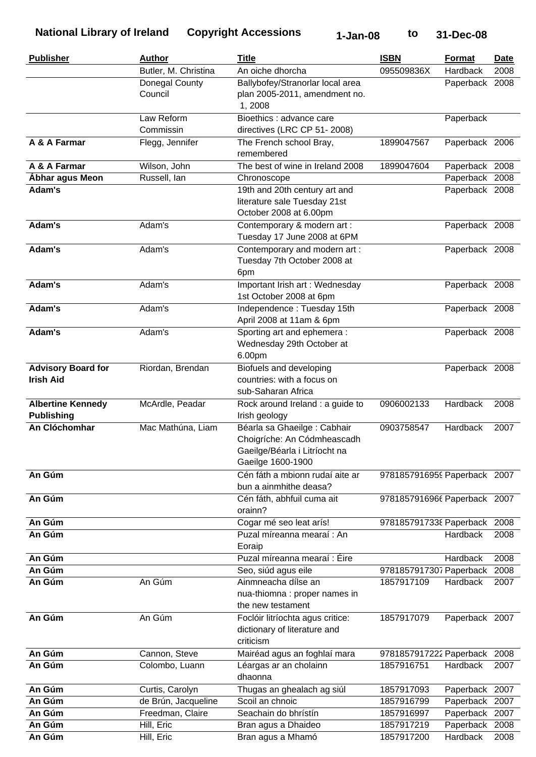| <b>Publisher</b>          | <b>Author</b>        | <b>Title</b>                                       | <b>ISBN</b>                  | Format         | Date |
|---------------------------|----------------------|----------------------------------------------------|------------------------------|----------------|------|
|                           | Butler, M. Christina | An oiche dhorcha                                   | 095509836X                   | Hardback       | 2008 |
|                           | Donegal County       | Ballybofey/Stranorlar local area                   |                              | Paperback 2008 |      |
|                           | Council              | plan 2005-2011, amendment no.                      |                              |                |      |
|                           |                      | 1,2008                                             |                              |                |      |
|                           | Law Reform           | Bioethics : advance care                           |                              | Paperback      |      |
|                           | Commissin            | directives (LRC CP 51-2008)                        |                              |                |      |
| A & A Farmar              | Flegg, Jennifer      | The French school Bray,<br>remembered              | 1899047567                   | Paperback 2006 |      |
| A & A Farmar              | Wilson, John         | The best of wine in Ireland 2008                   | 1899047604                   | Paperback 2008 |      |
| Ábhar agus Meon           | Russell, Ian         | Chronoscope                                        |                              | Paperback 2008 |      |
| Adam's                    |                      | 19th and 20th century art and                      |                              | Paperback 2008 |      |
|                           |                      | literature sale Tuesday 21st                       |                              |                |      |
|                           |                      | October 2008 at 6.00pm                             |                              |                |      |
| Adam's                    | Adam's               | Contemporary & modern art :                        |                              | Paperback 2008 |      |
|                           |                      | Tuesday 17 June 2008 at 6PM                        |                              |                |      |
| Adam's                    | Adam's               | Contemporary and modern art:                       |                              | Paperback 2008 |      |
|                           |                      | Tuesday 7th October 2008 at                        |                              |                |      |
|                           |                      | 6pm                                                |                              |                |      |
| Adam's                    | Adam's               | Important Irish art: Wednesday                     |                              | Paperback 2008 |      |
|                           |                      | 1st October 2008 at 6pm                            |                              |                |      |
| Adam's                    | Adam's               | Independence: Tuesday 15th                         |                              | Paperback 2008 |      |
|                           |                      | April 2008 at 11am & 6pm                           |                              |                |      |
| Adam's                    | Adam's               | Sporting art and ephemera :                        |                              | Paperback 2008 |      |
|                           |                      | Wednesday 29th October at                          |                              |                |      |
|                           |                      | 6.00pm                                             |                              |                |      |
| <b>Advisory Board for</b> | Riordan, Brendan     | Biofuels and developing                            |                              | Paperback 2008 |      |
| <b>Irish Aid</b>          |                      | countries: with a focus on                         |                              |                |      |
|                           |                      | sub-Saharan Africa                                 |                              |                |      |
| <b>Albertine Kennedy</b>  | McArdle, Peadar      | Rock around Ireland : a guide to                   | 0906002133                   | Hardback       | 2008 |
| <b>Publishing</b>         |                      | Irish geology                                      |                              |                |      |
| An Clóchomhar             | Mac Mathúna, Liam    | Béarla sa Ghaeilge : Cabhair                       | 0903758547                   | Hardback       | 2007 |
|                           |                      | Choigríche: An Códmheascadh                        |                              |                |      |
|                           |                      | Gaeilge/Béarla i Litríocht na                      |                              |                |      |
|                           |                      | Gaeilge 1600-1900                                  |                              |                |      |
| An Gúm                    |                      | Cén fáth a mbionn rudaí aite ar                    | 9781857916959 Paperback 2007 |                |      |
|                           |                      | bun a ainmhithe deasa?                             |                              |                |      |
| An Gúm                    |                      | Cén fáth, abhfuil cuma ait                         | 9781857916966 Paperback 2007 |                |      |
|                           |                      | orainn?                                            |                              |                |      |
| An Gúm                    |                      | Cogar mé seo leat arís!                            | 9781857917338 Paperback      |                | 2008 |
| An Gúm                    |                      | Puzal míreanna mearaí: An                          |                              | Hardback       | 2008 |
|                           |                      | Eoraip                                             |                              |                |      |
| An Gúm                    |                      | Puzal míreanna mearaí : Éire                       |                              | Hardback       | 2008 |
| An Gúm                    |                      | Seo, siúd agus eile                                | 9781857917307 Paperback      |                | 2008 |
| An Gúm                    | An Gúm               | Ainmneacha dílse an                                | 1857917109                   | Hardback       | 2007 |
|                           |                      | nua-thiomna : proper names in<br>the new testament |                              |                |      |
|                           |                      |                                                    |                              |                |      |
| An Gúm                    | An Gúm               | Foclóir litríochta agus critice:                   | 1857917079                   | Paperback 2007 |      |
|                           |                      | dictionary of literature and<br>criticism          |                              |                |      |
|                           |                      |                                                    |                              |                |      |
| An Gúm<br>An Gúm          | Cannon, Steve        | Mairéad agus an foghlaí mara                       | 9781857917222 Paperback      |                | 2008 |
|                           | Colombo, Luann       | Léargas ar an cholainn                             | 1857916751                   | Hardback       | 2007 |
|                           |                      | dhaonna                                            |                              |                |      |
| An Gúm                    | Curtis, Carolyn      | Thugas an ghealach ag siúl                         | 1857917093                   | Paperback 2007 |      |
| An Gúm<br>An Gúm          | de Brún, Jacqueline  | Scoil an chnoic                                    | 1857916799                   | Paperback      | 2007 |
| An Gúm                    | Freedman, Claire     | Seachain do bhrístín                               | 1857916997                   | Paperback      | 2007 |
|                           | Hill, Eric           | Bran agus a Dhaideo                                | 1857917219                   | Paperback      | 2008 |
| An Gúm                    | Hill, Eric           | Bran agus a Mhamó                                  | 1857917200                   | Hardback       | 2008 |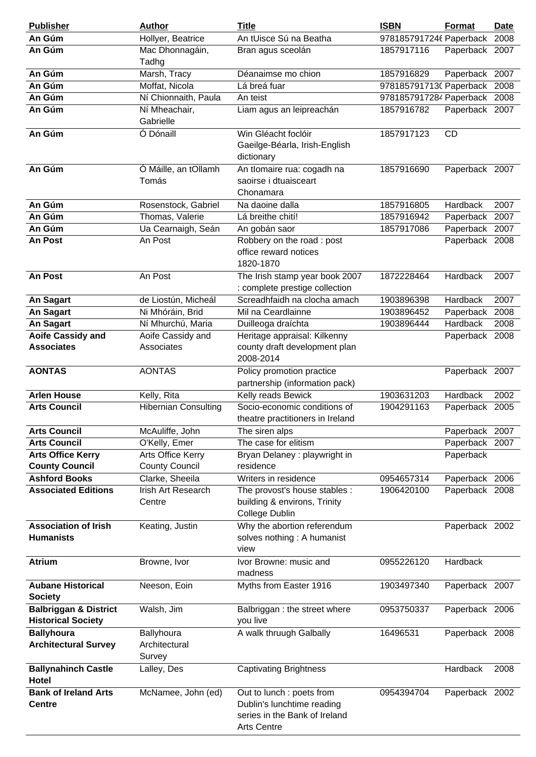| <b>Publisher</b>                 | <b>Author</b>               | <b>Title</b>                     | <b>ISBN</b>                  | Format          | <b>Date</b> |
|----------------------------------|-----------------------------|----------------------------------|------------------------------|-----------------|-------------|
| An Gúm                           | Hollyer, Beatrice           | An tUisce Sú na Beatha           | 9781857917246 Paperback      |                 | 2008        |
| An Gúm                           | Mac Dhonnagáin,             | Bran agus sceolán                | 1857917116                   | Paperback 2007  |             |
|                                  | Tadhg                       |                                  |                              |                 |             |
| An Gúm                           | Marsh, Tracy                | Déanaimse mo chion               | 1857916829                   | Paperback 2007  |             |
| An Gúm                           | Moffat, Nicola              | Lá breá fuar                     | 9781857917130 Paperback      |                 | 2008        |
| An Gúm                           | Ní Chionnaith, Paula        | An teist                         | 9781857917284 Paperback 2008 |                 |             |
| An Gúm                           | Ní Mheachair,               | Liam agus an leipreachán         | 1857916782                   | Paperback 2007  |             |
|                                  | Gabrielle                   |                                  |                              |                 |             |
| An Gúm                           | Ó Dónaill                   | Win Gléacht foclóir              | 1857917123                   | <b>CD</b>       |             |
|                                  |                             | Gaeilge-Béarla, Irish-English    |                              |                 |             |
|                                  |                             | dictionary                       |                              |                 |             |
| An Gúm                           | Ó Máille, an tOllamh        | An tlomaire rua: cogadh na       | 1857916690                   | Paperback 2007  |             |
|                                  | Tomás                       | saoirse i dtuaisceart            |                              |                 |             |
|                                  |                             | Chonamara                        |                              |                 |             |
| An Gúm                           | Rosenstock, Gabriel         | Na daoine dalla                  | 1857916805                   | Hardback        | 2007        |
| An Gúm                           | Thomas, Valerie             | Lá breithe chití!                | 1857916942                   | Paperback       | 2007        |
| An Gúm                           | Ua Cearnaigh, Seán          | An gobán saor                    | 1857917086                   | Paperback       | 2007        |
| An Post                          | An Post                     | Robbery on the road: post        |                              | Paperback 2008  |             |
|                                  |                             | office reward notices            |                              |                 |             |
|                                  |                             | 1820-1870                        |                              |                 |             |
| An Post                          | An Post                     | The Irish stamp year book 2007   | 1872228464                   | Hardback        | 2007        |
|                                  |                             | : complete prestige collection   |                              |                 |             |
| <b>An Sagart</b>                 | de Liostún, Micheál         | Screadhfaidh na clocha amach     | 1903896398                   | Hardback        | 2007        |
| An Sagart                        | Ni Mhóráin, Brid            | Mil na Ceardlainne               | 1903896452                   | Paperback       | 2008        |
| An Sagart                        | Ní Mhurchú, Maria           | Duilleoga draíchta               | 1903896444                   | <b>Hardback</b> | 2008        |
| <b>Aoife Cassidy and</b>         | Aoife Cassidy and           | Heritage appraisal: Kilkenny     |                              | Paperback 2008  |             |
| <b>Associates</b>                | Associates                  | county draft development plan    |                              |                 |             |
|                                  |                             | 2008-2014                        |                              |                 |             |
| <b>AONTAS</b>                    | <b>AONTAS</b>               | Policy promotion practice        |                              | Paperback 2007  |             |
|                                  |                             | partnership (information pack)   |                              |                 |             |
| <b>Arlen House</b>               | Kelly, Rita                 | Kelly reads Bewick               | 1903631203                   | Hardback        | 2002        |
| <b>Arts Council</b>              | <b>Hibernian Consulting</b> | Socio-economic conditions of     | 1904291163                   | Paperback       | 2005        |
|                                  |                             | theatre practitioners in Ireland |                              |                 |             |
| <b>Arts Council</b>              | McAuliffe, John             | The siren alps                   |                              | Paperback 2007  |             |
| <b>Arts Council</b>              | O'Kelly, Emer               | The case for elitism             |                              | Paperback 2007  |             |
| <b>Arts Office Kerry</b>         | Arts Office Kerry           | Bryan Delaney: playwright in     |                              | Paperback       |             |
| <b>County Council</b>            | <b>County Council</b>       | residence                        |                              |                 |             |
| <b>Ashford Books</b>             | Clarke, Sheeila             | Writers in residence             | 0954657314                   | Paperback 2006  |             |
| <b>Associated Editions</b>       | Irish Art Research          | The provost's house stables :    | 1906420100                   | Paperback 2008  |             |
|                                  | Centre                      | building & environs, Trinity     |                              |                 |             |
|                                  |                             | College Dublin                   |                              |                 |             |
| <b>Association of Irish</b>      | Keating, Justin             | Why the abortion referendum      |                              | Paperback 2002  |             |
| <b>Humanists</b>                 |                             | solves nothing: A humanist       |                              |                 |             |
|                                  |                             | view                             |                              |                 |             |
| <b>Atrium</b>                    | Browne, Ivor                | Ivor Browne: music and           | 0955226120                   | Hardback        |             |
|                                  |                             | madness                          |                              |                 |             |
| <b>Aubane Historical</b>         | Neeson, Eoin                | Myths from Easter 1916           | 1903497340                   | Paperback 2007  |             |
| <b>Society</b>                   |                             |                                  |                              |                 |             |
| <b>Balbriggan &amp; District</b> | Walsh, Jim                  | Balbriggan : the street where    | 0953750337                   | Paperback 2006  |             |
| <b>Historical Society</b>        |                             | you live                         |                              |                 |             |
| <b>Ballyhoura</b>                | Ballyhoura                  | A walk thruugh Galbally          | 16496531                     | Paperback 2008  |             |
| <b>Architectural Survey</b>      | Architectural               |                                  |                              |                 |             |
|                                  | Survey                      |                                  |                              |                 |             |
| <b>Ballynahinch Castle</b>       | Lalley, Des                 | <b>Captivating Brightness</b>    |                              | Hardback        | 2008        |
| Hotel                            |                             |                                  |                              |                 |             |
| <b>Bank of Ireland Arts</b>      | McNamee, John (ed)          | Out to lunch : poets from        | 0954394704                   | Paperback 2002  |             |
| <b>Centre</b>                    |                             | Dublin's lunchtime reading       |                              |                 |             |
|                                  |                             | series in the Bank of Ireland    |                              |                 |             |
|                                  |                             | <b>Arts Centre</b>               |                              |                 |             |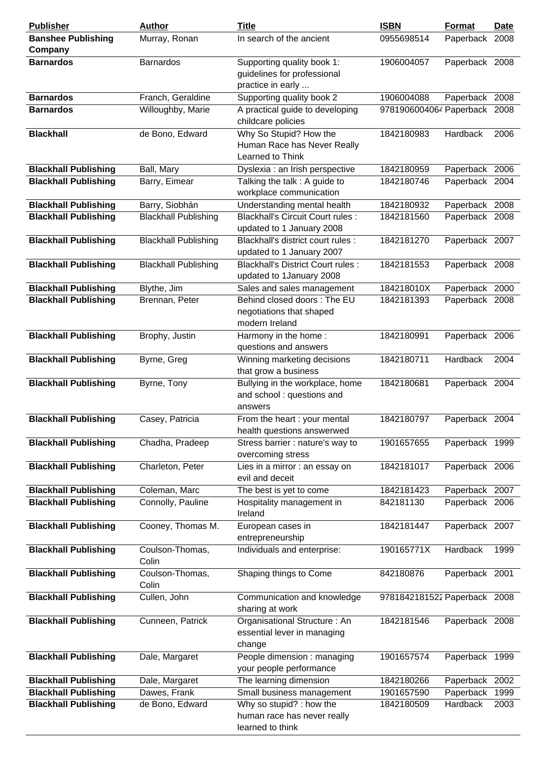| <b>Publisher</b>                     | <b>Author</b>               | <b>Title</b>                                                                   | <b>ISBN</b>                  | Format         | <b>Date</b> |
|--------------------------------------|-----------------------------|--------------------------------------------------------------------------------|------------------------------|----------------|-------------|
| <b>Banshee Publishing</b><br>Company | Murray, Ronan               | In search of the ancient                                                       | 0955698514                   | Paperback 2008 |             |
| <b>Barnardos</b>                     | <b>Barnardos</b>            | Supporting quality book 1:<br>guidelines for professional<br>practice in early | 1906004057                   | Paperback 2008 |             |
| <b>Barnardos</b>                     | Franch, Geraldine           | Supporting quality book 2                                                      | 1906004088                   | Paperback 2008 |             |
| <b>Barnardos</b>                     | Willoughby, Marie           | A practical guide to developing<br>childcare policies                          | 9781906004064 Paperback 2008 |                |             |
| <b>Blackhall</b>                     | de Bono, Edward             | Why So Stupid? How the<br>Human Race has Never Really<br>Learned to Think      | 1842180983                   | Hardback       | 2006        |
| <b>Blackhall Publishing</b>          | Ball, Mary                  | Dyslexia : an Irish perspective                                                | 1842180959                   | Paperback 2006 |             |
| <b>Blackhall Publishing</b>          | Barry, Eimear               | Talking the talk : A guide to<br>workplace communication                       | 1842180746                   | Paperback 2004 |             |
| <b>Blackhall Publishing</b>          | Barry, Siobhán              | Understanding mental health                                                    | 1842180932                   | Paperback 2008 |             |
| <b>Blackhall Publishing</b>          | <b>Blackhall Publishing</b> | <b>Blackhall's Circuit Court rules:</b><br>updated to 1 January 2008           | 1842181560                   | Paperback 2008 |             |
| <b>Blackhall Publishing</b>          | <b>Blackhall Publishing</b> | Blackhall's district court rules :<br>updated to 1 January 2007                | 1842181270                   | Paperback 2007 |             |
| <b>Blackhall Publishing</b>          | <b>Blackhall Publishing</b> | <b>Blackhall's District Court rules:</b><br>updated to 1January 2008           | 1842181553                   | Paperback 2008 |             |
| <b>Blackhall Publishing</b>          | Blythe, Jim                 | Sales and sales management                                                     | 184218010X                   | Paperback 2000 |             |
| <b>Blackhall Publishing</b>          | Brennan, Peter              | Behind closed doors: The EU<br>negotiations that shaped<br>modern Ireland      | 1842181393                   | Paperback 2008 |             |
| <b>Blackhall Publishing</b>          | Brophy, Justin              | Harmony in the home:<br>questions and answers                                  | 1842180991                   | Paperback 2006 |             |
| <b>Blackhall Publishing</b>          | Byrne, Greg                 | Winning marketing decisions<br>that grow a business                            | 1842180711                   | Hardback       | 2004        |
| <b>Blackhall Publishing</b>          | Byrne, Tony                 | Bullying in the workplace, home<br>and school: questions and<br>answers        | 1842180681                   | Paperback 2004 |             |
| <b>Blackhall Publishing</b>          | Casey, Patricia             | From the heart : your mental<br>health questions answerwed                     | 1842180797                   | Paperback 2004 |             |
| <b>Blackhall Publishing</b>          | Chadha, Pradeep             | Stress barrier : nature's way to<br>overcoming stress                          | 1901657655                   | Paperback 1999 |             |
| <b>Blackhall Publishing</b>          | Charleton, Peter            | Lies in a mirror : an essay on<br>evil and deceit                              | 1842181017                   | Paperback 2006 |             |
| <b>Blackhall Publishing</b>          | Coleman, Marc               | The best is yet to come                                                        | 1842181423                   | Paperback 2007 |             |
| <b>Blackhall Publishing</b>          | Connolly, Pauline           | Hospitality management in<br>Ireland                                           | 842181130                    | Paperback 2006 |             |
| <b>Blackhall Publishing</b>          | Cooney, Thomas M.           | European cases in<br>entrepreneurship                                          | 1842181447                   | Paperback 2007 |             |
| <b>Blackhall Publishing</b>          | Coulson-Thomas,<br>Colin    | Individuals and enterprise:                                                    | 190165771X                   | Hardback       | 1999        |
| <b>Blackhall Publishing</b>          | Coulson-Thomas,<br>Colin    | Shaping things to Come                                                         | 842180876                    | Paperback 2001 |             |
| <b>Blackhall Publishing</b>          | Cullen, John                | Communication and knowledge<br>sharing at work                                 | 9781842181522 Paperback 2008 |                |             |
| <b>Blackhall Publishing</b>          | Cunneen, Patrick            | Organisational Structure: An<br>essential lever in managing<br>change          | 1842181546                   | Paperback 2008 |             |
| <b>Blackhall Publishing</b>          | Dale, Margaret              | People dimension : managing<br>your people performance                         | 1901657574                   | Paperback 1999 |             |
| <b>Blackhall Publishing</b>          | Dale, Margaret              | The learning dimension                                                         | 1842180266                   | Paperback      | 2002        |
| <b>Blackhall Publishing</b>          | Dawes, Frank                | Small business management                                                      | 1901657590                   | Paperback      | 1999        |
| <b>Blackhall Publishing</b>          | de Bono, Edward             | Why so stupid? : how the<br>human race has never really<br>learned to think    | 1842180509                   | Hardback       | 2003        |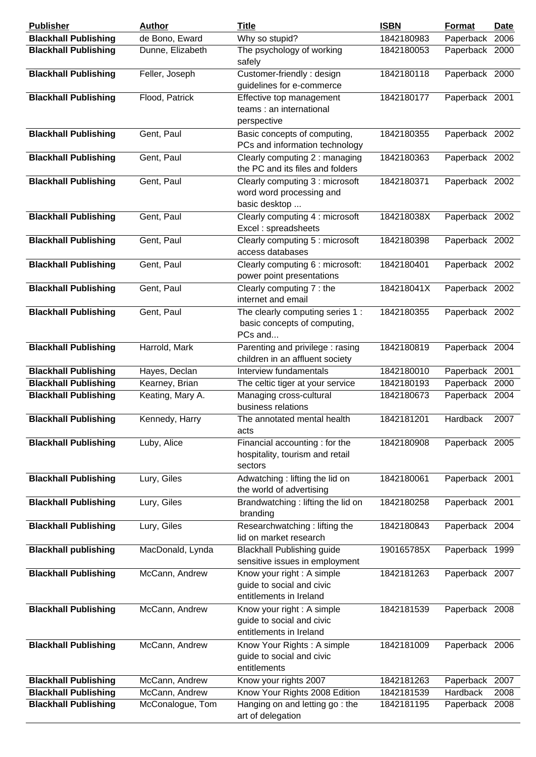| <b>Publisher</b>            | <b>Author</b>    | <b>Title</b>                                                                       | <b>ISBN</b> | Format         | <b>Date</b> |
|-----------------------------|------------------|------------------------------------------------------------------------------------|-------------|----------------|-------------|
| <b>Blackhall Publishing</b> | de Bono, Eward   | Why so stupid?                                                                     | 1842180983  | Paperback      | 2006        |
| <b>Blackhall Publishing</b> | Dunne, Elizabeth | The psychology of working<br>safely                                                | 1842180053  | Paperback 2000 |             |
| <b>Blackhall Publishing</b> | Feller, Joseph   | Customer-friendly: design<br>guidelines for e-commerce                             | 1842180118  | Paperback 2000 |             |
| <b>Blackhall Publishing</b> | Flood, Patrick   | Effective top management<br>teams: an international<br>perspective                 | 1842180177  | Paperback 2001 |             |
| <b>Blackhall Publishing</b> | Gent, Paul       | Basic concepts of computing,<br>PCs and information technology                     | 1842180355  | Paperback 2002 |             |
| <b>Blackhall Publishing</b> | Gent, Paul       | Clearly computing 2 : managing<br>the PC and its files and folders                 | 1842180363  | Paperback 2002 |             |
| <b>Blackhall Publishing</b> | Gent, Paul       | Clearly computing 3 : microsoft<br>word word processing and<br>basic desktop       | 1842180371  | Paperback 2002 |             |
| <b>Blackhall Publishing</b> | Gent, Paul       | Clearly computing 4 : microsoft<br>Excel: spreadsheets                             | 184218038X  | Paperback 2002 |             |
| <b>Blackhall Publishing</b> | Gent, Paul       | Clearly computing 5 : microsoft<br>access databases                                | 1842180398  | Paperback 2002 |             |
| <b>Blackhall Publishing</b> | Gent, Paul       | Clearly computing 6 : microsoft:<br>power point presentations                      | 1842180401  | Paperback 2002 |             |
| <b>Blackhall Publishing</b> | Gent, Paul       | Clearly computing 7 : the<br>internet and email                                    | 184218041X  | Paperback 2002 |             |
| <b>Blackhall Publishing</b> | Gent, Paul       | The clearly computing series 1 :<br>basic concepts of computing,<br>PCs and        | 1842180355  | Paperback 2002 |             |
| <b>Blackhall Publishing</b> | Harrold, Mark    | Parenting and privilege: rasing<br>children in an affluent society                 | 1842180819  | Paperback 2004 |             |
| <b>Blackhall Publishing</b> | Hayes, Declan    | Interview fundamentals                                                             | 1842180010  | Paperback 2001 |             |
| <b>Blackhall Publishing</b> | Kearney, Brian   | The celtic tiger at your service                                                   | 1842180193  | Paperback 2000 |             |
| <b>Blackhall Publishing</b> | Keating, Mary A. | Managing cross-cultural<br>business relations                                      | 1842180673  | Paperback 2004 |             |
| <b>Blackhall Publishing</b> | Kennedy, Harry   | The annotated mental health<br>acts                                                | 1842181201  | Hardback       | 2007        |
| <b>Blackhall Publishing</b> | Luby, Alice      | Financial accounting : for the<br>hospitality, tourism and retail<br>sectors       | 1842180908  | Paperback 2005 |             |
| <b>Blackhall Publishing</b> | Lury, Giles      | Adwatching: lifting the lid on<br>the world of advertising                         | 1842180061  | Paperback 2001 |             |
| <b>Blackhall Publishing</b> | Lury, Giles      | Brandwatching: lifting the lid on<br>branding                                      | 1842180258  | Paperback 2001 |             |
| <b>Blackhall Publishing</b> | Lury, Giles      | Researchwatching: lifting the<br>lid on market research                            | 1842180843  | Paperback 2004 |             |
| <b>Blackhall publishing</b> | MacDonald, Lynda | <b>Blackhall Publishing guide</b><br>sensitive issues in employment                | 190165785X  | Paperback 1999 |             |
| <b>Blackhall Publishing</b> | McCann, Andrew   | Know your right: A simple<br>guide to social and civic<br>entitlements in Ireland  | 1842181263  | Paperback 2007 |             |
| <b>Blackhall Publishing</b> | McCann, Andrew   | Know your right : A simple<br>guide to social and civic<br>entitlements in Ireland | 1842181539  | Paperback 2008 |             |
| <b>Blackhall Publishing</b> | McCann, Andrew   | Know Your Rights: A simple<br>guide to social and civic<br>entitlements            | 1842181009  | Paperback 2006 |             |
| <b>Blackhall Publishing</b> | McCann, Andrew   | Know your rights 2007                                                              | 1842181263  | Paperback 2007 |             |
| <b>Blackhall Publishing</b> | McCann, Andrew   | Know Your Rights 2008 Edition                                                      | 1842181539  | Hardback       | 2008        |
| <b>Blackhall Publishing</b> | McConalogue, Tom | Hanging on and letting go: the<br>art of delegation                                | 1842181195  | Paperback 2008 |             |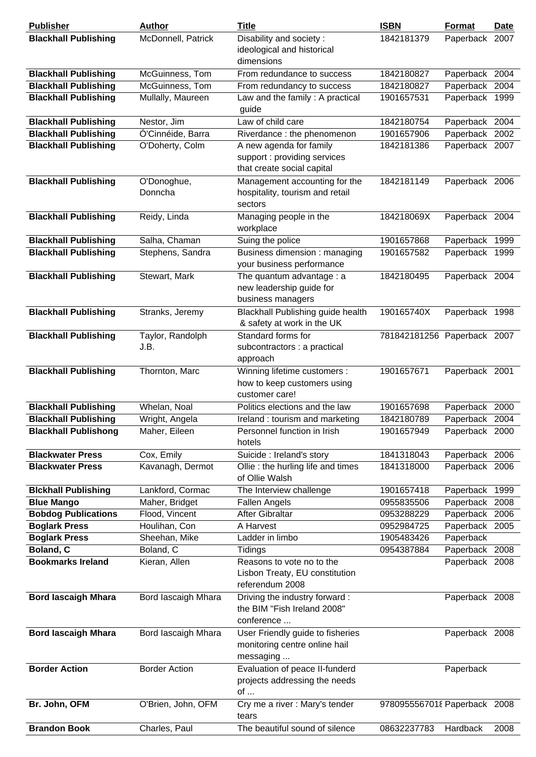| <b>Publisher</b>                      | <b>Author</b>              | <b>Title</b>                                                                              | <b>ISBN</b>                  | <b>Format</b>                    | <b>Date</b> |
|---------------------------------------|----------------------------|-------------------------------------------------------------------------------------------|------------------------------|----------------------------------|-------------|
| <b>Blackhall Publishing</b>           | McDonnell, Patrick         | Disability and society:<br>ideological and historical<br>dimensions                       | 1842181379                   | Paperback                        | 2007        |
| <b>Blackhall Publishing</b>           | McGuinness, Tom            | From redundance to success                                                                | 1842180827                   | Paperback 2004                   |             |
| <b>Blackhall Publishing</b>           | McGuinness, Tom            | From redundancy to success                                                                | 1842180827                   | Paperback                        | 2004        |
| <b>Blackhall Publishing</b>           | Mullally, Maureen          | Law and the family: A practical<br>guide                                                  | 1901657531                   | Paperback 1999                   |             |
| <b>Blackhall Publishing</b>           | Nestor, Jim                | Law of child care                                                                         | 1842180754                   | Paperback 2004                   |             |
| <b>Blackhall Publishing</b>           | Ó'Cinnéide, Barra          | Riverdance : the phenomenon                                                               | 1901657906                   | Paperback 2002                   |             |
| <b>Blackhall Publishing</b>           | O'Doherty, Colm            | A new agenda for family<br>support : providing services<br>that create social capital     | 1842181386                   | Paperback 2007                   |             |
| <b>Blackhall Publishing</b>           | O'Donoghue,<br>Donncha     | Management accounting for the<br>hospitality, tourism and retail<br>sectors               | 1842181149                   | Paperback 2006                   |             |
| <b>Blackhall Publishing</b>           | Reidy, Linda               | Managing people in the<br>workplace                                                       | 184218069X                   | Paperback 2004                   |             |
| <b>Blackhall Publishing</b>           | Salha, Chaman              | Suing the police                                                                          | 1901657868                   | Paperback 1999                   |             |
| <b>Blackhall Publishing</b>           | Stephens, Sandra           | Business dimension: managing<br>your business performance                                 | 1901657582                   | Paperback 1999                   |             |
| <b>Blackhall Publishing</b>           | Stewart, Mark              | The quantum advantage : a<br>new leadership guide for<br>business managers                | 1842180495                   | Paperback 2004                   |             |
| <b>Blackhall Publishing</b>           | Stranks, Jeremy            | Blackhall Publishing guide health<br>& safety at work in the UK                           | 190165740X                   | Paperback 1998                   |             |
| <b>Blackhall Publishing</b>           | Taylor, Randolph<br>J.B.   | Standard forms for<br>subcontractors : a practical<br>approach                            | 781842181256 Paperback 2007  |                                  |             |
| <b>Blackhall Publishing</b>           | Thornton, Marc             | Winning lifetime customers :<br>how to keep customers using<br>customer care!             | 1901657671                   | Paperback 2001                   |             |
| <b>Blackhall Publishing</b>           | Whelan, Noal               | Politics elections and the law                                                            | 1901657698                   | Paperback 2000                   |             |
| <b>Blackhall Publishing</b>           | Wright, Angela             | Ireland: tourism and marketing                                                            | 1842180789                   | Paperback 2004                   |             |
| <b>Blackhall Publishong</b>           | Maher, Eileen              | Personnel function in Irish<br>hotels                                                     | 1901657949                   | Paperback 2000                   |             |
| <b>Blackwater Press</b>               | Cox, Emily                 | Suicide : Ireland's story                                                                 | 1841318043                   | Paperback 2006                   |             |
| <b>Blackwater Press</b>               | Kavanagh, Dermot           | Ollie : the hurling life and times<br>of Ollie Walsh                                      | 1841318000                   | Paperback 2006                   |             |
| <b>Blckhall Publishing</b>            | Lankford, Cormac           | The Interview challenge                                                                   | 1901657418                   | Paperback 1999                   |             |
| <b>Blue Mango</b>                     | Maher, Bridget             | <b>Fallen Angels</b>                                                                      | 0955835506                   | Paperback 2008                   |             |
| <b>Bobdog Publications</b>            | Flood, Vincent             | After Gibraltar                                                                           | 0953288229                   | Paperback 2006                   |             |
| <b>Boglark Press</b>                  | Houlihan, Con              | A Harvest                                                                                 | 0952984725                   | Paperback 2005                   |             |
| <b>Boglark Press</b>                  | Sheehan, Mike              | Ladder in limbo                                                                           | 1905483426                   | Paperback                        |             |
| Boland, C<br><b>Bookmarks Ireland</b> | Boland, C<br>Kieran, Allen | Tidings<br>Reasons to vote no to the<br>Lisbon Treaty, EU constitution<br>referendum 2008 | 0954387884                   | Paperback 2008<br>Paperback 2008 |             |
| <b>Bord lascaigh Mhara</b>            | Bord lascaigh Mhara        | Driving the industry forward:<br>the BIM "Fish Ireland 2008"<br>conference                |                              | Paperback 2008                   |             |
| <b>Bord lascaigh Mhara</b>            | Bord lascaigh Mhara        | User Friendly guide to fisheries<br>monitoring centre online hail<br>messaging            |                              | Paperback 2008                   |             |
| <b>Border Action</b>                  | <b>Border Action</b>       | Evaluation of peace II-funderd<br>projects addressing the needs<br>of $\dots$             |                              | Paperback                        |             |
| Br. John, OFM                         | O'Brien, John, OFM         | Cry me a river : Mary's tender<br>tears                                                   | 9780955567018 Paperback 2008 |                                  |             |
| <b>Brandon Book</b>                   | Charles, Paul              | The beautiful sound of silence                                                            | 08632237783                  | Hardback                         | 2008        |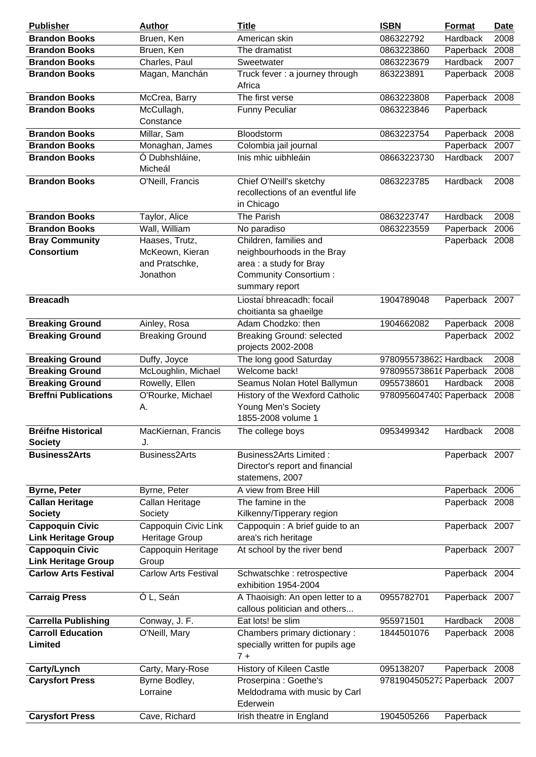| <b>Publisher</b>                                     | <b>Author</b>                          | <b>Title</b>                                                                        | <b>ISBN</b>                  | Format         | <b>Date</b> |
|------------------------------------------------------|----------------------------------------|-------------------------------------------------------------------------------------|------------------------------|----------------|-------------|
| <b>Brandon Books</b>                                 | Bruen, Ken                             | American skin                                                                       | 086322792                    | Hardback       | 2008        |
| <b>Brandon Books</b>                                 | Bruen, Ken                             | The dramatist                                                                       | 0863223860                   | Paperback      | 2008        |
| <b>Brandon Books</b>                                 | Charles, Paul                          | Sweetwater                                                                          | 0863223679                   | Hardback       | 2007        |
| <b>Brandon Books</b>                                 | Magan, Manchán                         | Truck fever : a journey through<br>Africa                                           | 863223891                    | Paperback 2008 |             |
| <b>Brandon Books</b>                                 | McCrea, Barry                          | The first verse                                                                     | 0863223808                   | Paperback 2008 |             |
| <b>Brandon Books</b>                                 | McCullagh,<br>Constance                | <b>Funny Peculiar</b>                                                               | 0863223846                   | Paperback      |             |
| <b>Brandon Books</b>                                 | Millar, Sam                            | Bloodstorm                                                                          | 0863223754                   | Paperback      | 2008        |
| <b>Brandon Books</b>                                 | Monaghan, James                        | Colombia jail journal                                                               |                              | Paperback      | 2007        |
| <b>Brandon Books</b>                                 | Ó Dubhshláine,<br>Micheál              | Inis mhic uibhleáin                                                                 | 08663223730                  | Hardback       | 2007        |
| <b>Brandon Books</b>                                 | O'Neill, Francis                       | Chief O'Neill's sketchy<br>recollections of an eventful life                        | 0863223785                   | Hardback       | 2008        |
|                                                      |                                        | in Chicago                                                                          |                              |                |             |
| <b>Brandon Books</b>                                 | Taylor, Alice                          | The Parish                                                                          | 0863223747                   | Hardback       | 2008        |
| <b>Brandon Books</b>                                 | Wall, William                          | No paradiso                                                                         | 0863223559                   | Paperback      | 2006        |
| <b>Bray Community</b>                                | Haases, Trutz,                         | Children, families and                                                              |                              | Paperback 2008 |             |
| <b>Consortium</b>                                    | McKeown, Kieran                        | neighbourhoods in the Bray                                                          |                              |                |             |
|                                                      | and Pratschke,                         | area : a study for Bray                                                             |                              |                |             |
|                                                      | Jonathon                               | Community Consortium:<br>summary report                                             |                              |                |             |
| <b>Breacadh</b>                                      |                                        | Liostaí bhreacadh: focail<br>choitianta sa ghaeilge                                 | 1904789048                   | Paperback 2007 |             |
| <b>Breaking Ground</b>                               | Ainley, Rosa                           | Adam Chodzko: then                                                                  | 1904662082                   | Paperback 2008 |             |
| <b>Breaking Ground</b>                               | <b>Breaking Ground</b>                 | <b>Breaking Ground: selected</b><br>projects 2002-2008                              |                              | Paperback 2002 |             |
| <b>Breaking Ground</b>                               | Duffy, Joyce                           | The long good Saturday                                                              | 9780955738623 Hardback       |                | 2008        |
| <b>Breaking Ground</b>                               | McLoughlin, Michael                    | Welcome back!                                                                       | 9780955738616 Paperback      |                | 2008        |
| <b>Breaking Ground</b>                               | Rowelly, Ellen                         | Seamus Nolan Hotel Ballymun                                                         | 0955738601                   | Hardback       | 2008        |
| <b>Breffni Publications</b>                          | O'Rourke, Michael<br>Α.                | History of the Wexford Catholic<br>Young Men's Society<br>1855-2008 volume 1        | 9780956047403 Paperback 2008 |                |             |
| <b>Bréifne Historical</b><br><b>Society</b>          | MacKiernan, Francis<br>J.              | The college boys                                                                    | 0953499342                   | Hardback       | 2008        |
| <b>Business2Arts</b>                                 | <b>Business2Arts</b>                   | <b>Business2Arts Limited:</b><br>Director's report and financial<br>statemens, 2007 |                              | Paperback 2007 |             |
| <b>Byrne, Peter</b>                                  | Byrne, Peter                           | A view from Bree Hill                                                               |                              | Paperback 2006 |             |
| <b>Callan Heritage</b>                               | Callan Heritage                        | The famine in the                                                                   |                              | Paperback 2008 |             |
| <b>Society</b>                                       | Society                                | Kilkenny/Tipperary region                                                           |                              |                |             |
| <b>Cappoquin Civic</b><br><b>Link Heritage Group</b> | Cappoquin Civic Link<br>Heritage Group | Cappoquin : A brief guide to an<br>area's rich heritage                             |                              | Paperback 2007 |             |
| <b>Cappoquin Civic</b><br><b>Link Heritage Group</b> | Cappoquin Heritage<br>Group            | At school by the river bend                                                         |                              | Paperback 2007 |             |
| <b>Carlow Arts Festival</b>                          | <b>Carlow Arts Festival</b>            | Schwatschke: retrospective<br>exhibition 1954-2004                                  |                              | Paperback 2004 |             |
| <b>Carraig Press</b>                                 | Ó L, Seán                              | A Thaoisigh: An open letter to a<br>callous politician and others                   | 0955782701                   | Paperback 2007 |             |
| <b>Carrella Publishing</b>                           | Conway, J. F.                          | Eat lots! be slim                                                                   | 955971501                    | Hardback       | 2008        |
| <b>Carroll Education</b>                             | O'Neill, Mary                          | Chambers primary dictionary:                                                        | 1844501076                   | Paperback 2008 |             |
| Limited                                              |                                        | specially written for pupils age<br>$7+$                                            |                              |                |             |
| Carty/Lynch                                          | Carty, Mary-Rose                       | History of Kileen Castle                                                            | 095138207                    | Paperback 2008 |             |
| <b>Carysfort Press</b>                               | Byrne Bodley,<br>Lorraine              | Proserpina : Goethe's<br>Meldodrama with music by Carl<br>Ederwein                  | 9781904505273 Paperback 2007 |                |             |
| <b>Carysfort Press</b>                               | Cave, Richard                          | Irish theatre in England                                                            | 1904505266                   | Paperback      |             |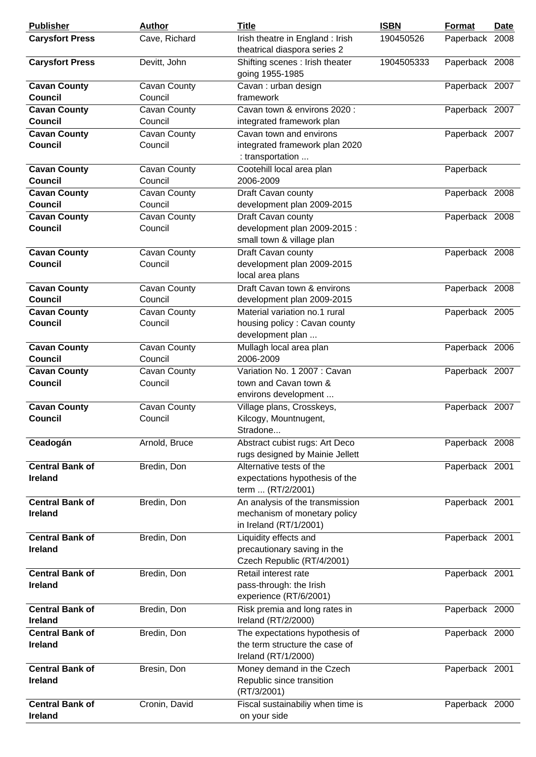| <b>Publisher</b>                         | <b>Author</b>           | <b>Title</b>                                                                              | <b>ISBN</b> | <b>Format</b>  | <b>Date</b> |
|------------------------------------------|-------------------------|-------------------------------------------------------------------------------------------|-------------|----------------|-------------|
| <b>Carysfort Press</b>                   | Cave, Richard           | Irish theatre in England : Irish<br>theatrical diaspora series 2                          | 190450526   | Paperback 2008 |             |
| <b>Carysfort Press</b>                   | Devitt, John            | Shifting scenes : Irish theater<br>going 1955-1985                                        | 1904505333  | Paperback 2008 |             |
| <b>Cavan County</b><br>Council           | Cavan County<br>Council | Cavan: urban design<br>framework                                                          |             | Paperback 2007 |             |
| <b>Cavan County</b><br><b>Council</b>    | Cavan County<br>Council | Cavan town & environs 2020:<br>integrated framework plan                                  |             | Paperback 2007 |             |
| <b>Cavan County</b><br><b>Council</b>    | Cavan County<br>Council | Cavan town and environs<br>integrated framework plan 2020<br>: transportation             |             | Paperback 2007 |             |
| <b>Cavan County</b><br><b>Council</b>    | Cavan County<br>Council | Cootehill local area plan<br>2006-2009                                                    |             | Paperback      |             |
| <b>Cavan County</b><br><b>Council</b>    | Cavan County<br>Council | Draft Cavan county<br>development plan 2009-2015                                          |             | Paperback 2008 |             |
| <b>Cavan County</b><br>Council           | Cavan County<br>Council | Draft Cavan county<br>development plan 2009-2015 :<br>small town & village plan           |             | Paperback 2008 |             |
| <b>Cavan County</b><br><b>Council</b>    | Cavan County<br>Council | Draft Cavan county<br>development plan 2009-2015<br>local area plans                      |             | Paperback 2008 |             |
| <b>Cavan County</b><br>Council           | Cavan County<br>Council | Draft Cavan town & environs<br>development plan 2009-2015                                 |             | Paperback 2008 |             |
| <b>Cavan County</b><br>Council           | Cavan County<br>Council | Material variation no.1 rural<br>housing policy: Cavan county<br>development plan         |             | Paperback 2005 |             |
| <b>Cavan County</b><br><b>Council</b>    | Cavan County<br>Council | Mullagh local area plan<br>2006-2009                                                      |             | Paperback 2006 |             |
| <b>Cavan County</b><br><b>Council</b>    | Cavan County<br>Council | Variation No. 1 2007 : Cavan<br>town and Cavan town &<br>environs development             |             | Paperback 2007 |             |
| <b>Cavan County</b><br><b>Council</b>    | Cavan County<br>Council | Village plans, Crosskeys,<br>Kilcogy, Mountnugent,<br>Stradone                            |             | Paperback 2007 |             |
| Ceadogán                                 | Arnold, Bruce           | Abstract cubist rugs: Art Deco<br>rugs designed by Mainie Jellett                         |             | Paperback 2008 |             |
| <b>Central Bank of</b><br><b>Ireland</b> | Bredin, Don             | Alternative tests of the<br>expectations hypothesis of the<br>term  (RT/2/2001)           |             | Paperback 2001 |             |
| <b>Central Bank of</b><br><b>Ireland</b> | Bredin, Don             | An analysis of the transmission<br>mechanism of monetary policy<br>in Ireland (RT/1/2001) |             | Paperback 2001 |             |
| <b>Central Bank of</b><br><b>Ireland</b> | Bredin, Don             | Liquidity effects and<br>precautionary saving in the<br>Czech Republic (RT/4/2001)        |             | Paperback 2001 |             |
| <b>Central Bank of</b><br><b>Ireland</b> | Bredin, Don             | Retail interest rate<br>pass-through: the Irish<br>experience (RT/6/2001)                 |             | Paperback 2001 |             |
| <b>Central Bank of</b><br><b>Ireland</b> | Bredin, Don             | Risk premia and long rates in<br>Ireland (RT/2/2000)                                      |             | Paperback 2000 |             |
| <b>Central Bank of</b><br>Ireland        | Bredin, Don             | The expectations hypothesis of<br>the term structure the case of<br>Ireland (RT/1/2000)   |             | Paperback 2000 |             |
| <b>Central Bank of</b><br><b>Ireland</b> | Bresin, Don             | Money demand in the Czech<br>Republic since transition<br>(RT/3/2001)                     |             | Paperback 2001 |             |
| <b>Central Bank of</b><br>Ireland        | Cronin, David           | Fiscal sustainabiliy when time is<br>on your side                                         |             | Paperback 2000 |             |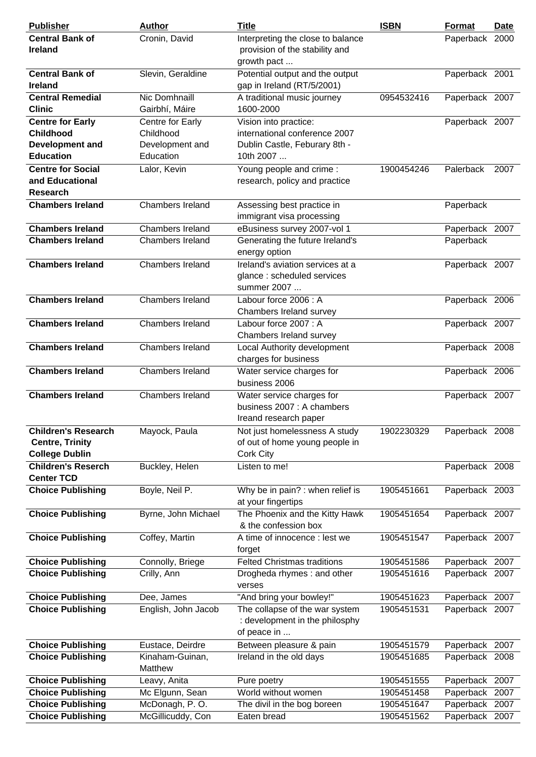| <b>Publisher</b>           | <b>Author</b>           | <b>Title</b>                       | <b>ISBN</b> | Format         | Date |
|----------------------------|-------------------------|------------------------------------|-------------|----------------|------|
| <b>Central Bank of</b>     | Cronin, David           | Interpreting the close to balance  |             | Paperback 2000 |      |
| <b>Ireland</b>             |                         | provision of the stability and     |             |                |      |
|                            |                         | growth pact                        |             |                |      |
| <b>Central Bank of</b>     | Slevin, Geraldine       | Potential output and the output    |             | Paperback 2001 |      |
| <b>Ireland</b>             |                         | gap in Ireland (RT/5/2001)         |             |                |      |
| <b>Central Remedial</b>    | Nic Domhnaill           | A traditional music journey        | 0954532416  | Paperback 2007 |      |
| <b>Clinic</b>              | Gairbhí, Máire          | 1600-2000                          |             |                |      |
| <b>Centre for Early</b>    | Centre for Early        | Vision into practice:              |             | Paperback 2007 |      |
| <b>Childhood</b>           | Childhood               | international conference 2007      |             |                |      |
| <b>Development and</b>     | Development and         | Dublin Castle, Feburary 8th -      |             |                |      |
| <b>Education</b>           | Education               | 10th 2007                          |             |                |      |
| <b>Centre for Social</b>   | Lalor, Kevin            | Young people and crime:            | 1900454246  | Palerback      | 2007 |
| and Educational            |                         | research, policy and practice      |             |                |      |
| <b>Research</b>            |                         |                                    |             |                |      |
| <b>Chambers Ireland</b>    | Chambers Ireland        | Assessing best practice in         |             | Paperback      |      |
|                            |                         | immigrant visa processing          |             |                |      |
| <b>Chambers Ireland</b>    | <b>Chambers Ireland</b> | eBusiness survey 2007-vol 1        |             | Paperback 2007 |      |
| <b>Chambers Ireland</b>    | Chambers Ireland        | Generating the future Ireland's    |             | Paperback      |      |
|                            |                         | energy option                      |             |                |      |
| <b>Chambers Ireland</b>    | Chambers Ireland        | Ireland's aviation services at a   |             | Paperback 2007 |      |
|                            |                         | glance: scheduled services         |             |                |      |
|                            |                         | summer 2007                        |             |                |      |
| <b>Chambers Ireland</b>    | Chambers Ireland        | Labour force 2006 : A              |             | Paperback 2006 |      |
|                            |                         | Chambers Ireland survey            |             |                |      |
| <b>Chambers Ireland</b>    | Chambers Ireland        | Labour force 2007 : A              |             | Paperback 2007 |      |
|                            |                         | Chambers Ireland survey            |             |                |      |
| <b>Chambers Ireland</b>    | Chambers Ireland        | Local Authority development        |             | Paperback 2008 |      |
|                            |                         | charges for business               |             |                |      |
| <b>Chambers Ireland</b>    | Chambers Ireland        | Water service charges for          |             | Paperback 2006 |      |
|                            |                         | business 2006                      |             |                |      |
| <b>Chambers Ireland</b>    | Chambers Ireland        | Water service charges for          |             | Paperback 2007 |      |
|                            |                         | business 2007 : A chambers         |             |                |      |
|                            |                         | Ireand research paper              |             |                |      |
| <b>Children's Research</b> | Mayock, Paula           | Not just homelessness A study      | 1902230329  | Paperback 2008 |      |
| <b>Centre, Trinity</b>     |                         | of out of home young people in     |             |                |      |
| <b>College Dublin</b>      |                         | Cork City                          |             |                |      |
| <b>Children's Reserch</b>  | Buckley, Helen          | Listen to me!                      |             | Paperback 2008 |      |
| <b>Center TCD</b>          |                         |                                    |             |                |      |
| <b>Choice Publishing</b>   | Boyle, Neil P.          | Why be in pain? : when relief is   | 1905451661  | Paperback 2003 |      |
|                            |                         | at your fingertips                 |             |                |      |
| <b>Choice Publishing</b>   | Byrne, John Michael     | The Phoenix and the Kitty Hawk     | 1905451654  | Paperback 2007 |      |
|                            |                         | & the confession box               |             |                |      |
| <b>Choice Publishing</b>   | Coffey, Martin          | A time of innocence : lest we      | 1905451547  | Paperback 2007 |      |
|                            |                         | forget                             |             |                |      |
| <b>Choice Publishing</b>   | Connolly, Briege        | <b>Felted Christmas traditions</b> | 1905451586  | Paperback 2007 |      |
| <b>Choice Publishing</b>   | Crilly, Ann             | Drogheda rhymes: and other         | 1905451616  | Paperback 2007 |      |
|                            |                         | verses                             |             |                |      |
| <b>Choice Publishing</b>   | Dee, James              | "And bring your bowley!"           | 1905451623  | Paperback 2007 |      |
| <b>Choice Publishing</b>   | English, John Jacob     | The collapse of the war system     | 1905451531  | Paperback 2007 |      |
|                            |                         | : development in the philosphy     |             |                |      |
|                            |                         | of peace in                        |             |                |      |
| <b>Choice Publishing</b>   | Eustace, Deirdre        | Between pleasure & pain            | 1905451579  | Paperback 2007 |      |
| <b>Choice Publishing</b>   | Kinaham-Guinan,         | Ireland in the old days            | 1905451685  | Paperback 2008 |      |
|                            | Matthew                 |                                    |             |                |      |
| <b>Choice Publishing</b>   | Leavy, Anita            | Pure poetry                        | 1905451555  | Paperback 2007 |      |
| <b>Choice Publishing</b>   | Mc Elgunn, Sean         | World without women                | 1905451458  | Paperback 2007 |      |
| <b>Choice Publishing</b>   | McDonagh, P.O.          | The divil in the bog boreen        | 1905451647  | Paperback 2007 |      |
| <b>Choice Publishing</b>   | McGillicuddy, Con       | Eaten bread                        | 1905451562  | Paperback 2007 |      |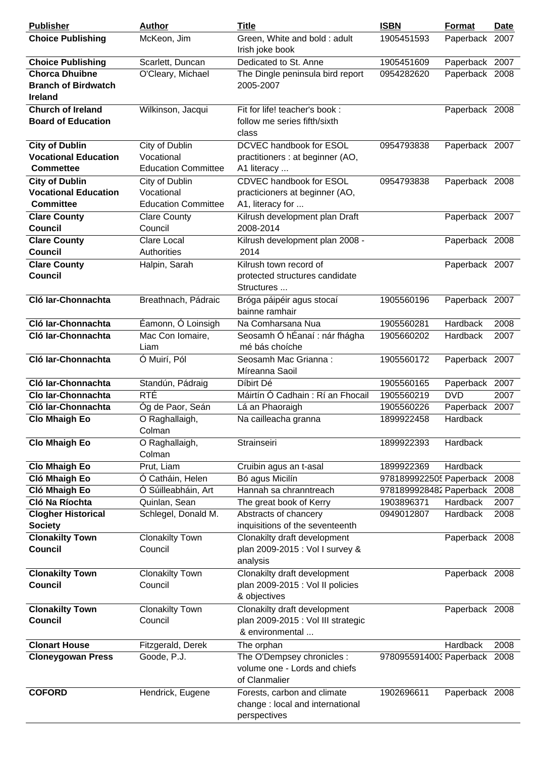| <b>Publisher</b>                                                         | <b>Author</b>                                              | <b>Title</b>                                                                          | <b>ISBN</b>                           | <b>Format</b>   | <b>Date</b>  |
|--------------------------------------------------------------------------|------------------------------------------------------------|---------------------------------------------------------------------------------------|---------------------------------------|-----------------|--------------|
| <b>Choice Publishing</b>                                                 | McKeon, Jim                                                | Green, White and bold: adult<br>Irish joke book                                       | 1905451593                            | Paperback 2007  |              |
| <b>Choice Publishing</b>                                                 | Scarlett, Duncan                                           | Dedicated to St. Anne                                                                 | 1905451609                            | Paperback 2007  |              |
| <b>Chorca Dhuibne</b><br><b>Branch of Birdwatch</b><br>Ireland           | O'Cleary, Michael                                          | The Dingle peninsula bird report<br>2005-2007                                         | 0954282620                            | Paperback 2008  |              |
| <b>Church of Ireland</b><br><b>Board of Education</b>                    | Wilkinson, Jacqui                                          | Fit for life! teacher's book :<br>follow me series fifth/sixth<br>class               |                                       | Paperback 2008  |              |
| <b>City of Dublin</b><br><b>Vocational Education</b><br><b>Commettee</b> | City of Dublin<br>Vocational<br><b>Education Committee</b> | DCVEC handbook for ESOL<br>practitioners : at beginner (AO,<br>A1 literacy            | 0954793838                            | Paperback 2007  |              |
| <b>City of Dublin</b><br><b>Vocational Education</b><br><b>Committee</b> | City of Dublin<br>Vocational<br><b>Education Committee</b> | CDVEC handbook for ESOL<br>practicioners at beginner (AO,<br>A1, literacy for         | 0954793838                            | Paperback 2008  |              |
| <b>Clare County</b>                                                      | <b>Clare County</b>                                        | Kilrush development plan Draft                                                        |                                       | Paperback 2007  |              |
| <b>Council</b>                                                           | Council                                                    | 2008-2014                                                                             |                                       |                 |              |
| <b>Clare County</b>                                                      | <b>Clare Local</b>                                         | Kilrush development plan 2008 -                                                       |                                       | Paperback 2008  |              |
| <b>Council</b>                                                           | Authorities                                                | 2014                                                                                  |                                       |                 |              |
| <b>Clare County</b><br><b>Council</b>                                    | Halpin, Sarah                                              | Kilrush town record of<br>protected structures candidate<br>Structures                |                                       | Paperback 2007  |              |
| Cló Iar-Chonnachta                                                       | Breathnach, Pádraic                                        | Bróga páipéir agus stocaí<br>bainne ramhair                                           | 1905560196                            | Paperback 2007  |              |
| Cló Iar-Chonnachta                                                       | Éamonn, Ó Loinsigh                                         | Na Comharsana Nua                                                                     | 1905560281                            | Hardback        | 2008         |
| Cló Iar-Chonnachta                                                       | Mac Con Iomaire,<br>Liam                                   | Seosamh Ó hÉanaí : nár fhágha<br>mé bás choíche                                       | 1905660202                            | Hardback        | 2007         |
| Cló Iar-Chonnachta                                                       | Ó Muirí, Pól                                               | Seosamh Mac Grianna:<br>Míreanna Saoil                                                | 1905560172                            | Paperback 2007  |              |
| Cló Iar-Chonnachta                                                       | Standún, Pádraig                                           | Díbirt Dé                                                                             | 1905560165                            | Paperback 2007  |              |
| Clo Iar-Chonnachta                                                       | <b>RTÉ</b>                                                 | Máirtín Ó Cadhain: Rí an Fhocail                                                      | 1905560219                            | <b>DVD</b>      | 2007         |
| Cló Iar-Chonnachta                                                       | Óg de Paor, Seán                                           | Lá an Phaoraigh                                                                       | 1905560226                            | Paperback       | 2007         |
| <b>Clo Mhaigh Eo</b>                                                     | O Raghallaigh,<br>Colman                                   | Na cailleacha granna                                                                  | 1899922458                            | Hardback        |              |
| <b>Clo Mhaigh Eo</b>                                                     | O Raghallaigh,<br>Colman                                   | Strainseiri                                                                           | 1899922393                            | Hardback        |              |
| <b>Clo Mhaigh Eo</b>                                                     | Prut, Liam                                                 | Cruibin agus an t-asal                                                                | 1899922369                            | Hardback        |              |
| Cló Mhaigh Eo                                                            | Ó Catháin, Helen                                           | Bó agus Micilín                                                                       | 9781899922505 Paperback               |                 | 2008         |
| Cló Mhaigh Eo<br>Cló Na Ríochta                                          | Ó Súilleabháin, Art<br>Quinlan, Sean                       | Hannah sa chranntreach<br>The great book of Kerry                                     | 9781899928482 Paperback<br>1903896371 | Hardback        | 2008<br>2007 |
| <b>Clogher Historical</b>                                                | Schlegel, Donald M.                                        | Abstracts of chancery                                                                 | 0949012807                            | Hardback        | 2008         |
| <b>Society</b>                                                           |                                                            | inquisitions of the seventeenth                                                       |                                       |                 |              |
| <b>Clonakilty Town</b><br><b>Council</b>                                 | <b>Clonakilty Town</b><br>Council                          | Clonakilty draft development<br>plan 2009-2015 : Vol I survey &<br>analysis           |                                       | Paperback 2008  |              |
| <b>Clonakilty Town</b><br><b>Council</b>                                 | <b>Clonakilty Town</b><br>Council                          | Clonakilty draft development<br>plan 2009-2015 : Vol II policies<br>& objectives      |                                       | Paperback 2008  |              |
| <b>Clonakilty Town</b><br><b>Council</b>                                 | <b>Clonakilty Town</b><br>Council                          | Clonakilty draft development<br>plan 2009-2015 : Vol III strategic<br>& environmental |                                       | Paperback 2008  |              |
| <b>Clonart House</b>                                                     | Fitzgerald, Derek                                          | The orphan                                                                            |                                       | <b>Hardback</b> | 2008         |
| <b>Cloneygowan Press</b>                                                 | Goode, P.J.                                                | The O'Dempsey chronicles :<br>volume one - Lords and chiefs<br>of Clanmalier          | 9780955914003 Paperback 2008          |                 |              |
| <b>COFORD</b>                                                            | Hendrick, Eugene                                           | Forests, carbon and climate<br>change : local and international<br>perspectives       | 1902696611                            | Paperback 2008  |              |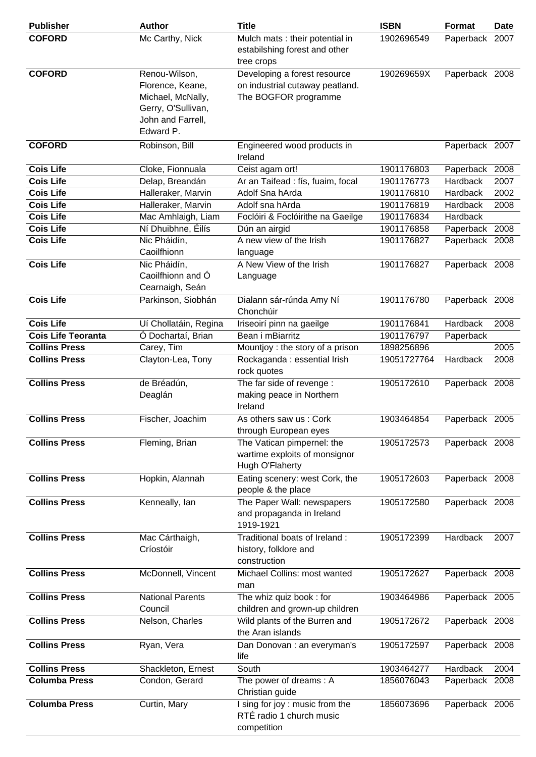| <b>Publisher</b>          | <b>Author</b>                                                                                                  | <b>Title</b>                                                                            | <b>ISBN</b> | <b>Format</b>  | <b>Date</b> |
|---------------------------|----------------------------------------------------------------------------------------------------------------|-----------------------------------------------------------------------------------------|-------------|----------------|-------------|
| <b>COFORD</b>             | Mc Carthy, Nick                                                                                                | Mulch mats : their potential in<br>estabilshing forest and other<br>tree crops          | 1902696549  | Paperback      | 2007        |
| <b>COFORD</b>             | Renou-Wilson,<br>Florence, Keane,<br>Michael, McNally,<br>Gerry, O'Sullivan,<br>John and Farrell,<br>Edward P. | Developing a forest resource<br>on industrial cutaway peatland.<br>The BOGFOR programme | 190269659X  | Paperback 2008 |             |
| <b>COFORD</b>             | Robinson, Bill                                                                                                 | Engineered wood products in<br>Ireland                                                  |             | Paperback 2007 |             |
| <b>Cois Life</b>          | Cloke, Fionnuala                                                                                               | Ceist agam ort!                                                                         | 1901176803  | Paperback      | 2008        |
| <b>Cois Life</b>          | Delap, Breandán                                                                                                | Ar an Taifead : fís, fuaim, focal                                                       | 1901176773  | Hardback       | 2007        |
| <b>Cois Life</b>          | Halleraker, Marvin                                                                                             | Adolf Sna hArda                                                                         | 1901176810  | Hardback       | 2002        |
| <b>Cois Life</b>          | Halleraker, Marvin                                                                                             | Adolf sna hArda                                                                         | 1901176819  | Hardback       | 2008        |
| <b>Cois Life</b>          | Mac Amhlaigh, Liam                                                                                             | Foclóiri & Foclóirithe na Gaeilge                                                       | 1901176834  | Hardback       |             |
| <b>Cois Life</b>          | Ní Dhuibhne, Éilís                                                                                             | Dún an airgid                                                                           | 1901176858  | Paperback 2008 |             |
| <b>Cois Life</b>          | Nic Pháidín,<br>Caoilfhionn                                                                                    | A new view of the Irish<br>language                                                     | 1901176827  | Paperback 2008 |             |
| <b>Cois Life</b>          | Nic Pháidín,<br>Caoilfhionn and O<br>Cearnaigh, Seán                                                           | A New View of the Irish<br>Language                                                     | 1901176827  | Paperback 2008 |             |
| <b>Cois Life</b>          | Parkinson, Siobhán                                                                                             | Dialann sár-rúnda Amy Ní<br>Chonchúir                                                   | 1901176780  | Paperback 2008 |             |
| <b>Cois Life</b>          | Uí Chollatáin, Regina                                                                                          | Iriseoirí pinn na gaeilge                                                               | 1901176841  | Hardback       | 2008        |
| <b>Cois Life Teoranta</b> | Ó Dochartaí, Brian                                                                                             | Bean i mBiarritz                                                                        | 1901176797  | Paperback      |             |
| <b>Collins Press</b>      | Carey, Tim                                                                                                     | Mountjoy: the story of a prison                                                         | 1898256896  |                | 2005        |
| <b>Collins Press</b>      | Clayton-Lea, Tony                                                                                              | Rockaganda : essential Irish<br>rock quotes                                             | 19051727764 | Hardback       | 2008        |
| <b>Collins Press</b>      | de Bréadún,<br>Deaglán                                                                                         | The far side of revenge :<br>making peace in Northern<br>Ireland                        | 1905172610  | Paperback 2008 |             |
| <b>Collins Press</b>      | Fischer, Joachim                                                                                               | As others saw us: Cork<br>through European eyes                                         | 1903464854  | Paperback 2005 |             |
| <b>Collins Press</b>      | Fleming, Brian                                                                                                 | The Vatican pimpernel: the<br>wartime exploits of monsignor<br>Hugh O'Flaherty          | 1905172573  | Paperback 2008 |             |
| <b>Collins Press</b>      | Hopkin, Alannah                                                                                                | Eating scenery: west Cork, the<br>people & the place                                    | 1905172603  | Paperback 2008 |             |
| <b>Collins Press</b>      | Kenneally, lan                                                                                                 | The Paper Wall: newspapers<br>and propaganda in Ireland<br>1919-1921                    | 1905172580  | Paperback 2008 |             |
| <b>Collins Press</b>      | Mac Cárthaigh,<br>Críostóir                                                                                    | Traditional boats of Ireland:<br>history, folklore and<br>construction                  | 1905172399  | Hardback       | 2007        |
| <b>Collins Press</b>      | McDonnell, Vincent                                                                                             | Michael Collins: most wanted<br>man                                                     | 1905172627  | Paperback 2008 |             |
| <b>Collins Press</b>      | <b>National Parents</b><br>Council                                                                             | The whiz quiz book: for<br>children and grown-up children                               | 1903464986  | Paperback 2005 |             |
| <b>Collins Press</b>      | Nelson, Charles                                                                                                | Wild plants of the Burren and<br>the Aran islands                                       | 1905172672  | Paperback 2008 |             |
| <b>Collins Press</b>      | Ryan, Vera                                                                                                     | Dan Donovan : an everyman's<br>life                                                     | 1905172597  | Paperback 2008 |             |
| <b>Collins Press</b>      | Shackleton, Ernest                                                                                             | South                                                                                   | 1903464277  | Hardback       | 2004        |
| <b>Columba Press</b>      | Condon, Gerard                                                                                                 | The power of dreams: A<br>Christian guide                                               | 1856076043  | Paperback 2008 |             |
| <b>Columba Press</b>      | Curtin, Mary                                                                                                   | I sing for joy : music from the<br>RTÉ radio 1 church music<br>competition              | 1856073696  | Paperback 2006 |             |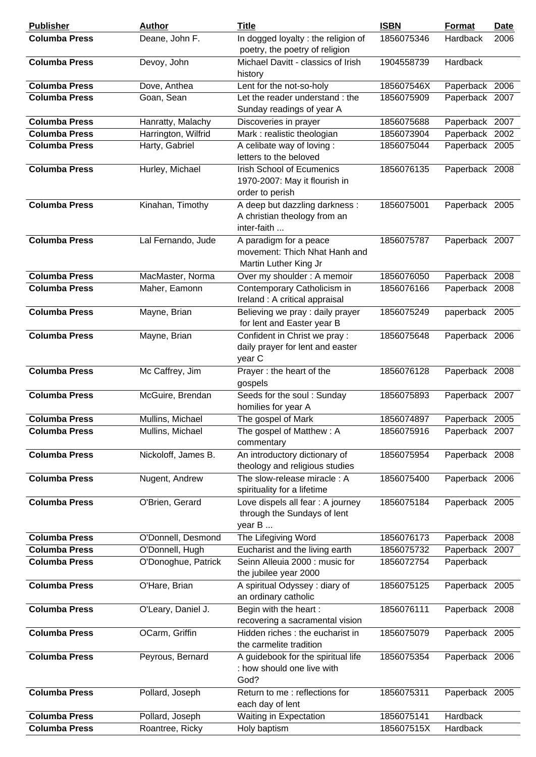| <b>Publisher</b>     | <b>Author</b>       | <b>Title</b>                                                                         | <b>ISBN</b> | <b>Format</b>  | <b>Date</b> |
|----------------------|---------------------|--------------------------------------------------------------------------------------|-------------|----------------|-------------|
| <b>Columba Press</b> | Deane, John F.      | In dogged loyalty: the religion of<br>poetry, the poetry of religion                 | 1856075346  | Hardback       | 2006        |
| <b>Columba Press</b> | Devoy, John         | Michael Davitt - classics of Irish<br>history                                        | 1904558739  | Hardback       |             |
| <b>Columba Press</b> | Dove, Anthea        | Lent for the not-so-holy                                                             | 185607546X  | Paperback 2006 |             |
| <b>Columba Press</b> | Goan, Sean          | Let the reader understand: the<br>Sunday readings of year A                          | 1856075909  | Paperback 2007 |             |
| <b>Columba Press</b> | Hanratty, Malachy   | Discoveries in prayer                                                                | 1856075688  | Paperback 2007 |             |
| <b>Columba Press</b> | Harrington, Wilfrid | Mark : realistic theologian                                                          | 1856073904  | Paperback 2002 |             |
| <b>Columba Press</b> | Harty, Gabriel      | A celibate way of loving :<br>letters to the beloved                                 | 1856075044  | Paperback 2005 |             |
| <b>Columba Press</b> | Hurley, Michael     | <b>Irish School of Ecumenics</b><br>1970-2007: May it flourish in<br>order to perish | 1856076135  | Paperback 2008 |             |
| <b>Columba Press</b> | Kinahan, Timothy    | A deep but dazzling darkness :<br>A christian theology from an<br>inter-faith        | 1856075001  | Paperback 2005 |             |
| <b>Columba Press</b> | Lal Fernando, Jude  | A paradigm for a peace<br>movement: Thich Nhat Hanh and<br>Martin Luther King Jr     | 1856075787  | Paperback 2007 |             |
| <b>Columba Press</b> | MacMaster, Norma    | Over my shoulder: A memoir                                                           | 1856076050  | Paperback 2008 |             |
| <b>Columba Press</b> | Maher, Eamonn       | Contemporary Catholicism in<br>Ireland : A critical appraisal                        | 1856076166  | Paperback 2008 |             |
| <b>Columba Press</b> | Mayne, Brian        | Believing we pray : daily prayer<br>for lent and Easter year B                       | 1856075249  | paperback 2005 |             |
| <b>Columba Press</b> | Mayne, Brian        | Confident in Christ we pray :<br>daily prayer for lent and easter<br>year C          | 1856075648  | Paperback 2006 |             |
| <b>Columba Press</b> | Mc Caffrey, Jim     | Prayer: the heart of the<br>gospels                                                  | 1856076128  | Paperback 2008 |             |
| <b>Columba Press</b> | McGuire, Brendan    | Seeds for the soul: Sunday<br>homilies for year A                                    | 1856075893  | Paperback 2007 |             |
| <b>Columba Press</b> | Mullins, Michael    | The gospel of Mark                                                                   | 1856074897  | Paperback 2005 |             |
| <b>Columba Press</b> | Mullins, Michael    | The gospel of Matthew: A<br>commentary                                               | 1856075916  | Paperback 2007 |             |
| <b>Columba Press</b> | Nickoloff, James B. | An introductory dictionary of<br>theology and religious studies                      | 1856075954  | Paperback 2008 |             |
| <b>Columba Press</b> | Nugent, Andrew      | The slow-release miracle: A<br>spirituality for a lifetime                           | 1856075400  | Paperback 2006 |             |
| <b>Columba Press</b> | O'Brien, Gerard     | Love dispels all fear : A journey<br>through the Sundays of lent<br>year B           | 1856075184  | Paperback 2005 |             |
| <b>Columba Press</b> | O'Donnell, Desmond  | The Lifegiving Word                                                                  | 1856076173  | Paperback 2008 |             |
| <b>Columba Press</b> | O'Donnell, Hugh     | Eucharist and the living earth                                                       | 1856075732  | Paperback 2007 |             |
| <b>Columba Press</b> | O'Donoghue, Patrick | Seinn Alleuia 2000 : music for<br>the jubilee year 2000                              | 1856072754  | Paperback      |             |
| <b>Columba Press</b> | O'Hare, Brian       | A spiritual Odyssey: diary of<br>an ordinary catholic                                | 1856075125  | Paperback 2005 |             |
| <b>Columba Press</b> | O'Leary, Daniel J.  | Begin with the heart :<br>recovering a sacramental vision                            | 1856076111  | Paperback 2008 |             |
| <b>Columba Press</b> | OCarm, Griffin      | Hidden riches : the eucharist in<br>the carmelite tradition                          | 1856075079  | Paperback 2005 |             |
| <b>Columba Press</b> | Peyrous, Bernard    | A guidebook for the spiritual life<br>: how should one live with<br>God?             | 1856075354  | Paperback 2006 |             |
| <b>Columba Press</b> | Pollard, Joseph     | Return to me: reflections for<br>each day of lent                                    | 1856075311  | Paperback 2005 |             |
| <b>Columba Press</b> | Pollard, Joseph     | Waiting in Expectation                                                               | 1856075141  | Hardback       |             |
| <b>Columba Press</b> | Roantree, Ricky     | Holy baptism                                                                         | 185607515X  | Hardback       |             |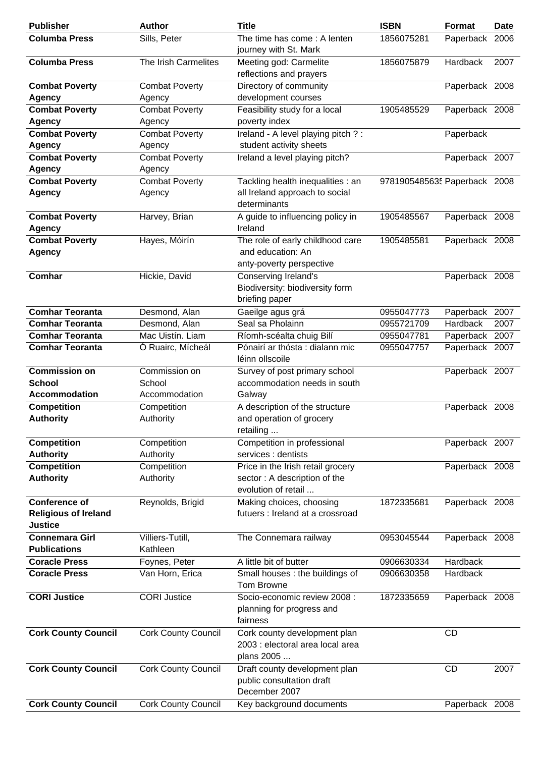| <b>Publisher</b>                                                      | <b>Author</b>                            | <b>Title</b>                                                                             | <b>ISBN</b>                  | <b>Format</b>   | Date |
|-----------------------------------------------------------------------|------------------------------------------|------------------------------------------------------------------------------------------|------------------------------|-----------------|------|
| <b>Columba Press</b>                                                  | Sills, Peter                             | The time has come: A lenten<br>journey with St. Mark                                     | 1856075281                   | Paperback 2006  |      |
| <b>Columba Press</b>                                                  | The Irish Carmelites                     | Meeting god: Carmelite<br>reflections and prayers                                        | 1856075879                   | Hardback        | 2007 |
| <b>Combat Poverty</b><br><b>Agency</b>                                | <b>Combat Poverty</b><br>Agency          | Directory of community<br>development courses                                            |                              | Paperback 2008  |      |
| <b>Combat Poverty</b><br><b>Agency</b>                                | <b>Combat Poverty</b><br>Agency          | Feasibility study for a local<br>poverty index                                           | 1905485529                   | Paperback 2008  |      |
| <b>Combat Poverty</b><br><b>Agency</b>                                | <b>Combat Poverty</b><br>Agency          | Ireland - A level playing pitch ? :<br>student activity sheets                           |                              | Paperback       |      |
| <b>Combat Poverty</b>                                                 | <b>Combat Poverty</b>                    | Ireland a level playing pitch?                                                           |                              | Paperback 2007  |      |
| <b>Agency</b>                                                         | Agency                                   |                                                                                          |                              |                 |      |
| <b>Combat Poverty</b>                                                 | <b>Combat Poverty</b>                    | Tackling health inequalities : an                                                        | 9781905485635 Paperback 2008 |                 |      |
| <b>Agency</b>                                                         | Agency                                   | all Ireland approach to social<br>determinants                                           |                              |                 |      |
| <b>Combat Poverty</b>                                                 | Harvey, Brian                            | A guide to influencing policy in                                                         | 1905485567                   | Paperback 2008  |      |
| <b>Agency</b>                                                         |                                          | Ireland                                                                                  |                              |                 |      |
| <b>Combat Poverty</b><br><b>Agency</b>                                | Hayes, Móirín                            | The role of early childhood care<br>and education: An                                    | 1905485581                   | Paperback 2008  |      |
| Comhar                                                                |                                          | anty-poverty perspective                                                                 |                              |                 |      |
|                                                                       | Hickie, David                            | Conserving Ireland's<br>Biodiversity: biodiversity form<br>briefing paper                |                              | Paperback 2008  |      |
| <b>Comhar Teoranta</b>                                                | Desmond, Alan                            | Gaeilge agus grá                                                                         | 0955047773                   | Paperback       | 2007 |
| <b>Comhar Teoranta</b>                                                | Desmond, Alan                            | Seal sa Pholainn                                                                         | 0955721709                   | <b>Hardback</b> | 2007 |
| <b>Comhar Teoranta</b>                                                | Mac Uistín. Liam                         | Ríomh-scéalta chuig Bilí                                                                 | 0955047781                   | Paperback 2007  |      |
| <b>Comhar Teoranta</b>                                                | Ó Ruairc, Mícheál                        | Pónairí ar thósta : dialann mic<br>léinn ollscoile                                       | 0955047757                   | Paperback 2007  |      |
| <b>Commission on</b><br><b>School</b><br><b>Accommodation</b>         | Commission on<br>School<br>Accommodation | Survey of post primary school<br>accommodation needs in south<br>Galway                  |                              | Paperback 2007  |      |
| <b>Competition</b><br><b>Authority</b>                                | Competition<br>Authority                 | A description of the structure<br>and operation of grocery<br>retailing                  |                              | Paperback 2008  |      |
| <b>Competition</b><br><b>Authority</b>                                | Competition<br>Authority                 | Competition in professional<br>services : dentists                                       |                              | Paperback 2007  |      |
| <b>Competition</b><br><b>Authority</b>                                | Competition<br>Authority                 | Price in the Irish retail grocery<br>sector: A description of the<br>evolution of retail |                              | Paperback 2008  |      |
| <b>Conference of</b><br><b>Religious of Ireland</b><br><b>Justice</b> | Reynolds, Brigid                         | Making choices, choosing<br>futuers : Ireland at a crossroad                             | 1872335681                   | Paperback 2008  |      |
| <b>Connemara Girl</b><br><b>Publications</b>                          | Villiers-Tutill,<br>Kathleen             | The Connemara railway                                                                    | 0953045544                   | Paperback 2008  |      |
| <b>Coracle Press</b>                                                  | Foynes, Peter                            | A little bit of butter                                                                   | 0906630334                   | Hardback        |      |
| <b>Coracle Press</b>                                                  | Van Horn, Erica                          | Small houses : the buildings of<br>Tom Browne                                            | 0906630358                   | Hardback        |      |
| <b>CORI Justice</b>                                                   | <b>CORI Justice</b>                      | Socio-economic review 2008 :<br>planning for progress and<br>fairness                    | 1872335659                   | Paperback 2008  |      |
| <b>Cork County Council</b>                                            | <b>Cork County Council</b>               | Cork county development plan<br>2003 : electoral area local area<br>plans 2005           |                              | <b>CD</b>       |      |
| <b>Cork County Council</b>                                            | <b>Cork County Council</b>               | Draft county development plan<br>public consultation draft<br>December 2007              |                              | <b>CD</b>       | 2007 |
| <b>Cork County Council</b>                                            | <b>Cork County Council</b>               | Key background documents                                                                 |                              | Paperback 2008  |      |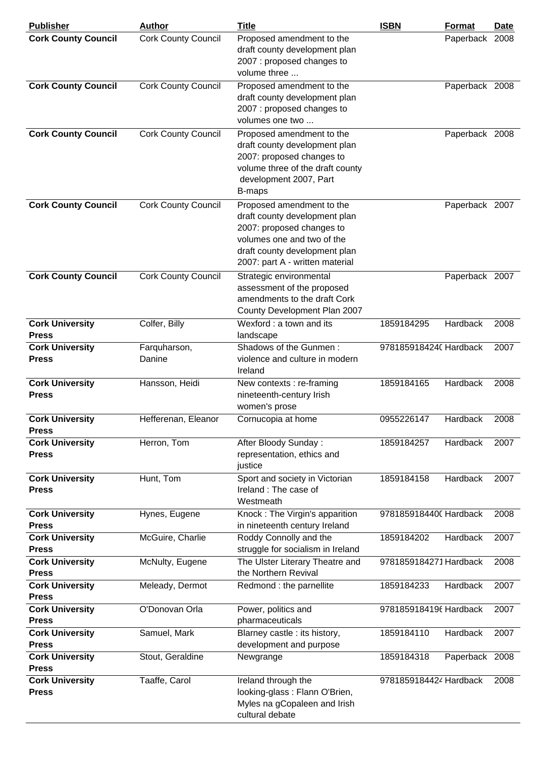| <b>Publisher</b>                       | <b>Author</b>              | <b>Title</b>                                                                                                                                                                              | <b>ISBN</b>            | Format         | Date |
|----------------------------------------|----------------------------|-------------------------------------------------------------------------------------------------------------------------------------------------------------------------------------------|------------------------|----------------|------|
| <b>Cork County Council</b>             | <b>Cork County Council</b> | Proposed amendment to the<br>draft county development plan<br>2007 : proposed changes to<br>volume three                                                                                  |                        | Paperback 2008 |      |
| <b>Cork County Council</b>             | <b>Cork County Council</b> | Proposed amendment to the<br>draft county development plan<br>2007 : proposed changes to<br>volumes one two                                                                               |                        | Paperback 2008 |      |
| <b>Cork County Council</b>             | <b>Cork County Council</b> | Proposed amendment to the<br>draft county development plan<br>2007: proposed changes to<br>volume three of the draft county<br>development 2007, Part<br>B-maps                           |                        | Paperback 2008 |      |
| <b>Cork County Council</b>             | <b>Cork County Council</b> | Proposed amendment to the<br>draft county development plan<br>2007: proposed changes to<br>volumes one and two of the<br>draft county development plan<br>2007: part A - written material |                        | Paperback 2007 |      |
| <b>Cork County Council</b>             | <b>Cork County Council</b> | Strategic environmental<br>assessment of the proposed<br>amendments to the draft Cork<br>County Development Plan 2007                                                                     |                        | Paperback 2007 |      |
| <b>Cork University</b><br><b>Press</b> | Colfer, Billy              | Wexford: a town and its<br>landscape                                                                                                                                                      | 1859184295             | Hardback       | 2008 |
| <b>Cork University</b><br><b>Press</b> | Farquharson,<br>Danine     | Shadows of the Gunmen:<br>violence and culture in modern<br>Ireland                                                                                                                       | 9781859184240 Hardback |                | 2007 |
| <b>Cork University</b><br><b>Press</b> | Hansson, Heidi             | New contexts : re-framing<br>nineteenth-century Irish<br>women's prose                                                                                                                    | 1859184165             | Hardback       | 2008 |
| <b>Cork University</b><br><b>Press</b> | Hefferenan, Eleanor        | Cornucopia at home                                                                                                                                                                        | 0955226147             | Hardback       | 2008 |
| <b>Cork University</b><br><b>Press</b> | Herron, Tom                | After Bloody Sunday:<br>representation, ethics and<br>justice                                                                                                                             | 1859184257             | Hardback       | 2007 |
| <b>Cork University</b><br><b>Press</b> | Hunt, Tom                  | Sport and society in Victorian<br>Ireland: The case of<br>Westmeath                                                                                                                       | 1859184158             | Hardback       | 2007 |
| <b>Cork University</b><br><b>Press</b> | Hynes, Eugene              | Knock: The Virgin's apparition<br>in nineteenth century Ireland                                                                                                                           | 9781859184400 Hardback |                | 2008 |
| <b>Cork University</b><br><b>Press</b> | McGuire, Charlie           | Roddy Connolly and the<br>struggle for socialism in Ireland                                                                                                                               | 1859184202             | Hardback       | 2007 |
| <b>Cork University</b><br><b>Press</b> | McNulty, Eugene            | The Ulster Literary Theatre and<br>the Northern Revival                                                                                                                                   | 9781859184271 Hardback |                | 2008 |
| <b>Cork University</b><br><b>Press</b> | Meleady, Dermot            | Redmond : the parnellite                                                                                                                                                                  | 1859184233             | Hardback       | 2007 |
| <b>Cork University</b><br><b>Press</b> | O'Donovan Orla             | Power, politics and<br>pharmaceuticals                                                                                                                                                    | 9781859184196 Hardback |                | 2007 |
| <b>Cork University</b><br><b>Press</b> | Samuel, Mark               | Blarney castle : its history,<br>development and purpose                                                                                                                                  | 1859184110             | Hardback       | 2007 |
| <b>Cork University</b><br><b>Press</b> | Stout, Geraldine           | Newgrange                                                                                                                                                                                 | 1859184318             | Paperback 2008 |      |
| <b>Cork University</b><br><b>Press</b> | Taaffe, Carol              | Ireland through the<br>looking-glass: Flann O'Brien,<br>Myles na gCopaleen and Irish<br>cultural debate                                                                                   | 9781859184424 Hardback |                | 2008 |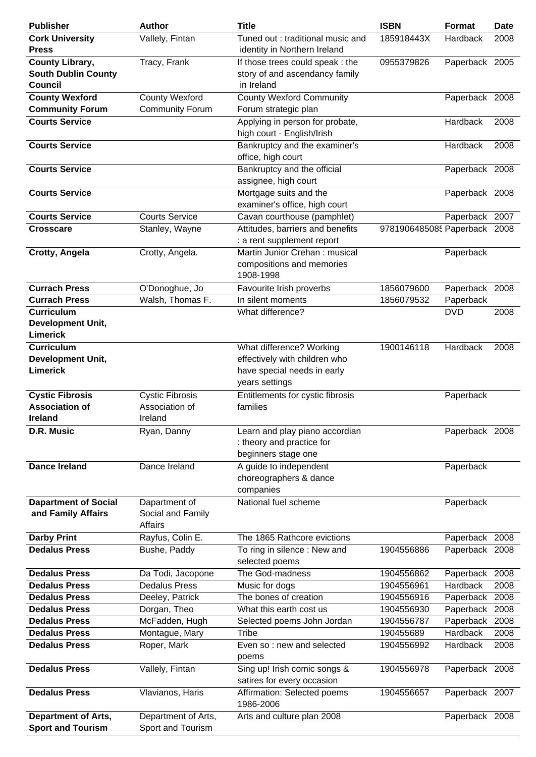| <b>Publisher</b>                                                       | <b>Author</b>                                       | <b>Title</b>                                                                                               | <b>ISBN</b>                  | Format                     | <b>Date</b> |
|------------------------------------------------------------------------|-----------------------------------------------------|------------------------------------------------------------------------------------------------------------|------------------------------|----------------------------|-------------|
| <b>Cork University</b><br><b>Press</b>                                 | Vallely, Fintan                                     | Tuned out: traditional music and<br>identity in Northern Ireland                                           | 185918443X                   | Hardback                   | 2008        |
| <b>County Library,</b><br><b>South Dublin County</b><br><b>Council</b> | Tracy, Frank                                        | If those trees could speak : the<br>story of and ascendancy family<br>in Ireland                           | 0955379826                   | Paperback 2005             |             |
| <b>County Wexford</b>                                                  | <b>County Wexford</b>                               | <b>County Wexford Community</b>                                                                            |                              | Paperback 2008             |             |
| <b>Community Forum</b>                                                 | <b>Community Forum</b>                              | Forum strategic plan                                                                                       |                              |                            |             |
| <b>Courts Service</b>                                                  |                                                     | Applying in person for probate,<br>high court - English/Irish                                              |                              | Hardback                   | 2008        |
| <b>Courts Service</b>                                                  |                                                     | Bankruptcy and the examiner's<br>office, high court                                                        |                              | Hardback                   | 2008        |
| <b>Courts Service</b>                                                  |                                                     | Bankruptcy and the official<br>assignee, high court                                                        |                              | Paperback 2008             |             |
| <b>Courts Service</b>                                                  |                                                     | Mortgage suits and the<br>examiner's office, high court                                                    |                              | Paperback 2008             |             |
| <b>Courts Service</b>                                                  | <b>Courts Service</b>                               | Cavan courthouse (pamphlet)                                                                                |                              | Paperback 2007             |             |
| <b>Crosscare</b>                                                       | Stanley, Wayne                                      | Attitudes, barriers and benefits<br>: a rent supplement report                                             | 9781906485085 Paperback 2008 |                            |             |
| Crotty, Angela                                                         | Crotty, Angela.                                     | Martin Junior Crehan: musical<br>compositions and memories<br>1908-1998                                    |                              | Paperback                  |             |
| <b>Currach Press</b>                                                   | O'Donoghue, Jo                                      | Favourite Irish proverbs                                                                                   | 1856079600                   | Paperback 2008             |             |
| <b>Currach Press</b>                                                   | Walsh, Thomas F.                                    | In silent moments                                                                                          | 1856079532                   | Paperback                  |             |
| <b>Curriculum</b><br><b>Development Unit,</b><br>Limerick              |                                                     | What difference?                                                                                           |                              | <b>DVD</b>                 | 2008        |
| <b>Curriculum</b><br><b>Development Unit,</b><br><b>Limerick</b>       |                                                     | What difference? Working<br>effectively with children who<br>have special needs in early<br>years settings | 1900146118                   | Hardback                   | 2008        |
| <b>Cystic Fibrosis</b><br><b>Association of</b><br><b>Ireland</b>      | <b>Cystic Fibrosis</b><br>Association of<br>Ireland | Entitlements for cystic fibrosis<br>families                                                               |                              | Paperback                  |             |
| D.R. Music                                                             | Ryan, Danny                                         | Learn and play piano accordian<br>: theory and practice for<br>beginners stage one                         |                              | Paperback 2008             |             |
| <b>Dance Ireland</b>                                                   | Dance Ireland                                       | A guide to independent<br>choreographers & dance<br>companies                                              |                              | Paperback                  |             |
| <b>Dapartment of Social</b><br>and Family Affairs                      | Dapartment of<br>Social and Family<br>Affairs       | National fuel scheme                                                                                       |                              | Paperback                  |             |
| <b>Darby Print</b>                                                     | Rayfus, Colin E.                                    | The 1865 Rathcore evictions                                                                                |                              | Paperback 2008             |             |
| <b>Dedalus Press</b>                                                   | Bushe, Paddy                                        | To ring in silence: New and<br>selected poems                                                              | 1904556886                   | Paperback 2008             |             |
| <b>Dedalus Press</b>                                                   | Da Todi, Jacopone                                   | The God-madness                                                                                            | 1904556862                   | Paperback 2008             |             |
| <b>Dedalus Press</b>                                                   | <b>Dedalus Press</b>                                | Music for dogs                                                                                             | 1904556961                   | <b>Hardback</b>            | 2008        |
| <b>Dedalus Press</b>                                                   | Deeley, Patrick                                     | The bones of creation                                                                                      | 1904556916                   | Paperback 2008             |             |
| <b>Dedalus Press</b><br><b>Dedalus Press</b>                           | Dorgan, Theo                                        | What this earth cost us                                                                                    | 1904556930                   | Paperback 2008             |             |
| <b>Dedalus Press</b>                                                   | McFadden, Hugh<br>Montague, Mary                    | Selected poems John Jordan<br>Tribe                                                                        | 1904556787<br>190455689      | Paperback 2008<br>Hardback | 2008        |
| <b>Dedalus Press</b>                                                   | Roper, Mark                                         | Even so : new and selected<br>poems                                                                        | 1904556992                   | Hardback                   | 2008        |
| <b>Dedalus Press</b>                                                   | Vallely, Fintan                                     | Sing up! Irish comic songs &<br>satires for every occasion                                                 | 1904556978                   | Paperback 2008             |             |
| <b>Dedalus Press</b>                                                   | Vlavianos, Haris                                    | Affirmation: Selected poems<br>1986-2006                                                                   | 1904556657                   | Paperback 2007             |             |
| <b>Department of Arts,</b><br><b>Sport and Tourism</b>                 | Department of Arts,<br>Sport and Tourism            | Arts and culture plan 2008                                                                                 |                              | Paperback 2008             |             |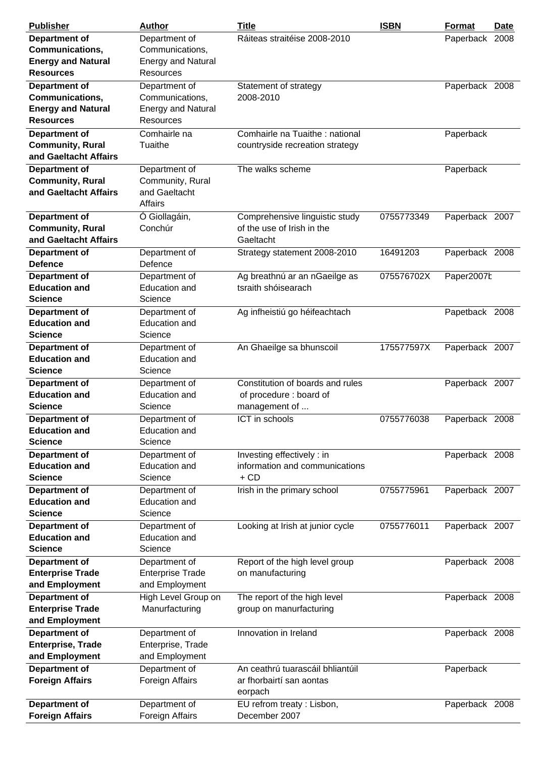| <b>Publisher</b>          | <b>Author</b>             | <b>Title</b>                     | <b>ISBN</b> | <b>Format</b>  | <b>Date</b> |
|---------------------------|---------------------------|----------------------------------|-------------|----------------|-------------|
| Department of             | Department of             | Ráiteas straitéise 2008-2010     |             | Paperback 2008 |             |
| Communications,           | Communications,           |                                  |             |                |             |
| <b>Energy and Natural</b> | <b>Energy and Natural</b> |                                  |             |                |             |
| <b>Resources</b>          | <b>Resources</b>          |                                  |             |                |             |
| <b>Department of</b>      | Department of             | Statement of strategy            |             | Paperback 2008 |             |
| <b>Communications,</b>    | Communications,           | 2008-2010                        |             |                |             |
| <b>Energy and Natural</b> | <b>Energy and Natural</b> |                                  |             |                |             |
| <b>Resources</b>          | Resources                 |                                  |             |                |             |
| Department of             | Comhairle na              | Comhairle na Tuaithe : national  |             | Paperback      |             |
| <b>Community, Rural</b>   | Tuaithe                   | countryside recreation strategy  |             |                |             |
| and Gaeltacht Affairs     |                           |                                  |             |                |             |
| Department of             | Department of             | The walks scheme                 |             | Paperback      |             |
| <b>Community, Rural</b>   | Community, Rural          |                                  |             |                |             |
| and Gaeltacht Affairs     | and Gaeltacht             |                                  |             |                |             |
|                           | Affairs                   |                                  |             |                |             |
| Department of             | Ó Giollagáin,             | Comprehensive linguistic study   | 0755773349  | Paperback 2007 |             |
| <b>Community, Rural</b>   | Conchúr                   | of the use of Irish in the       |             |                |             |
| and Gaeltacht Affairs     |                           | Gaeltacht                        |             |                |             |
| Department of             | Department of             | Strategy statement 2008-2010     | 16491203    | Paperback 2008 |             |
| <b>Defence</b>            | Defence                   |                                  |             |                |             |
| Department of             | Department of             | Ag breathnú ar an nGaeilge as    | 075576702X  | Paper2007t     |             |
| <b>Education and</b>      | <b>Education and</b>      | tsraith shóisearach              |             |                |             |
| <b>Science</b>            | Science                   |                                  |             |                |             |
| <b>Department of</b>      | Department of             | Ag infheistiú go héifeachtach    |             | Papetback 2008 |             |
| <b>Education and</b>      | <b>Education and</b>      |                                  |             |                |             |
| <b>Science</b>            | Science                   |                                  |             |                |             |
| Department of             | Department of             | An Ghaeilge sa bhunscoil         | 175577597X  | Paperback 2007 |             |
| <b>Education and</b>      | <b>Education and</b>      |                                  |             |                |             |
| <b>Science</b>            | Science                   |                                  |             |                |             |
| Department of             | Department of             | Constitution of boards and rules |             | Paperback 2007 |             |
| <b>Education and</b>      | <b>Education and</b>      | of procedure : board of          |             |                |             |
| <b>Science</b>            | Science                   | management of                    |             |                |             |
| Department of             | Department of             | ICT in schools                   | 0755776038  | Paperback 2008 |             |
| <b>Education and</b>      | <b>Education and</b>      |                                  |             |                |             |
| <b>Science</b>            | Science                   |                                  |             |                |             |
| Department of             | Department of             | Investing effectively : in       |             | Paperback 2008 |             |
| <b>Education and</b>      | <b>Education and</b>      | information and communications   |             |                |             |
| <b>Science</b>            | Science                   | $+$ CD                           |             |                |             |
| <b>Department of</b>      | Department of             | Irish in the primary school      | 0755775961  | Paperback 2007 |             |
| <b>Education and</b>      | <b>Education and</b>      |                                  |             |                |             |
| <b>Science</b>            | Science                   |                                  |             |                |             |
| Department of             | Department of             | Looking at Irish at junior cycle | 0755776011  | Paperback 2007 |             |
| <b>Education and</b>      | <b>Education and</b>      |                                  |             |                |             |
| <b>Science</b>            | Science                   |                                  |             |                |             |
| Department of             | Department of             | Report of the high level group   |             | Paperback 2008 |             |
| <b>Enterprise Trade</b>   | <b>Enterprise Trade</b>   | on manufacturing                 |             |                |             |
| and Employment            | and Employment            |                                  |             |                |             |
| <b>Department of</b>      | High Level Group on       | The report of the high level     |             | Paperback 2008 |             |
| <b>Enterprise Trade</b>   | Manurfacturing            | group on manurfacturing          |             |                |             |
| and Employment            |                           |                                  |             |                |             |
| <b>Department of</b>      | Department of             | Innovation in Ireland            |             | Paperback 2008 |             |
| Enterprise, Trade         | Enterprise, Trade         |                                  |             |                |             |
| and Employment            | and Employment            |                                  |             |                |             |
| <b>Department of</b>      | Department of             | An ceathrú tuarascáil bhliantúil |             | Paperback      |             |
| <b>Foreign Affairs</b>    | Foreign Affairs           | ar fhorbairtí san aontas         |             |                |             |
|                           |                           | eorpach                          |             |                |             |
| Department of             | Department of             | EU refrom treaty: Lisbon,        |             | Paperback 2008 |             |
| <b>Foreign Affairs</b>    | Foreign Affairs           | December 2007                    |             |                |             |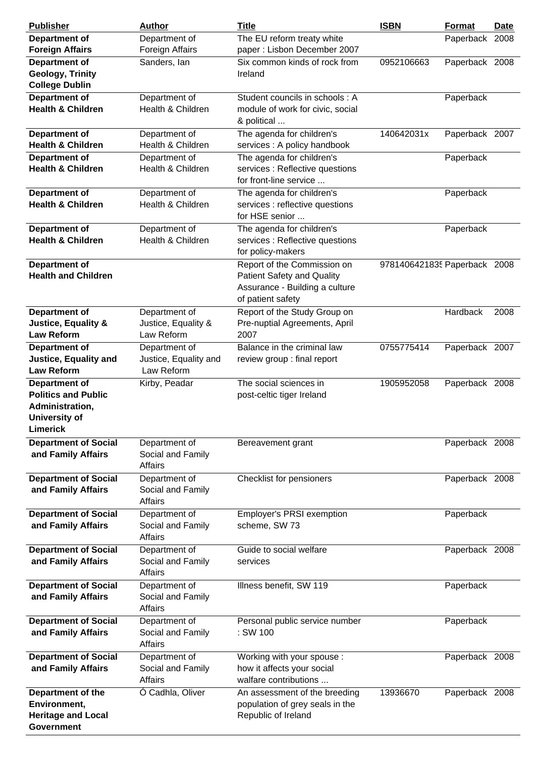| <b>Publisher</b>                                    | <b>Author</b>                      | <b>Title</b>                                                     | <b>ISBN</b>                  | Format         | <b>Date</b> |
|-----------------------------------------------------|------------------------------------|------------------------------------------------------------------|------------------------------|----------------|-------------|
| Department of                                       | Department of                      | The EU reform treaty white                                       |                              | Paperback 2008 |             |
| <b>Foreign Affairs</b>                              | Foreign Affairs                    | paper: Lisbon December 2007                                      |                              |                |             |
| Department of                                       | Sanders, lan                       | Six common kinds of rock from                                    | 0952106663                   | Paperback 2008 |             |
| <b>Geology, Trinity</b><br><b>College Dublin</b>    |                                    | Ireland                                                          |                              |                |             |
| Department of                                       | Department of                      | Student councils in schools : A                                  |                              | Paperback      |             |
| <b>Health &amp; Children</b>                        | Health & Children                  | module of work for civic, social<br>& political                  |                              |                |             |
| Department of<br><b>Health &amp; Children</b>       | Department of<br>Health & Children | The agenda for children's<br>services : A policy handbook        | 140642031x                   | Paperback 2007 |             |
| Department of                                       | Department of                      | The agenda for children's                                        |                              | Paperback      |             |
| <b>Health &amp; Children</b>                        | Health & Children                  | services : Reflective questions<br>for front-line service        |                              |                |             |
| Department of                                       | Department of                      | The agenda for children's                                        |                              | Paperback      |             |
| <b>Health &amp; Children</b>                        | Health & Children                  | services : reflective questions<br>for HSE senior                |                              |                |             |
| Department of                                       | Department of                      | The agenda for children's                                        |                              | Paperback      |             |
| <b>Health &amp; Children</b>                        | Health & Children                  | services : Reflective questions<br>for policy-makers             |                              |                |             |
| Department of                                       |                                    | Report of the Commission on                                      | 9781406421835 Paperback 2008 |                |             |
| <b>Health and Children</b>                          |                                    | <b>Patient Safety and Quality</b>                                |                              |                |             |
|                                                     |                                    | Assurance - Building a culture                                   |                              |                |             |
|                                                     |                                    | of patient safety                                                |                              |                |             |
| Department of                                       | Department of                      | Report of the Study Group on                                     |                              | Hardback       | 2008        |
| <b>Justice, Equality &amp;</b><br><b>Law Reform</b> | Justice, Equality &<br>Law Reform  | Pre-nuptial Agreements, April<br>2007                            |                              |                |             |
| Department of                                       | Department of                      | Balance in the criminal law                                      | 0755775414                   | Paperback 2007 |             |
| <b>Justice, Equality and</b>                        | Justice, Equality and              | review group : final report                                      |                              |                |             |
| <b>Law Reform</b>                                   | Law Reform                         |                                                                  |                              |                |             |
| Department of                                       | Kirby, Peadar                      | The social sciences in                                           | 1905952058                   | Paperback 2008 |             |
| <b>Politics and Public</b>                          |                                    | post-celtic tiger Ireland                                        |                              |                |             |
| Administration,                                     |                                    |                                                                  |                              |                |             |
| University of                                       |                                    |                                                                  |                              |                |             |
| <b>Limerick</b>                                     |                                    |                                                                  |                              |                |             |
| <b>Department of Social</b>                         | Department of                      | Bereavement grant                                                |                              | Paperback 2008 |             |
| and Family Affairs                                  | Social and Family<br>Affairs       |                                                                  |                              |                |             |
| <b>Department of Social</b>                         | Department of                      | Checklist for pensioners                                         |                              | Paperback 2008 |             |
| and Family Affairs                                  | Social and Family<br>Affairs       |                                                                  |                              |                |             |
| <b>Department of Social</b>                         | Department of                      | Employer's PRSI exemption                                        |                              | Paperback      |             |
| and Family Affairs                                  | Social and Family                  | scheme, SW 73                                                    |                              |                |             |
|                                                     | Affairs                            |                                                                  |                              |                |             |
| <b>Department of Social</b>                         | Department of                      | Guide to social welfare<br>services                              |                              | Paperback 2008 |             |
| and Family Affairs                                  | Social and Family<br>Affairs       |                                                                  |                              |                |             |
| <b>Department of Social</b>                         | Department of                      | Illness benefit, SW 119                                          |                              | Paperback      |             |
| and Family Affairs                                  | Social and Family                  |                                                                  |                              |                |             |
|                                                     | Affairs                            |                                                                  |                              |                |             |
| <b>Department of Social</b>                         | Department of                      | Personal public service number                                   |                              | Paperback      |             |
| and Family Affairs                                  | Social and Family<br>Affairs       | : SW 100                                                         |                              |                |             |
| <b>Department of Social</b>                         | Department of                      | Working with your spouse :                                       |                              | Paperback 2008 |             |
| and Family Affairs                                  | Social and Family                  | how it affects your social                                       |                              |                |             |
|                                                     | Affairs                            | walfare contributions                                            |                              |                |             |
| Department of the<br>Environment,                   | Ó Cadhla, Oliver                   | An assessment of the breeding<br>population of grey seals in the | 13936670                     | Paperback 2008 |             |
| <b>Heritage and Local</b>                           |                                    | Republic of Ireland                                              |                              |                |             |
| <b>Government</b>                                   |                                    |                                                                  |                              |                |             |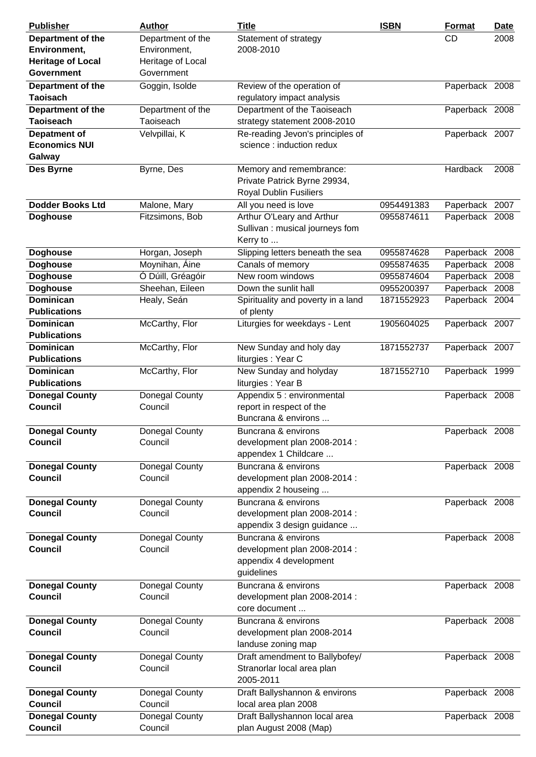| <b>Publisher</b>                        | <b>Author</b>             | <b>Title</b>                                               | <b>ISBN</b> | <b>Format</b>  | <b>Date</b> |
|-----------------------------------------|---------------------------|------------------------------------------------------------|-------------|----------------|-------------|
| Department of the                       | Department of the         | Statement of strategy                                      |             | <b>CD</b>      | 2008        |
| Environment,                            | Environment,              | 2008-2010                                                  |             |                |             |
| <b>Heritage of Local</b>                | Heritage of Local         |                                                            |             |                |             |
| <b>Government</b>                       | Government                |                                                            |             |                |             |
| Department of the                       | Goggin, Isolde            | Review of the operation of                                 |             | Paperback 2008 |             |
| Taoisach                                |                           | regulatory impact analysis                                 |             |                |             |
| Department of the                       | Department of the         | Department of the Taoiseach                                |             | Paperback 2008 |             |
| <b>Taoiseach</b>                        | Taoiseach                 | strategy statement 2008-2010                               |             |                |             |
| Depatment of                            | Velvpillai, K             | Re-reading Jevon's principles of                           |             | Paperback 2007 |             |
| <b>Economics NUI</b>                    |                           | science : induction redux                                  |             |                |             |
| Galway                                  |                           |                                                            |             |                |             |
| Des Byrne                               | Byrne, Des                | Memory and remembrance:                                    |             | Hardback       | 2008        |
|                                         |                           | Private Patrick Byrne 29934,                               |             |                |             |
|                                         |                           | <b>Royal Dublin Fusiliers</b>                              |             |                |             |
| <b>Dodder Books Ltd</b>                 | Malone, Mary              | All you need is love                                       | 0954491383  | Paperback 2007 |             |
| <b>Doghouse</b>                         | Fitzsimons, Bob           | Arthur O'Leary and Arthur                                  | 0955874611  | Paperback 2008 |             |
|                                         |                           | Sullivan: musical journeys fom                             |             |                |             |
|                                         |                           | Kerry to                                                   |             |                |             |
| <b>Doghouse</b>                         | Horgan, Joseph            | Slipping letters beneath the sea                           | 0955874628  | Paperback 2008 |             |
| <b>Doghouse</b>                         | Moynihan, Áine            | Canals of memory                                           | 0955874635  | Paperback 2008 |             |
| <b>Doghouse</b>                         | Ó Dúill, Gréagóir         | New room windows                                           | 0955874604  | Paperback 2008 |             |
| <b>Doghouse</b>                         | Sheehan, Eileen           | Down the sunlit hall                                       | 0955200397  | Paperback 2008 |             |
| <b>Dominican</b>                        | Healy, Seán               | Spirituality and poverty in a land                         | 1871552923  | Paperback 2004 |             |
| <b>Publications</b>                     |                           | of plenty                                                  |             |                |             |
| <b>Dominican</b>                        | McCarthy, Flor            | Liturgies for weekdays - Lent                              | 1905604025  | Paperback 2007 |             |
| <b>Publications</b>                     |                           |                                                            |             |                |             |
| <b>Dominican</b>                        | McCarthy, Flor            | New Sunday and holy day                                    | 1871552737  | Paperback 2007 |             |
| <b>Publications</b>                     |                           | liturgies : Year C                                         |             |                |             |
| <b>Dominican</b>                        | McCarthy, Flor            | New Sunday and holyday                                     | 1871552710  | Paperback 1999 |             |
| <b>Publications</b>                     |                           | liturgies : Year B                                         |             |                |             |
| <b>Donegal County</b>                   | Donegal County            | Appendix 5 : environmental                                 |             | Paperback 2008 |             |
| <b>Council</b>                          | Council                   | report in respect of the                                   |             |                |             |
|                                         |                           | Buncrana & environs                                        |             |                |             |
| <b>Donegal County</b>                   | Donegal County            | Buncrana & environs                                        |             | Paperback 2008 |             |
| <b>Council</b>                          | Council                   | development plan 2008-2014 :                               |             |                |             |
|                                         |                           | appendex 1 Childcare                                       |             |                |             |
| <b>Donegal County</b>                   | Donegal County            | Buncrana & environs                                        |             | Paperback 2008 |             |
| <b>Council</b>                          | Council                   | development plan 2008-2014 :                               |             |                |             |
|                                         |                           | appendix 2 houseing<br>Buncrana & environs                 |             |                |             |
| <b>Donegal County</b><br><b>Council</b> | Donegal County<br>Council |                                                            |             | Paperback 2008 |             |
|                                         |                           | development plan 2008-2014 :<br>appendix 3 design guidance |             |                |             |
|                                         |                           | Buncrana & environs                                        |             | Paperback 2008 |             |
| <b>Donegal County</b><br><b>Council</b> | Donegal County<br>Council | development plan 2008-2014 :                               |             |                |             |
|                                         |                           | appendix 4 development                                     |             |                |             |
|                                         |                           | guidelines                                                 |             |                |             |
| <b>Donegal County</b>                   | Donegal County            | Buncrana & environs                                        |             | Paperback 2008 |             |
| <b>Council</b>                          | Council                   | development plan 2008-2014 :                               |             |                |             |
|                                         |                           | core document                                              |             |                |             |
| <b>Donegal County</b>                   | Donegal County            | Buncrana & environs                                        |             | Paperback 2008 |             |
| <b>Council</b>                          | Council                   | development plan 2008-2014                                 |             |                |             |
|                                         |                           | landuse zoning map                                         |             |                |             |
| <b>Donegal County</b>                   | Donegal County            | Draft amendment to Ballybofey/                             |             | Paperback 2008 |             |
| <b>Council</b>                          | Council                   | Stranorlar local area plan                                 |             |                |             |
|                                         |                           | 2005-2011                                                  |             |                |             |
| <b>Donegal County</b>                   | Donegal County            | Draft Ballyshannon & environs                              |             | Paperback 2008 |             |
| <b>Council</b>                          | Council                   | local area plan 2008                                       |             |                |             |
| <b>Donegal County</b>                   | Donegal County            | Draft Ballyshannon local area                              |             | Paperback 2008 |             |
| <b>Council</b>                          | Council                   | plan August 2008 (Map)                                     |             |                |             |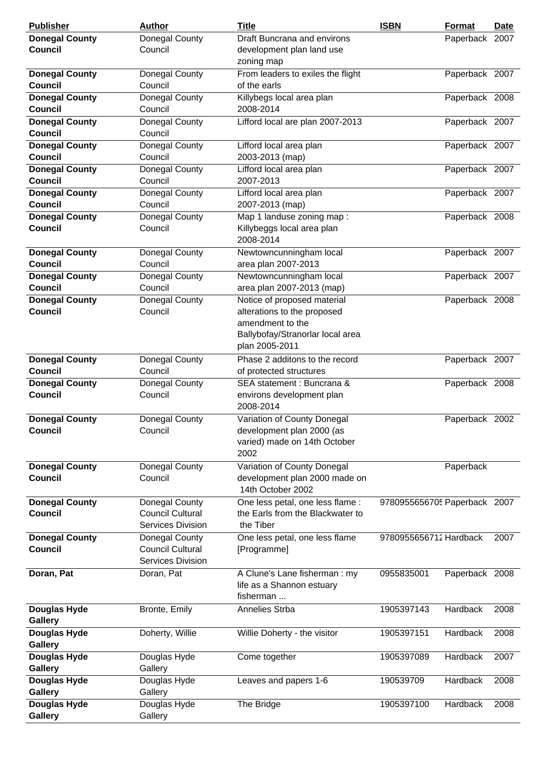| <b>Publisher</b>                        | <b>Author</b>                                                         | <b>Title</b>                                                                                                                         | <b>ISBN</b>                  | Format         | Date |
|-----------------------------------------|-----------------------------------------------------------------------|--------------------------------------------------------------------------------------------------------------------------------------|------------------------------|----------------|------|
| <b>Donegal County</b><br><b>Council</b> | Donegal County<br>Council                                             | Draft Buncrana and environs<br>development plan land use<br>zoning map                                                               |                              | Paperback 2007 |      |
| <b>Donegal County</b><br>Council        | Donegal County<br>Council                                             | From leaders to exiles the flight<br>of the earls                                                                                    |                              | Paperback 2007 |      |
| <b>Donegal County</b><br><b>Council</b> | Donegal County<br>Council                                             | Killybegs local area plan<br>2008-2014                                                                                               |                              | Paperback 2008 |      |
| <b>Donegal County</b><br><b>Council</b> | Donegal County<br>Council                                             | Lifford local are plan 2007-2013                                                                                                     |                              | Paperback 2007 |      |
| <b>Donegal County</b><br><b>Council</b> | Donegal County<br>Council                                             | Lifford local area plan<br>2003-2013 (map)                                                                                           |                              | Paperback 2007 |      |
| <b>Donegal County</b><br><b>Council</b> | Donegal County<br>Council                                             | Lifford local area plan<br>2007-2013                                                                                                 |                              | Paperback 2007 |      |
| <b>Donegal County</b><br><b>Council</b> | Donegal County<br>Council                                             | Lifford local area plan<br>2007-2013 (map)                                                                                           |                              | Paperback 2007 |      |
| <b>Donegal County</b><br><b>Council</b> | Donegal County<br>Council                                             | Map 1 landuse zoning map:<br>Killybeggs local area plan<br>2008-2014                                                                 |                              | Paperback 2008 |      |
| <b>Donegal County</b><br><b>Council</b> | Donegal County<br>Council                                             | Newtowncunningham local<br>area plan 2007-2013                                                                                       |                              | Paperback 2007 |      |
| <b>Donegal County</b><br><b>Council</b> | Donegal County<br>Council                                             | Newtowncunningham local<br>area plan 2007-2013 (map)                                                                                 |                              | Paperback 2007 |      |
| <b>Donegal County</b><br><b>Council</b> | Donegal County<br>Council                                             | Notice of proposed material<br>alterations to the proposed<br>amendment to the<br>Ballybofay/Stranorlar local area<br>plan 2005-2011 |                              | Paperback 2008 |      |
| <b>Donegal County</b><br><b>Council</b> | Donegal County<br>Council                                             | Phase 2 additons to the record<br>of protected structures                                                                            |                              | Paperback 2007 |      |
| <b>Donegal County</b><br><b>Council</b> | Donegal County<br>Council                                             | SEA statement : Buncrana &<br>environs development plan<br>2008-2014                                                                 |                              | Paperback 2008 |      |
| <b>Donegal County</b><br><b>Council</b> | Donegal County<br>Council                                             | Variation of County Donegal<br>development plan 2000 (as<br>varied) made on 14th October<br>2002                                     |                              | Paperback 2002 |      |
| <b>Donegal County</b><br><b>Council</b> | Donegal County<br>Council                                             | Variation of County Donegal<br>development plan 2000 made on<br>14th October 2002                                                    |                              | Paperback      |      |
| <b>Donegal County</b><br><b>Council</b> | Donegal County<br><b>Council Cultural</b><br><b>Services Division</b> | One less petal, one less flame :<br>the Earls from the Blackwater to<br>the Tiber                                                    | 9780955656705 Paperback 2007 |                |      |
| <b>Donegal County</b><br><b>Council</b> | Donegal County<br><b>Council Cultural</b><br><b>Services Division</b> | One less petal, one less flame<br>[Programme]                                                                                        | 9780955656712 Hardback       |                | 2007 |
| Doran, Pat                              | Doran, Pat                                                            | A Clune's Lane fisherman: my<br>life as a Shannon estuary<br>fisherman                                                               | 0955835001                   | Paperback 2008 |      |
| Douglas Hyde<br><b>Gallery</b>          | Bronte, Emily                                                         | Annelies Strba                                                                                                                       | 1905397143                   | Hardback       | 2008 |
| Douglas Hyde<br><b>Gallery</b>          | Doherty, Willie                                                       | Willie Doherty - the visitor                                                                                                         | 1905397151                   | Hardback       | 2008 |
| Douglas Hyde<br><b>Gallery</b>          | Douglas Hyde<br>Gallery                                               | Come together                                                                                                                        | 1905397089                   | Hardback       | 2007 |
| Douglas Hyde<br><b>Gallery</b>          | Douglas Hyde<br>Gallery                                               | Leaves and papers 1-6                                                                                                                | 190539709                    | Hardback       | 2008 |
| Douglas Hyde<br><b>Gallery</b>          | Douglas Hyde<br>Gallery                                               | The Bridge                                                                                                                           | 1905397100                   | Hardback       | 2008 |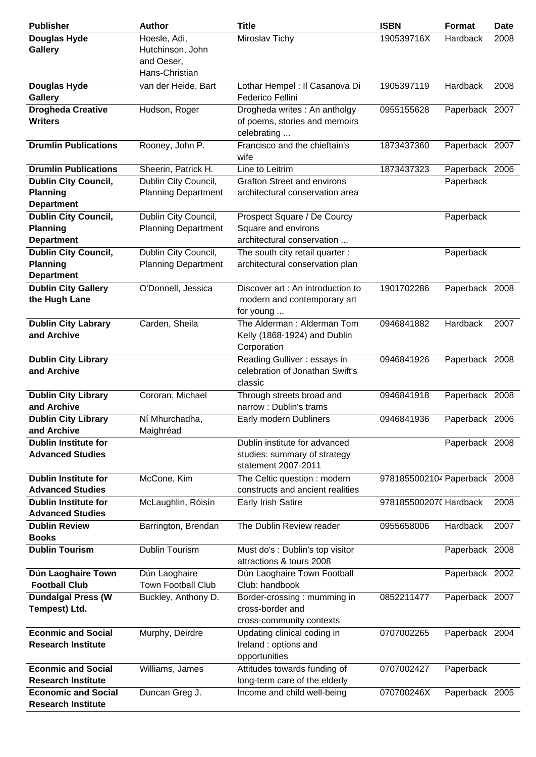| <b>Publisher</b>                                                                    | <b>Author</b>                                                    | <b>Title</b>                                                                                                                        | <b>ISBN</b>                  | Format                     | <b>Date</b> |
|-------------------------------------------------------------------------------------|------------------------------------------------------------------|-------------------------------------------------------------------------------------------------------------------------------------|------------------------------|----------------------------|-------------|
| Douglas Hyde<br><b>Gallery</b>                                                      | Hoesle, Adi,<br>Hutchinson, John<br>and Oeser,<br>Hans-Christian | Miroslav Tichy                                                                                                                      | 190539716X                   | Hardback                   | 2008        |
| <b>Douglas Hyde</b><br><b>Gallery</b><br><b>Drogheda Creative</b><br><b>Writers</b> | van der Heide, Bart<br>Hudson, Roger                             | Lothar Hempel : Il Casanova Di<br>Federico Fellini<br>Drogheda writes : An antholgy<br>of poems, stories and memoirs<br>celebrating | 1905397119<br>0955155628     | Hardback<br>Paperback 2007 | 2008        |
| <b>Drumlin Publications</b>                                                         | Rooney, John P.                                                  | Francisco and the chieftain's<br>wife                                                                                               | 1873437360                   | Paperback 2007             |             |
| <b>Drumlin Publications</b>                                                         | Sheerin, Patrick H.                                              | Line to Leitrim                                                                                                                     | 1873437323                   | Paperback 2006             |             |
| <b>Dublin City Council,</b><br><b>Planning</b><br><b>Department</b>                 | Dublin City Council,<br><b>Planning Department</b>               | <b>Grafton Street and environs</b><br>architectural conservation area                                                               |                              | Paperback                  |             |
| <b>Dublin City Council,</b><br><b>Planning</b><br><b>Department</b>                 | Dublin City Council,<br><b>Planning Department</b>               | Prospect Square / De Courcy<br>Square and environs<br>architectural conservation                                                    |                              | Paperback                  |             |
| <b>Dublin City Council,</b><br><b>Planning</b><br><b>Department</b>                 | Dublin City Council,<br><b>Planning Department</b>               | The south city retail quarter :<br>architectural conservation plan                                                                  |                              | Paperback                  |             |
| <b>Dublin City Gallery</b><br>the Hugh Lane                                         | O'Donnell, Jessica                                               | Discover art: An introduction to<br>modern and contemporary art<br>for young                                                        | 1901702286                   | Paperback 2008             |             |
| <b>Dublin City Labrary</b><br>and Archive                                           | Carden, Sheila                                                   | The Alderman: Alderman Tom<br>Kelly (1868-1924) and Dublin<br>Corporation                                                           | 0946841882                   | Hardback                   | 2007        |
| <b>Dublin City Library</b><br>and Archive                                           |                                                                  | Reading Gulliver: essays in<br>celebration of Jonathan Swift's<br>classic                                                           | 0946841926                   | Paperback 2008             |             |
| <b>Dublin City Library</b><br>and Archive                                           | Cororan, Michael                                                 | Through streets broad and<br>narrow: Dublin's trams                                                                                 | 0946841918                   | Paperback 2008             |             |
| <b>Dublin City Library</b><br>and Archive                                           | Ní Mhurchadha,<br>Maighréad                                      | Early modern Dubliners                                                                                                              | 0946841936                   | Paperback 2006             |             |
| <b>Dublin Institute for</b><br><b>Advanced Studies</b>                              |                                                                  | Dublin institute for advanced<br>studies: summary of strategy<br>statement 2007-2011                                                |                              | Paperback 2008             |             |
| <b>Dublin Institute for</b><br><b>Advanced Studies</b>                              | McCone, Kim                                                      | The Celtic question : modern<br>constructs and ancient realities                                                                    | 9781855002104 Paperback 2008 |                            |             |
| <b>Dublin Institute for</b><br><b>Advanced Studies</b>                              | McLaughlin, Róisín                                               | Early Irish Satire                                                                                                                  | 9781855002070 Hardback       |                            | 2008        |
| <b>Dublin Review</b><br><b>Books</b>                                                | Barrington, Brendan                                              | The Dublin Review reader                                                                                                            | 0955658006                   | Hardback                   | 2007        |
| <b>Dublin Tourism</b>                                                               | Dublin Tourism                                                   | Must do's: Dublin's top visitor<br>attractions & tours 2008                                                                         |                              | Paperback 2008             |             |
| Dún Laoghaire Town<br><b>Football Club</b>                                          | Dún Laoghaire<br><b>Town Football Club</b>                       | Dún Laoghaire Town Football<br>Club: handbook                                                                                       |                              | Paperback 2002             |             |
| <b>Dundalgal Press (W</b><br>Tempest) Ltd.                                          | Buckley, Anthony D.                                              | Border-crossing: mumming in<br>cross-border and<br>cross-community contexts                                                         | 0852211477                   | Paperback 2007             |             |
| <b>Econmic and Social</b><br><b>Research Institute</b>                              | Murphy, Deirdre                                                  | Updating clinical coding in<br>Ireland : options and<br>opportunities                                                               | 0707002265                   | Paperback 2004             |             |
| <b>Econmic and Social</b><br><b>Research Institute</b>                              | Williams, James                                                  | Attitudes towards funding of<br>long-term care of the elderly                                                                       | 0707002427                   | Paperback                  |             |
| <b>Economic and Social</b><br><b>Research Institute</b>                             | Duncan Greg J.                                                   | Income and child well-being                                                                                                         | 070700246X                   | Paperback 2005             |             |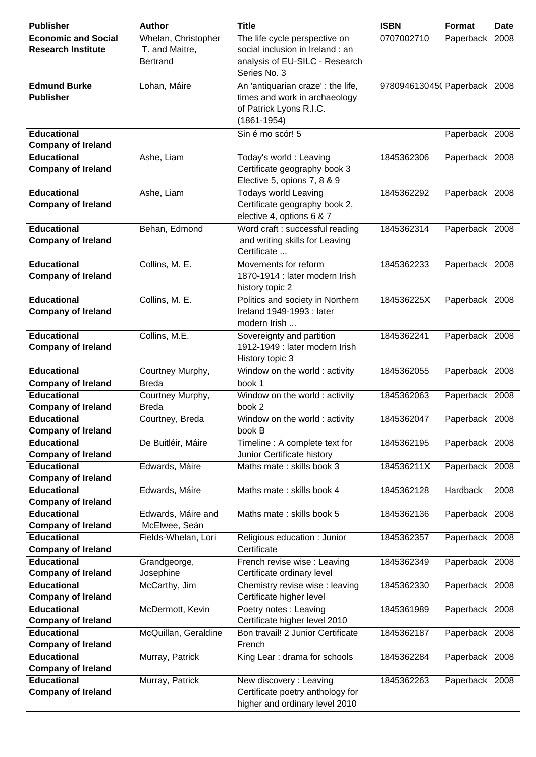| <b>Publisher</b>                                        | <b>Author</b>                                            | <b>Title</b>                                                                                                        | <b>ISBN</b>                  | <b>Format</b>  | Date |
|---------------------------------------------------------|----------------------------------------------------------|---------------------------------------------------------------------------------------------------------------------|------------------------------|----------------|------|
| <b>Economic and Social</b><br><b>Research Institute</b> | Whelan, Christopher<br>T. and Maitre,<br><b>Bertrand</b> | The life cycle perspective on<br>social inclusion in Ireland : an<br>analysis of EU-SILC - Research<br>Series No. 3 | 0707002710                   | Paperback 2008 |      |
| <b>Edmund Burke</b><br><b>Publisher</b>                 | Lohan, Máire                                             | An 'antiquarian craze' : the life,<br>times and work in archaeology<br>of Patrick Lyons R.I.C.<br>$(1861 - 1954)$   | 9780946130450 Paperback 2008 |                |      |
| <b>Educational</b><br><b>Company of Ireland</b>         |                                                          | Sin é mo scór! 5                                                                                                    |                              | Paperback 2008 |      |
| <b>Educational</b>                                      | Ashe, Liam                                               | Today's world: Leaving                                                                                              | 1845362306                   | Paperback 2008 |      |
| <b>Company of Ireland</b>                               |                                                          | Certificate geography book 3<br>Elective 5, opions 7, 8 & 9                                                         |                              |                |      |
| <b>Educational</b><br><b>Company of Ireland</b>         | Ashe, Liam                                               | <b>Todays world Leaving</b><br>Certificate geography book 2,<br>elective 4, options 6 & 7                           | 1845362292                   | Paperback 2008 |      |
| <b>Educational</b><br><b>Company of Ireland</b>         | Behan, Edmond                                            | Word craft : successful reading<br>and writing skills for Leaving<br>Certificate                                    | 1845362314                   | Paperback 2008 |      |
| <b>Educational</b><br><b>Company of Ireland</b>         | Collins, M. E.                                           | Movements for reform<br>1870-1914 : later modern Irish<br>history topic 2                                           | 1845362233                   | Paperback 2008 |      |
| <b>Educational</b><br><b>Company of Ireland</b>         | Collins, M. E.                                           | Politics and society in Northern<br>Ireland 1949-1993 : later<br>modern Irish                                       | 184536225X                   | Paperback 2008 |      |
| <b>Educational</b><br><b>Company of Ireland</b>         | Collins, M.E.                                            | Sovereignty and partition<br>1912-1949 : later modern Irish<br>History topic 3                                      | 1845362241                   | Paperback 2008 |      |
| <b>Educational</b><br><b>Company of Ireland</b>         | Courtney Murphy,<br><b>Breda</b>                         | Window on the world : activity<br>book 1                                                                            | 1845362055                   | Paperback 2008 |      |
| <b>Educational</b><br><b>Company of Ireland</b>         | Courtney Murphy,<br><b>Breda</b>                         | Window on the world : activity<br>book 2                                                                            | 1845362063                   | Paperback 2008 |      |
| <b>Educational</b><br><b>Company of Ireland</b>         | Courtney, Breda                                          | Window on the world: activity<br>book B                                                                             | 1845362047                   | Paperback 2008 |      |
| <b>Educational</b><br><b>Company of Ireland</b>         | De Buitléir, Máire                                       | Timeline: A complete text for<br>Junior Certificate history                                                         | 1845362195                   | Paperback 2008 |      |
| <b>Educational</b><br><b>Company of Ireland</b>         | Edwards, Máire                                           | Maths mate: skills book 3                                                                                           | 184536211X                   | Paperback 2008 |      |
| <b>Educational</b><br><b>Company of Ireland</b>         | Edwards, Máire                                           | Maths mate: skills book 4                                                                                           | 1845362128                   | Hardback       | 2008 |
| <b>Educational</b><br><b>Company of Ireland</b>         | Edwards, Máire and<br>McElwee, Seán                      | Maths mate: skills book 5                                                                                           | 1845362136                   | Paperback 2008 |      |
| <b>Educational</b><br><b>Company of Ireland</b>         | Fields-Whelan, Lori                                      | Religious education : Junior<br>Certificate                                                                         | 1845362357                   | Paperback 2008 |      |
| <b>Educational</b><br><b>Company of Ireland</b>         | Grandgeorge,<br>Josephine                                | French revise wise : Leaving<br>Certificate ordinary level                                                          | 1845362349                   | Paperback 2008 |      |
| <b>Educational</b><br><b>Company of Ireland</b>         | McCarthy, Jim                                            | Chemistry revise wise : leaving<br>Certificate higher level                                                         | 1845362330                   | Paperback 2008 |      |
| <b>Educational</b><br><b>Company of Ireland</b>         | McDermott, Kevin                                         | Poetry notes : Leaving<br>Certificate higher level 2010                                                             | 1845361989                   | Paperback 2008 |      |
| <b>Educational</b><br><b>Company of Ireland</b>         | McQuillan, Geraldine                                     | Bon travail! 2 Junior Certificate<br>French                                                                         | 1845362187                   | Paperback 2008 |      |
| <b>Educational</b><br><b>Company of Ireland</b>         | Murray, Patrick                                          | King Lear: drama for schools                                                                                        | 1845362284                   | Paperback 2008 |      |
| <b>Educational</b><br><b>Company of Ireland</b>         | Murray, Patrick                                          | New discovery: Leaving<br>Certificate poetry anthology for<br>higher and ordinary level 2010                        | 1845362263                   | Paperback 2008 |      |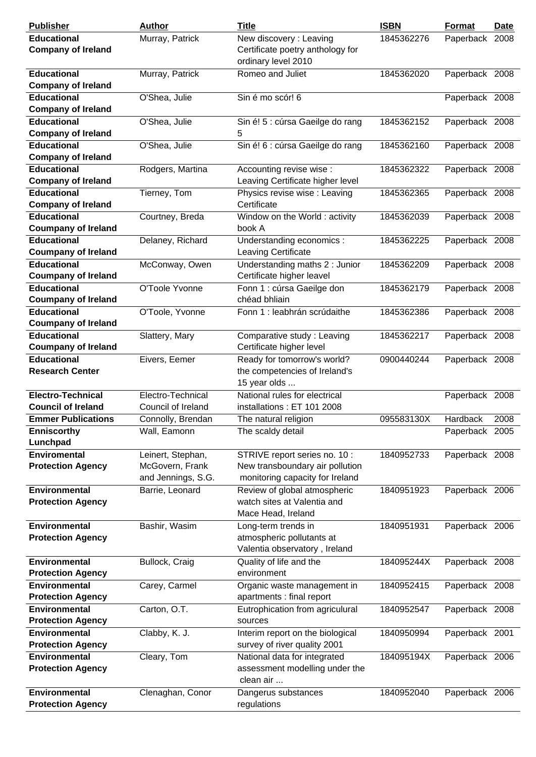| <b>Publisher</b>           | <b>Author</b>      | <b>Title</b>                     | <b>ISBN</b> | Format         | Date |
|----------------------------|--------------------|----------------------------------|-------------|----------------|------|
| <b>Educational</b>         | Murray, Patrick    | New discovery: Leaving           | 1845362276  | Paperback 2008 |      |
| <b>Company of Ireland</b>  |                    | Certificate poetry anthology for |             |                |      |
|                            |                    | ordinary level 2010              |             |                |      |
| <b>Educational</b>         | Murray, Patrick    | Romeo and Juliet                 | 1845362020  | Paperback 2008 |      |
| <b>Company of Ireland</b>  |                    |                                  |             |                |      |
| <b>Educational</b>         | O'Shea, Julie      | Sin é mo scór! 6                 |             | Paperback 2008 |      |
| <b>Company of Ireland</b>  |                    |                                  |             |                |      |
| <b>Educational</b>         | O'Shea, Julie      | Sin é! 5 : cúrsa Gaeilge do rang | 1845362152  | Paperback 2008 |      |
| <b>Company of Ireland</b>  |                    | 5                                |             |                |      |
| <b>Educational</b>         | O'Shea, Julie      | Sin é! 6 : cúrsa Gaeilge do rang | 1845362160  | Paperback 2008 |      |
| <b>Company of Ireland</b>  |                    |                                  |             |                |      |
| <b>Educational</b>         | Rodgers, Martina   | Accounting revise wise:          | 1845362322  | Paperback 2008 |      |
| <b>Company of Ireland</b>  |                    | Leaving Certificate higher level |             |                |      |
| <b>Educational</b>         | Tierney, Tom       | Physics revise wise : Leaving    | 1845362365  | Paperback 2008 |      |
| <b>Company of Ireland</b>  |                    | Certificate                      |             |                |      |
| <b>Educational</b>         | Courtney, Breda    | Window on the World: activity    | 1845362039  | Paperback 2008 |      |
| <b>Coumpany of Ireland</b> |                    | book A                           |             |                |      |
| <b>Educational</b>         | Delaney, Richard   | Understanding economics :        | 1845362225  | Paperback 2008 |      |
| <b>Coumpany of Ireland</b> |                    | Leaving Certificate              |             |                |      |
| <b>Educational</b>         | McConway, Owen     | Understanding maths 2 : Junior   | 1845362209  | Paperback 2008 |      |
| <b>Coumpany of Ireland</b> |                    | Certificate higher leavel        |             |                |      |
| <b>Educational</b>         | O'Toole Yvonne     | Fonn 1 : cúrsa Gaeilge don       | 1845362179  | Paperback 2008 |      |
| <b>Coumpany of Ireland</b> |                    | chéad bhliain                    |             |                |      |
| <b>Educational</b>         | O'Toole, Yvonne    | Fonn 1 : leabhrán scrúdaithe     | 1845362386  | Paperback 2008 |      |
| <b>Coumpany of Ireland</b> |                    |                                  |             |                |      |
| <b>Educational</b>         | Slattery, Mary     | Comparative study: Leaving       | 1845362217  | Paperback 2008 |      |
| <b>Coumpany of Ireland</b> |                    | Certificate higher level         |             |                |      |
| <b>Educational</b>         | Eivers, Eemer      | Ready for tomorrow's world?      | 0900440244  | Paperback 2008 |      |
| <b>Research Center</b>     |                    | the competencies of Ireland's    |             |                |      |
|                            |                    | 15 year olds                     |             |                |      |
| Electro-Technical          | Electro-Technical  | National rules for electrical    |             | Paperback 2008 |      |
| <b>Council of Ireland</b>  | Council of Ireland | installations: ET 101 2008       |             |                |      |
| <b>Emmer Publications</b>  | Connolly, Brendan  | The natural religion             | 095583130X  | Hardback       | 2008 |
| <b>Enniscorthy</b>         | Wall, Eamonn       | The scaldy detail                |             | Paperback 2005 |      |
| Lunchpad                   |                    |                                  |             |                |      |
|                            |                    |                                  |             |                |      |
| <b>Enviromental</b>        | Leinert, Stephan,  | STRIVE report series no. 10 :    | 1840952733  | Paperback 2008 |      |
| <b>Protection Agency</b>   | McGovern, Frank    | New transboundary air pollution  |             |                |      |
|                            | and Jennings, S.G. | monitoring capacity for Ireland  |             |                |      |
| <b>Environmental</b>       | Barrie, Leonard    | Review of global atmospheric     | 1840951923  | Paperback 2006 |      |
| <b>Protection Agency</b>   |                    | watch sites at Valentia and      |             |                |      |
|                            |                    | Mace Head, Ireland               |             |                |      |
| <b>Environmental</b>       | Bashir, Wasim      | Long-term trends in              | 1840951931  | Paperback 2006 |      |
| <b>Protection Agency</b>   |                    | atmospheric pollutants at        |             |                |      |
|                            |                    | Valentia observatory, Ireland    |             |                |      |
| <b>Environmental</b>       | Bullock, Craig     | Quality of life and the          | 184095244X  | Paperback 2008 |      |
| <b>Protection Agency</b>   |                    | environment                      |             |                |      |
| Environmental              | Carey, Carmel      | Organic waste management in      | 1840952415  | Paperback 2008 |      |
| <b>Protection Agency</b>   |                    | apartments : final report        |             |                |      |
| <b>Environmental</b>       | Carton, O.T.       | Eutrophication from agriculural  | 1840952547  | Paperback 2008 |      |
| <b>Protection Agency</b>   |                    | sources                          |             |                |      |
| <b>Environmental</b>       | Clabby, K. J.      | Interim report on the biological | 1840950994  | Paperback 2001 |      |
| <b>Protection Agency</b>   |                    | survey of river quality 2001     |             |                |      |
| <b>Environmental</b>       | Cleary, Tom        | National data for integrated     | 184095194X  | Paperback 2006 |      |
| <b>Protection Agency</b>   |                    | assessment modelling under the   |             |                |      |
|                            |                    | clean air                        |             |                |      |
| <b>Environmental</b>       | Clenaghan, Conor   | Dangerus substances              | 1840952040  | Paperback 2006 |      |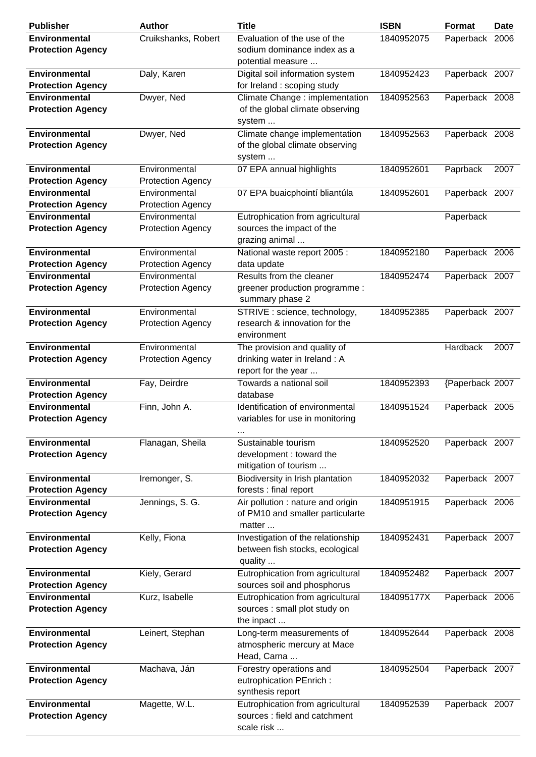| <b>Publisher</b>                                 | <b>Author</b>                             | <b>Title</b>                                                                        | <b>ISBN</b> | Format          | Date |
|--------------------------------------------------|-------------------------------------------|-------------------------------------------------------------------------------------|-------------|-----------------|------|
| <b>Environmental</b><br><b>Protection Agency</b> | Cruikshanks, Robert                       | Evaluation of the use of the<br>sodium dominance index as a<br>potential measure    | 1840952075  | Paperback 2006  |      |
| <b>Environmental</b><br><b>Protection Agency</b> | Daly, Karen                               | Digital soil information system<br>for Ireland : scoping study                      | 1840952423  | Paperback 2007  |      |
| Environmental<br><b>Protection Agency</b>        | Dwyer, Ned                                | Climate Change : implementation<br>of the global climate observing<br>system        | 1840952563  | Paperback 2008  |      |
| <b>Environmental</b><br><b>Protection Agency</b> | Dwyer, Ned                                | Climate change implementation<br>of the global climate observing<br>system          | 1840952563  | Paperback 2008  |      |
| <b>Environmental</b><br><b>Protection Agency</b> | Environmental<br><b>Protection Agency</b> | 07 EPA annual highlights                                                            | 1840952601  | Paprback        | 2007 |
| <b>Environmental</b><br><b>Protection Agency</b> | Environmental<br><b>Protection Agency</b> | 07 EPA buaicphointí bliantúla                                                       | 1840952601  | Paperback 2007  |      |
| <b>Environmental</b><br><b>Protection Agency</b> | Environmental<br><b>Protection Agency</b> | Eutrophication from agricultural<br>sources the impact of the<br>grazing animal     |             | Paperback       |      |
| <b>Environmental</b><br><b>Protection Agency</b> | Environmental<br><b>Protection Agency</b> | National waste report 2005 :<br>data update                                         | 1840952180  | Paperback 2006  |      |
| <b>Environmental</b><br><b>Protection Agency</b> | Environmental<br><b>Protection Agency</b> | Results from the cleaner<br>greener production programme :<br>summary phase 2       | 1840952474  | Paperback 2007  |      |
| <b>Environmental</b><br><b>Protection Agency</b> | Environmental<br><b>Protection Agency</b> | STRIVE : science, technology,<br>research & innovation for the<br>environment       | 1840952385  | Paperback 2007  |      |
| <b>Environmental</b><br><b>Protection Agency</b> | Environmental<br><b>Protection Agency</b> | The provision and quality of<br>drinking water in Ireland: A<br>report for the year |             | Hardback        | 2007 |
| <b>Environmental</b><br><b>Protection Agency</b> | Fay, Deirdre                              | Towards a national soil<br>database                                                 | 1840952393  | {Paperback 2007 |      |
| <b>Environmental</b><br><b>Protection Agency</b> | Finn, John A.                             | Identification of environmental<br>variables for use in monitoring<br>$\cdots$      | 1840951524  | Paperback 2005  |      |
| <b>Environmental</b><br><b>Protection Agency</b> | Flanagan, Sheila                          | Sustainable tourism<br>development : toward the<br>mitigation of tourism            | 1840952520  | Paperback 2007  |      |
| <b>Environmental</b><br><b>Protection Agency</b> | Iremonger, S.                             | Biodiversity in Irish plantation<br>forests : final report                          | 1840952032  | Paperback 2007  |      |
| <b>Environmental</b><br><b>Protection Agency</b> | Jennings, S. G.                           | Air pollution : nature and origin<br>of PM10 and smaller particularte<br>matter     | 1840951915  | Paperback 2006  |      |
| <b>Environmental</b><br><b>Protection Agency</b> | Kelly, Fiona                              | Investigation of the relationship<br>between fish stocks, ecological<br>quality     | 1840952431  | Paperback 2007  |      |
| <b>Environmental</b><br><b>Protection Agency</b> | Kiely, Gerard                             | Eutrophication from agricultural<br>sources soil and phosphorus                     | 1840952482  | Paperback 2007  |      |
| <b>Environmental</b><br><b>Protection Agency</b> | Kurz, Isabelle                            | Eutrophication from agricultural<br>sources : small plot study on<br>the inpact     | 184095177X  | Paperback 2006  |      |
| <b>Environmental</b><br><b>Protection Agency</b> | Leinert, Stephan                          | Long-term measurements of<br>atmospheric mercury at Mace<br>Head, Carna             | 1840952644  | Paperback 2008  |      |
| <b>Environmental</b><br><b>Protection Agency</b> | Machava, Ján                              | Forestry operations and<br>eutrophication PEnrich :<br>synthesis report             | 1840952504  | Paperback 2007  |      |
| <b>Environmental</b><br><b>Protection Agency</b> | Magette, W.L.                             | Eutrophication from agricultural<br>sources : field and catchment<br>scale risk     | 1840952539  | Paperback 2007  |      |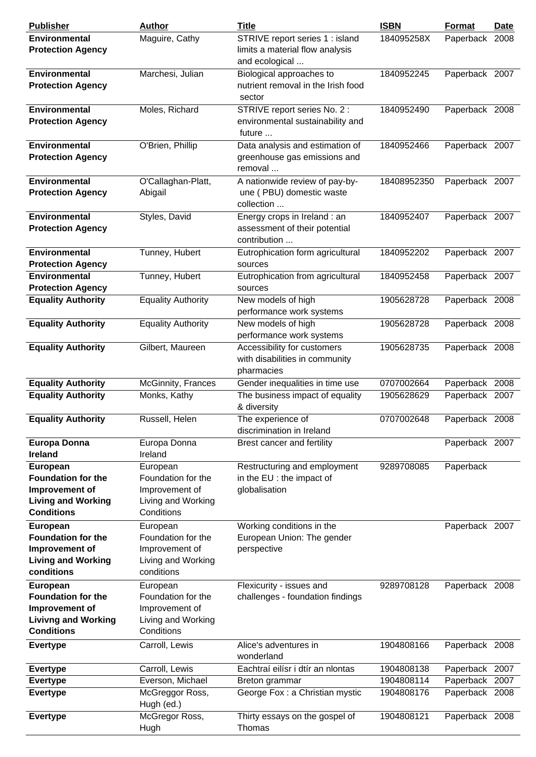| <b>Publisher</b>                                                                                           | <b>Author</b>                                                                        | <b>Title</b>                                                                         | <b>ISBN</b>              | Format                           | <b>Date</b> |
|------------------------------------------------------------------------------------------------------------|--------------------------------------------------------------------------------------|--------------------------------------------------------------------------------------|--------------------------|----------------------------------|-------------|
| <b>Environmental</b><br><b>Protection Agency</b>                                                           | Maguire, Cathy                                                                       | STRIVE report series 1 : island<br>limits a material flow analysis<br>and ecological | 184095258X               | Paperback 2008                   |             |
| <b>Environmental</b><br><b>Protection Agency</b>                                                           | Marchesi, Julian                                                                     | Biological approaches to<br>nutrient removal in the Irish food<br>sector             | 1840952245               | Paperback 2007                   |             |
| <b>Environmental</b><br><b>Protection Agency</b>                                                           | Moles, Richard                                                                       | STRIVE report series No. 2 :<br>environmental sustainability and<br>future           | 1840952490               | Paperback 2008                   |             |
| <b>Environmental</b><br><b>Protection Agency</b>                                                           | O'Brien, Phillip                                                                     | Data analysis and estimation of<br>greenhouse gas emissions and<br>removal           | 1840952466               | Paperback 2007                   |             |
| <b>Environmental</b><br><b>Protection Agency</b>                                                           | O'Callaghan-Platt,<br>Abigail                                                        | A nationwide review of pay-by-<br>une (PBU) domestic waste<br>collection             | 18408952350              | Paperback 2007                   |             |
| <b>Environmental</b><br><b>Protection Agency</b>                                                           | Styles, David                                                                        | Energy crops in Ireland : an<br>assessment of their potential<br>contribution        | 1840952407               | Paperback 2007                   |             |
| <b>Environmental</b><br><b>Protection Agency</b>                                                           | Tunney, Hubert                                                                       | Eutrophication form agricultural<br>sources                                          | 1840952202               | Paperback 2007                   |             |
| <b>Environmental</b><br><b>Protection Agency</b>                                                           | Tunney, Hubert                                                                       | Eutrophication from agricultural<br>sources                                          | 1840952458               | Paperback 2007                   |             |
| <b>Equality Authority</b>                                                                                  | <b>Equality Authority</b>                                                            | New models of high<br>performance work systems                                       | 1905628728               | Paperback 2008                   |             |
| <b>Equality Authority</b>                                                                                  | <b>Equality Authority</b>                                                            | New models of high<br>performance work systems                                       | 1905628728               | Paperback 2008                   |             |
| <b>Equality Authority</b>                                                                                  | Gilbert, Maureen                                                                     | Accessibility for customers<br>with disabilities in community<br>pharmacies          | 1905628735               | Paperback 2008                   |             |
| <b>Equality Authority</b>                                                                                  | McGinnity, Frances                                                                   | Gender inequalities in time use                                                      | 0707002664               | Paperback 2008                   |             |
| <b>Equality Authority</b>                                                                                  | Monks, Kathy                                                                         | The business impact of equality<br>& diversity                                       | 1905628629               | Paperback 2007                   |             |
| <b>Equality Authority</b>                                                                                  | Russell, Helen                                                                       | The experience of<br>discrimination in Ireland                                       | 0707002648               | Paperback 2008                   |             |
| <b>Europa Donna</b><br><b>Ireland</b>                                                                      | Europa Donna<br>Ireland                                                              | Brest cancer and fertility                                                           |                          | Paperback 2007                   |             |
| European<br><b>Foundation for the</b><br>Improvement of<br><b>Living and Working</b><br><b>Conditions</b>  | European<br>Foundation for the<br>Improvement of<br>Living and Working<br>Conditions | Restructuring and employment<br>in the EU : the impact of<br>globalisation           | 9289708085               | Paperback                        |             |
| European<br><b>Foundation for the</b><br>Improvement of<br><b>Living and Working</b><br>conditions         | European<br>Foundation for the<br>Improvement of<br>Living and Working<br>conditions | Working conditions in the<br>European Union: The gender<br>perspective               |                          | Paperback 2007                   |             |
| European<br><b>Foundation for the</b><br>Improvement of<br><b>Livivng and Working</b><br><b>Conditions</b> | European<br>Foundation for the<br>Improvement of<br>Living and Working<br>Conditions | Flexicurity - issues and<br>challenges - foundation findings                         | 9289708128               | Paperback 2008                   |             |
| <b>Evertype</b>                                                                                            | Carroll, Lewis                                                                       | Alice's adventures in<br>wonderland                                                  | 1904808166               | Paperback 2008                   |             |
| <b>Evertype</b>                                                                                            | Carroll, Lewis                                                                       | Eachtraí eilísr i dtír an nIontas                                                    | 1904808138               | Paperback 2007                   |             |
| <b>Evertype</b><br><b>Evertype</b>                                                                         | Everson, Michael<br>McGreggor Ross,                                                  | Breton grammar<br>George Fox: a Christian mystic                                     | 1904808114<br>1904808176 | Paperback 2007<br>Paperback 2008 |             |
| <b>Evertype</b>                                                                                            | Hugh (ed.)<br>McGregor Ross,<br>Hugh                                                 | Thirty essays on the gospel of<br>Thomas                                             | 1904808121               | Paperback 2008                   |             |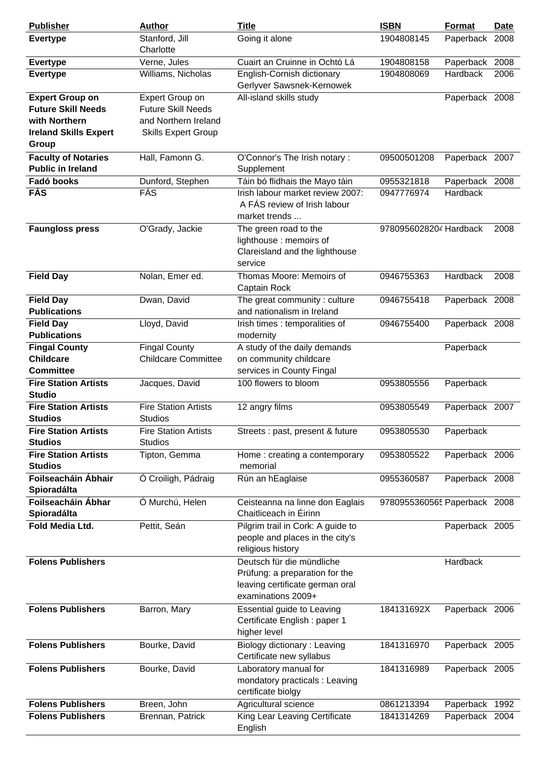| <b>Publisher</b>                                                                                     | <b>Author</b>                                                                                      | <b>Title</b>                                                                                                         | <b>ISBN</b>                  | <b>Format</b>              | Date |
|------------------------------------------------------------------------------------------------------|----------------------------------------------------------------------------------------------------|----------------------------------------------------------------------------------------------------------------------|------------------------------|----------------------------|------|
| <b>Evertype</b>                                                                                      | Stanford, Jill<br>Charlotte                                                                        | Going it alone                                                                                                       | 1904808145                   | Paperback                  | 2008 |
| <b>Evertype</b>                                                                                      | Verne, Jules                                                                                       | Cuairt an Cruinne in Ochtó Lá                                                                                        | 1904808158                   | Paperback 2008             |      |
| <b>Evertype</b>                                                                                      | Williams, Nicholas                                                                                 | English-Cornish dictionary<br>Gerlyver Sawsnek-Kernowek                                                              | 1904808069                   | Hardback                   | 2006 |
| <b>Expert Group on</b><br><b>Future Skill Needs</b><br>with Northern<br><b>Ireland Skills Expert</b> | Expert Group on<br><b>Future Skill Needs</b><br>and Northern Ireland<br><b>Skills Expert Group</b> | All-island skills study                                                                                              |                              | Paperback 2008             |      |
| Group                                                                                                |                                                                                                    |                                                                                                                      |                              |                            |      |
| <b>Faculty of Notaries</b><br><b>Public in Ireland</b>                                               | Hall, Famonn G.                                                                                    | O'Connor's The Irish notary:<br>Supplement                                                                           | 09500501208                  | Paperback 2007             |      |
| Fadó books<br><b>FÁS</b>                                                                             | Dunford, Stephen<br>FÁS                                                                            | Táin bó flidhais the Mayo táin<br>Irish labour market review 2007:<br>A FÁS review of Irish labour<br>market trends  | 0955321818<br>0947776974     | Paperback 2008<br>Hardback |      |
| <b>Faungloss press</b>                                                                               | O'Grady, Jackie                                                                                    | The green road to the<br>lighthouse: memoirs of<br>Clareisland and the lighthouse<br>service                         | 9780956028204 Hardback       |                            | 2008 |
| <b>Field Day</b>                                                                                     | Nolan, Emer ed.                                                                                    | Thomas Moore: Memoirs of<br>Captain Rock                                                                             | 0946755363                   | Hardback                   | 2008 |
| <b>Field Day</b><br><b>Publications</b>                                                              | Dwan, David                                                                                        | The great community: culture<br>and nationalism in Ireland                                                           | 0946755418                   | Paperback 2008             |      |
| <b>Field Day</b><br><b>Publications</b>                                                              | Lloyd, David                                                                                       | Irish times : temporalities of<br>modernity                                                                          | 0946755400                   | Paperback 2008             |      |
| <b>Fingal County</b><br><b>Childcare</b><br><b>Committee</b>                                         | <b>Fingal County</b><br><b>Childcare Committee</b>                                                 | A study of the daily demands<br>on community childcare<br>services in County Fingal                                  |                              | Paperback                  |      |
| <b>Fire Station Artists</b><br><b>Studio</b>                                                         | Jacques, David                                                                                     | 100 flowers to bloom                                                                                                 | 0953805556                   | Paperback                  |      |
| <b>Fire Station Artists</b><br><b>Studios</b>                                                        | <b>Fire Station Artists</b><br><b>Studios</b>                                                      | 12 angry films                                                                                                       | 0953805549                   | Paperback 2007             |      |
| <b>Fire Station Artists</b><br><b>Studios</b>                                                        | <b>Fire Station Artists</b><br><b>Studios</b>                                                      | Streets : past, present & future                                                                                     | 0953805530                   | Paperback                  |      |
| <b>Fire Station Artists</b><br><b>Studios</b>                                                        | Tipton, Gemma                                                                                      | Home: creating a contemporary<br>memorial                                                                            | 0953805522                   | Paperback 2006             |      |
| Foilseacháin Ábhair<br>Spioradálta                                                                   | Ó Croiligh, Pádraig                                                                                | Rún an hEaglaise                                                                                                     | 0955360587                   | Paperback 2008             |      |
| Foilseacháin Ábhar<br>Spioradálta                                                                    | Ó Murchú, Helen                                                                                    | Ceisteanna na linne don Eaglais<br>Chaitliceach in Éirinn                                                            | 9780955360565 Paperback 2008 |                            |      |
| <b>Fold Media Ltd.</b>                                                                               | Pettit, Seán                                                                                       | Pilgrim trail in Cork: A guide to<br>people and places in the city's<br>religious history                            |                              | Paperback 2005             |      |
| <b>Folens Publishers</b>                                                                             |                                                                                                    | Deutsch für die mündliche<br>Prüfung: a preparation for the<br>leaving certificate german oral<br>examinations 2009+ |                              | Hardback                   |      |
| <b>Folens Publishers</b>                                                                             | Barron, Mary                                                                                       | Essential guide to Leaving<br>Certificate English: paper 1<br>higher level                                           | 184131692X                   | Paperback 2006             |      |
| <b>Folens Publishers</b>                                                                             | Bourke, David                                                                                      | Biology dictionary: Leaving<br>Certificate new syllabus                                                              | 1841316970                   | Paperback 2005             |      |
| <b>Folens Publishers</b>                                                                             | Bourke, David                                                                                      | Laboratory manual for<br>mondatory practicals: Leaving<br>certificate biolgy                                         | 1841316989                   | Paperback 2005             |      |
| <b>Folens Publishers</b>                                                                             | Breen, John                                                                                        | Agricultural science                                                                                                 | 0861213394                   | Paperback 1992             |      |
| <b>Folens Publishers</b>                                                                             | Brennan, Patrick                                                                                   | King Lear Leaving Certificate<br>English                                                                             | 1841314269                   | Paperback 2004             |      |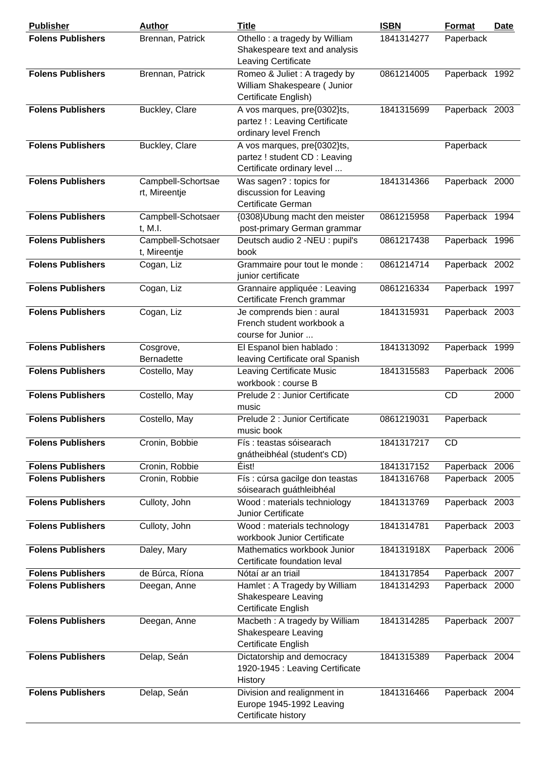| <b>Publisher</b>         | <b>Author</b>                       | <b>Title</b>                                                                               | <b>ISBN</b> | <b>Format</b>  | <b>Date</b> |
|--------------------------|-------------------------------------|--------------------------------------------------------------------------------------------|-------------|----------------|-------------|
| <b>Folens Publishers</b> | Brennan, Patrick                    | Othello: a tragedy by William<br>Shakespeare text and analysis<br>Leaving Certificate      | 1841314277  | Paperback      |             |
| <b>Folens Publishers</b> | Brennan, Patrick                    | Romeo & Juliet: A tragedy by<br>William Shakespeare ( Junior<br>Certificate English)       | 0861214005  | Paperback 1992 |             |
| <b>Folens Publishers</b> | Buckley, Clare                      | A vos marques, pre{0302}ts,<br>partez ! : Leaving Certificate<br>ordinary level French     | 1841315699  | Paperback 2003 |             |
| <b>Folens Publishers</b> | Buckley, Clare                      | A vos marques, pre{0302}ts,<br>partez ! student CD : Leaving<br>Certificate ordinary level |             | Paperback      |             |
| <b>Folens Publishers</b> | Campbell-Schortsae<br>rt, Mireentje | Was sagen? : topics for<br>discussion for Leaving<br>Certificate German                    | 1841314366  | Paperback 2000 |             |
| <b>Folens Publishers</b> | Campbell-Schotsaer<br>t. M.I.       | {0308}Ubung macht den meister<br>post-primary German grammar                               | 0861215958  | Paperback 1994 |             |
| <b>Folens Publishers</b> | Campbell-Schotsaer<br>t, Mireentje  | Deutsch audio 2 -NEU : pupil's<br>book                                                     | 0861217438  | Paperback 1996 |             |
| <b>Folens Publishers</b> | Cogan, Liz                          | Grammaire pour tout le monde :<br>junior certificate                                       | 0861214714  | Paperback 2002 |             |
| <b>Folens Publishers</b> | Cogan, Liz                          | Grannaire appliquée : Leaving<br>Certificate French grammar                                | 0861216334  | Paperback 1997 |             |
| <b>Folens Publishers</b> | Cogan, Liz                          | Je comprends bien : aural<br>French student workbook a<br>course for Junior                | 1841315931  | Paperback 2003 |             |
| <b>Folens Publishers</b> | Cosgrove,<br><b>Bernadette</b>      | El Espanol bien hablado:<br>leaving Certificate oral Spanish                               | 1841313092  | Paperback 1999 |             |
| <b>Folens Publishers</b> | Costello, May                       | <b>Leaving Certificate Music</b><br>workbook: course B                                     | 1841315583  | Paperback 2006 |             |
| <b>Folens Publishers</b> | Costello, May                       | Prelude 2 : Junior Certificate<br>music                                                    |             | <b>CD</b>      | 2000        |
| <b>Folens Publishers</b> | Costello, May                       | Prelude 2 : Junior Certificate<br>music book                                               | 0861219031  | Paperback      |             |
| <b>Folens Publishers</b> | Cronin, Bobbie                      | Fís : teastas sóisearach<br>gnátheibhéal (student's CD)                                    | 1841317217  | CD             |             |
| <b>Folens Publishers</b> | Cronin, Robbie                      | Éist!                                                                                      | 1841317152  | Paperback 2006 |             |
| <b>Folens Publishers</b> | Cronin, Robbie                      | Fís : cúrsa gacilge don teastas<br>sóisearach guáthleibhéal                                | 1841316768  | Paperback 2005 |             |
| <b>Folens Publishers</b> | Culloty, John                       | Wood: materials techniology<br><b>Junior Certificate</b>                                   | 1841313769  | Paperback 2003 |             |
| <b>Folens Publishers</b> | Culloty, John                       | Wood: materials technology<br>workbook Junior Certificate                                  | 1841314781  | Paperback 2003 |             |
| <b>Folens Publishers</b> | Daley, Mary                         | Mathematics workbook Junior<br>Certificate foundation leval                                | 184131918X  | Paperback 2006 |             |
| <b>Folens Publishers</b> | de Búrca, Ríona                     | Nótaí ar an triail                                                                         | 1841317854  | Paperback 2007 |             |
| <b>Folens Publishers</b> | Deegan, Anne                        | Hamlet: A Tragedy by William<br>Shakespeare Leaving<br>Certificate English                 | 1841314293  | Paperback 2000 |             |
| <b>Folens Publishers</b> | Deegan, Anne                        | Macbeth: A tragedy by William<br>Shakespeare Leaving<br>Certificate English                | 1841314285  | Paperback 2007 |             |
| <b>Folens Publishers</b> | Delap, Seán                         | Dictatorship and democracy<br>1920-1945 : Leaving Certificate<br>History                   | 1841315389  | Paperback 2004 |             |
| <b>Folens Publishers</b> | Delap, Seán                         | Division and realignment in<br>Europe 1945-1992 Leaving<br>Certificate history             | 1841316466  | Paperback 2004 |             |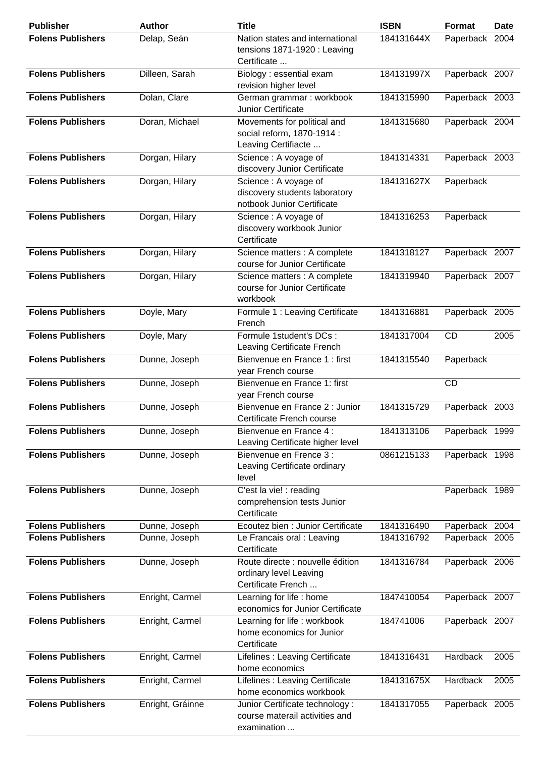| <b>Publisher</b>         | <b>Author</b>    | <b>Title</b>                                                                         | <b>ISBN</b> | <b>Format</b>  | <b>Date</b> |
|--------------------------|------------------|--------------------------------------------------------------------------------------|-------------|----------------|-------------|
| <b>Folens Publishers</b> | Delap, Seán      | Nation states and international<br>tensions 1871-1920 : Leaving<br>Certificate       | 184131644X  | Paperback 2004 |             |
| <b>Folens Publishers</b> | Dilleen, Sarah   | Biology : essential exam<br>revision higher level                                    | 184131997X  | Paperback 2007 |             |
| <b>Folens Publishers</b> | Dolan, Clare     | German grammar: workbook<br>Junior Certificate                                       | 1841315990  | Paperback 2003 |             |
| <b>Folens Publishers</b> | Doran, Michael   | Movements for political and<br>social reform, 1870-1914 :<br>Leaving Certifiacte     | 1841315680  | Paperback 2004 |             |
| <b>Folens Publishers</b> | Dorgan, Hilary   | Science : A voyage of<br>discovery Junior Certificate                                | 1841314331  | Paperback 2003 |             |
| <b>Folens Publishers</b> | Dorgan, Hilary   | Science : A voyage of<br>discovery students laboratory<br>notbook Junior Certificate | 184131627X  | Paperback      |             |
| <b>Folens Publishers</b> | Dorgan, Hilary   | Science : A voyage of<br>discovery workbook Junior<br>Certificate                    | 1841316253  | Paperback      |             |
| <b>Folens Publishers</b> | Dorgan, Hilary   | Science matters : A complete<br>course for Junior Certificate                        | 1841318127  | Paperback 2007 |             |
| <b>Folens Publishers</b> | Dorgan, Hilary   | Science matters : A complete<br>course for Junior Certificate<br>workbook            | 1841319940  | Paperback 2007 |             |
| <b>Folens Publishers</b> | Doyle, Mary      | Formule 1 : Leaving Certificate<br>French                                            | 1841316881  | Paperback 2005 |             |
| <b>Folens Publishers</b> | Doyle, Mary      | Formule 1student's DCs :<br>Leaving Certificate French                               | 1841317004  | CD             | 2005        |
| <b>Folens Publishers</b> | Dunne, Joseph    | Bienvenue en France 1 : first<br>year French course                                  | 1841315540  | Paperback      |             |
| <b>Folens Publishers</b> | Dunne, Joseph    | Bienvenue en France 1: first<br>year French course                                   |             | CD             |             |
| <b>Folens Publishers</b> | Dunne, Joseph    | Bienvenue en France 2 : Junior<br>Certificate French course                          | 1841315729  | Paperback 2003 |             |
| <b>Folens Publishers</b> | Dunne, Joseph    | Bienvenue en France 4 :<br>Leaving Certificate higher level                          | 1841313106  | Paperback 1999 |             |
| <b>Folens Publishers</b> | Dunne, Joseph    | Bienvenue en Frence 3 :<br>Leaving Certificate ordinary<br>level                     | 0861215133  | Paperback 1998 |             |
| <b>Folens Publishers</b> | Dunne, Joseph    | C'est la vie! : reading<br>comprehension tests Junior<br>Certificate                 |             | Paperback 1989 |             |
| <b>Folens Publishers</b> | Dunne, Joseph    | Ecoutez bien : Junior Certificate                                                    | 1841316490  | Paperback 2004 |             |
| <b>Folens Publishers</b> | Dunne, Joseph    | Le Francais oral : Leaving<br>Certificate                                            | 1841316792  | Paperback 2005 |             |
| <b>Folens Publishers</b> | Dunne, Joseph    | Route directe : nouvelle édition<br>ordinary level Leaving<br>Certificate French     | 1841316784  | Paperback 2006 |             |
| <b>Folens Publishers</b> | Enright, Carmel  | Learning for life : home<br>economics for Junior Certificate                         | 1847410054  | Paperback 2007 |             |
| <b>Folens Publishers</b> | Enright, Carmel  | Learning for life : workbook<br>home economics for Junior<br>Certificate             | 184741006   | Paperback 2007 |             |
| <b>Folens Publishers</b> | Enright, Carmel  | Lifelines : Leaving Certificate<br>home economics                                    | 1841316431  | Hardback       | 2005        |
| <b>Folens Publishers</b> | Enright, Carmel  | Lifelines : Leaving Certificate<br>home economics workbook                           | 184131675X  | Hardback       | 2005        |
| <b>Folens Publishers</b> | Enright, Gráinne | Junior Certificate technology:<br>course materail activities and<br>examination      | 1841317055  | Paperback 2005 |             |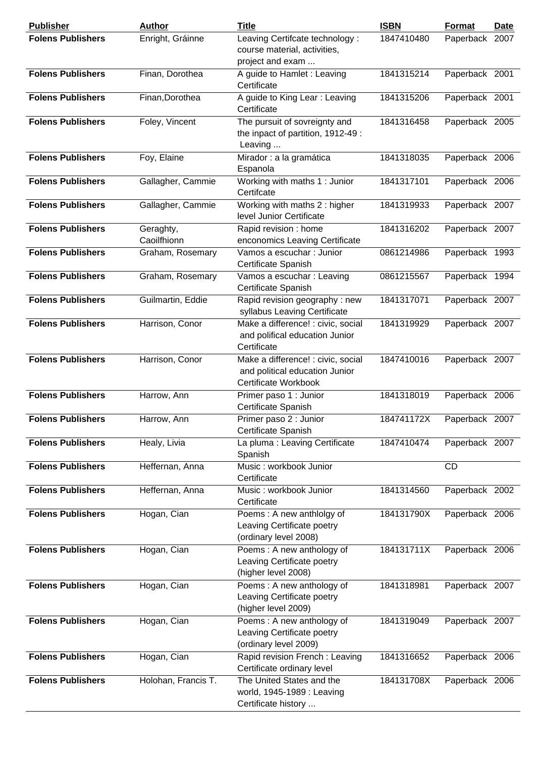| <b>Publisher</b>         | <b>Author</b>            | <b>Title</b>                                                                                 | <b>ISBN</b> | Format         | <b>Date</b> |
|--------------------------|--------------------------|----------------------------------------------------------------------------------------------|-------------|----------------|-------------|
| <b>Folens Publishers</b> | Enright, Gráinne         | Leaving Certifcate technology:<br>course material, activities,<br>project and exam           | 1847410480  | Paperback 2007 |             |
| <b>Folens Publishers</b> | Finan, Dorothea          | A guide to Hamlet : Leaving<br>Certificate                                                   | 1841315214  | Paperback 2001 |             |
| <b>Folens Publishers</b> | Finan, Dorothea          | A guide to King Lear: Leaving<br>Certificate                                                 | 1841315206  | Paperback 2001 |             |
| <b>Folens Publishers</b> | Foley, Vincent           | The pursuit of sovreignty and<br>the inpact of partition, 1912-49 :<br>Leaving               | 1841316458  | Paperback 2005 |             |
| <b>Folens Publishers</b> | Foy, Elaine              | Mirador : a la gramática<br>Espanola                                                         | 1841318035  | Paperback 2006 |             |
| <b>Folens Publishers</b> | Gallagher, Cammie        | Working with maths 1 : Junior<br>Certifcate                                                  | 1841317101  | Paperback 2006 |             |
| <b>Folens Publishers</b> | Gallagher, Cammie        | Working with maths 2 : higher<br>level Junior Certificate                                    | 1841319933  | Paperback 2007 |             |
| <b>Folens Publishers</b> | Geraghty,<br>Caoilfhionn | Rapid revision : home<br>enconomics Leaving Certificate                                      | 1841316202  | Paperback 2007 |             |
| <b>Folens Publishers</b> | Graham, Rosemary         | Vamos a escuchar : Junior<br>Certificate Spanish                                             | 0861214986  | Paperback 1993 |             |
| <b>Folens Publishers</b> | Graham, Rosemary         | Vamos a escuchar : Leaving<br>Certificate Spanish                                            | 0861215567  | Paperback 1994 |             |
| <b>Folens Publishers</b> | Guilmartin, Eddie        | Rapid revision geography: new<br>syllabus Leaving Certificate                                | 1841317071  | Paperback 2007 |             |
| <b>Folens Publishers</b> | Harrison, Conor          | Make a difference! : civic, social<br>and polifical education Junior<br>Certificate          | 1841319929  | Paperback 2007 |             |
| <b>Folens Publishers</b> | Harrison, Conor          | Make a difference! : civic, social<br>and political education Junior<br>Certificate Workbook | 1847410016  | Paperback 2007 |             |
| <b>Folens Publishers</b> | Harrow, Ann              | Primer paso 1 : Junior<br>Certificate Spanish                                                | 1841318019  | Paperback 2006 |             |
| <b>Folens Publishers</b> | Harrow, Ann              | Primer paso 2 : Junior<br>Certificate Spanish                                                | 184741172X  | Paperback 2007 |             |
| <b>Folens Publishers</b> | Healy, Livia             | La pluma : Leaving Certificate<br>Spanish                                                    | 1847410474  | Paperback 2007 |             |
| <b>Folens Publishers</b> | Heffernan, Anna          | Music: workbook Junior<br>Certificate                                                        |             | CD             |             |
| <b>Folens Publishers</b> | Heffernan, Anna          | Music: workbook Junior<br>Certificate                                                        | 1841314560  | Paperback 2002 |             |
| <b>Folens Publishers</b> | Hogan, Cian              | Poems: A new anthlolgy of<br>Leaving Certificate poetry<br>(ordinary level 2008)             | 184131790X  | Paperback 2006 |             |
| <b>Folens Publishers</b> | Hogan, Cian              | Poems: A new anthology of<br>Leaving Certificate poetry<br>(higher level 2008)               | 184131711X  | Paperback 2006 |             |
| <b>Folens Publishers</b> | Hogan, Cian              | Poems: A new anthology of<br>Leaving Certificate poetry<br>(higher level 2009)               | 1841318981  | Paperback 2007 |             |
| <b>Folens Publishers</b> | Hogan, Cian              | Poems: A new anthology of<br>Leaving Certificate poetry<br>(ordinary level 2009)             | 1841319049  | Paperback 2007 |             |
| <b>Folens Publishers</b> | Hogan, Cian              | Rapid revision French: Leaving<br>Certificate ordinary level                                 | 1841316652  | Paperback 2006 |             |
| <b>Folens Publishers</b> | Holohan, Francis T.      | The United States and the<br>world, 1945-1989 : Leaving<br>Certificate history               | 184131708X  | Paperback 2006 |             |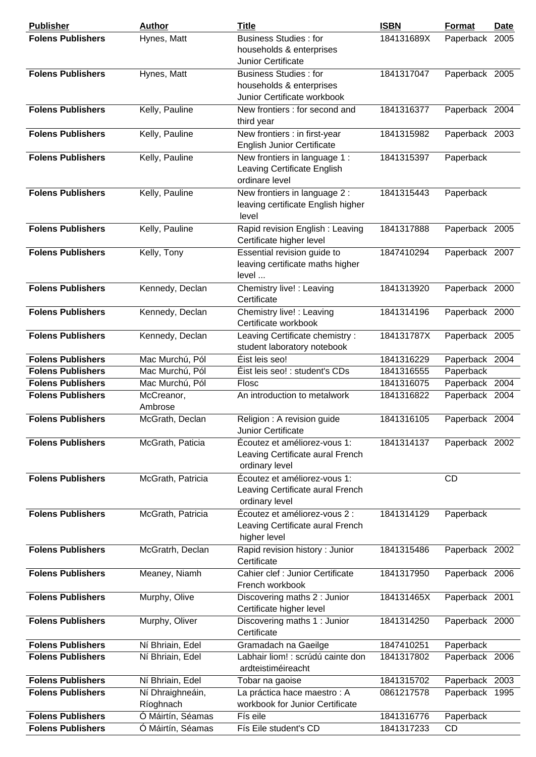| <b>Publisher</b>         | <b>Author</b>                 | <b>Title</b>                                                                            | <b>ISBN</b> | <b>Format</b>  | <b>Date</b> |
|--------------------------|-------------------------------|-----------------------------------------------------------------------------------------|-------------|----------------|-------------|
| <b>Folens Publishers</b> | Hynes, Matt                   | <b>Business Studies: for</b><br>households & enterprises<br>Junior Certificate          | 184131689X  | Paperback 2005 |             |
| <b>Folens Publishers</b> | Hynes, Matt                   | <b>Business Studies: for</b><br>households & enterprises<br>Junior Certificate workbook | 1841317047  | Paperback 2005 |             |
| <b>Folens Publishers</b> | Kelly, Pauline                | New frontiers : for second and<br>third year                                            | 1841316377  | Paperback 2004 |             |
| <b>Folens Publishers</b> | Kelly, Pauline                | New frontiers : in first-year<br><b>English Junior Certificate</b>                      | 1841315982  | Paperback 2003 |             |
| <b>Folens Publishers</b> | Kelly, Pauline                | New frontiers in language 1:<br>Leaving Certificate English<br>ordinare level           | 1841315397  | Paperback      |             |
| <b>Folens Publishers</b> | Kelly, Pauline                | New frontiers in language 2 :<br>leaving certificate English higher<br>level            | 1841315443  | Paperback      |             |
| <b>Folens Publishers</b> | Kelly, Pauline                | Rapid revision English: Leaving<br>Certificate higher level                             | 1841317888  | Paperback 2005 |             |
| <b>Folens Publishers</b> | Kelly, Tony                   | Essential revision guide to<br>leaving certificate maths higher<br>level                | 1847410294  | Paperback 2007 |             |
| <b>Folens Publishers</b> | Kennedy, Declan               | Chemistry live! : Leaving<br>Certificate                                                | 1841313920  | Paperback 2000 |             |
| <b>Folens Publishers</b> | Kennedy, Declan               | Chemistry live! : Leaving<br>Certificate workbook                                       | 1841314196  | Paperback 2000 |             |
| <b>Folens Publishers</b> | Kennedy, Declan               | Leaving Certificate chemistry :<br>student laboratory notebook                          | 184131787X  | Paperback 2005 |             |
| <b>Folens Publishers</b> | Mac Murchú, Pól               | Éist leis seo!                                                                          | 1841316229  | Paperback 2004 |             |
| <b>Folens Publishers</b> | Mac Murchú, Pól               | Éist leis seo! : student's CDs                                                          | 1841316555  | Paperback      |             |
| <b>Folens Publishers</b> | Mac Murchú, Pól               | Flosc                                                                                   | 1841316075  | Paperback 2004 |             |
| <b>Folens Publishers</b> | McCreanor,<br>Ambrose         | An introduction to metalwork                                                            | 1841316822  | Paperback 2004 |             |
| <b>Folens Publishers</b> | McGrath, Declan               | Religion: A revision guide<br>Junior Certificate                                        | 1841316105  | Paperback 2004 |             |
| <b>Folens Publishers</b> | McGrath, Paticia              | Écoutez et améliorez-vous 1:<br>Leaving Certificate aural French<br>ordinary level      | 1841314137  | Paperback 2002 |             |
| <b>Folens Publishers</b> | McGrath, Patricia             | Écoutez et améliorez-vous 1:<br>Leaving Certificate aural French<br>ordinary level      |             | <b>CD</b>      |             |
| <b>Folens Publishers</b> | McGrath, Patricia             | Écoutez et améliorez-vous 2 :<br>Leaving Certificate aural French<br>higher level       | 1841314129  | Paperback      |             |
| <b>Folens Publishers</b> | McGratrh, Declan              | Rapid revision history : Junior<br>Certificate                                          | 1841315486  | Paperback 2002 |             |
| <b>Folens Publishers</b> | Meaney, Niamh                 | Cahier clef : Junior Certificate<br>French workbook                                     | 1841317950  | Paperback 2006 |             |
| <b>Folens Publishers</b> | Murphy, Olive                 | Discovering maths 2 : Junior<br>Certificate higher level                                | 184131465X  | Paperback 2001 |             |
| <b>Folens Publishers</b> | Murphy, Oliver                | Discovering maths 1: Junior<br>Certificate                                              | 1841314250  | Paperback 2000 |             |
| <b>Folens Publishers</b> | Ní Bhriain, Edel              | Gramadach na Gaeilge                                                                    | 1847410251  | Paperback      |             |
| <b>Folens Publishers</b> | Ní Bhriain, Edel              | Labhair liom! : scrúdú cainte don<br>ardteistiméireacht                                 | 1841317802  | Paperback 2006 |             |
| <b>Folens Publishers</b> | Ní Bhriain, Edel              | Tobar na gaoise                                                                         | 1841315702  | Paperback 2003 |             |
| <b>Folens Publishers</b> | Ní Dhraighneáin,<br>Ríoghnach | La práctica hace maestro : A<br>workbook for Junior Certificate                         | 0861217578  | Paperback 1995 |             |
| <b>Folens Publishers</b> | Ó Máirtín, Séamas             | Fís eile                                                                                | 1841316776  | Paperback      |             |
| <b>Folens Publishers</b> | Ó Máirtín, Séamas             | Fís Eile student's CD                                                                   | 1841317233  | <b>CD</b>      |             |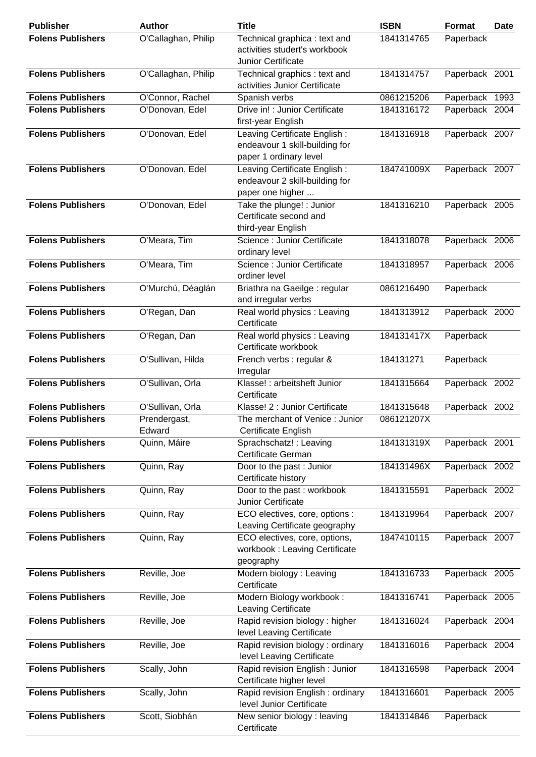| <b>Publisher</b>         | <b>Author</b>          | <b>Title</b>                                                                             | <b>ISBN</b> | <b>Format</b>  | <b>Date</b> |
|--------------------------|------------------------|------------------------------------------------------------------------------------------|-------------|----------------|-------------|
| <b>Folens Publishers</b> | O'Callaghan, Philip    | Technical graphica: text and<br>activities studert's workbook<br>Junior Certificate      | 1841314765  | Paperback      |             |
| <b>Folens Publishers</b> | O'Callaghan, Philip    | Technical graphics : text and<br>activities Junior Certificate                           | 1841314757  | Paperback 2001 |             |
| <b>Folens Publishers</b> | O'Connor, Rachel       | Spanish verbs                                                                            | 0861215206  | Paperback 1993 |             |
| <b>Folens Publishers</b> | O'Donovan, Edel        | Drive in! : Junior Certificate<br>first-year English                                     | 1841316172  | Paperback 2004 |             |
| <b>Folens Publishers</b> | O'Donovan, Edel        | Leaving Certificate English:<br>endeavour 1 skill-building for<br>paper 1 ordinary level | 1841316918  | Paperback 2007 |             |
| <b>Folens Publishers</b> | O'Donovan, Edel        | Leaving Certificate English:<br>endeavour 2 skill-building for<br>paper one higher       | 184741009X  | Paperback 2007 |             |
| <b>Folens Publishers</b> | O'Donovan, Edel        | Take the plunge! : Junior<br>Certificate second and<br>third-year English                | 1841316210  | Paperback 2005 |             |
| <b>Folens Publishers</b> | O'Meara, Tim           | Science : Junior Certificate<br>ordinary level                                           | 1841318078  | Paperback 2006 |             |
| <b>Folens Publishers</b> | O'Meara, Tim           | Science : Junior Certificate<br>ordiner level                                            | 1841318957  | Paperback 2006 |             |
| <b>Folens Publishers</b> | O'Murchú, Déaglán      | Briathra na Gaeilge : regular<br>and irregular verbs                                     | 0861216490  | Paperback      |             |
| <b>Folens Publishers</b> | O'Regan, Dan           | Real world physics : Leaving<br>Certificate                                              | 1841313912  | Paperback 2000 |             |
| <b>Folens Publishers</b> | O'Regan, Dan           | Real world physics : Leaving<br>Certificate workbook                                     | 184131417X  | Paperback      |             |
| <b>Folens Publishers</b> | O'Sullivan, Hilda      | French verbs : regular &<br>Irregular                                                    | 184131271   | Paperback      |             |
| <b>Folens Publishers</b> | O'Sullivan, Orla       | Klasse! : arbeitsheft Junior<br>Certificate                                              | 1841315664  | Paperback 2002 |             |
| <b>Folens Publishers</b> | O'Sullivan, Orla       | Klasse! 2 : Junior Certificate                                                           | 1841315648  | Paperback 2002 |             |
| <b>Folens Publishers</b> | Prendergast,<br>Edward | The merchant of Venice: Junior<br>Certificate English                                    | 086121207X  |                |             |
| <b>Folens Publishers</b> | Quinn, Máire           | Sprachschatz! : Leaving<br>Certificate German                                            | 184131319X  | Paperback 2001 |             |
| <b>Folens Publishers</b> | Quinn, Ray             | Door to the past: Junior<br>Certificate history                                          | 184131496X  | Paperback 2002 |             |
| <b>Folens Publishers</b> | Quinn, Ray             | Door to the past: workbook<br>Junior Certificate                                         | 1841315591  | Paperback 2002 |             |
| <b>Folens Publishers</b> | Quinn, Ray             | ECO electives, core, options :<br>Leaving Certificate geography                          | 1841319964  | Paperback 2007 |             |
| <b>Folens Publishers</b> | Quinn, Ray             | ECO electives, core, options,<br>workbook: Leaving Certificate<br>geography              | 1847410115  | Paperback 2007 |             |
| <b>Folens Publishers</b> | Reville, Joe           | Modern biology: Leaving<br>Certificate                                                   | 1841316733  | Paperback 2005 |             |
| <b>Folens Publishers</b> | Reville, Joe           | Modern Biology workbook:<br>Leaving Certificate                                          | 1841316741  | Paperback 2005 |             |
| <b>Folens Publishers</b> | Reville, Joe           | Rapid revision biology: higher<br>level Leaving Certificate                              | 1841316024  | Paperback 2004 |             |
| <b>Folens Publishers</b> | Reville, Joe           | Rapid revision biology: ordinary<br>level Leaving Certificate                            | 1841316016  | Paperback 2004 |             |
| <b>Folens Publishers</b> | Scally, John           | Rapid revision English: Junior<br>Certificate higher level                               | 1841316598  | Paperback 2004 |             |
| <b>Folens Publishers</b> | Scally, John           | Rapid revision English: ordinary<br>level Junior Certificate                             | 1841316601  | Paperback 2005 |             |
| <b>Folens Publishers</b> | Scott, Siobhán         | New senior biology: leaving<br>Certificate                                               | 1841314846  | Paperback      |             |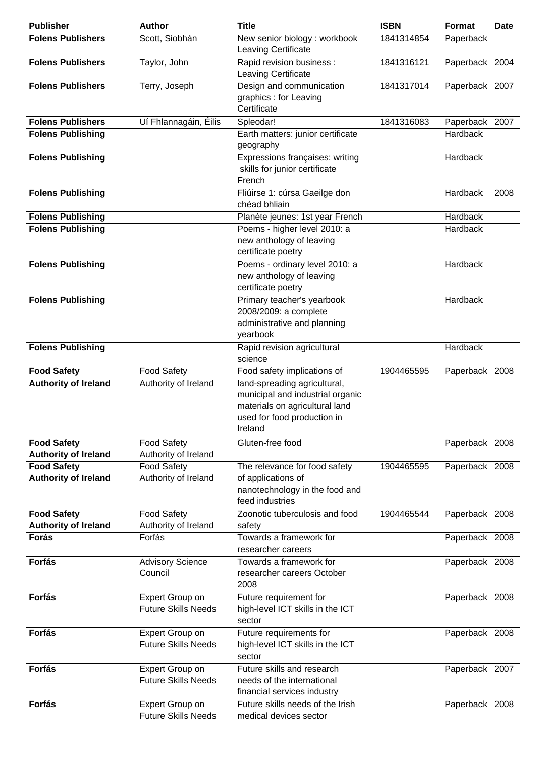| <b>Publisher</b>                                  | <b>Author</b>                                        | <b>Title</b>                                                                                                                                                                | <b>ISBN</b> | Format         | Date |
|---------------------------------------------------|------------------------------------------------------|-----------------------------------------------------------------------------------------------------------------------------------------------------------------------------|-------------|----------------|------|
| <b>Folens Publishers</b>                          | Scott, Siobhán                                       | New senior biology: workbook<br>Leaving Certificate                                                                                                                         | 1841314854  | Paperback      |      |
| <b>Folens Publishers</b>                          | Taylor, John                                         | Rapid revision business :<br>Leaving Certificate                                                                                                                            | 1841316121  | Paperback 2004 |      |
| <b>Folens Publishers</b>                          | Terry, Joseph                                        | Design and communication<br>graphics : for Leaving<br>Certificate                                                                                                           | 1841317014  | Paperback 2007 |      |
| <b>Folens Publishers</b>                          | Uí Fhlannagáin, Éilis                                | Spleodar!                                                                                                                                                                   | 1841316083  | Paperback 2007 |      |
| <b>Folens Publishing</b>                          |                                                      | Earth matters: junior certificate<br>geography                                                                                                                              |             | Hardback       |      |
| <b>Folens Publishing</b>                          |                                                      | Expressions françaises: writing<br>skills for junior certificate<br>French                                                                                                  |             | Hardback       |      |
| <b>Folens Publishing</b>                          |                                                      | Fliúirse 1: cúrsa Gaeilge don<br>chéad bhliain                                                                                                                              |             | Hardback       | 2008 |
| <b>Folens Publishing</b>                          |                                                      | Planète jeunes: 1st year French                                                                                                                                             |             | Hardback       |      |
| <b>Folens Publishing</b>                          |                                                      | Poems - higher level 2010: a<br>new anthology of leaving<br>certificate poetry                                                                                              |             | Hardback       |      |
| <b>Folens Publishing</b>                          |                                                      | Poems - ordinary level 2010: a<br>new anthology of leaving<br>certificate poetry                                                                                            |             | Hardback       |      |
| <b>Folens Publishing</b>                          |                                                      | Primary teacher's yearbook<br>2008/2009: a complete<br>administrative and planning<br>yearbook                                                                              |             | Hardback       |      |
| <b>Folens Publishing</b>                          |                                                      | Rapid revision agricultural<br>science                                                                                                                                      |             | Hardback       |      |
| <b>Food Safety</b><br><b>Authority of Ireland</b> | <b>Food Safety</b><br>Authority of Ireland           | Food safety implications of<br>land-spreading agricultural,<br>municipal and industrial organic<br>materials on agricultural land<br>used for food production in<br>Ireland | 1904465595  | Paperback 2008 |      |
| <b>Food Safety</b><br><b>Authority of Ireland</b> | <b>Food Safety</b><br>Authority of Ireland           | Gluten-free food                                                                                                                                                            |             | Paperback 2008 |      |
| <b>Food Safety</b><br><b>Authority of Ireland</b> | <b>Food Safety</b><br>Authority of Ireland           | The relevance for food safety<br>of applications of<br>nanotechnology in the food and<br>feed industries                                                                    | 1904465595  | Paperback 2008 |      |
| <b>Food Safety</b><br><b>Authority of Ireland</b> | <b>Food Safety</b><br>Authority of Ireland           | Zoonotic tuberculosis and food<br>safety                                                                                                                                    | 1904465544  | Paperback 2008 |      |
| Forás                                             | Forfás                                               | Towards a framework for<br>researcher careers                                                                                                                               |             | Paperback 2008 |      |
| Forfás                                            | <b>Advisory Science</b><br>Council                   | Towards a framework for<br>researcher careers October<br>2008                                                                                                               |             | Paperback 2008 |      |
| Forfás                                            | Expert Group on<br><b>Future Skills Needs</b>        | Future requirement for<br>high-level ICT skills in the ICT<br>sector                                                                                                        |             | Paperback 2008 |      |
| Forfás                                            | Expert Group on<br><b>Future Skills Needs</b>        | Future requirements for<br>high-level ICT skills in the ICT<br>sector                                                                                                       |             | Paperback 2008 |      |
| Forfás                                            | <b>Expert Group on</b><br><b>Future Skills Needs</b> | Future skills and research<br>needs of the international<br>financial services industry                                                                                     |             | Paperback 2007 |      |
| Forfás                                            | Expert Group on<br><b>Future Skills Needs</b>        | Future skills needs of the Irish<br>medical devices sector                                                                                                                  |             | Paperback 2008 |      |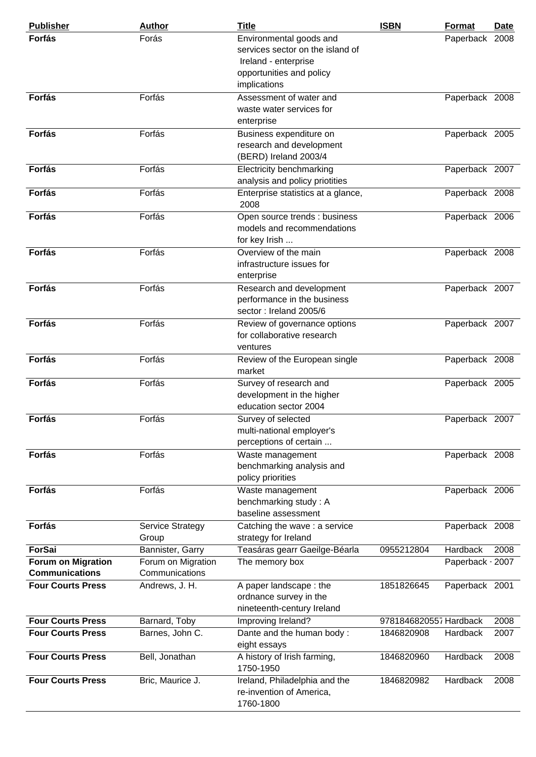| <b>Publisher</b>          | <b>Author</b>           | <b>Title</b>                       | <b>ISBN</b>            | <b>Format</b>    | Date |
|---------------------------|-------------------------|------------------------------------|------------------------|------------------|------|
| Forfás                    | Forás                   | Environmental goods and            |                        | Paperback 2008   |      |
|                           |                         | services sector on the island of   |                        |                  |      |
|                           |                         | Ireland - enterprise               |                        |                  |      |
|                           |                         | opportunities and policy           |                        |                  |      |
|                           |                         | implications                       |                        |                  |      |
| Forfás                    | Forfás                  | Assessment of water and            |                        | Paperback 2008   |      |
|                           |                         | waste water services for           |                        |                  |      |
|                           |                         | enterprise                         |                        |                  |      |
| Forfás                    | Forfás                  | Business expenditure on            |                        | Paperback 2005   |      |
|                           |                         | research and development           |                        |                  |      |
|                           |                         | (BERD) Ireland 2003/4              |                        |                  |      |
| Forfás                    | Forfás                  | <b>Electricity benchmarking</b>    |                        | Paperback 2007   |      |
|                           |                         | analysis and policy priotities     |                        |                  |      |
| Forfás                    | Forfás                  | Enterprise statistics at a glance, |                        | Paperback 2008   |      |
|                           |                         | 2008                               |                        |                  |      |
| <b>Forfás</b>             | Forfás                  | Open source trends : business      |                        | Paperback 2006   |      |
|                           |                         | models and recommendations         |                        |                  |      |
|                           |                         | for key Irish                      |                        |                  |      |
| Forfás                    | Forfás                  | Overview of the main               |                        | Paperback 2008   |      |
|                           |                         | infrastructure issues for          |                        |                  |      |
|                           |                         | enterprise                         |                        |                  |      |
| Forfás                    | Forfás                  | Research and development           |                        | Paperback 2007   |      |
|                           |                         | performance in the business        |                        |                  |      |
|                           |                         | sector: Ireland 2005/6             |                        |                  |      |
| Forfás                    | Forfás                  | Review of governance options       |                        | Paperback 2007   |      |
|                           |                         | for collaborative research         |                        |                  |      |
|                           |                         | ventures                           |                        |                  |      |
| Forfás                    | Forfás                  | Review of the European single      |                        | Paperback 2008   |      |
|                           |                         | market                             |                        |                  |      |
| Forfás                    | Forfás                  | Survey of research and             |                        | Paperback 2005   |      |
|                           |                         | development in the higher          |                        |                  |      |
|                           |                         | education sector 2004              |                        |                  |      |
| <b>Forfás</b>             | Forfás                  | Survey of selected                 |                        | Paperback 2007   |      |
|                           |                         | multi-national employer's          |                        |                  |      |
|                           |                         | perceptions of certain             |                        |                  |      |
| <b>Forfás</b>             | Forfás                  | Waste management                   |                        | Paperback 2008   |      |
|                           |                         | benchmarking analysis and          |                        |                  |      |
|                           |                         | policy priorities                  |                        |                  |      |
| Forfás                    | Forfás                  | Waste management                   |                        | Paperback 2006   |      |
|                           |                         | benchmarking study: A              |                        |                  |      |
|                           |                         | baseline assessment                |                        |                  |      |
| Forfás                    | <b>Service Strategy</b> | Catching the wave : a service      |                        | Paperback 2008   |      |
|                           | Group                   | strategy for Ireland               |                        |                  |      |
| <b>ForSai</b>             | Bannister, Garry        | Teasáras gearr Gaeilge-Béarla      | 0955212804             | <b>Hardback</b>  | 2008 |
| <b>Forum on Migration</b> | Forum on Migration      | The memory box                     |                        | Paperback - 2007 |      |
| <b>Communications</b>     | Communications          |                                    |                        |                  |      |
| <b>Four Courts Press</b>  | Andrews, J. H.          | A paper landscape: the             | 1851826645             | Paperback 2001   |      |
|                           |                         | ordnance survey in the             |                        |                  |      |
|                           |                         | nineteenth-century Ireland         |                        |                  |      |
| <b>Four Courts Press</b>  | Barnard, Toby           | Improving Ireland?                 | 9781846820557 Hardback |                  | 2008 |
| <b>Four Courts Press</b>  | Barnes, John C.         | Dante and the human body:          | 1846820908             | Hardback         | 2007 |
|                           |                         | eight essays                       |                        |                  |      |
| <b>Four Courts Press</b>  | Bell, Jonathan          | A history of Irish farming,        | 1846820960             | Hardback         | 2008 |
|                           |                         | 1750-1950                          |                        |                  |      |
| <b>Four Courts Press</b>  | Bric, Maurice J.        | Ireland, Philadelphia and the      | 1846820982             | Hardback         | 2008 |
|                           |                         | re-invention of America,           |                        |                  |      |
|                           |                         | 1760-1800                          |                        |                  |      |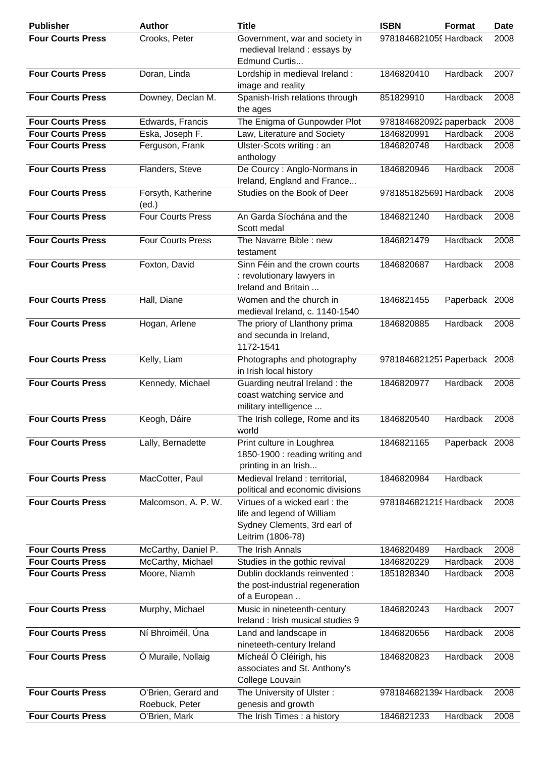| <b>Publisher</b>         | <b>Author</b>               | Title                                                                                                            | <b>ISBN</b>                  | Format         | <b>Date</b> |
|--------------------------|-----------------------------|------------------------------------------------------------------------------------------------------------------|------------------------------|----------------|-------------|
| <b>Four Courts Press</b> | Crooks, Peter               | Government, war and society in<br>medieval Ireland : essays by<br>Edmund Curtis                                  | 9781846821059 Hardback       |                | 2008        |
| <b>Four Courts Press</b> | Doran, Linda                | Lordship in medieval Ireland :<br>image and reality                                                              | 1846820410                   | Hardback       | 2007        |
| <b>Four Courts Press</b> | Downey, Declan M.           | Spanish-Irish relations through<br>the ages                                                                      | 851829910                    | Hardback       | 2008        |
| <b>Four Courts Press</b> | Edwards, Francis            | The Enigma of Gunpowder Plot                                                                                     | 9781846820922 paperback      |                | 2008        |
| <b>Four Courts Press</b> | Eska, Joseph F.             | Law, Literature and Society                                                                                      | 1846820991                   | Hardback       | 2008        |
| <b>Four Courts Press</b> | Ferguson, Frank             | Ulster-Scots writing: an<br>anthology                                                                            | 1846820748                   | Hardback       | 2008        |
| <b>Four Courts Press</b> | Flanders, Steve             | De Courcy: Anglo-Normans in<br>Ireland, England and France                                                       | 1846820946                   | Hardback       | 2008        |
| <b>Four Courts Press</b> | Forsyth, Katherine<br>(ed.) | Studies on the Book of Deer                                                                                      | 9781851825691 Hardback       |                | 2008        |
| <b>Four Courts Press</b> | <b>Four Courts Press</b>    | An Garda Síochána and the<br>Scott medal                                                                         | 1846821240                   | Hardback       | 2008        |
| <b>Four Courts Press</b> | <b>Four Courts Press</b>    | The Navarre Bible : new<br>testament                                                                             | 1846821479                   | Hardback       | 2008        |
| <b>Four Courts Press</b> | Foxton, David               | Sinn Féin and the crown courts<br>: revolutionary lawyers in<br>Ireland and Britain                              | 1846820687                   | Hardback       | 2008        |
| <b>Four Courts Press</b> | Hall, Diane                 | Women and the church in<br>medieval Ireland, c. 1140-1540                                                        | 1846821455                   | Paperback 2008 |             |
| <b>Four Courts Press</b> | Hogan, Arlene               | The priory of Llanthony prima<br>and secunda in Ireland,<br>1172-1541                                            | 1846820885                   | Hardback       | 2008        |
| <b>Four Courts Press</b> | Kelly, Liam                 | Photographs and photography<br>in Irish local history                                                            | 9781846821257 Paperback 2008 |                |             |
| <b>Four Courts Press</b> | Kennedy, Michael            | Guarding neutral Ireland: the<br>coast watching service and<br>military intelligence                             | 1846820977                   | Hardback       | 2008        |
| <b>Four Courts Press</b> | Keogh, Dáire                | The Irish college, Rome and its<br>world                                                                         | 1846820540                   | Hardback       | 2008        |
| <b>Four Courts Press</b> | Lally, Bernadette           | Print culture in Loughrea<br>1850-1900 : reading writing and<br>printing in an Irish                             | 1846821165                   | Paperback 2008 |             |
| <b>Four Courts Press</b> | MacCotter, Paul             | Medieval Ireland : territorial,<br>political and economic divisions                                              | 1846820984                   | Hardback       |             |
| <b>Four Courts Press</b> | Malcomson, A. P. W.         | Virtues of a wicked earl: the<br>life and legend of William<br>Sydney Clements, 3rd earl of<br>Leitrim (1806-78) | 9781846821219 Hardback       |                | 2008        |
| <b>Four Courts Press</b> | McCarthy, Daniel P.         | The Irish Annals                                                                                                 | 1846820489                   | Hardback       | 2008        |
| <b>Four Courts Press</b> | McCarthy, Michael           | Studies in the gothic revival                                                                                    | 1846820229                   | Hardback       | 2008        |
| <b>Four Courts Press</b> | Moore, Niamh                | Dublin docklands reinvented :<br>the post-industrial regeneration<br>of a European                               | 1851828340                   | Hardback       | 2008        |
| <b>Four Courts Press</b> | Murphy, Michael             | Music in nineteenth-century<br>Ireland: Irish musical studies 9                                                  | 1846820243                   | Hardback       | 2007        |
| <b>Four Courts Press</b> | Ní Bhroiméil, Úna           | Land and landscape in<br>nineteeth-century Ireland                                                               | 1846820656                   | Hardback       | 2008        |
| <b>Four Courts Press</b> | Ó Muraile, Nollaig          | Mícheál Ó Cléirigh, his<br>associates and St. Anthony's<br>College Louvain                                       | 1846820823                   | Hardback       | 2008        |
| <b>Four Courts Press</b> | O'Brien, Gerard and         | The University of Ulster:                                                                                        | 9781846821394 Hardback       |                | 2008        |
|                          | Roebuck, Peter              | genesis and growth                                                                                               |                              |                |             |
| <b>Four Courts Press</b> | O'Brien, Mark               | The Irish Times: a history                                                                                       | 1846821233                   | Hardback       | 2008        |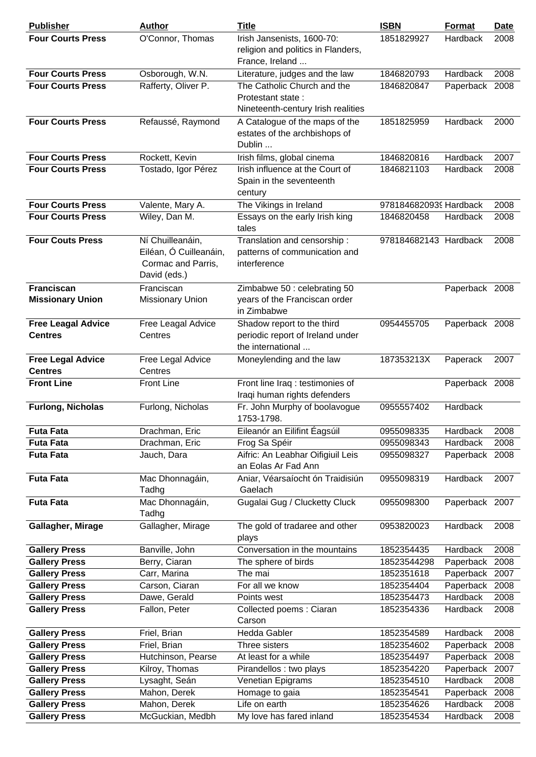| <b>Publisher</b>                            | <b>Author</b>                                                                    | <b>Title</b>                                                                           | <b>ISBN</b>            | Format         | <b>Date</b> |
|---------------------------------------------|----------------------------------------------------------------------------------|----------------------------------------------------------------------------------------|------------------------|----------------|-------------|
| <b>Four Courts Press</b>                    | O'Connor, Thomas                                                                 | Irish Jansenists, 1600-70:<br>religion and politics in Flanders,<br>France, Ireland    | 1851829927             | Hardback       | 2008        |
| <b>Four Courts Press</b>                    | Osborough, W.N.                                                                  | Literature, judges and the law                                                         | 1846820793             | Hardback       | 2008        |
| <b>Four Courts Press</b>                    | Rafferty, Oliver P.                                                              | The Catholic Church and the<br>Protestant state:<br>Nineteenth-century Irish realities | 1846820847             | Paperback 2008 |             |
| <b>Four Courts Press</b>                    | Refaussé, Raymond                                                                | A Catalogue of the maps of the<br>estates of the archbishops of<br>Dublin              | 1851825959             | Hardback       | 2000        |
| <b>Four Courts Press</b>                    | Rockett, Kevin                                                                   | Irish films, global cinema                                                             | 1846820816             | Hardback       | 2007        |
| <b>Four Courts Press</b>                    | Tostado, Igor Pérez                                                              | Irish influence at the Court of<br>Spain in the seventeenth<br>century                 | 1846821103             | Hardback       | 2008        |
| <b>Four Courts Press</b>                    | Valente, Mary A.                                                                 | The Vikings in Ireland                                                                 | 9781846820939 Hardback |                | 2008        |
| <b>Four Courts Press</b>                    | Wiley, Dan M.                                                                    | Essays on the early Irish king<br>tales                                                | 1846820458             | Hardback       | 2008        |
| <b>Four Couts Press</b>                     | Ní Chuilleanáin,<br>Eiléan, Ó Cuilleanáin,<br>Cormac and Parris,<br>David (eds.) | Translation and censorship:<br>patterns of communication and<br>interference           | 978184682143 Hardback  |                | 2008        |
| Franciscan<br><b>Missionary Union</b>       | Franciscan<br><b>Missionary Union</b>                                            | Zimbabwe 50 : celebrating 50<br>years of the Franciscan order<br>in Zimbabwe           |                        | Paperback 2008 |             |
| <b>Free Leagal Advice</b><br><b>Centres</b> | Free Leagal Advice<br>Centres                                                    | Shadow report to the third<br>periodic report of Ireland under<br>the international    | 0954455705             | Paperback 2008 |             |
| <b>Free Legal Advice</b><br><b>Centres</b>  | Free Legal Advice<br>Centres                                                     | Moneylending and the law                                                               | 187353213X             | Paperack       | 2007        |
| <b>Front Line</b>                           | <b>Front Line</b>                                                                | Front line Iraq : testimonies of<br>Iraqi human rights defenders                       |                        | Paperback 2008 |             |
| <b>Furlong, Nicholas</b>                    | Furlong, Nicholas                                                                | Fr. John Murphy of boolavogue<br>1753-1798.                                            | 0955557402             | Hardback       |             |
| <b>Futa Fata</b>                            | Drachman, Eric                                                                   | Eileanór an Eilifint Eagsúil                                                           | 0955098335             | Hardback       | 2008        |
| <b>Futa Fata</b>                            | Drachman, Eric                                                                   | Frog Sa Spéir                                                                          | 0955098343             | Hardback       | 2008        |
| <b>Futa Fata</b>                            | Jauch, Dara                                                                      | Aifric: An Leabhar Oifigiuil Leis<br>an Eolas Ar Fad Ann                               | 0955098327             | Paperback 2008 |             |
| <b>Futa Fata</b>                            | Mac Dhonnagáin,<br>Tadhg                                                         | Aniar, Véarsaíocht ón Traidisiún<br>Gaelach                                            | 0955098319             | Hardback       | 2007        |
| <b>Futa Fata</b>                            | Mac Dhonnagáin,<br>Tadhg                                                         | Gugalai Gug / Clucketty Cluck                                                          | 0955098300             | Paperback 2007 |             |
| Gallagher, Mirage                           | Gallagher, Mirage                                                                | The gold of tradaree and other<br>plays                                                | 0953820023             | Hardback       | 2008        |
| <b>Gallery Press</b>                        | Banville, John                                                                   | Conversation in the mountains                                                          | 1852354435             | Hardback       | 2008        |
| <b>Gallery Press</b>                        | Berry, Ciaran                                                                    | The sphere of birds                                                                    | 18523544298            | Paperback      | 2008        |
| <b>Gallery Press</b>                        | Carr, Marina                                                                     | The mai                                                                                | 1852351618             | Paperback 2007 |             |
| <b>Gallery Press</b>                        | Carson, Ciaran                                                                   | For all we know                                                                        | 1852354404             | Paperback      | 2008        |
| <b>Gallery Press</b>                        | Dawe, Gerald                                                                     | Points west                                                                            | 1852354473             | Hardback       | 2008        |
| <b>Gallery Press</b>                        | Fallon, Peter                                                                    | Collected poems: Ciaran<br>Carson                                                      | 1852354336             | Hardback       | 2008        |
| <b>Gallery Press</b>                        | Friel, Brian                                                                     | Hedda Gabler                                                                           | 1852354589             | Hardback       | 2008        |
| <b>Gallery Press</b>                        | Friel, Brian                                                                     | Three sisters                                                                          | 1852354602             | Paperback      | 2008        |
| <b>Gallery Press</b>                        | Hutchinson, Pearse                                                               | At least for a while                                                                   | 1852354497             | Paperback 2008 |             |
| <b>Gallery Press</b>                        | Kilroy, Thomas                                                                   | Pirandellos : two plays                                                                | 1852354220             | Paperback 2007 |             |
| <b>Gallery Press</b>                        | Lysaght, Seán                                                                    | Venetian Epigrams                                                                      | 1852354510             | Hardback       | 2008        |
| <b>Gallery Press</b>                        | Mahon, Derek                                                                     | Homage to gaia                                                                         | 1852354541             | Paperback      | 2008        |
| <b>Gallery Press</b>                        | Mahon, Derek                                                                     | Life on earth                                                                          | 1852354626             | Hardback       | 2008        |
| <b>Gallery Press</b>                        | McGuckian, Medbh                                                                 | My love has fared inland                                                               | 1852354534             | Hardback       | 2008        |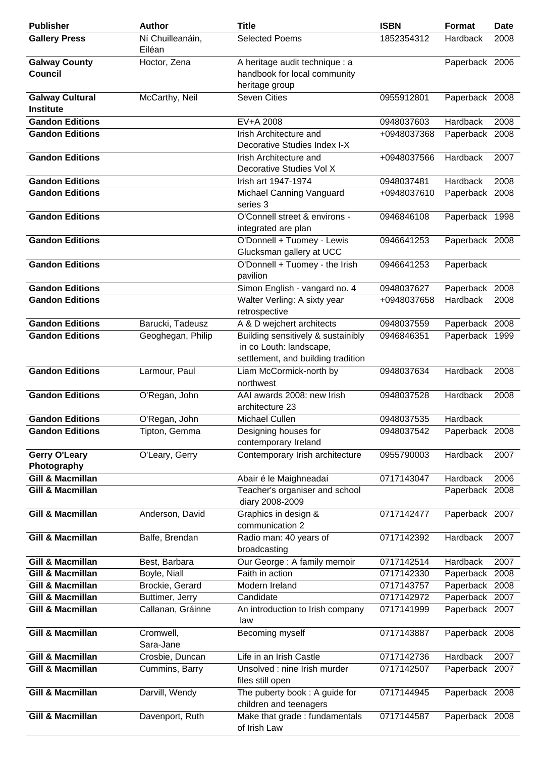| <b>Publisher</b>                                           | <b>Author</b>              | <b>Title</b>                                                                                        | <b>ISBN</b> | Format                     | <b>Date</b> |
|------------------------------------------------------------|----------------------------|-----------------------------------------------------------------------------------------------------|-------------|----------------------------|-------------|
| <b>Gallery Press</b>                                       | Ní Chuilleanáin,<br>Eiléan | <b>Selected Poems</b>                                                                               | 1852354312  | Hardback                   | 2008        |
| <b>Galway County</b><br><b>Council</b>                     | Hoctor, Zena               | A heritage audit technique : a<br>handbook for local community<br>heritage group                    |             | Paperback 2006             |             |
| <b>Galway Cultural</b><br><b>Institute</b>                 | McCarthy, Neil             | <b>Seven Cities</b>                                                                                 | 0955912801  | Paperback 2008             |             |
| <b>Gandon Editions</b>                                     |                            | EV+A 2008                                                                                           | 0948037603  | Hardback                   | 2008        |
| <b>Gandon Editions</b>                                     |                            | Irish Architecture and<br>Decorative Studies Index I-X                                              | +0948037368 | Paperback 2008             |             |
| <b>Gandon Editions</b>                                     |                            | Irish Architecture and<br>Decorative Studies Vol X                                                  | +0948037566 | Hardback                   | 2007        |
| <b>Gandon Editions</b>                                     |                            | Irish art 1947-1974                                                                                 | 0948037481  | Hardback                   | 2008        |
| <b>Gandon Editions</b>                                     |                            | Michael Canning Vanguard<br>series 3                                                                | +0948037610 | Paperback 2008             |             |
| <b>Gandon Editions</b>                                     |                            | O'Connell street & environs -<br>integrated are plan                                                | 0946846108  | Paperback 1998             |             |
| <b>Gandon Editions</b>                                     |                            | O'Donnell + Tuomey - Lewis<br>Glucksman gallery at UCC                                              | 0946641253  | Paperback 2008             |             |
| <b>Gandon Editions</b>                                     |                            | O'Donnell + Tuomey - the Irish<br>pavilion                                                          | 0946641253  | Paperback                  |             |
| <b>Gandon Editions</b>                                     |                            | Simon English - vangard no. 4                                                                       | 0948037627  | Paperback 2008             |             |
| <b>Gandon Editions</b>                                     |                            | Walter Verling: A sixty year<br>retrospective                                                       | +0948037658 | Hardback                   | 2008        |
| <b>Gandon Editions</b>                                     | Barucki, Tadeusz           | A & D wejchert architects                                                                           | 0948037559  | Paperback 2008             |             |
| <b>Gandon Editions</b>                                     | Geoghegan, Philip          | Building sensitively & sustainibly<br>in co Louth: landscape,<br>settlement, and building tradition | 0946846351  | Paperback 1999             |             |
| <b>Gandon Editions</b>                                     | Larmour, Paul              | Liam McCormick-north by<br>northwest                                                                | 0948037634  | Hardback                   | 2008        |
| <b>Gandon Editions</b>                                     | O'Regan, John              | AAI awards 2008: new Irish<br>architecture 23                                                       | 0948037528  | Hardback                   | 2008        |
| <b>Gandon Editions</b>                                     | O'Regan, John              | Michael Cullen                                                                                      | 0948037535  | Hardback                   |             |
| <b>Gandon Editions</b>                                     | Tipton, Gemma              | Designing houses for<br>contemporary Ireland                                                        | 0948037542  | Paperback 2008             |             |
| Gerry O'Leary<br>Photography                               | O'Leary, Gerry             | Contemporary Irish architecture                                                                     | 0955790003  | Hardback                   | 2007        |
| <b>Gill &amp; Macmillan</b><br><b>Gill &amp; Macmillan</b> |                            | Abair é le Maighneadaí<br>Teacher's organiser and school<br>diary 2008-2009                         | 0717143047  | Hardback<br>Paperback 2008 | 2006        |
| <b>Gill &amp; Macmillan</b>                                | Anderson, David            | Graphics in design &<br>communication 2                                                             | 0717142477  | Paperback 2007             |             |
| <b>Gill &amp; Macmillan</b>                                | Balfe, Brendan             | Radio man: 40 years of<br>broadcasting                                                              | 0717142392  | Hardback                   | 2007        |
| <b>Gill &amp; Macmillan</b>                                | Best, Barbara              | Our George : A family memoir                                                                        | 0717142514  | Hardback                   | 2007        |
| <b>Gill &amp; Macmillan</b>                                | Boyle, Niall               | Faith in action                                                                                     | 0717142330  | Paperback                  | 2008        |
| <b>Gill &amp; Macmillan</b>                                | Brockie, Gerard            | Modern Ireland                                                                                      | 0717143757  | Paperback 2008             |             |
| <b>Gill &amp; Macmillan</b>                                | Buttimer, Jerry            | Candidate                                                                                           | 0717142972  | Paperback 2007             |             |
| <b>Gill &amp; Macmillan</b>                                | Callanan, Gráinne          | An introduction to Irish company<br>law                                                             | 0717141999  | Paperback 2007             |             |
| <b>Gill &amp; Macmillan</b>                                | Cromwell,<br>Sara-Jane     | Becoming myself                                                                                     | 0717143887  | Paperback 2008             |             |
| <b>Gill &amp; Macmillan</b>                                | Crosbie, Duncan            | Life in an Irish Castle                                                                             | 0717142736  | Hardback                   | 2007        |
| <b>Gill &amp; Macmillan</b>                                | Cummins, Barry             | Unsolved : nine Irish murder<br>files still open                                                    | 0717142507  | Paperback 2007             |             |
| <b>Gill &amp; Macmillan</b>                                | Darvill, Wendy             | The puberty book: A guide for<br>children and teenagers                                             | 0717144945  | Paperback 2008             |             |
| <b>Gill &amp; Macmillan</b>                                | Davenport, Ruth            | Make that grade : fundamentals<br>of Irish Law                                                      | 0717144587  | Paperback 2008             |             |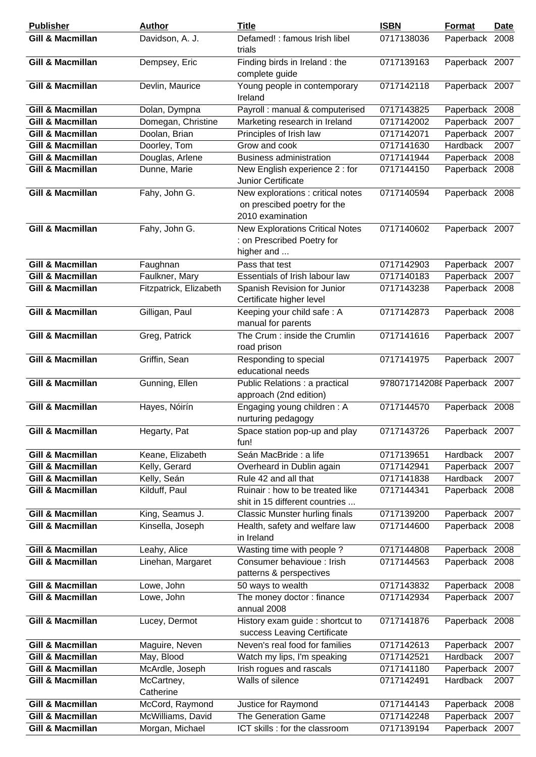| <b>Publisher</b>            | <b>Author</b>           | <b>Title</b>                                                                         | <b>ISBN</b>                  | <b>Format</b>  | <b>Date</b> |
|-----------------------------|-------------------------|--------------------------------------------------------------------------------------|------------------------------|----------------|-------------|
| <b>Gill &amp; Macmillan</b> | Davidson, A. J.         | Defamed! : famous Irish libel<br>trials                                              | 0717138036                   | Paperback      | 2008        |
| <b>Gill &amp; Macmillan</b> | Dempsey, Eric           | Finding birds in Ireland: the<br>complete guide                                      | 0717139163                   | Paperback 2007 |             |
| <b>Gill &amp; Macmillan</b> | Devlin, Maurice         | Young people in contemporary<br>Ireland                                              | 0717142118                   | Paperback 2007 |             |
| <b>Gill &amp; Macmillan</b> | Dolan, Dympna           | Payroll : manual & computerised                                                      | 0717143825                   | Paperback 2008 |             |
| <b>Gill &amp; Macmillan</b> | Domegan, Christine      | Marketing research in Ireland                                                        | 0717142002                   | Paperback      | 2007        |
| <b>Gill &amp; Macmillan</b> | Doolan, Brian           | Principles of Irish law                                                              | 0717142071                   | Paperback 2007 |             |
| <b>Gill &amp; Macmillan</b> | Doorley, Tom            | Grow and cook                                                                        | 0717141630                   | Hardback       | 2007        |
| <b>Gill &amp; Macmillan</b> | Douglas, Arlene         | <b>Business administration</b>                                                       | 0717141944                   | Paperback 2008 |             |
| <b>Gill &amp; Macmillan</b> | Dunne, Marie            | New English experience 2 : for<br>Junior Certificate                                 | 0717144150                   | Paperback 2008 |             |
| <b>Gill &amp; Macmillan</b> | Fahy, John G.           | New explorations : critical notes<br>on prescibed poetry for the<br>2010 examination | 0717140594                   | Paperback 2008 |             |
| <b>Gill &amp; Macmillan</b> | Fahy, John G.           | <b>New Explorations Critical Notes</b><br>: on Prescribed Poetry for<br>higher and   | 0717140602                   | Paperback 2007 |             |
| <b>Gill &amp; Macmillan</b> | Faughnan                | Pass that test                                                                       | 0717142903                   | Paperback 2007 |             |
| <b>Gill &amp; Macmillan</b> | Faulkner, Mary          | Essentials of Irish labour law                                                       | 0717140183                   | Paperback 2007 |             |
| Gill & Macmillan            | Fitzpatrick, Elizabeth  | Spanish Revision for Junior<br>Certificate higher level                              | 0717143238                   | Paperback 2008 |             |
| <b>Gill &amp; Macmillan</b> | Gilligan, Paul          | Keeping your child safe: A<br>manual for parents                                     | 0717142873                   | Paperback 2008 |             |
| <b>Gill &amp; Macmillan</b> | Greg, Patrick           | The Crum: inside the Crumlin<br>road prison                                          | 0717141616                   | Paperback 2007 |             |
| <b>Gill &amp; Macmillan</b> | Griffin, Sean           | Responding to special<br>educational needs                                           | 0717141975                   | Paperback 2007 |             |
| <b>Gill &amp; Macmillan</b> | Gunning, Ellen          | Public Relations : a practical<br>approach (2nd edition)                             | 9780717142088 Paperback 2007 |                |             |
| <b>Gill &amp; Macmillan</b> | Hayes, Nóirín           | Engaging young children: A<br>nurturing pedagogy                                     | 0717144570                   | Paperback 2008 |             |
| <b>Gill &amp; Macmillan</b> | Hegarty, Pat            | Space station pop-up and play<br>fun!                                                | 0717143726                   | Paperback 2007 |             |
| <b>Gill &amp; Macmillan</b> | Keane, Elizabeth        | Seán MacBride : a life                                                               | 0717139651                   | Hardback       | 2007        |
| <b>Gill &amp; Macmillan</b> | Kelly, Gerard           | Overheard in Dublin again                                                            | 0717142941                   | Paperback      | 2007        |
| <b>Gill &amp; Macmillan</b> | Kelly, Seán             | Rule 42 and all that                                                                 | 0717141838                   | Hardback       | 2007        |
| <b>Gill &amp; Macmillan</b> | Kilduff, Paul           | Ruinair: how to be treated like<br>shit in 15 different countries                    | 0717144341                   | Paperback 2008 |             |
| <b>Gill &amp; Macmillan</b> | King, Seamus J.         | <b>Classic Munster hurling finals</b>                                                | 0717139200                   | Paperback 2007 |             |
| <b>Gill &amp; Macmillan</b> | Kinsella, Joseph        | Health, safety and welfare law<br>in Ireland                                         | 0717144600                   | Paperback 2008 |             |
| <b>Gill &amp; Macmillan</b> | Leahy, Alice            | Wasting time with people?                                                            | 0717144808                   | Paperback 2008 |             |
| <b>Gill &amp; Macmillan</b> | Linehan, Margaret       | Consumer behavioue : Irish<br>patterns & perspectives                                | 0717144563                   | Paperback 2008 |             |
| <b>Gill &amp; Macmillan</b> | Lowe, John              | 50 ways to wealth                                                                    | 0717143832                   | Paperback 2008 |             |
| <b>Gill &amp; Macmillan</b> | Lowe, John              | The money doctor: finance<br>annual 2008                                             | 0717142934                   | Paperback 2007 |             |
| <b>Gill &amp; Macmillan</b> | Lucey, Dermot           | History exam guide : shortcut to<br>success Leaving Certificate                      | 0717141876                   | Paperback 2008 |             |
| <b>Gill &amp; Macmillan</b> | Maguire, Neven          | Neven's real food for families                                                       | 0717142613                   | Paperback      | 2007        |
| <b>Gill &amp; Macmillan</b> | May, Blood              | Watch my lips, I'm speaking                                                          | 0717142521                   | Hardback       | 2007        |
| <b>Gill &amp; Macmillan</b> | McArdle, Joseph         | Irish rogues and rascals                                                             | 0717141180                   | Paperback      | 2007        |
| <b>Gill &amp; Macmillan</b> | McCartney,<br>Catherine | Walls of silence                                                                     | 0717142491                   | Hardback       | 2007        |
| <b>Gill &amp; Macmillan</b> | McCord, Raymond         | Justice for Raymond                                                                  | 0717144143                   | Paperback 2008 |             |
| <b>Gill &amp; Macmillan</b> | McWilliams, David       | The Generation Game                                                                  | 0717142248                   | Paperback 2007 |             |
| <b>Gill &amp; Macmillan</b> | Morgan, Michael         | ICT skills : for the classroom                                                       | 0717139194                   | Paperback 2007 |             |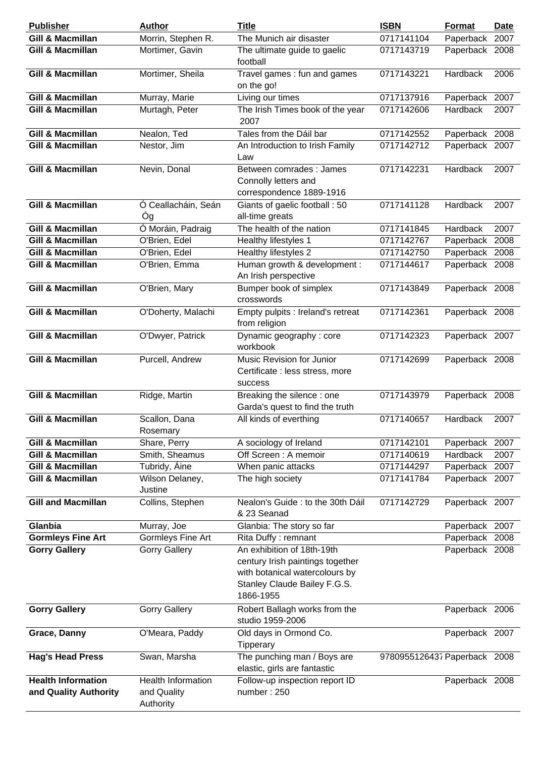| <b>Publisher</b>                                   | <b>Author</b>                                  | <b>Title</b>                                                                                                                                  | <b>ISBN</b>                  | <b>Format</b>  | <b>Date</b> |
|----------------------------------------------------|------------------------------------------------|-----------------------------------------------------------------------------------------------------------------------------------------------|------------------------------|----------------|-------------|
| <b>Gill &amp; Macmillan</b>                        | Morrin, Stephen R.                             | The Munich air disaster                                                                                                                       | 0717141104                   | Paperback      | 2007        |
| <b>Gill &amp; Macmillan</b>                        | Mortimer, Gavin                                | The ultimate guide to gaelic<br>football                                                                                                      | 0717143719                   | Paperback 2008 |             |
| <b>Gill &amp; Macmillan</b>                        | Mortimer, Sheila                               | Travel games : fun and games<br>on the go!                                                                                                    | 0717143221                   | Hardback       | 2006        |
| <b>Gill &amp; Macmillan</b>                        | Murray, Marie                                  | Living our times                                                                                                                              | 0717137916                   | Paperback 2007 |             |
| <b>Gill &amp; Macmillan</b>                        | Murtagh, Peter                                 | The Irish Times book of the year<br>2007                                                                                                      | 0717142606                   | Hardback       | 2007        |
| <b>Gill &amp; Macmillan</b>                        | Nealon, Ted                                    | Tales from the Dáil bar                                                                                                                       | 0717142552                   | Paperback 2008 |             |
| <b>Gill &amp; Macmillan</b>                        | Nestor, Jim                                    | An Introduction to Irish Family<br>Law                                                                                                        | 0717142712                   | Paperback 2007 |             |
| <b>Gill &amp; Macmillan</b>                        | Nevin, Donal                                   | Between comrades : James<br>Connolly letters and<br>correspondence 1889-1916                                                                  | 0717142231                   | Hardback       | 2007        |
| <b>Gill &amp; Macmillan</b>                        | Ó Ceallacháin, Seán<br>Óg                      | Giants of gaelic football: 50<br>all-time greats                                                                                              | 0717141128                   | Hardback       | 2007        |
| <b>Gill &amp; Macmillan</b>                        | O Moráin, Padraig                              | The health of the nation                                                                                                                      | 0717141845                   | Hardback       | 2007        |
| <b>Gill &amp; Macmillan</b>                        | O'Brien, Edel                                  | Healthy lifestyles 1                                                                                                                          | 0717142767                   | Paperback      | 2008        |
| <b>Gill &amp; Macmillan</b>                        | O'Brien, Edel                                  | Healthy lifestyles 2                                                                                                                          | 0717142750                   | Paperback 2008 |             |
| <b>Gill &amp; Macmillan</b>                        | O'Brien, Emma                                  | Human growth & development :<br>An Irish perspective                                                                                          | 0717144617                   | Paperback 2008 |             |
| <b>Gill &amp; Macmillan</b>                        | O'Brien, Mary                                  | Bumper book of simplex<br>crosswords                                                                                                          | 0717143849                   | Paperback 2008 |             |
| Gill & Macmillan                                   | O'Doherty, Malachi                             | Empty pulpits : Ireland's retreat<br>from religion                                                                                            | 0717142361                   | Paperback 2008 |             |
| <b>Gill &amp; Macmillan</b>                        | O'Dwyer, Patrick                               | Dynamic geography: core<br>workbook                                                                                                           | 0717142323                   | Paperback 2007 |             |
| <b>Gill &amp; Macmillan</b>                        | Purcell, Andrew                                | Music Revision for Junior<br>Certificate : less stress, more<br>success                                                                       | 0717142699                   | Paperback 2008 |             |
| <b>Gill &amp; Macmillan</b>                        | Ridge, Martin                                  | Breaking the silence : one<br>Garda's quest to find the truth                                                                                 | 0717143979                   | Paperback 2008 |             |
| Gill & Macmillan                                   | Scallon, Dana<br>Rosemary                      | All kinds of everthing                                                                                                                        | 0717140657                   | Hardback       | 2007        |
| <b>Gill &amp; Macmillan</b>                        | Share, Perry                                   | A sociology of Ireland                                                                                                                        | 0717142101                   | Paperback 2007 |             |
| Gill & Macmillan                                   | Smith, Sheamus                                 | Off Screen: A memoir                                                                                                                          | 0717140619                   | Hardback       | 2007        |
| <b>Gill &amp; Macmillan</b>                        | Tubridy, Áine                                  | When panic attacks                                                                                                                            | 0717144297                   | Paperback 2007 |             |
| <b>Gill &amp; Macmillan</b>                        | Wilson Delaney,                                | The high society                                                                                                                              | 0717141784                   | Paperback 2007 |             |
|                                                    | Justine                                        |                                                                                                                                               |                              |                |             |
| <b>Gill and Macmillan</b>                          | Collins, Stephen                               | Nealon's Guide : to the 30th Dáil<br>& 23 Seanad                                                                                              | 0717142729                   | Paperback 2007 |             |
| Glanbia                                            | Murray, Joe                                    | Glanbia: The story so far                                                                                                                     |                              | Paperback 2007 |             |
| <b>Gormleys Fine Art</b>                           | Gormleys Fine Art                              | Rita Duffy: remnant                                                                                                                           |                              | Paperback 2008 |             |
| <b>Gorry Gallery</b>                               | <b>Gorry Gallery</b>                           | An exhibition of 18th-19th<br>century Irish paintings together<br>with botanical watercolours by<br>Stanley Claude Bailey F.G.S.<br>1866-1955 |                              | Paperback 2008 |             |
| <b>Gorry Gallery</b>                               | <b>Gorry Gallery</b>                           | Robert Ballagh works from the<br>studio 1959-2006                                                                                             |                              | Paperback 2006 |             |
| Grace, Danny                                       | O'Meara, Paddy                                 | Old days in Ormond Co.<br>Tipperary                                                                                                           |                              | Paperback 2007 |             |
| <b>Hag's Head Press</b>                            | Swan, Marsha                                   | The punching man / Boys are<br>elastic, girls are fantastic                                                                                   | 9780955126437 Paperback 2008 |                |             |
| <b>Health Information</b><br>and Quality Authority | Health Information<br>and Quality<br>Authority | Follow-up inspection report ID<br>number: 250                                                                                                 |                              | Paperback 2008 |             |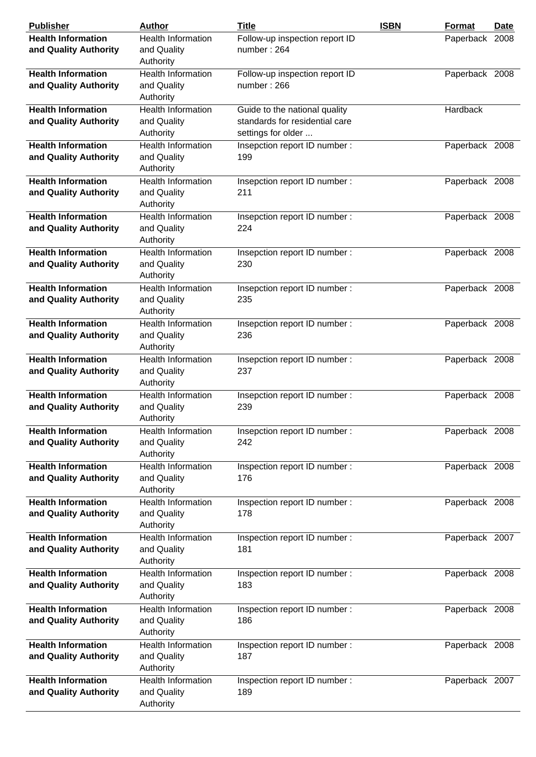| <b>Publisher</b>                                   | <b>Author</b>                                         | <b>Title</b>                                                                          | <b>ISBN</b> | Format         | <b>Date</b> |
|----------------------------------------------------|-------------------------------------------------------|---------------------------------------------------------------------------------------|-------------|----------------|-------------|
| <b>Health Information</b><br>and Quality Authority | <b>Health Information</b><br>and Quality<br>Authority | Follow-up inspection report ID<br>number: 264                                         |             | Paperback 2008 |             |
| <b>Health Information</b><br>and Quality Authority | Health Information<br>and Quality<br>Authority        | Follow-up inspection report ID<br>number:266                                          |             | Paperback 2008 |             |
| <b>Health Information</b><br>and Quality Authority | <b>Health Information</b><br>and Quality<br>Authority | Guide to the national quality<br>standards for residential care<br>settings for older |             | Hardback       |             |
| <b>Health Information</b><br>and Quality Authority | <b>Health Information</b><br>and Quality<br>Authority | Insepction report ID number :<br>199                                                  |             | Paperback 2008 |             |
| <b>Health Information</b><br>and Quality Authority | <b>Health Information</b><br>and Quality<br>Authority | Insepction report ID number :<br>211                                                  |             | Paperback 2008 |             |
| <b>Health Information</b><br>and Quality Authority | <b>Health Information</b><br>and Quality<br>Authority | Insepction report ID number :<br>224                                                  |             | Paperback 2008 |             |
| <b>Health Information</b><br>and Quality Authority | Health Information<br>and Quality<br>Authority        | Insepction report ID number :<br>230                                                  |             | Paperback 2008 |             |
| <b>Health Information</b><br>and Quality Authority | <b>Health Information</b><br>and Quality<br>Authority | Insepction report ID number :<br>235                                                  |             | Paperback 2008 |             |
| <b>Health Information</b><br>and Quality Authority | <b>Health Information</b><br>and Quality<br>Authority | Insepction report ID number :<br>236                                                  |             | Paperback 2008 |             |
| <b>Health Information</b><br>and Quality Authority | <b>Health Information</b><br>and Quality<br>Authority | Insepction report ID number :<br>237                                                  |             | Paperback 2008 |             |
| <b>Health Information</b><br>and Quality Authority | <b>Health Information</b><br>and Quality<br>Authority | Insepction report ID number :<br>239                                                  |             | Paperback 2008 |             |
| <b>Health Information</b><br>and Quality Authority | <b>Health Information</b><br>and Quality<br>Authority | Insepction report ID number :<br>242                                                  |             | Paperback 2008 |             |
| <b>Health Information</b><br>and Quality Authority | Health Information<br>and Quality<br>Authority        | Inspection report ID number :<br>176                                                  |             | Paperback 2008 |             |
| <b>Health Information</b><br>and Quality Authority | <b>Health Information</b><br>and Quality<br>Authority | Inspection report ID number :<br>178                                                  |             | Paperback 2008 |             |
| <b>Health Information</b><br>and Quality Authority | <b>Health Information</b><br>and Quality<br>Authority | Inspection report ID number:<br>181                                                   |             | Paperback 2007 |             |
| <b>Health Information</b><br>and Quality Authority | <b>Health Information</b><br>and Quality<br>Authority | Inspection report ID number :<br>183                                                  |             | Paperback 2008 |             |
| <b>Health Information</b><br>and Quality Authority | <b>Health Information</b><br>and Quality<br>Authority | Inspection report ID number :<br>186                                                  |             | Paperback 2008 |             |
| <b>Health Information</b><br>and Quality Authority | <b>Health Information</b><br>and Quality<br>Authority | Inspection report ID number :<br>187                                                  |             | Paperback 2008 |             |
| <b>Health Information</b><br>and Quality Authority | <b>Health Information</b><br>and Quality<br>Authority | Inspection report ID number :<br>189                                                  |             | Paperback 2007 |             |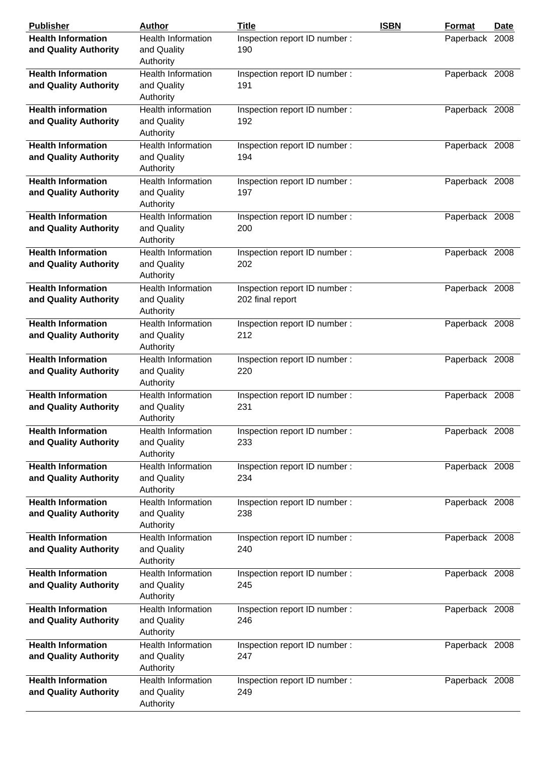| <b>Publisher</b>                                   | <b>Author</b>                                         | <b>Title</b>                                      | <b>ISBN</b> | Format         | Date |
|----------------------------------------------------|-------------------------------------------------------|---------------------------------------------------|-------------|----------------|------|
| <b>Health Information</b><br>and Quality Authority | <b>Health Information</b><br>and Quality<br>Authority | Inspection report ID number :<br>190              |             | Paperback 2008 |      |
| <b>Health Information</b><br>and Quality Authority | <b>Health Information</b><br>and Quality<br>Authority | Inspection report ID number :<br>191              |             | Paperback 2008 |      |
| <b>Health information</b><br>and Quality Authority | <b>Health information</b><br>and Quality<br>Authority | Inspection report ID number:<br>192               |             | Paperback 2008 |      |
| <b>Health Information</b><br>and Quality Authority | <b>Health Information</b><br>and Quality<br>Authority | Inspection report ID number:<br>194               |             | Paperback 2008 |      |
| <b>Health Information</b><br>and Quality Authority | <b>Health Information</b><br>and Quality<br>Authority | Inspection report ID number :<br>197              |             | Paperback 2008 |      |
| <b>Health Information</b><br>and Quality Authority | <b>Health Information</b><br>and Quality<br>Authority | Inspection report ID number:<br>200               |             | Paperback 2008 |      |
| <b>Health Information</b><br>and Quality Authority | <b>Health Information</b><br>and Quality<br>Authority | Inspection report ID number :<br>202              |             | Paperback 2008 |      |
| <b>Health Information</b><br>and Quality Authority | <b>Health Information</b><br>and Quality<br>Authority | Inspection report ID number :<br>202 final report |             | Paperback 2008 |      |
| <b>Health Information</b><br>and Quality Authority | <b>Health Information</b><br>and Quality<br>Authority | Inspection report ID number :<br>212              |             | Paperback 2008 |      |
| <b>Health Information</b><br>and Quality Authority | <b>Health Information</b><br>and Quality<br>Authority | Inspection report ID number :<br>220              |             | Paperback 2008 |      |
| <b>Health Information</b><br>and Quality Authority | <b>Health Information</b><br>and Quality<br>Authority | Inspection report ID number :<br>231              |             | Paperback 2008 |      |
| <b>Health Information</b><br>and Quality Authority | Health Information<br>and Quality<br>Authority        | Inspection report ID number:<br>233               |             | Paperback 2008 |      |
| <b>Health Information</b><br>and Quality Authority | <b>Health Information</b><br>and Quality<br>Authority | Inspection report ID number :<br>234              |             | Paperback 2008 |      |
| <b>Health Information</b><br>and Quality Authority | <b>Health Information</b><br>and Quality<br>Authority | Inspection report ID number :<br>238              |             | Paperback 2008 |      |
| <b>Health Information</b><br>and Quality Authority | Health Information<br>and Quality<br>Authority        | Inspection report ID number:<br>240               |             | Paperback 2008 |      |
| <b>Health Information</b><br>and Quality Authority | <b>Health Information</b><br>and Quality<br>Authority | Inspection report ID number :<br>245              |             | Paperback 2008 |      |
| <b>Health Information</b><br>and Quality Authority | <b>Health Information</b><br>and Quality<br>Authority | Inspection report ID number :<br>246              |             | Paperback 2008 |      |
| <b>Health Information</b><br>and Quality Authority | <b>Health Information</b><br>and Quality<br>Authority | Inspection report ID number :<br>247              |             | Paperback 2008 |      |
| <b>Health Information</b><br>and Quality Authority | <b>Health Information</b><br>and Quality<br>Authority | Inspection report ID number :<br>249              |             | Paperback 2008 |      |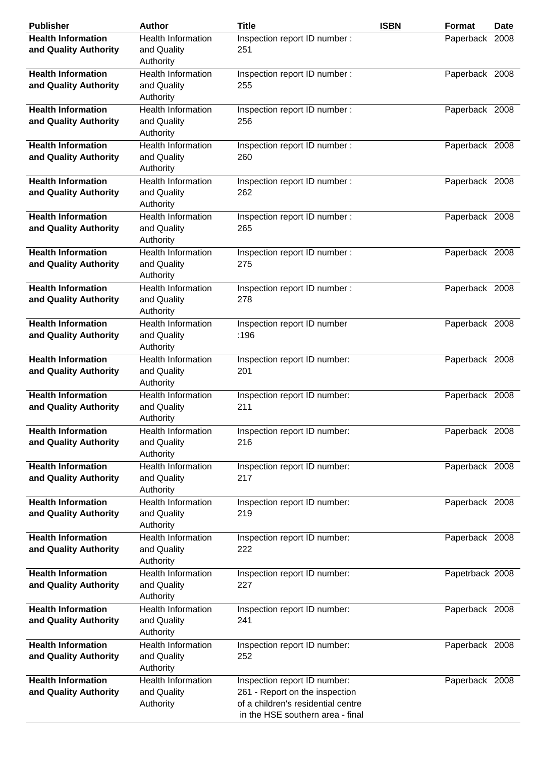| <b>Publisher</b>                                   | <b>Author</b>                                         | <b>Title</b>                                                                                                                             | <b>ISBN</b> | <b>Format</b>   | Date |
|----------------------------------------------------|-------------------------------------------------------|------------------------------------------------------------------------------------------------------------------------------------------|-------------|-----------------|------|
| <b>Health Information</b><br>and Quality Authority | <b>Health Information</b><br>and Quality<br>Authority | Inspection report ID number :<br>251                                                                                                     |             | Paperback 2008  |      |
| <b>Health Information</b>                          | <b>Health Information</b>                             |                                                                                                                                          |             |                 |      |
| and Quality Authority                              | and Quality<br>Authority                              | Inspection report ID number :<br>255                                                                                                     |             | Paperback 2008  |      |
| <b>Health Information</b><br>and Quality Authority | <b>Health Information</b><br>and Quality<br>Authority | Inspection report ID number:<br>256                                                                                                      |             | Paperback 2008  |      |
| <b>Health Information</b><br>and Quality Authority | <b>Health Information</b><br>and Quality<br>Authority | Inspection report ID number :<br>260                                                                                                     |             | Paperback 2008  |      |
| <b>Health Information</b><br>and Quality Authority | <b>Health Information</b><br>and Quality<br>Authority | Inspection report ID number :<br>262                                                                                                     |             | Paperback 2008  |      |
| <b>Health Information</b><br>and Quality Authority | <b>Health Information</b><br>and Quality<br>Authority | Inspection report ID number:<br>265                                                                                                      |             | Paperback 2008  |      |
| <b>Health Information</b><br>and Quality Authority | <b>Health Information</b><br>and Quality<br>Authority | Inspection report ID number :<br>275                                                                                                     |             | Paperback 2008  |      |
| <b>Health Information</b><br>and Quality Authority | <b>Health Information</b><br>and Quality<br>Authority | Inspection report ID number :<br>278                                                                                                     |             | Paperback 2008  |      |
| <b>Health Information</b><br>and Quality Authority | <b>Health Information</b><br>and Quality<br>Authority | Inspection report ID number<br>:196                                                                                                      |             | Paperback 2008  |      |
| <b>Health Information</b><br>and Quality Authority | <b>Health Information</b><br>and Quality<br>Authority | Inspection report ID number:<br>201                                                                                                      |             | Paperback 2008  |      |
| <b>Health Information</b><br>and Quality Authority | <b>Health Information</b><br>and Quality<br>Authority | Inspection report ID number:<br>211                                                                                                      |             | Paperback 2008  |      |
| <b>Health Information</b><br>and Quality Authority | <b>Health Information</b><br>and Quality<br>Authority | Inspection report ID number:<br>216                                                                                                      |             | Paperback 2008  |      |
| <b>Health Information</b><br>and Quality Authority | <b>Health Information</b><br>and Quality<br>Authority | Inspection report ID number:<br>217                                                                                                      |             | Paperback 2008  |      |
| <b>Health Information</b><br>and Quality Authority | <b>Health Information</b><br>and Quality<br>Authority | Inspection report ID number:<br>219                                                                                                      |             | Paperback 2008  |      |
| <b>Health Information</b><br>and Quality Authority | Health Information<br>and Quality<br>Authority        | Inspection report ID number:<br>222                                                                                                      |             | Paperback 2008  |      |
| <b>Health Information</b><br>and Quality Authority | <b>Health Information</b><br>and Quality<br>Authority | Inspection report ID number:<br>227                                                                                                      |             | Papetrback 2008 |      |
| <b>Health Information</b><br>and Quality Authority | <b>Health Information</b><br>and Quality<br>Authority | Inspection report ID number:<br>241                                                                                                      |             | Paperback 2008  |      |
| <b>Health Information</b><br>and Quality Authority | <b>Health Information</b><br>and Quality<br>Authority | Inspection report ID number:<br>252                                                                                                      |             | Paperback 2008  |      |
| <b>Health Information</b><br>and Quality Authority | <b>Health Information</b><br>and Quality<br>Authority | Inspection report ID number:<br>261 - Report on the inspection<br>of a children's residential centre<br>in the HSE southern area - final |             | Paperback 2008  |      |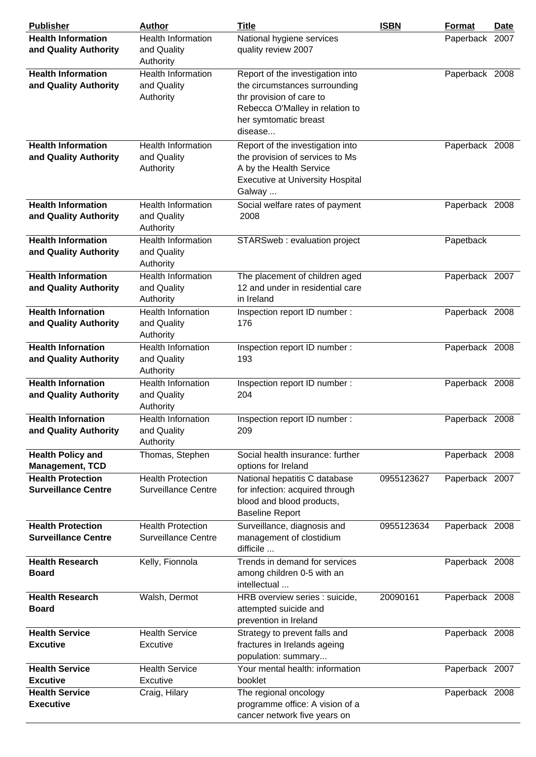| <b>Publisher</b>                                       | <b>Author</b>                                          | <b>Title</b>                                                                                                                                                         | <b>ISBN</b> | Format         | <b>Date</b> |
|--------------------------------------------------------|--------------------------------------------------------|----------------------------------------------------------------------------------------------------------------------------------------------------------------------|-------------|----------------|-------------|
| <b>Health Information</b><br>and Quality Authority     | <b>Health Information</b><br>and Quality               | National hygiene services<br>quality review 2007                                                                                                                     |             | Paperback 2007 |             |
|                                                        | Authority<br>Health Information                        |                                                                                                                                                                      |             |                |             |
| <b>Health Information</b><br>and Quality Authority     | and Quality<br>Authority                               | Report of the investigation into<br>the circumstances surrounding<br>thr provision of care to<br>Rebecca O'Malley in relation to<br>her symtomatic breast<br>disease |             | Paperback 2008 |             |
| <b>Health Information</b>                              | <b>Health Information</b>                              | Report of the investigation into                                                                                                                                     |             | Paperback 2008 |             |
| and Quality Authority                                  | and Quality<br>Authority                               | the provision of services to Ms<br>A by the Health Service<br><b>Executive at University Hospital</b><br>Galway                                                      |             |                |             |
| <b>Health Information</b><br>and Quality Authority     | <b>Health Information</b><br>and Quality<br>Authority  | Social welfare rates of payment<br>2008                                                                                                                              |             | Paperback 2008 |             |
| <b>Health Information</b><br>and Quality Authority     | <b>Health Information</b><br>and Quality<br>Authority  | STARSweb: evaluation project                                                                                                                                         |             | Papetback      |             |
| <b>Health Information</b><br>and Quality Authority     | Health Information<br>and Quality<br>Authority         | The placement of children aged<br>12 and under in residential care<br>in Ireland                                                                                     |             | Paperback 2007 |             |
| <b>Health Infornation</b><br>and Quality Authority     | <b>Health Infornation</b><br>and Quality<br>Authority  | Inspection report ID number :<br>176                                                                                                                                 |             | Paperback 2008 |             |
| <b>Health Infornation</b><br>and Quality Authority     | Health Infornation<br>and Quality<br>Authority         | Inspection report ID number :<br>193                                                                                                                                 |             | Paperback 2008 |             |
| <b>Health Infornation</b><br>and Quality Authority     | <b>Health Infornation</b><br>and Quality<br>Authority  | Inspection report ID number :<br>204                                                                                                                                 |             | Paperback 2008 |             |
| <b>Health Infornation</b><br>and Quality Authority     | <b>Health Infornation</b><br>and Quality<br>Authority  | Inspection report ID number :<br>209                                                                                                                                 |             | Paperback 2008 |             |
| <b>Health Policy and</b><br><b>Management, TCD</b>     | Thomas, Stephen                                        | Social health insurance: further<br>options for Ireland                                                                                                              |             | Paperback 2008 |             |
| <b>Health Protection</b><br><b>Surveillance Centre</b> | <b>Health Protection</b><br><b>Surveillance Centre</b> | National hepatitis C database<br>for infection: acquired through<br>blood and blood products,<br><b>Baseline Report</b>                                              | 0955123627  | Paperback 2007 |             |
| <b>Health Protection</b><br><b>Surveillance Centre</b> | <b>Health Protection</b><br><b>Surveillance Centre</b> | Surveillance, diagnosis and<br>management of clostidium<br>difficile                                                                                                 | 0955123634  | Paperback 2008 |             |
| <b>Health Research</b><br><b>Board</b>                 | Kelly, Fionnola                                        | Trends in demand for services<br>among children 0-5 with an<br>intellectual                                                                                          |             | Paperback 2008 |             |
| <b>Health Research</b><br><b>Board</b>                 | Walsh, Dermot                                          | HRB overview series : suicide,<br>attempted suicide and<br>prevention in Ireland                                                                                     | 20090161    | Paperback 2008 |             |
| <b>Health Service</b><br><b>Excutive</b>               | <b>Health Service</b><br>Excutive                      | Strategy to prevent falls and<br>fractures in Irelands ageing<br>population: summary                                                                                 |             | Paperback 2008 |             |
| <b>Health Service</b><br><b>Excutive</b>               | <b>Health Service</b><br>Excutive                      | Your mental health: information<br>booklet                                                                                                                           |             | Paperback 2007 |             |
| <b>Health Service</b><br><b>Executive</b>              | Craig, Hilary                                          | The regional oncology<br>programme office: A vision of a<br>cancer network five years on                                                                             |             | Paperback 2008 |             |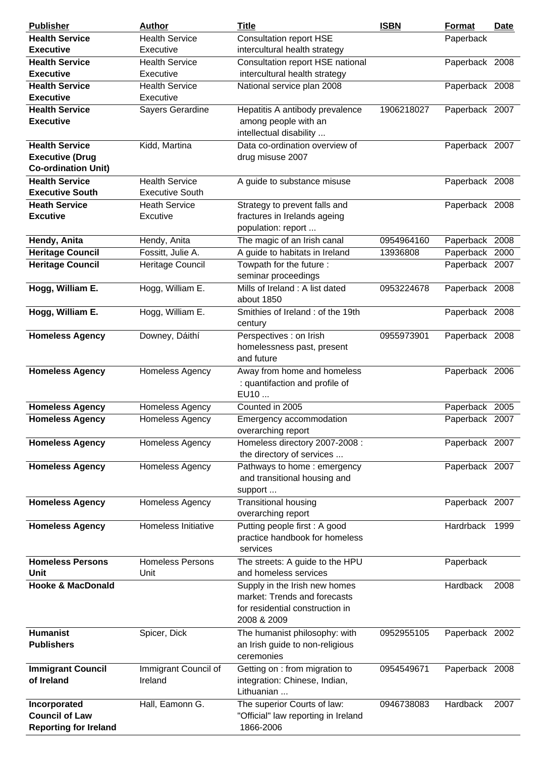| <b>Publisher</b>             | <b>Author</b>           | <b>Title</b>                                     | <b>ISBN</b> | Format         | Date |
|------------------------------|-------------------------|--------------------------------------------------|-------------|----------------|------|
| <b>Health Service</b>        | <b>Health Service</b>   | <b>Consultation report HSE</b>                   |             | Paperback      |      |
| <b>Executive</b>             | Executive               | intercultural health strategy                    |             |                |      |
| <b>Health Service</b>        | <b>Health Service</b>   | Consultation report HSE national                 |             | Paperback 2008 |      |
| <b>Executive</b>             | Executive               | intercultural health strategy                    |             |                |      |
| <b>Health Service</b>        | <b>Health Service</b>   | National service plan 2008                       |             | Paperback 2008 |      |
| <b>Executive</b>             | Executive               |                                                  |             |                |      |
| <b>Health Service</b>        | Sayers Gerardine        | Hepatitis A antibody prevalence                  | 1906218027  | Paperback 2007 |      |
| <b>Executive</b>             |                         | among people with an                             |             |                |      |
|                              |                         | intellectual disability                          |             |                |      |
| <b>Health Service</b>        | Kidd, Martina           | Data co-ordination overview of                   |             | Paperback 2007 |      |
| <b>Executive (Drug</b>       |                         | drug misuse 2007                                 |             |                |      |
| <b>Co-ordination Unit)</b>   |                         |                                                  |             |                |      |
| <b>Health Service</b>        | <b>Health Service</b>   | A guide to substance misuse                      |             | Paperback 2008 |      |
| <b>Executive South</b>       | <b>Executive South</b>  |                                                  |             |                |      |
| <b>Heath Service</b>         | <b>Heath Service</b>    | Strategy to prevent falls and                    |             | Paperback 2008 |      |
| <b>Excutive</b>              | Excutive                | fractures in Irelands ageing                     |             |                |      |
|                              |                         | population: report                               |             |                |      |
| Hendy, Anita                 | Hendy, Anita            | The magic of an Irish canal                      | 0954964160  | Paperback 2008 |      |
| <b>Heritage Council</b>      | Fossitt, Julie A.       | A guide to habitats in Ireland                   | 13936808    | Paperback 2000 |      |
| <b>Heritage Council</b>      | Heritage Council        | Towpath for the future:                          |             | Paperback 2007 |      |
|                              |                         | seminar proceedings                              |             |                |      |
| Hogg, William E.             | Hogg, William E.        | Mills of Ireland: A list dated<br>about 1850     | 0953224678  | Paperback 2008 |      |
| Hogg, William E.             | Hogg, William E.        | Smithies of Ireland: of the 19th<br>century      |             | Paperback 2008 |      |
| <b>Homeless Agency</b>       | Downey, Dáithí          | Perspectives : on Irish                          | 0955973901  | Paperback 2008 |      |
|                              |                         | homelessness past, present                       |             |                |      |
|                              |                         | and future                                       |             |                |      |
| <b>Homeless Agency</b>       | Homeless Agency         | Away from home and homeless                      |             | Paperback 2006 |      |
|                              |                         | : quantifaction and profile of                   |             |                |      |
|                              |                         | EU10                                             |             |                |      |
| <b>Homeless Agency</b>       | Homeless Agency         | Counted in 2005                                  |             | Paperback 2005 |      |
| <b>Homeless Agency</b>       | Homeless Agency         | Emergency accommodation                          |             | Paperback 2007 |      |
|                              |                         | overarching report                               |             |                |      |
| <b>Homeless Agency</b>       | Homeless Agency         | Homeless directory 2007-2008 :                   |             | Paperback 2007 |      |
|                              |                         | the directory of services                        |             |                |      |
| <b>Homeless Agency</b>       | <b>Homeless Agency</b>  | Pathways to home : emergency                     |             | Paperback 2007 |      |
|                              |                         | and transitional housing and                     |             |                |      |
|                              |                         | support                                          |             |                |      |
| <b>Homeless Agency</b>       | Homeless Agency         | <b>Transitional housing</b>                      |             | Paperback 2007 |      |
|                              |                         | overarching report                               |             |                |      |
| <b>Homeless Agency</b>       | Homeless Initiative     | Putting people first: A good                     |             | Hardrback      | 1999 |
|                              |                         | practice handbook for homeless                   |             |                |      |
|                              |                         | services                                         |             |                |      |
| <b>Homeless Persons</b>      | <b>Homeless Persons</b> | The streets: A guide to the HPU                  |             | Paperback      |      |
| Unit                         | Unit                    | and homeless services                            |             |                |      |
| <b>Hooke &amp; MacDonald</b> |                         | Supply in the Irish new homes                    |             | Hardback       | 2008 |
|                              |                         | market: Trends and forecasts                     |             |                |      |
|                              |                         | for residential construction in                  |             |                |      |
|                              |                         | 2008 & 2009                                      |             |                |      |
| <b>Humanist</b>              | Spicer, Dick            | The humanist philosophy: with                    | 0952955105  | Paperback 2002 |      |
| <b>Publishers</b>            |                         | an Irish guide to non-religious                  |             |                |      |
|                              |                         | ceremonies                                       |             |                |      |
| <b>Immigrant Council</b>     | Immigrant Council of    | Getting on : from migration to                   | 0954549671  | Paperback 2008 |      |
| of Ireland                   | Ireland                 | integration: Chinese, Indian,                    |             |                |      |
|                              |                         | Lithuanian                                       |             |                |      |
| Incorporated                 | Hall, Eamonn G.         | The superior Courts of law:                      | 0946738083  | Hardback       | 2007 |
| <b>Council of Law</b>        |                         | "Official" law reporting in Ireland<br>1866-2006 |             |                |      |
| <b>Reporting for Ireland</b> |                         |                                                  |             |                |      |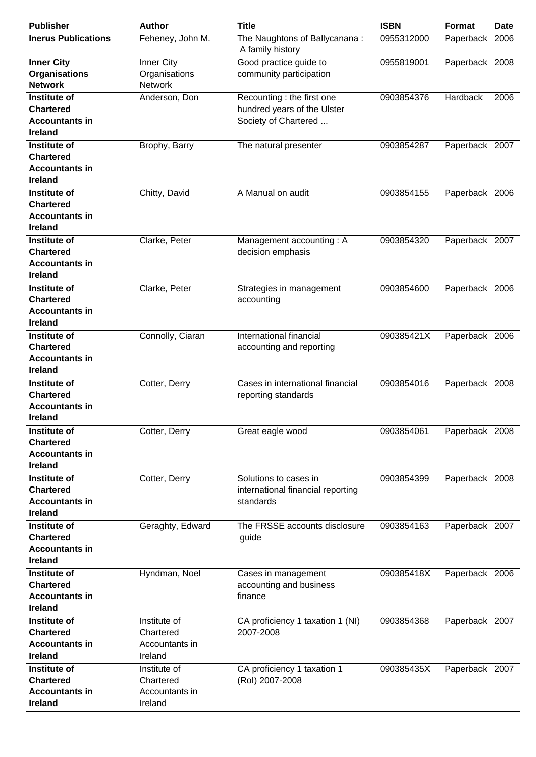| <b>Publisher</b>                                                            | <b>Author</b>                                          | <b>Title</b>                                                                      | <b>ISBN</b> | <b>Format</b>  | <b>Date</b> |
|-----------------------------------------------------------------------------|--------------------------------------------------------|-----------------------------------------------------------------------------------|-------------|----------------|-------------|
| <b>Inerus Publications</b>                                                  | Feheney, John M.                                       | The Naughtons of Ballycanana:<br>A family history                                 | 0955312000  | Paperback      | 2006        |
| <b>Inner City</b><br><b>Organisations</b><br><b>Network</b>                 | Inner City<br>Organisations<br><b>Network</b>          | Good practice guide to<br>community participation                                 | 0955819001  | Paperback 2008 |             |
| Institute of<br><b>Chartered</b><br><b>Accountants in</b><br><b>Ireland</b> | Anderson, Don                                          | Recounting : the first one<br>hundred years of the Ulster<br>Society of Chartered | 0903854376  | Hardback       | 2006        |
| Institute of<br><b>Chartered</b><br><b>Accountants in</b><br><b>Ireland</b> | Brophy, Barry                                          | The natural presenter                                                             | 0903854287  | Paperback 2007 |             |
| Institute of<br><b>Chartered</b><br><b>Accountants in</b><br><b>Ireland</b> | Chitty, David                                          | A Manual on audit                                                                 | 0903854155  | Paperback 2006 |             |
| Institute of<br><b>Chartered</b><br><b>Accountants in</b><br><b>Ireland</b> | Clarke, Peter                                          | Management accounting: A<br>decision emphasis                                     | 0903854320  | Paperback 2007 |             |
| Institute of<br><b>Chartered</b><br><b>Accountants in</b><br><b>Ireland</b> | Clarke, Peter                                          | Strategies in management<br>accounting                                            | 0903854600  | Paperback 2006 |             |
| Institute of<br><b>Chartered</b><br><b>Accountants in</b><br><b>Ireland</b> | Connolly, Ciaran                                       | International financial<br>accounting and reporting                               | 090385421X  | Paperback 2006 |             |
| Institute of<br><b>Chartered</b><br><b>Accountants in</b><br><b>Ireland</b> | Cotter, Derry                                          | Cases in international financial<br>reporting standards                           | 0903854016  | Paperback 2008 |             |
| Institute of<br><b>Chartered</b><br><b>Accountants in</b><br><b>Ireland</b> | Cotter, Derry                                          | Great eagle wood                                                                  | 0903854061  | Paperback 2008 |             |
| Institute of<br><b>Chartered</b><br><b>Accountants in</b><br>Ireland        | Cotter, Derry                                          | Solutions to cases in<br>international financial reporting<br>standards           | 0903854399  | Paperback 2008 |             |
| Institute of<br><b>Chartered</b><br><b>Accountants in</b><br><b>Ireland</b> | Geraghty, Edward                                       | The FRSSE accounts disclosure<br>guide                                            | 0903854163  | Paperback 2007 |             |
| Institute of<br><b>Chartered</b><br><b>Accountants in</b><br>Ireland        | Hyndman, Noel                                          | Cases in management<br>accounting and business<br>finance                         | 090385418X  | Paperback 2006 |             |
| Institute of<br><b>Chartered</b><br><b>Accountants in</b><br><b>Ireland</b> | Institute of<br>Chartered<br>Accountants in<br>Ireland | CA proficiency 1 taxation 1 (NI)<br>2007-2008                                     | 0903854368  | Paperback 2007 |             |
| Institute of<br><b>Chartered</b><br><b>Accountants in</b><br><b>Ireland</b> | Institute of<br>Chartered<br>Accountants in<br>Ireland | CA proficiency 1 taxation 1<br>(Rol) 2007-2008                                    | 090385435X  | Paperback 2007 |             |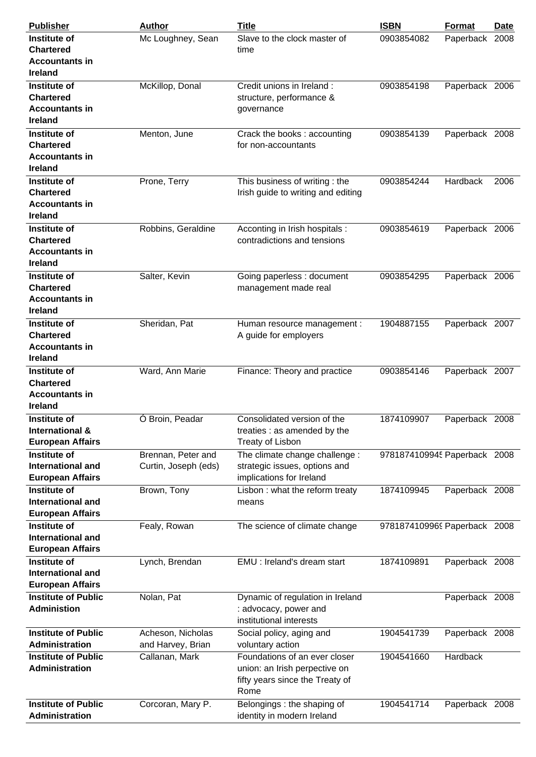| <b>Publisher</b>                                                                   | <b>Author</b>                              | <b>Title</b>                                                                                              | <b>ISBN</b>                  | Format         | Date |
|------------------------------------------------------------------------------------|--------------------------------------------|-----------------------------------------------------------------------------------------------------------|------------------------------|----------------|------|
| Institute of<br><b>Chartered</b><br><b>Accountants in</b>                          | Mc Loughney, Sean                          | Slave to the clock master of<br>time                                                                      | 0903854082                   | Paperback      | 2008 |
| <b>Ireland</b>                                                                     |                                            |                                                                                                           |                              |                |      |
| <b>Institute of</b><br><b>Chartered</b><br><b>Accountants in</b><br><b>Ireland</b> | McKillop, Donal                            | Credit unions in Ireland :<br>structure, performance &<br>governance                                      | 0903854198                   | Paperback 2006 |      |
| Institute of<br><b>Chartered</b><br><b>Accountants in</b><br><b>Ireland</b>        | Menton, June                               | Crack the books: accounting<br>for non-accountants                                                        | 0903854139                   | Paperback 2008 |      |
| Institute of<br><b>Chartered</b><br><b>Accountants in</b><br><b>Ireland</b>        | Prone, Terry                               | This business of writing: the<br>Irish guide to writing and editing                                       | 0903854244                   | Hardback       | 2006 |
| Institute of<br><b>Chartered</b><br><b>Accountants in</b><br><b>Ireland</b>        | Robbins, Geraldine                         | Acconting in Irish hospitals :<br>contradictions and tensions                                             | 0903854619                   | Paperback 2006 |      |
| Institute of<br><b>Chartered</b><br><b>Accountants in</b><br><b>Ireland</b>        | Salter, Kevin                              | Going paperless : document<br>management made real                                                        | 0903854295                   | Paperback 2006 |      |
| Institute of<br><b>Chartered</b><br><b>Accountants in</b><br><b>Ireland</b>        | Sheridan, Pat                              | Human resource management :<br>A guide for employers                                                      | 1904887155                   | Paperback 2007 |      |
| Institute of<br><b>Chartered</b><br><b>Accountants in</b><br><b>Ireland</b>        | Ward, Ann Marie                            | Finance: Theory and practice                                                                              | 0903854146                   | Paperback 2007 |      |
| Institute of<br>International &<br><b>European Affairs</b>                         | Ó Broin, Peadar                            | Consolidated version of the<br>treaties : as amended by the<br>Treaty of Lisbon                           | 1874109907                   | Paperback 2008 |      |
| Institute of<br><b>International and</b><br><b>European Affairs</b>                | Brennan, Peter and<br>Curtin, Joseph (eds) | The climate change challenge :<br>strategic issues, options and<br>implications for Ireland               | 9781874109945 Paperback 2008 |                |      |
| Institute of<br><b>International and</b><br><b>European Affairs</b>                | Brown, Tony                                | Lisbon: what the reform treaty<br>means                                                                   | 1874109945                   | Paperback 2008 |      |
| <b>Institute of</b><br><b>International and</b><br><b>European Affairs</b>         | Fealy, Rowan                               | The science of climate change                                                                             | 9781874109969 Paperback 2008 |                |      |
| Institute of<br><b>International and</b><br><b>European Affairs</b>                | Lynch, Brendan                             | EMU : Ireland's dream start                                                                               | 1874109891                   | Paperback 2008 |      |
| <b>Institute of Public</b><br><b>Administion</b>                                   | Nolan, Pat                                 | Dynamic of regulation in Ireland<br>: advocacy, power and<br>institutional interests                      |                              | Paperback 2008 |      |
| <b>Institute of Public</b><br>Administration                                       | Acheson, Nicholas<br>and Harvey, Brian     | Social policy, aging and<br>voluntary action                                                              | 1904541739                   | Paperback 2008 |      |
| <b>Institute of Public</b><br>Administration                                       | Callanan, Mark                             | Foundations of an ever closer<br>union: an Irish perpective on<br>fifty years since the Treaty of<br>Rome | 1904541660                   | Hardback       |      |
| <b>Institute of Public</b><br>Administration                                       | Corcoran, Mary P.                          | Belongings : the shaping of<br>identity in modern Ireland                                                 | 1904541714                   | Paperback 2008 |      |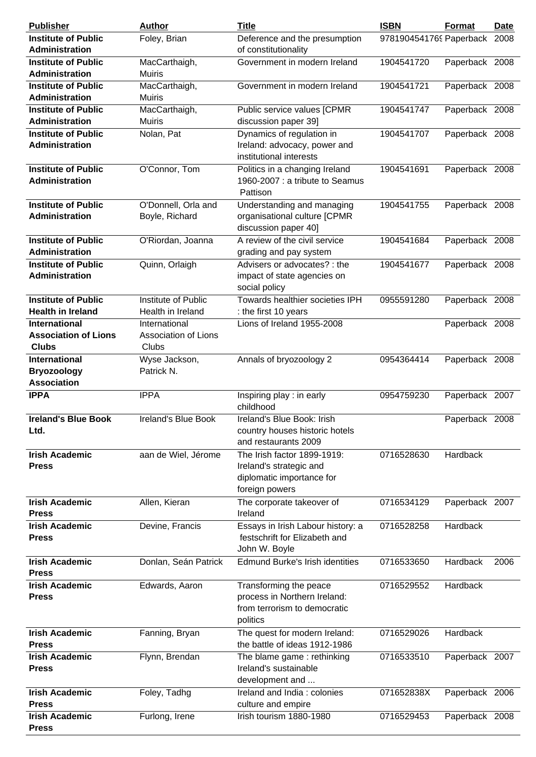| <b>Publisher</b>                                                    | <b>Author</b>                                         | <b>Title</b>                                                                                          | <b>ISBN</b>             | Format         | <b>Date</b> |
|---------------------------------------------------------------------|-------------------------------------------------------|-------------------------------------------------------------------------------------------------------|-------------------------|----------------|-------------|
| <b>Institute of Public</b>                                          | Foley, Brian                                          | Deference and the presumption                                                                         | 9781904541769 Paperback |                | 2008        |
| <b>Administration</b>                                               |                                                       | of constitutionality                                                                                  |                         |                |             |
| <b>Institute of Public</b>                                          | MacCarthaigh,                                         | Government in modern Ireland                                                                          | 1904541720              | Paperback 2008 |             |
| <b>Administration</b>                                               | <b>Muiris</b>                                         |                                                                                                       |                         |                |             |
| <b>Institute of Public</b>                                          | MacCarthaigh,                                         | Government in modern Ireland                                                                          | 1904541721              | Paperback 2008 |             |
| <b>Administration</b>                                               | Muiris                                                |                                                                                                       |                         |                |             |
| <b>Institute of Public</b>                                          | MacCarthaigh,                                         | Public service values [CPMR                                                                           | 1904541747              | Paperback 2008 |             |
| <b>Administration</b>                                               | <b>Muiris</b>                                         | discussion paper 39]                                                                                  |                         |                |             |
| <b>Institute of Public</b><br>Administration                        | Nolan, Pat                                            | Dynamics of regulation in<br>Ireland: advocacy, power and<br>institutional interests                  | 1904541707              | Paperback 2008 |             |
| <b>Institute of Public</b><br><b>Administration</b>                 | O'Connor, Tom                                         | Politics in a changing Ireland<br>1960-2007 : a tribute to Seamus<br>Pattison                         | 1904541691              | Paperback 2008 |             |
| <b>Institute of Public</b><br><b>Administration</b>                 | O'Donnell, Orla and<br>Boyle, Richard                 | Understanding and managing<br>organisational culture [CPMR<br>discussion paper 40]                    | 1904541755              | Paperback 2008 |             |
| <b>Institute of Public</b>                                          | O'Riordan, Joanna                                     | A review of the civil service                                                                         | 1904541684              | Paperback 2008 |             |
| <b>Administration</b>                                               |                                                       | grading and pay system                                                                                |                         |                |             |
| <b>Institute of Public</b><br>Administration                        | Quinn, Orlaigh                                        | Advisers or advocates? : the<br>impact of state agencies on<br>social policy                          | 1904541677              | Paperback 2008 |             |
| <b>Institute of Public</b>                                          | Institute of Public                                   | Towards healthier societies IPH                                                                       | 0955591280              | Paperback 2008 |             |
| <b>Health in Ireland</b>                                            | Health in Ireland                                     | : the first 10 years                                                                                  |                         |                |             |
| <b>International</b><br><b>Association of Lions</b><br><b>Clubs</b> | International<br><b>Association of Lions</b><br>Clubs | Lions of Ireland 1955-2008                                                                            |                         | Paperback 2008 |             |
| <b>International</b><br><b>Bryozoology</b><br><b>Association</b>    | Wyse Jackson,<br>Patrick N.                           | Annals of bryozoology 2                                                                               | 0954364414              | Paperback 2008 |             |
| <b>IPPA</b>                                                         | <b>IPPA</b>                                           | Inspiring play : in early<br>childhood                                                                | 0954759230              | Paperback 2007 |             |
| <b>Ireland's Blue Book</b><br>Ltd.                                  | Ireland's Blue Book                                   | Ireland's Blue Book: Irish<br>country houses historic hotels<br>and restaurants 2009                  |                         | Paperback 2008 |             |
| <b>Irish Academic</b><br><b>Press</b>                               | aan de Wiel, Jérome                                   | The Irish factor 1899-1919:<br>Ireland's strategic and<br>diplomatic importance for<br>foreign powers | 0716528630              | Hardback       |             |
| <b>Irish Academic</b><br><b>Press</b>                               | Allen, Kieran                                         | The corporate takeover of<br>Ireland                                                                  | 0716534129              | Paperback 2007 |             |
| <b>Irish Academic</b><br><b>Press</b>                               | Devine, Francis                                       | Essays in Irish Labour history: a<br>festschrift for Elizabeth and<br>John W. Boyle                   | 0716528258              | Hardback       |             |
| <b>Irish Academic</b><br><b>Press</b>                               | Donlan, Seán Patrick                                  | <b>Edmund Burke's Irish identities</b>                                                                | 0716533650              | Hardback       | 2006        |
| <b>Irish Academic</b><br><b>Press</b>                               | Edwards, Aaron                                        | Transforming the peace<br>process in Northern Ireland:<br>from terrorism to democratic<br>politics    | 0716529552              | Hardback       |             |
| <b>Irish Academic</b><br><b>Press</b>                               | Fanning, Bryan                                        | The quest for modern Ireland:<br>the battle of ideas 1912-1986                                        | 0716529026              | Hardback       |             |
| <b>Irish Academic</b><br><b>Press</b>                               | Flynn, Brendan                                        | The blame game: rethinking<br>Ireland's sustainable<br>development and                                | 0716533510              | Paperback 2007 |             |
| <b>Irish Academic</b><br><b>Press</b>                               | Foley, Tadhg                                          | Ireland and India: colonies<br>culture and empire                                                     | 071652838X              | Paperback 2006 |             |
| <b>Irish Academic</b><br><b>Press</b>                               | Furlong, Irene                                        | Irish tourism 1880-1980                                                                               | 0716529453              | Paperback 2008 |             |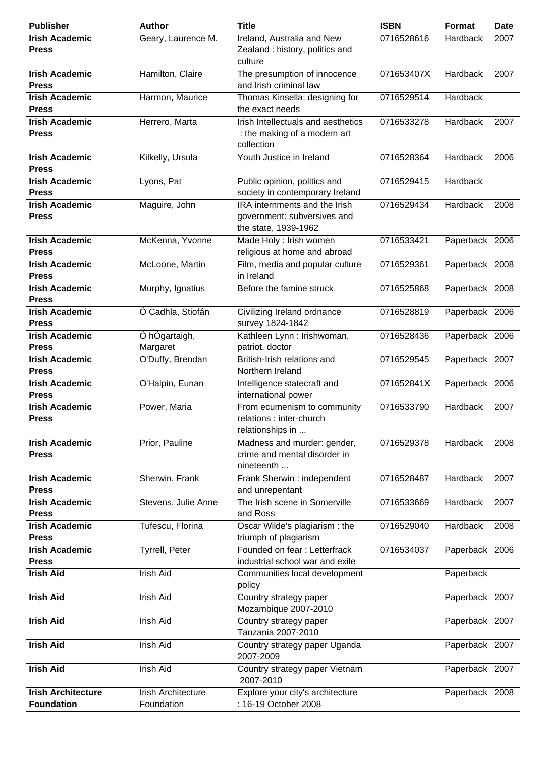| <b>Publisher</b>                               | <b>Author</b>                    | <b>Title</b>                                                                         | <b>ISBN</b> | Format         | <b>Date</b> |
|------------------------------------------------|----------------------------------|--------------------------------------------------------------------------------------|-------------|----------------|-------------|
| <b>Irish Academic</b><br><b>Press</b>          | Geary, Laurence M.               | Ireland, Australia and New<br>Zealand: history, politics and<br>culture              | 0716528616  | Hardback       | 2007        |
| <b>Irish Academic</b><br><b>Press</b>          | Hamilton, Claire                 | The presumption of innocence<br>and Irish criminal law                               | 071653407X  | Hardback       | 2007        |
| <b>Irish Academic</b><br><b>Press</b>          | Harmon, Maurice                  | Thomas Kinsella: designing for<br>the exact needs                                    | 0716529514  | Hardback       |             |
| <b>Irish Academic</b><br><b>Press</b>          | Herrero, Marta                   | Irish Intellectuals and aesthetics<br>: the making of a modern art<br>collection     | 0716533278  | Hardback       | 2007        |
| <b>Irish Academic</b><br><b>Press</b>          | Kilkelly, Ursula                 | Youth Justice in Ireland                                                             | 0716528364  | Hardback       | 2006        |
| <b>Irish Academic</b><br><b>Press</b>          | Lyons, Pat                       | Public opinion, politics and<br>society in contemporary Ireland                      | 0716529415  | Hardback       |             |
| <b>Irish Academic</b><br><b>Press</b>          | Maguire, John                    | IRA internments and the Irish<br>government: subversives and<br>the state, 1939-1962 | 0716529434  | Hardback       | 2008        |
| <b>Irish Academic</b><br><b>Press</b>          | McKenna, Yvonne                  | Made Holy : Irish women<br>religious at home and abroad                              | 0716533421  | Paperback 2006 |             |
| <b>Irish Academic</b><br><b>Press</b>          | McLoone, Martin                  | Film, media and popular culture<br>in Ireland                                        | 0716529361  | Paperback 2008 |             |
| <b>Irish Academic</b><br><b>Press</b>          | Murphy, Ignatius                 | Before the famine struck                                                             | 0716525868  | Paperback 2008 |             |
| <b>Irish Academic</b><br><b>Press</b>          | Ó Cadhla, Stiofán                | Civilizing Ireland ordnance<br>survey 1824-1842                                      | 0716528819  | Paperback 2006 |             |
| <b>Irish Academic</b><br><b>Press</b>          | Ó hÓgartaigh,<br>Margaret        | Kathleen Lynn : Irishwoman,<br>patriot, doctor                                       | 0716528436  | Paperback 2006 |             |
| <b>Irish Academic</b><br><b>Press</b>          | O'Duffy, Brendan                 | British-Irish relations and<br>Northern Ireland                                      | 0716529545  | Paperback 2007 |             |
| <b>Irish Academic</b><br><b>Press</b>          | O'Halpin, Eunan                  | Intelligence statecraft and<br>international power                                   | 071652841X  | Paperback 2006 |             |
| <b>Irish Academic</b><br><b>Press</b>          | Power, Maria                     | From ecumenism to community<br>relations : inter-church<br>relationships in          | 0716533790  | Hardback       | 2007        |
| <b>Irish Academic</b><br><b>Press</b>          | Prior, Pauline                   | Madness and murder: gender,<br>crime and mental disorder in<br>nineteenth            | 0716529378  | Hardback       | 2008        |
| <b>Irish Academic</b><br><b>Press</b>          | Sherwin, Frank                   | Frank Sherwin : independent<br>and unrepentant                                       | 0716528487  | Hardback       | 2007        |
| <b>Irish Academic</b><br><b>Press</b>          | Stevens, Julie Anne              | The Irish scene in Somerville<br>and Ross                                            | 0716533669  | Hardback       | 2007        |
| <b>Irish Academic</b><br><b>Press</b>          | Tufescu, Florina                 | Oscar Wilde's plagiarism: the<br>triumph of plagiarism                               | 0716529040  | Hardback       | 2008        |
| <b>Irish Academic</b><br><b>Press</b>          | Tyrrell, Peter                   | Founded on fear: Letterfrack<br>industrial school war and exile                      | 0716534037  | Paperback 2006 |             |
| <b>Irish Aid</b>                               | Irish Aid                        | Communities local development<br>policy                                              |             | Paperback      |             |
| <b>Irish Aid</b>                               | Irish Aid                        | Country strategy paper<br>Mozambique 2007-2010                                       |             | Paperback 2007 |             |
| <b>Irish Aid</b>                               | Irish Aid                        | Country strategy paper<br>Tanzania 2007-2010                                         |             | Paperback 2007 |             |
| <b>Irish Aid</b>                               | Irish Aid                        | Country strategy paper Uganda<br>2007-2009                                           |             | Paperback 2007 |             |
| <b>Irish Aid</b>                               | Irish Aid                        | Country strategy paper Vietnam<br>2007-2010                                          |             | Paperback 2007 |             |
| <b>Irish Architecture</b><br><b>Foundation</b> | Irish Architecture<br>Foundation | Explore your city's architecture<br>: 16-19 October 2008                             |             | Paperback 2008 |             |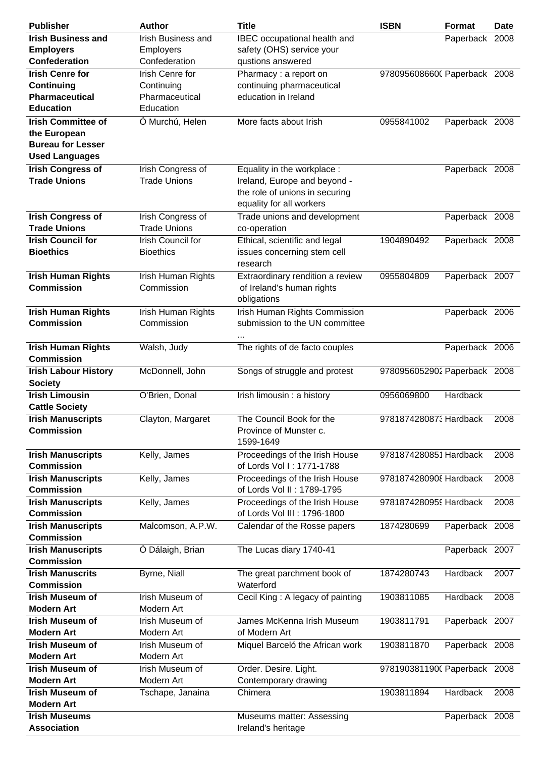| <b>Publisher</b>                                | <b>Author</b>                            | <b>Title</b>                                | <b>ISBN</b>                  | <b>Format</b>  | <b>Date</b> |
|-------------------------------------------------|------------------------------------------|---------------------------------------------|------------------------------|----------------|-------------|
| <b>Irish Business and</b>                       | Irish Business and                       | IBEC occupational health and                |                              | Paperback 2008 |             |
| <b>Employers</b>                                | <b>Employers</b>                         | safety (OHS) service your                   |                              |                |             |
| Confederation                                   | Confederation                            | qustions answered                           |                              |                |             |
| <b>Irish Cenre for</b>                          | Irish Cenre for                          | Pharmacy: a report on                       | 9780956086600 Paperback 2008 |                |             |
| Continuing                                      | Continuing                               | continuing pharmaceutical                   |                              |                |             |
| <b>Pharmaceutical</b>                           | Pharmaceutical                           | education in Ireland                        |                              |                |             |
| <b>Education</b>                                | Education                                |                                             |                              |                |             |
| <b>Irish Committee of</b>                       | Ó Murchú, Helen                          | More facts about Irish                      | 0955841002                   | Paperback 2008 |             |
| the European                                    |                                          |                                             |                              |                |             |
| <b>Bureau for Lesser</b>                        |                                          |                                             |                              |                |             |
| <b>Used Languages</b>                           |                                          |                                             |                              |                |             |
| <b>Irish Congress of</b>                        | Irish Congress of                        | Equality in the workplace :                 |                              | Paperback 2008 |             |
| <b>Trade Unions</b>                             | <b>Trade Unions</b>                      | Ireland, Europe and beyond -                |                              |                |             |
|                                                 |                                          | the role of unions in securing              |                              |                |             |
|                                                 |                                          | equality for all workers                    |                              |                |             |
|                                                 |                                          | Trade unions and development                |                              |                |             |
| <b>Irish Congress of</b><br><b>Trade Unions</b> | Irish Congress of<br><b>Trade Unions</b> | co-operation                                |                              | Paperback 2008 |             |
| <b>Irish Council for</b>                        | Irish Council for                        | Ethical, scientific and legal               | 1904890492                   | Paperback 2008 |             |
| <b>Bioethics</b>                                | <b>Bioethics</b>                         | issues concerning stem cell                 |                              |                |             |
|                                                 |                                          | research                                    |                              |                |             |
| <b>Irish Human Rights</b>                       | Irish Human Rights                       | Extraordinary rendition a review            | 0955804809                   | Paperback 2007 |             |
| <b>Commission</b>                               | Commission                               | of Ireland's human rights                   |                              |                |             |
|                                                 |                                          | obligations                                 |                              |                |             |
| <b>Irish Human Rights</b>                       | Irish Human Rights                       | Irish Human Rights Commission               |                              | Paperback 2006 |             |
| <b>Commission</b>                               | Commission                               | submission to the UN committee              |                              |                |             |
|                                                 |                                          |                                             |                              |                |             |
|                                                 |                                          | $\cdots$                                    |                              |                |             |
| <b>Irish Human Rights</b><br><b>Commission</b>  | Walsh, Judy                              | The rights of de facto couples              |                              | Paperback 2006 |             |
|                                                 |                                          |                                             |                              |                |             |
| <b>Irish Labour History</b>                     | McDonnell, John                          | Songs of struggle and protest               | 9780956052902 Paperback 2008 |                |             |
| <b>Society</b>                                  |                                          |                                             |                              |                |             |
| <b>Irish Limousin</b>                           | O'Brien, Donal                           | Irish limousin : a history                  | 0956069800                   | Hardback       |             |
| <b>Cattle Society</b>                           |                                          |                                             |                              |                |             |
| <b>Irish Manuscripts</b>                        | Clayton, Margaret                        | The Council Book for the                    | 9781874280873 Hardback       |                | 2008        |
| <b>Commission</b>                               |                                          | Province of Munster c.                      |                              |                |             |
|                                                 |                                          | 1599-1649<br>Proceedings of the Irish House | 9781874280851 Hardback       |                |             |
| <b>Irish Manuscripts</b><br><b>Commission</b>   | Kelly, James                             | of Lords Vol I: 1771-1788                   |                              |                | 2008        |
| <b>Irish Manuscripts</b>                        |                                          | Proceedings of the Irish House              | 9781874280908 Hardback       |                | 2008        |
| <b>Commission</b>                               | Kelly, James                             | of Lords Vol II: 1789-1795                  |                              |                |             |
|                                                 |                                          | Proceedings of the Irish House              | 9781874280959 Hardback       |                | 2008        |
| <b>Irish Manuscripts</b><br><b>Commission</b>   | Kelly, James                             | of Lords Vol III : 1796-1800                |                              |                |             |
| <b>Irish Manuscripts</b>                        |                                          |                                             |                              | Paperback 2008 |             |
| <b>Commission</b>                               | Malcomson, A.P.W.                        | Calendar of the Rosse papers                | 1874280699                   |                |             |
| <b>Irish Manuscripts</b>                        |                                          | The Lucas diary 1740-41                     |                              | Paperback 2007 |             |
| <b>Commission</b>                               | Ó Dálaigh, Brian                         |                                             |                              |                |             |
| <b>Irish Manuscrits</b>                         |                                          |                                             |                              |                |             |
| <b>Commission</b>                               | Byrne, Niall                             | The great parchment book of<br>Waterford    | 1874280743                   | Hardback       | 2007        |
| <b>Irish Museum of</b>                          | Irish Museum of                          |                                             | 1903811085                   |                |             |
| <b>Modern Art</b>                               | Modern Art                               | Cecil King: A legacy of painting            |                              | Hardback       | 2008        |
| <b>Irish Museum of</b>                          | Irish Museum of                          | James McKenna Irish Museum                  | 1903811791                   |                |             |
| <b>Modern Art</b>                               | Modern Art                               | of Modern Art                               |                              | Paperback 2007 |             |
| <b>Irish Museum of</b>                          | Irish Museum of                          | Miquel Barceló the African work             | 1903811870                   | Paperback 2008 |             |
| <b>Modern Art</b>                               | Modern Art                               |                                             |                              |                |             |
|                                                 |                                          |                                             |                              |                |             |
| <b>Irish Museum of</b><br><b>Modern Art</b>     | Irish Museum of<br>Modern Art            | Order. Desire. Light.                       | 9781903811900 Paperback 2008 |                |             |
| <b>Irish Museum of</b>                          |                                          | Contemporary drawing<br>Chimera             | 1903811894                   | Hardback       | 2008        |
| <b>Modern Art</b>                               | Tschape, Janaina                         |                                             |                              |                |             |
| <b>Irish Museums</b>                            |                                          | Museums matter: Assessing                   |                              |                |             |
| <b>Association</b>                              |                                          | Ireland's heritage                          |                              | Paperback 2008 |             |
|                                                 |                                          |                                             |                              |                |             |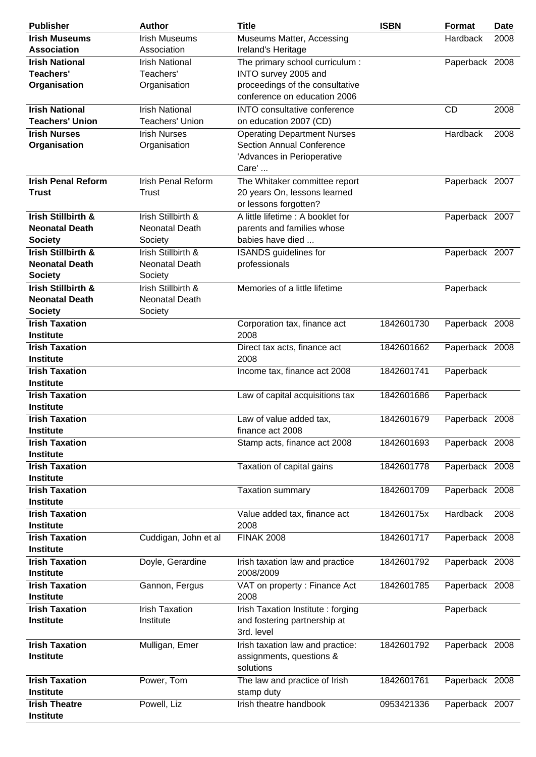| <b>Publisher</b>                                | <b>Author</b>                                   | <b>Title</b>                                                           | <b>ISBN</b> | Format         | <b>Date</b> |
|-------------------------------------------------|-------------------------------------------------|------------------------------------------------------------------------|-------------|----------------|-------------|
| <b>Irish Museums</b>                            | <b>Irish Museums</b>                            | Museums Matter, Accessing                                              |             | Hardback       | 2008        |
| <b>Association</b>                              | Association                                     | Ireland's Heritage                                                     |             |                |             |
| <b>Irish National</b>                           | <b>Irish National</b>                           | The primary school curriculum :                                        |             | Paperback 2008 |             |
| Teachers'                                       | Teachers'                                       | INTO survey 2005 and                                                   |             |                |             |
| Organisation                                    | Organisation                                    | proceedings of the consultative                                        |             |                |             |
|                                                 |                                                 | conference on education 2006                                           |             |                |             |
| <b>Irish National</b><br><b>Teachers' Union</b> | <b>Irish National</b><br><b>Teachers' Union</b> | INTO consultative conference                                           |             | <b>CD</b>      | 2008        |
| <b>Irish Nurses</b>                             | <b>Irish Nurses</b>                             | on education 2007 (CD)                                                 |             |                |             |
| Organisation                                    | Organisation                                    | <b>Operating Department Nurses</b><br><b>Section Annual Conference</b> |             | Hardback       | 2008        |
|                                                 |                                                 | 'Advances in Perioperative                                             |             |                |             |
|                                                 |                                                 | Care'                                                                  |             |                |             |
| <b>Irish Penal Reform</b>                       | <b>Irish Penal Reform</b>                       | The Whitaker committee report                                          |             | Paperback 2007 |             |
| <b>Trust</b>                                    | Trust                                           | 20 years On, lessons learned                                           |             |                |             |
|                                                 |                                                 | or lessons forgotten?                                                  |             |                |             |
| <b>Irish Stillbirth &amp;</b>                   | Irish Stillbirth &                              | A little lifetime : A booklet for                                      |             | Paperback 2007 |             |
| <b>Neonatal Death</b>                           | <b>Neonatal Death</b>                           | parents and families whose                                             |             |                |             |
| <b>Society</b>                                  | Society                                         | babies have died                                                       |             |                |             |
| Irish Stillbirth &                              | Irish Stillbirth &                              | <b>ISANDS</b> guidelines for                                           |             | Paperback 2007 |             |
| <b>Neonatal Death</b>                           | Neonatal Death                                  | professionals                                                          |             |                |             |
| <b>Society</b>                                  | Society                                         |                                                                        |             |                |             |
| Irish Stillbirth &                              | Irish Stillbirth &                              | Memories of a little lifetime                                          |             | Paperback      |             |
| <b>Neonatal Death</b>                           | Neonatal Death                                  |                                                                        |             |                |             |
| <b>Society</b>                                  | Society                                         |                                                                        |             |                |             |
| <b>Irish Taxation</b>                           |                                                 | Corporation tax, finance act                                           | 1842601730  | Paperback 2008 |             |
| <b>Institute</b>                                |                                                 | 2008                                                                   |             |                |             |
| <b>Irish Taxation</b><br><b>Institute</b>       |                                                 | Direct tax acts, finance act<br>2008                                   | 1842601662  | Paperback 2008 |             |
| <b>Irish Taxation</b>                           |                                                 | Income tax, finance act 2008                                           | 1842601741  | Paperback      |             |
| <b>Institute</b>                                |                                                 |                                                                        |             |                |             |
| <b>Irish Taxation</b>                           |                                                 | Law of capital acquisitions tax                                        | 1842601686  | Paperback      |             |
| <b>Institute</b>                                |                                                 |                                                                        |             |                |             |
| <b>Irish Taxation</b>                           |                                                 | Law of value added tax,                                                | 1842601679  | Paperback 2008 |             |
| <b>Institute</b>                                |                                                 | finance act 2008                                                       |             |                |             |
| <b>Irish Taxation</b>                           |                                                 | Stamp acts, finance act 2008                                           | 1842601693  | Paperback 2008 |             |
| <b>Institute</b>                                |                                                 |                                                                        |             |                |             |
| <b>Irish Taxation</b>                           |                                                 | Taxation of capital gains                                              | 1842601778  | Paperback 2008 |             |
| <b>Institute</b>                                |                                                 |                                                                        |             |                |             |
| <b>Irish Taxation</b>                           |                                                 | <b>Taxation summary</b>                                                | 1842601709  | Paperback 2008 |             |
| <b>Institute</b>                                |                                                 |                                                                        |             |                |             |
| <b>Irish Taxation</b>                           |                                                 | Value added tax, finance act                                           | 184260175x  | Hardback       | 2008        |
| <b>Institute</b>                                |                                                 | 2008                                                                   |             |                |             |
| <b>Irish Taxation</b><br><b>Institute</b>       | Cuddigan, John et al                            | <b>FINAK 2008</b>                                                      | 1842601717  | Paperback 2008 |             |
| <b>Irish Taxation</b>                           | Doyle, Gerardine                                | Irish taxation law and practice                                        | 1842601792  | Paperback 2008 |             |
| <b>Institute</b>                                |                                                 | 2008/2009                                                              |             |                |             |
| <b>Irish Taxation</b>                           | Gannon, Fergus                                  | VAT on property : Finance Act                                          | 1842601785  | Paperback 2008 |             |
| <b>Institute</b>                                |                                                 | 2008                                                                   |             |                |             |
| <b>Irish Taxation</b>                           | <b>Irish Taxation</b>                           | Irish Taxation Institute : forging                                     |             | Paperback      |             |
| <b>Institute</b>                                | Institute                                       | and fostering partnership at<br>3rd. level                             |             |                |             |
| <b>Irish Taxation</b><br><b>Institute</b>       | Mulligan, Emer                                  | Irish taxation law and practice:<br>assignments, questions &           | 1842601792  | Paperback 2008 |             |
|                                                 |                                                 | solutions                                                              |             |                |             |
| <b>Irish Taxation</b>                           | Power, Tom                                      | The law and practice of Irish                                          | 1842601761  | Paperback 2008 |             |
| <b>Institute</b>                                |                                                 | stamp duty                                                             |             |                |             |
| <b>Irish Theatre</b><br>Institute               | Powell, Liz                                     | Irish theatre handbook                                                 | 0953421336  | Paperback 2007 |             |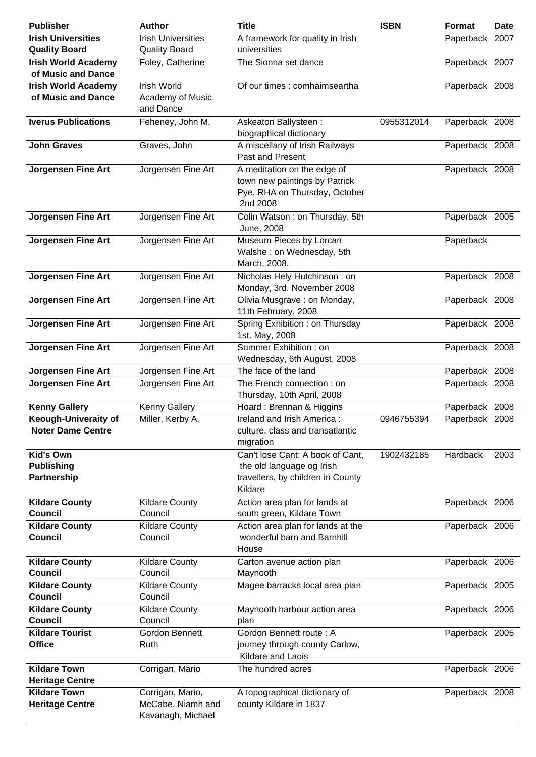| <b>Publisher</b>                                     | <b>Author</b>                                              | <b>Title</b>                                                                                                  | <b>ISBN</b> | <b>Format</b>  | Date |
|------------------------------------------------------|------------------------------------------------------------|---------------------------------------------------------------------------------------------------------------|-------------|----------------|------|
| <b>Irish Universities</b>                            | <b>Irish Universities</b>                                  | A framework for quality in Irish                                                                              |             | Paperback 2007 |      |
| <b>Quality Board</b>                                 | <b>Quality Board</b>                                       | universities                                                                                                  |             |                |      |
| <b>Irish World Academy</b>                           | Foley, Catherine                                           | The Sionna set dance                                                                                          |             | Paperback 2007 |      |
| of Music and Dance                                   |                                                            |                                                                                                               |             |                |      |
| <b>Irish World Academy</b>                           | <b>Irish World</b>                                         | Of our times : comhaimseartha                                                                                 |             | Paperback 2008 |      |
| of Music and Dance                                   | Academy of Music<br>and Dance                              |                                                                                                               |             |                |      |
| <b>Iverus Publications</b>                           | Feheney, John M.                                           | Askeaton Ballysteen:<br>biographical dictionary                                                               | 0955312014  | Paperback 2008 |      |
| <b>John Graves</b>                                   | Graves, John                                               | A miscellany of Irish Railways<br>Past and Present                                                            |             | Paperback 2008 |      |
| <b>Jorgensen Fine Art</b>                            | Jorgensen Fine Art                                         | A meditation on the edge of<br>town new paintings by Patrick<br>Pye, RHA on Thursday, October<br>2nd 2008     |             | Paperback 2008 |      |
| <b>Jorgensen Fine Art</b>                            | Jorgensen Fine Art                                         | Colin Watson: on Thursday, 5th<br>June, 2008                                                                  |             | Paperback 2005 |      |
| <b>Jorgensen Fine Art</b>                            | Jorgensen Fine Art                                         | Museum Pieces by Lorcan<br>Walshe: on Wednesday, 5th<br>March, 2008.                                          |             | Paperback      |      |
| <b>Jorgensen Fine Art</b>                            | Jorgensen Fine Art                                         | Nicholas Hely Hutchinson: on<br>Monday, 3rd. November 2008                                                    |             | Paperback 2008 |      |
| <b>Jorgensen Fine Art</b>                            | Jorgensen Fine Art                                         | Olivia Musgrave : on Monday,<br>11th February, 2008                                                           |             | Paperback 2008 |      |
| <b>Jorgensen Fine Art</b>                            | Jorgensen Fine Art                                         | Spring Exhibition: on Thursday<br>1st. May, 2008                                                              |             | Paperback 2008 |      |
| <b>Jorgensen Fine Art</b>                            | Jorgensen Fine Art                                         | Summer Exhibition: on<br>Wednesday, 6th August, 2008                                                          |             | Paperback 2008 |      |
| <b>Jorgensen Fine Art</b>                            | Jorgensen Fine Art                                         | The face of the land                                                                                          |             | Paperback 2008 |      |
| <b>Jorgensen Fine Art</b>                            | Jorgensen Fine Art                                         | The French connection: on<br>Thursday, 10th April, 2008                                                       |             | Paperback 2008 |      |
| <b>Kenny Gallery</b>                                 | <b>Kenny Gallery</b>                                       | Hoard: Brennan & Higgins                                                                                      |             | Paperback 2008 |      |
| Keough-Univeraity of<br><b>Noter Dame Centre</b>     | Miller, Kerby A.                                           | Ireland and Irish America:<br>culture, class and transatlantic<br>migration                                   | 0946755394  | Paperback 2008 |      |
| <b>Kid's Own</b><br><b>Publishing</b><br>Partnership |                                                            | Can't lose Cant: A book of Cant,<br>the old language og Irish<br>travellers, by children in County<br>Kildare | 1902432185  | Hardback       | 2003 |
| <b>Kildare County</b><br>Council                     | <b>Kildare County</b><br>Council                           | Action area plan for lands at<br>south green, Kildare Town                                                    |             | Paperback 2006 |      |
| <b>Kildare County</b><br><b>Council</b>              | <b>Kildare County</b><br>Council                           | Action area plan for lands at the<br>wonderful barn and Barnhill<br>House                                     |             | Paperback 2006 |      |
| <b>Kildare County</b><br><b>Council</b>              | <b>Kildare County</b><br>Council                           | Carton avenue action plan<br>Maynooth                                                                         |             | Paperback 2006 |      |
| <b>Kildare County</b><br><b>Council</b>              | <b>Kildare County</b><br>Council                           | Magee barracks local area plan                                                                                |             | Paperback 2005 |      |
| <b>Kildare County</b><br><b>Council</b>              | <b>Kildare County</b><br>Council                           | Maynooth harbour action area<br>plan                                                                          |             | Paperback 2006 |      |
| <b>Kildare Tourist</b><br><b>Office</b>              | Gordon Bennett<br>Ruth                                     | Gordon Bennett route: A<br>journey through county Carlow,<br>Kildare and Laois                                |             | Paperback 2005 |      |
| <b>Kildare Town</b><br><b>Heritage Centre</b>        | Corrigan, Mario                                            | The hundred acres                                                                                             |             | Paperback 2006 |      |
| <b>Kildare Town</b><br><b>Heritage Centre</b>        | Corrigan, Mario,<br>McCabe, Niamh and<br>Kavanagh, Michael | A topographical dictionary of<br>county Kildare in 1837                                                       |             | Paperback 2008 |      |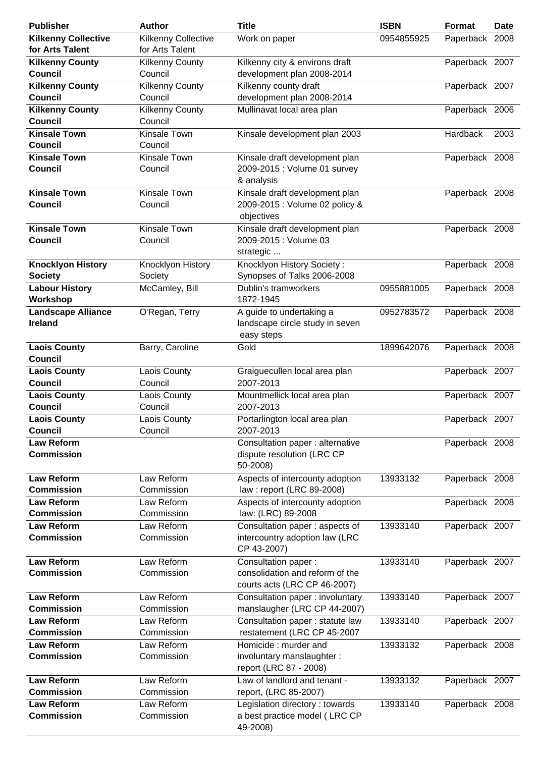| <b>Publisher</b>           | <b>Author</b>          | <b>Title</b>                                  | <b>ISBN</b> | Format         | <b>Date</b> |
|----------------------------|------------------------|-----------------------------------------------|-------------|----------------|-------------|
| <b>Kilkenny Collective</b> | Kilkenny Collective    | Work on paper                                 | 0954855925  | Paperback 2008 |             |
| for Arts Talent            | for Arts Talent        |                                               |             |                |             |
| <b>Kilkenny County</b>     | <b>Kilkenny County</b> | Kilkenny city & environs draft                |             | Paperback 2007 |             |
| <b>Council</b>             | Council                | development plan 2008-2014                    |             |                |             |
| <b>Kilkenny County</b>     | <b>Kilkenny County</b> | Kilkenny county draft                         |             | Paperback 2007 |             |
| <b>Council</b>             | Council                | development plan 2008-2014                    |             |                |             |
| <b>Kilkenny County</b>     | <b>Kilkenny County</b> | Mullinavat local area plan                    |             | Paperback 2006 |             |
| Council                    | Council                |                                               |             |                |             |
| <b>Kinsale Town</b>        | Kinsale Town           | Kinsale development plan 2003                 |             | Hardback       | 2003        |
| <b>Council</b>             | Council                |                                               |             |                |             |
|                            |                        |                                               |             |                |             |
| <b>Kinsale Town</b>        | Kinsale Town           | Kinsale draft development plan                |             | Paperback 2008 |             |
| <b>Council</b>             | Council                | 2009-2015 : Volume 01 survey                  |             |                |             |
|                            |                        | & analysis                                    |             |                |             |
| <b>Kinsale Town</b>        | Kinsale Town           | Kinsale draft development plan                |             | Paperback 2008 |             |
| <b>Council</b>             | Council                | 2009-2015 : Volume 02 policy &                |             |                |             |
|                            |                        | objectives                                    |             |                |             |
| <b>Kinsale Town</b>        | Kinsale Town           | Kinsale draft development plan                |             | Paperback 2008 |             |
| <b>Council</b>             | Council                | 2009-2015 : Volume 03                         |             |                |             |
|                            |                        | strategic                                     |             |                |             |
| <b>Knocklyon History</b>   | Knocklyon History      | Knocklyon History Society:                    |             | Paperback 2008 |             |
| <b>Society</b>             | Society                | Synopses of Talks 2006-2008                   |             |                |             |
| <b>Labour History</b>      | McCamley, Bill         | Dublin's tramworkers                          | 0955881005  | Paperback 2008 |             |
| Workshop                   |                        | 1872-1945                                     |             |                |             |
| <b>Landscape Alliance</b>  | O'Regan, Terry         | A guide to undertaking a                      | 0952783572  | Paperback 2008 |             |
| Ireland                    |                        | landscape circle study in seven               |             |                |             |
|                            |                        | easy steps                                    |             |                |             |
| <b>Laois County</b>        | Barry, Caroline        | Gold                                          | 1899642076  | Paperback 2008 |             |
| Council                    |                        |                                               |             |                |             |
| <b>Laois County</b>        | Laois County           | Graiguecullen local area plan                 |             | Paperback 2007 |             |
| <b>Council</b>             | Council                | 2007-2013                                     |             |                |             |
| <b>Laois County</b>        | Laois County           | Mountmellick local area plan                  |             | Paperback 2007 |             |
| <b>Council</b>             | Council                | 2007-2013                                     |             |                |             |
| <b>Laois County</b>        | Laois County           | Portarlington local area plan                 |             | Paperback 2007 |             |
| <b>Council</b>             | Council                | 2007-2013                                     |             |                |             |
| <b>Law Reform</b>          |                        | Consultation paper : alternative              |             | Paperback 2008 |             |
| <b>Commission</b>          |                        | dispute resolution (LRC CP                    |             |                |             |
|                            |                        | 50-2008)                                      |             |                |             |
| <b>Law Reform</b>          | Law Reform             | Aspects of intercounty adoption               | 13933132    | Paperback 2008 |             |
| <b>Commission</b>          | Commission             | law: report (LRC 89-2008)                     |             |                |             |
| <b>Law Reform</b>          | Law Reform             | Aspects of intercounty adoption               |             | Paperback 2008 |             |
| <b>Commission</b>          | Commission             | law: (LRC) 89-2008                            |             |                |             |
|                            | Law Reform             |                                               |             |                |             |
| <b>Law Reform</b>          |                        | Consultation paper: aspects of                | 13933140    | Paperback 2007 |             |
| <b>Commission</b>          | Commission             | intercountry adoption law (LRC<br>CP 43-2007) |             |                |             |
|                            |                        |                                               |             |                |             |
| <b>Law Reform</b>          | Law Reform             | Consultation paper:                           | 13933140    | Paperback 2007 |             |
| <b>Commission</b>          | Commission             | consolidation and reform of the               |             |                |             |
|                            |                        | courts acts (LRC CP 46-2007)                  |             |                |             |
| <b>Law Reform</b>          | Law Reform             | Consultation paper: involuntary               | 13933140    | Paperback 2007 |             |
| <b>Commission</b>          | Commission             | manslaugher (LRC CP 44-2007)                  |             |                |             |
| <b>Law Reform</b>          | Law Reform             | Consultation paper : statute law              | 13933140    | Paperback 2007 |             |
| <b>Commission</b>          | Commission             | restatement (LRC CP 45-2007                   |             |                |             |
| <b>Law Reform</b>          | Law Reform             | Homicide: murder and                          | 13933132    | Paperback 2008 |             |
| <b>Commission</b>          | Commission             | involuntary manslaughter:                     |             |                |             |
|                            |                        | report (LRC 87 - 2008)                        |             |                |             |
| <b>Law Reform</b>          | Law Reform             | Law of landlord and tenant -                  | 13933132    | Paperback 2007 |             |
| <b>Commission</b>          | Commission             | report, (LRC 85-2007)                         |             |                |             |
| <b>Law Reform</b>          | Law Reform             | Legislation directory: towards                | 13933140    | Paperback 2008 |             |
| <b>Commission</b>          | Commission             | a best practice model (LRC CP                 |             |                |             |
|                            |                        | 49-2008)                                      |             |                |             |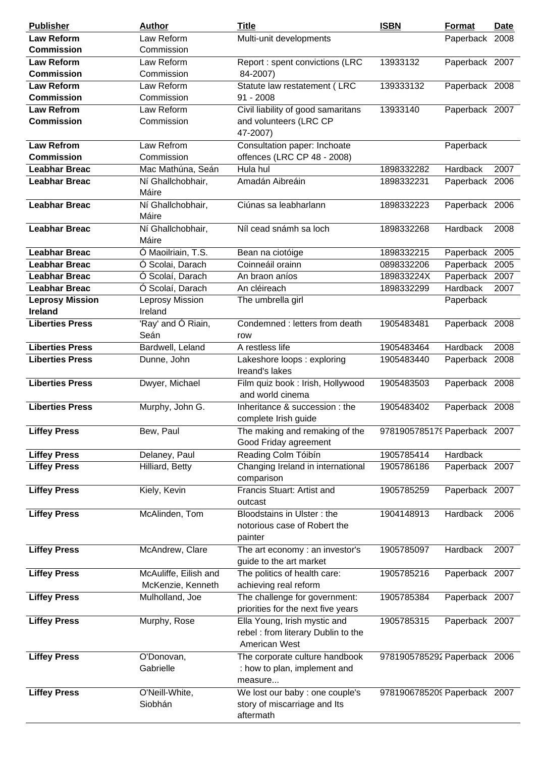| <b>Publisher</b>       | <b>Author</b>                              | <b>Title</b>                                                                         | <b>ISBN</b>                  | <b>Format</b>  | <b>Date</b> |
|------------------------|--------------------------------------------|--------------------------------------------------------------------------------------|------------------------------|----------------|-------------|
| <b>Law Reform</b>      | Law Reform                                 | Multi-unit developments                                                              |                              | Paperback 2008 |             |
| <b>Commission</b>      | Commission                                 |                                                                                      |                              |                |             |
| <b>Law Reform</b>      | Law Reform                                 | Report : spent convictions (LRC                                                      | 13933132                     | Paperback 2007 |             |
| <b>Commission</b>      | Commission                                 | 84-2007)                                                                             |                              |                |             |
| <b>Law Reform</b>      | Law Reform                                 | Statute law restatement (LRC                                                         | 139333132                    | Paperback 2008 |             |
| <b>Commission</b>      | Commission                                 | $91 - 2008$                                                                          |                              |                |             |
| <b>Law Refrom</b>      | Law Reform                                 | Civil liability of good samaritans                                                   | 13933140                     | Paperback 2007 |             |
| <b>Commission</b>      | Commission                                 | and volunteers (LRC CP<br>47-2007)                                                   |                              |                |             |
| <b>Law Refrom</b>      | Law Refrom                                 | Consultation paper: Inchoate                                                         |                              | Paperback      |             |
| <b>Commission</b>      | Commission                                 | offences (LRC CP 48 - 2008)                                                          |                              |                |             |
| <b>Leabhar Breac</b>   | Mac Mathúna, Seán                          | Hula hul                                                                             | 1898332282                   | Hardback       | 2007        |
| <b>Leabhar Breac</b>   | Ní Ghallchobhair,<br>Máire                 | Amadán Aibreáin                                                                      | 1898332231                   | Paperback 2006 |             |
| <b>Leabhar Breac</b>   | Ní Ghallchobhair,<br>Máire                 | Ciúnas sa leabharlann                                                                | 1898332223                   | Paperback 2006 |             |
| <b>Leabhar Breac</b>   | Ní Ghallchobhair,<br>Máire                 | Níl cead snámh sa loch                                                               | 1898332268                   | Hardback       | 2008        |
| <b>Leabhar Breac</b>   | Ó Maoilriain, T.S.                         | Bean na ciotóige                                                                     | 1898332215                   | Paperback 2005 |             |
| <b>Leabhar Breac</b>   | Ó Scolai, Darach                           | Coinneáil orainn                                                                     | 0898332206                   | Paperback      | 2005        |
| <b>Leabhar Breac</b>   | Ó Scolaí, Darach                           | An braon aníos                                                                       | 189833224X                   | Paperback 2007 |             |
| <b>Leabhar Breac</b>   | Ó Scolaí, Darach                           | An cléireach                                                                         | 1898332299                   | Hardback       | 2007        |
| <b>Leprosy Mission</b> | Leprosy Mission                            | The umbrella girl                                                                    |                              | Paperback      |             |
| <b>Ireland</b>         | Ireland                                    |                                                                                      |                              |                |             |
| <b>Liberties Press</b> | 'Ray' and Ó Riain,<br>Seán                 | Condemned : letters from death<br>row                                                | 1905483481                   | Paperback 2008 |             |
| <b>Liberties Press</b> | Bardwell, Leland                           | A restless life                                                                      | 1905483464                   | Hardback       | 2008        |
| <b>Liberties Press</b> | Dunne, John                                | Lakeshore loops: exploring<br>Ireand's lakes                                         | 1905483440                   | Paperback 2008 |             |
| <b>Liberties Press</b> | Dwyer, Michael                             | Film quiz book : Irish, Hollywood<br>and world cinema                                | 1905483503                   | Paperback 2008 |             |
| <b>Liberties Press</b> | Murphy, John G.                            | Inheritance & succession : the<br>complete Irish guide                               | 1905483402                   | Paperback 2008 |             |
| <b>Liffey Press</b>    | Bew, Paul                                  | The making and remaking of the<br>Good Friday agreement                              | 9781905785179 Paperback 2007 |                |             |
| <b>Liffey Press</b>    | Delaney, Paul                              | Reading Colm Tóibín                                                                  | 1905785414                   | Hardback       |             |
| <b>Liffey Press</b>    | Hilliard, Betty                            | Changing Ireland in international<br>comparison                                      | 1905786186                   | Paperback 2007 |             |
| <b>Liffey Press</b>    | Kiely, Kevin                               | Francis Stuart: Artist and<br>outcast                                                | 1905785259                   | Paperback 2007 |             |
| <b>Liffey Press</b>    | McAlinden, Tom                             | Bloodstains in Ulster: the<br>notorious case of Robert the<br>painter                | 1904148913                   | Hardback       | 2006        |
| <b>Liffey Press</b>    | McAndrew, Clare                            | The art economy : an investor's<br>guide to the art market                           | 1905785097                   | Hardback       | 2007        |
| <b>Liffey Press</b>    | McAuliffe, Eilish and<br>McKenzie, Kenneth | The politics of health care:<br>achieving real reform                                | 1905785216                   | Paperback 2007 |             |
| <b>Liffey Press</b>    | Mulholland, Joe                            | The challenge for government:<br>priorities for the next five years                  | 1905785384                   | Paperback 2007 |             |
| <b>Liffey Press</b>    | Murphy, Rose                               | Ella Young, Irish mystic and<br>rebel : from literary Dublin to the<br>American West | 1905785315                   | Paperback 2007 |             |
| <b>Liffey Press</b>    | O'Donovan,<br>Gabrielle                    | The corporate culture handbook<br>: how to plan, implement and<br>measure            | 9781905785292 Paperback 2006 |                |             |
| <b>Liffey Press</b>    | O'Neill-White,<br>Siobhán                  | We lost our baby : one couple's<br>story of miscarriage and Its<br>aftermath         | 9781906785209 Paperback 2007 |                |             |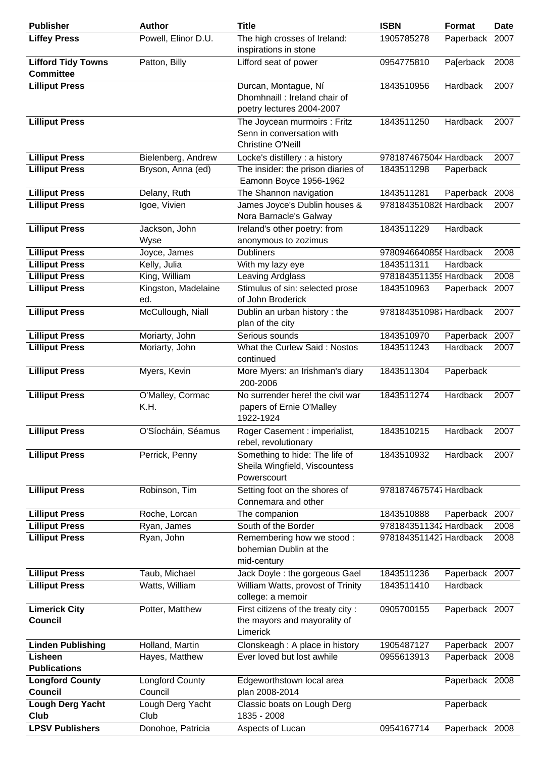| <b>Publisher</b>                              | <b>Author</b>               | <b>Title</b>                                                                          | <b>ISBN</b>            | <b>Format</b>  | <b>Date</b> |
|-----------------------------------------------|-----------------------------|---------------------------------------------------------------------------------------|------------------------|----------------|-------------|
| <b>Liffey Press</b>                           | Powell, Elinor D.U.         | The high crosses of Ireland:<br>inspirations in stone                                 | 1905785278             | Paperback      | 2007        |
| <b>Lifford Tidy Towns</b><br><b>Committee</b> | Patton, Billy               | Lifford seat of power                                                                 | 0954775810             | Pa[erback      | 2008        |
| <b>Lilliput Press</b>                         |                             | Durcan, Montague, Ní<br>Dhomhnaill: Ireland chair of<br>poetry lectures 2004-2007     | 1843510956             | Hardback       | 2007        |
| <b>Lilliput Press</b>                         |                             | The Joycean murmoirs : Fritz<br>Senn in conversation with<br><b>Christine O'Neill</b> | 1843511250             | Hardback       | 2007        |
| <b>Lilliput Press</b>                         | Bielenberg, Andrew          | Locke's distillery : a history                                                        | 9781874675044 Hardback |                | 2007        |
| <b>Lilliput Press</b>                         | Bryson, Anna (ed)           | The insider: the prison diaries of<br>Eamonn Boyce 1956-1962                          | 1843511298             | Paperback      |             |
| <b>Lilliput Press</b>                         | Delany, Ruth                | The Shannon navigation                                                                | 1843511281             | Paperback      | 2008        |
| <b>Lilliput Press</b>                         | Igoe, Vivien                | James Joyce's Dublin houses &<br>Nora Barnacle's Galway                               | 9781843510826 Hardback |                | 2007        |
| <b>Lilliput Press</b>                         | Jackson, John<br>Wyse       | Ireland's other poetry: from<br>anonymous to zozimus                                  | 1843511229             | Hardback       |             |
| <b>Lilliput Press</b>                         | Joyce, James                | <b>Dubliners</b>                                                                      | 9780946640858 Hardback |                | 2008        |
| <b>Lilliput Press</b>                         | Kelly, Julia                | With my lazy eye                                                                      | 1843511311             | Hardback       |             |
| <b>Lilliput Press</b>                         | King, William               | Leaving Ardglass                                                                      | 9781843511359 Hardback |                | 2008        |
| <b>Lilliput Press</b>                         | Kingston, Madelaine<br>ed.  | Stimulus of sin: selected prose<br>of John Broderick                                  | 1843510963             | Paperback 2007 |             |
| <b>Lilliput Press</b>                         | McCullough, Niall           | Dublin an urban history: the<br>plan of the city                                      | 9781843510987 Hardback |                | 2007        |
| <b>Lilliput Press</b>                         | Moriarty, John              | Serious sounds                                                                        | 1843510970             | Paperback      | 2007        |
| <b>Lilliput Press</b>                         | Moriarty, John              | What the Curlew Said: Nostos<br>continued                                             | 1843511243             | Hardback       | 2007        |
| <b>Lilliput Press</b>                         | Myers, Kevin                | More Myers: an Irishman's diary<br>200-2006                                           | 1843511304             | Paperback      |             |
| <b>Lilliput Press</b>                         | O'Malley, Cormac<br>K.H.    | No surrender here! the civil war<br>papers of Ernie O'Malley<br>1922-1924             | 1843511274             | Hardback       | 2007        |
| <b>Lilliput Press</b>                         | O'Síocháin, Séamus          | Roger Casement : imperialist,<br>rebel, revolutionary                                 | 1843510215             | Hardback       | 2007        |
| <b>Lilliput Press</b>                         | Perrick, Penny              | Something to hide: The life of<br>Sheila Wingfield, Viscountess<br>Powerscourt        | 1843510932             | Hardback       | 2007        |
| <b>Lilliput Press</b>                         | Robinson, Tim               | Setting foot on the shores of<br>Connemara and other                                  | 9781874675747 Hardback |                |             |
| <b>Lilliput Press</b>                         | Roche, Lorcan               | The companion                                                                         | 1843510888             | Paperback 2007 |             |
| <b>Lilliput Press</b>                         | Ryan, James                 | South of the Border                                                                   | 9781843511342 Hardback |                | 2008        |
| <b>Lilliput Press</b>                         | Ryan, John                  | Remembering how we stood :<br>bohemian Dublin at the<br>mid-century                   | 9781843511427 Hardback |                | 2008        |
| <b>Lilliput Press</b>                         | Taub, Michael               | Jack Doyle : the gorgeous Gael                                                        | 1843511236             | Paperback 2007 |             |
| <b>Lilliput Press</b>                         | Watts, William              | William Watts, provost of Trinity<br>college: a memoir                                | 1843511410             | Hardback       |             |
| <b>Limerick City</b><br><b>Council</b>        | Potter, Matthew             | First citizens of the treaty city:<br>the mayors and mayorality of<br>Limerick        | 0905700155             | Paperback 2007 |             |
| <b>Linden Publishing</b>                      | Holland, Martin             | Clonskeagh: A place in history                                                        | 1905487127             | Paperback 2007 |             |
| Lisheen<br><b>Publications</b>                | Hayes, Matthew              | Ever loved but lost awhile                                                            | 0955613913             | Paperback 2008 |             |
| <b>Longford County</b>                        | <b>Longford County</b>      | Edgeworthstown local area                                                             |                        | Paperback 2008 |             |
| Council<br><b>Lough Derg Yacht</b>            | Council<br>Lough Derg Yacht | plan 2008-2014<br>Classic boats on Lough Derg                                         |                        | Paperback      |             |
| Club                                          | Club                        | 1835 - 2008                                                                           |                        |                |             |
| <b>LPSV Publishers</b>                        | Donohoe, Patricia           | Aspects of Lucan                                                                      | 0954167714             | Paperback 2008 |             |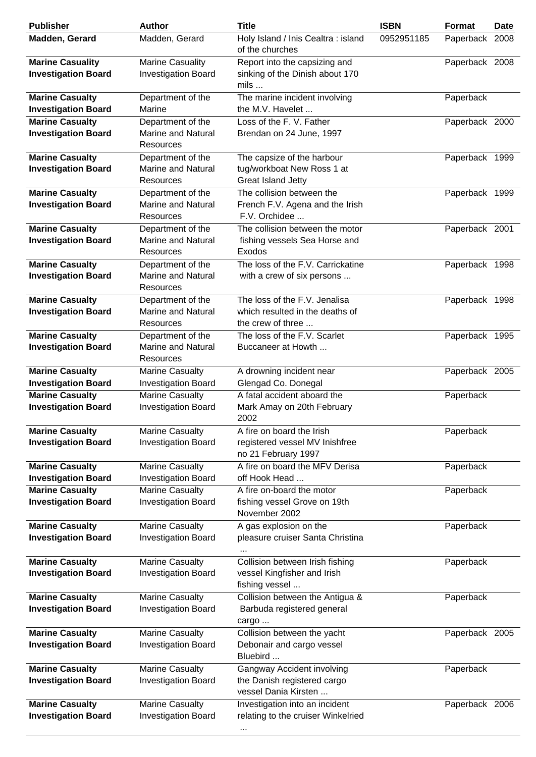| <b>Publisher</b>                                      | <b>Author</b>                                                      | <b>Title</b>                                                                          | <b>ISBN</b> | <b>Format</b>  | <b>Date</b> |
|-------------------------------------------------------|--------------------------------------------------------------------|---------------------------------------------------------------------------------------|-------------|----------------|-------------|
| Madden, Gerard                                        | Madden, Gerard                                                     | Holy Island / Inis Cealtra: island<br>of the churches                                 | 0952951185  | Paperback 2008 |             |
| <b>Marine Casuality</b><br><b>Investigation Board</b> | <b>Marine Casuality</b><br><b>Investigation Board</b>              | Report into the capsizing and<br>sinking of the Dinish about 170<br>mils              |             | Paperback 2008 |             |
| <b>Marine Casualty</b><br><b>Investigation Board</b>  | Department of the<br>Marine                                        | The marine incident involving<br>the M.V. Havelet                                     |             | Paperback      |             |
| <b>Marine Casualty</b><br><b>Investigation Board</b>  | Department of the<br><b>Marine and Natural</b><br><b>Resources</b> | Loss of the F. V. Father<br>Brendan on 24 June, 1997                                  |             | Paperback 2000 |             |
| <b>Marine Casualty</b><br><b>Investigation Board</b>  | Department of the<br>Marine and Natural<br><b>Resources</b>        | The capsize of the harbour<br>tug/workboat New Ross 1 at<br>Great Island Jetty        |             | Paperback 1999 |             |
| <b>Marine Casualty</b><br><b>Investigation Board</b>  | Department of the<br><b>Marine and Natural</b><br>Resources        | The collision between the<br>French F.V. Agena and the Irish<br>F.V. Orchidee         |             | Paperback 1999 |             |
| <b>Marine Casualty</b><br><b>Investigation Board</b>  | Department of the<br>Marine and Natural<br><b>Resources</b>        | The collision between the motor<br>fishing vessels Sea Horse and<br>Exodos            |             | Paperback 2001 |             |
| <b>Marine Casualty</b><br><b>Investigation Board</b>  | Department of the<br><b>Marine and Natural</b><br><b>Resources</b> | The loss of the F.V. Carrickatine<br>with a crew of six persons                       |             | Paperback 1998 |             |
| <b>Marine Casualty</b><br><b>Investigation Board</b>  | Department of the<br>Marine and Natural<br>Resources               | The loss of the F.V. Jenalisa<br>which resulted in the deaths of<br>the crew of three |             | Paperback 1998 |             |
| <b>Marine Casualty</b><br><b>Investigation Board</b>  | Department of the<br>Marine and Natural<br><b>Resources</b>        | The loss of the F.V. Scarlet<br>Buccaneer at Howth                                    |             | Paperback 1995 |             |
| <b>Marine Casualty</b><br><b>Investigation Board</b>  | <b>Marine Casualty</b><br><b>Investigation Board</b>               | A drowning incident near<br>Glengad Co. Donegal                                       |             | Paperback 2005 |             |
| <b>Marine Casualty</b><br><b>Investigation Board</b>  | <b>Marine Casualty</b><br><b>Investigation Board</b>               | A fatal accident aboard the<br>Mark Amay on 20th February<br>2002                     |             | Paperback      |             |
| <b>Marine Casualty</b><br><b>Investigation Board</b>  | <b>Marine Casualty</b><br><b>Investigation Board</b>               | A fire on board the Irish<br>registered vessel MV Inishfree<br>no 21 February 1997    |             | Paperback      |             |
| <b>Marine Casualty</b><br><b>Investigation Board</b>  | <b>Marine Casualty</b><br><b>Investigation Board</b>               | A fire on board the MFV Derisa<br>off Hook Head                                       |             | Paperback      |             |
| <b>Marine Casualty</b><br><b>Investigation Board</b>  | <b>Marine Casualty</b><br><b>Investigation Board</b>               | A fire on-board the motor<br>fishing vessel Grove on 19th<br>November 2002            |             | Paperback      |             |
| <b>Marine Casualty</b><br><b>Investigation Board</b>  | <b>Marine Casualty</b><br><b>Investigation Board</b>               | A gas explosion on the<br>pleasure cruiser Santa Christina                            |             | Paperback      |             |
| <b>Marine Casualty</b><br><b>Investigation Board</b>  | <b>Marine Casualty</b><br><b>Investigation Board</b>               | Collision between Irish fishing<br>vessel Kingfisher and Irish<br>fishing vessel      |             | Paperback      |             |
| <b>Marine Casualty</b><br><b>Investigation Board</b>  | <b>Marine Casualty</b><br><b>Investigation Board</b>               | Collision between the Antigua &<br>Barbuda registered general<br>cargo                |             | Paperback      |             |
| <b>Marine Casualty</b><br><b>Investigation Board</b>  | <b>Marine Casualty</b><br><b>Investigation Board</b>               | Collision between the yacht<br>Debonair and cargo vessel<br>Bluebird                  |             | Paperback 2005 |             |
| <b>Marine Casualty</b><br><b>Investigation Board</b>  | <b>Marine Casualty</b><br><b>Investigation Board</b>               | Gangway Accident involving<br>the Danish registered cargo<br>vessel Dania Kirsten     |             | Paperback      |             |
| <b>Marine Casualty</b><br><b>Investigation Board</b>  | <b>Marine Casualty</b><br><b>Investigation Board</b>               | Investigation into an incident<br>relating to the cruiser Winkelried                  |             | Paperback 2006 |             |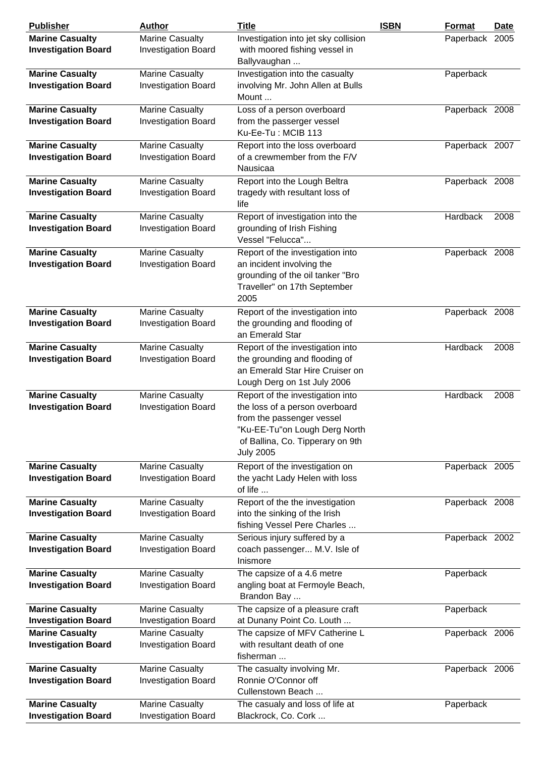| <b>Publisher</b>           | <b>Author</b>              | <b>Title</b>                         | <b>ISBN</b> | Format         | <b>Date</b> |
|----------------------------|----------------------------|--------------------------------------|-------------|----------------|-------------|
| <b>Marine Casualty</b>     | <b>Marine Casualty</b>     | Investigation into jet sky collision |             | Paperback 2005 |             |
| <b>Investigation Board</b> | <b>Investigation Board</b> | with moored fishing vessel in        |             |                |             |
|                            |                            | Ballyvaughan                         |             |                |             |
| <b>Marine Casualty</b>     | <b>Marine Casualty</b>     | Investigation into the casualty      |             | Paperback      |             |
| <b>Investigation Board</b> | <b>Investigation Board</b> | involving Mr. John Allen at Bulls    |             |                |             |
|                            |                            | Mount                                |             |                |             |
| <b>Marine Casualty</b>     | <b>Marine Casualty</b>     | Loss of a person overboard           |             | Paperback 2008 |             |
| <b>Investigation Board</b> | <b>Investigation Board</b> | from the passerger vessel            |             |                |             |
|                            |                            | Ku-Ee-Tu: MCIB 113                   |             |                |             |
| <b>Marine Casualty</b>     | <b>Marine Casualty</b>     | Report into the loss overboard       |             | Paperback 2007 |             |
| <b>Investigation Board</b> | <b>Investigation Board</b> | of a crewmember from the F/V         |             |                |             |
|                            |                            | Nausicaa                             |             |                |             |
| <b>Marine Casualty</b>     | <b>Marine Casualty</b>     | Report into the Lough Beltra         |             | Paperback 2008 |             |
| <b>Investigation Board</b> | <b>Investigation Board</b> | tragedy with resultant loss of       |             |                |             |
|                            |                            | life                                 |             |                |             |
| <b>Marine Casualty</b>     | <b>Marine Casualty</b>     | Report of investigation into the     |             | Hardback       | 2008        |
| <b>Investigation Board</b> | <b>Investigation Board</b> | grounding of Irish Fishing           |             |                |             |
|                            |                            | Vessel "Felucca"                     |             |                |             |
| <b>Marine Casualty</b>     | Marine Casualty            | Report of the investigation into     |             | Paperback 2008 |             |
| <b>Investigation Board</b> | <b>Investigation Board</b> | an incident involving the            |             |                |             |
|                            |                            | grounding of the oil tanker "Bro     |             |                |             |
|                            |                            | Traveller" on 17th September         |             |                |             |
|                            |                            | 2005                                 |             |                |             |
| <b>Marine Casualty</b>     | <b>Marine Casualty</b>     | Report of the investigation into     |             | Paperback 2008 |             |
| <b>Investigation Board</b> | <b>Investigation Board</b> | the grounding and flooding of        |             |                |             |
|                            |                            | an Emerald Star                      |             |                |             |
| <b>Marine Casualty</b>     | Marine Casualty            | Report of the investigation into     |             | Hardback       | 2008        |
| <b>Investigation Board</b> | <b>Investigation Board</b> | the grounding and flooding of        |             |                |             |
|                            |                            | an Emerald Star Hire Cruiser on      |             |                |             |
|                            |                            | Lough Derg on 1st July 2006          |             |                |             |
| <b>Marine Casualty</b>     | <b>Marine Casualty</b>     | Report of the investigation into     |             | Hardback       | 2008        |
| <b>Investigation Board</b> | <b>Investigation Board</b> | the loss of a person overboard       |             |                |             |
|                            |                            | from the passenger vessel            |             |                |             |
|                            |                            | "Ku-EE-Tu"on Lough Derg North        |             |                |             |
|                            |                            | of Ballina, Co. Tipperary on 9th     |             |                |             |
|                            |                            | <b>July 2005</b>                     |             |                |             |
| <b>Marine Casualty</b>     | <b>Marine Casualty</b>     | Report of the investigation on       |             | Paperback 2005 |             |
| <b>Investigation Board</b> | <b>Investigation Board</b> | the yacht Lady Helen with loss       |             |                |             |
|                            |                            | of life                              |             |                |             |
| <b>Marine Casualty</b>     | <b>Marine Casualty</b>     | Report of the the investigation      |             | Paperback 2008 |             |
| <b>Investigation Board</b> | <b>Investigation Board</b> | into the sinking of the Irish        |             |                |             |
|                            |                            | fishing Vessel Pere Charles          |             |                |             |
| <b>Marine Casualty</b>     | <b>Marine Casualty</b>     | Serious injury suffered by a         |             | Paperback 2002 |             |
| <b>Investigation Board</b> | <b>Investigation Board</b> | coach passenger M.V. Isle of         |             |                |             |
|                            |                            | Inismore                             |             |                |             |
| <b>Marine Casualty</b>     | <b>Marine Casualty</b>     | The capsize of a 4.6 metre           |             | Paperback      |             |
| <b>Investigation Board</b> | <b>Investigation Board</b> | angling boat at Fermoyle Beach,      |             |                |             |
|                            |                            | Brandon Bay                          |             |                |             |
| <b>Marine Casualty</b>     | <b>Marine Casualty</b>     | The capsize of a pleasure craft      |             | Paperback      |             |
| <b>Investigation Board</b> | <b>Investigation Board</b> | at Dunany Point Co. Louth            |             |                |             |
| <b>Marine Casualty</b>     | <b>Marine Casualty</b>     | The capsize of MFV Catherine L       |             | Paperback 2006 |             |
|                            |                            | with resultant death of one          |             |                |             |
| <b>Investigation Board</b> | <b>Investigation Board</b> | fisherman                            |             |                |             |
|                            |                            |                                      |             |                |             |
| <b>Marine Casualty</b>     | <b>Marine Casualty</b>     | The casualty involving Mr.           |             | Paperback 2006 |             |
| <b>Investigation Board</b> | <b>Investigation Board</b> | Ronnie O'Connor off                  |             |                |             |
|                            |                            | Cullenstown Beach                    |             |                |             |
| <b>Marine Casualty</b>     | <b>Marine Casualty</b>     | The casualy and loss of life at      |             | Paperback      |             |
| <b>Investigation Board</b> | <b>Investigation Board</b> | Blackrock, Co. Cork                  |             |                |             |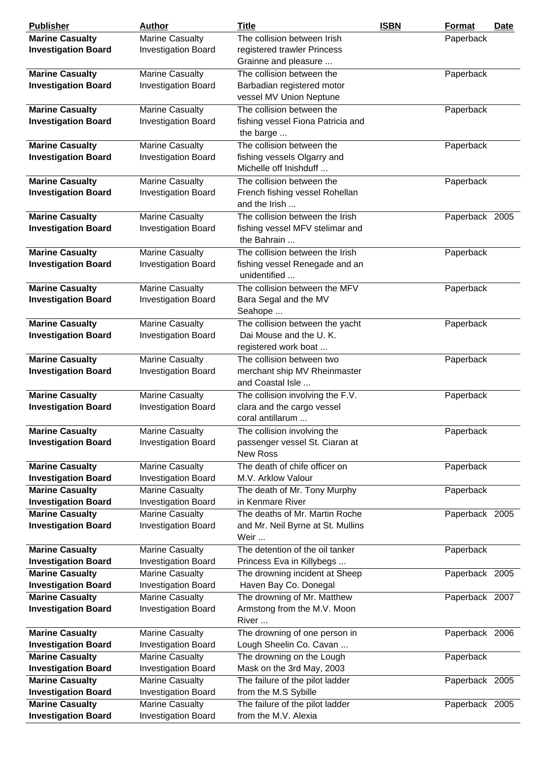| <b>Publisher</b>           | <b>Author</b>              | <b>Title</b>                              | <b>ISBN</b> | Format         | <b>Date</b> |
|----------------------------|----------------------------|-------------------------------------------|-------------|----------------|-------------|
| <b>Marine Casualty</b>     | <b>Marine Casualty</b>     | The collision between Irish               |             | Paperback      |             |
| <b>Investigation Board</b> | <b>Investigation Board</b> | registered trawler Princess               |             |                |             |
|                            |                            | Grainne and pleasure                      |             |                |             |
| <b>Marine Casualty</b>     | <b>Marine Casualty</b>     | The collision between the                 |             | Paperback      |             |
| <b>Investigation Board</b> | <b>Investigation Board</b> | Barbadian registered motor                |             |                |             |
|                            |                            | vessel MV Union Neptune                   |             |                |             |
| <b>Marine Casualty</b>     | <b>Marine Casualty</b>     | The collision between the                 |             | Paperback      |             |
| <b>Investigation Board</b> | <b>Investigation Board</b> | fishing vessel Fiona Patricia and         |             |                |             |
|                            |                            | the barge                                 |             |                |             |
| <b>Marine Casualty</b>     | <b>Marine Casualty</b>     | The collision between the                 |             | Paperback      |             |
| <b>Investigation Board</b> | <b>Investigation Board</b> | fishing vessels Olgarry and               |             |                |             |
|                            |                            | Michelle off Inishduff                    |             |                |             |
|                            |                            |                                           |             |                |             |
| <b>Marine Casualty</b>     | <b>Marine Casualty</b>     | The collision between the                 |             | Paperback      |             |
| <b>Investigation Board</b> | <b>Investigation Board</b> | French fishing vessel Rohellan            |             |                |             |
|                            |                            | and the Irish                             |             |                |             |
| <b>Marine Casualty</b>     | Marine Casualty            | The collision between the Irish           |             | Paperback 2005 |             |
| <b>Investigation Board</b> | <b>Investigation Board</b> | fishing vessel MFV stelimar and           |             |                |             |
|                            |                            | the Bahrain                               |             |                |             |
| <b>Marine Casualty</b>     | <b>Marine Casualty</b>     | The collision between the Irish           |             | Paperback      |             |
| <b>Investigation Board</b> | <b>Investigation Board</b> | fishing vessel Renegade and an            |             |                |             |
|                            |                            | unidentified                              |             |                |             |
| <b>Marine Casualty</b>     | <b>Marine Casualty</b>     | The collision between the MFV             |             | Paperback      |             |
| <b>Investigation Board</b> | <b>Investigation Board</b> | Bara Segal and the MV                     |             |                |             |
|                            |                            | Seahope                                   |             |                |             |
| <b>Marine Casualty</b>     | <b>Marine Casualty</b>     | The collision between the yacht           |             | Paperback      |             |
| <b>Investigation Board</b> | <b>Investigation Board</b> | Dai Mouse and the U.K.                    |             |                |             |
|                            |                            | registered work boat                      |             |                |             |
| <b>Marine Casualty</b>     | <b>Marine Casualty</b>     | The collision between two                 |             | Paperback      |             |
| <b>Investigation Board</b> | <b>Investigation Board</b> | merchant ship MV Rheinmaster              |             |                |             |
|                            |                            | and Coastal Isle                          |             |                |             |
| <b>Marine Casualty</b>     | <b>Marine Casualty</b>     | The collision involving the F.V.          |             | Paperback      |             |
| <b>Investigation Board</b> | <b>Investigation Board</b> | clara and the cargo vessel                |             |                |             |
|                            |                            | coral antillarum                          |             |                |             |
| <b>Marine Casualty</b>     | <b>Marine Casualty</b>     | The collision involving the               |             | Paperback      |             |
| <b>Investigation Board</b> | <b>Investigation Board</b> | passenger vessel St. Ciaran at            |             |                |             |
|                            |                            | <b>New Ross</b>                           |             |                |             |
| <b>Marine Casualty</b>     | <b>Marine Casualty</b>     | The death of chife officer on             |             | Paperback      |             |
| <b>Investigation Board</b> | <b>Investigation Board</b> | M.V. Arklow Valour                        |             |                |             |
| <b>Marine Casualty</b>     | <b>Marine Casualty</b>     | The death of Mr. Tony Murphy              |             | Paperback      |             |
| <b>Investigation Board</b> | <b>Investigation Board</b> | in Kenmare River                          |             |                |             |
|                            | <b>Marine Casualty</b>     | The deaths of Mr. Martin Roche            |             |                |             |
| <b>Marine Casualty</b>     |                            |                                           |             | Paperback 2005 |             |
| <b>Investigation Board</b> | <b>Investigation Board</b> | and Mr. Neil Byrne at St. Mullins<br>Weir |             |                |             |
|                            |                            |                                           |             |                |             |
| <b>Marine Casualty</b>     | <b>Marine Casualty</b>     | The detention of the oil tanker           |             | Paperback      |             |
| <b>Investigation Board</b> | <b>Investigation Board</b> | Princess Eva in Killybegs                 |             |                |             |
| <b>Marine Casualty</b>     | <b>Marine Casualty</b>     | The drowning incident at Sheep            |             | Paperback 2005 |             |
| <b>Investigation Board</b> | <b>Investigation Board</b> | Haven Bay Co. Donegal                     |             |                |             |
| <b>Marine Casualty</b>     | <b>Marine Casualty</b>     | The drowning of Mr. Matthew               |             | Paperback 2007 |             |
| <b>Investigation Board</b> | <b>Investigation Board</b> | Armstong from the M.V. Moon               |             |                |             |
|                            |                            | River                                     |             |                |             |
| <b>Marine Casualty</b>     | <b>Marine Casualty</b>     | The drowning of one person in             |             | Paperback 2006 |             |
| <b>Investigation Board</b> | <b>Investigation Board</b> | Lough Sheelin Co. Cavan                   |             |                |             |
| <b>Marine Casualty</b>     | <b>Marine Casualty</b>     | The drowning on the Lough                 |             | Paperback      |             |
| <b>Investigation Board</b> | <b>Investigation Board</b> | Mask on the 3rd May, 2003                 |             |                |             |
| <b>Marine Casualty</b>     | <b>Marine Casualty</b>     | The failure of the pilot ladder           |             | Paperback 2005 |             |
| <b>Investigation Board</b> | <b>Investigation Board</b> | from the M.S Sybille                      |             |                |             |
| <b>Marine Casualty</b>     | <b>Marine Casualty</b>     | The failure of the pilot ladder           |             | Paperback 2005 |             |
| <b>Investigation Board</b> | <b>Investigation Board</b> | from the M.V. Alexia                      |             |                |             |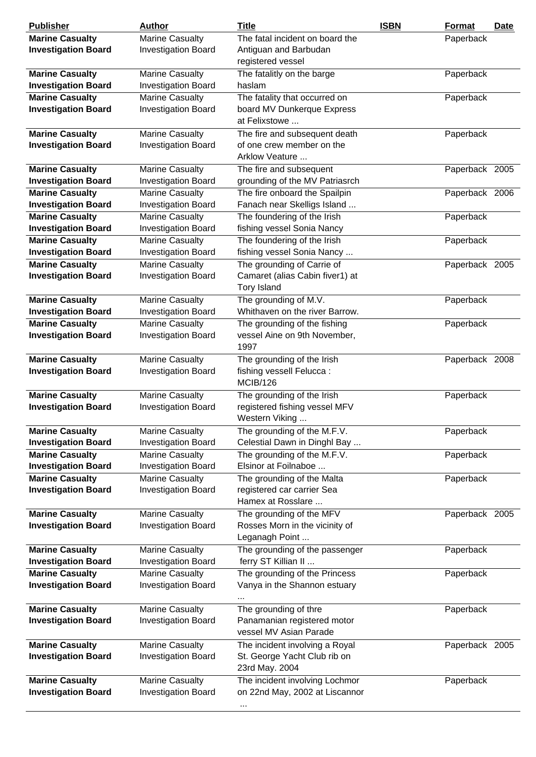| <b>Publisher</b>                                     | <b>Author</b>                                        | <b>Title</b>                                                   | <b>ISBN</b> | Format         | Date |
|------------------------------------------------------|------------------------------------------------------|----------------------------------------------------------------|-------------|----------------|------|
| <b>Marine Casualty</b>                               | <b>Marine Casualty</b>                               | The fatal incident on board the                                |             | Paperback      |      |
| <b>Investigation Board</b>                           | <b>Investigation Board</b>                           | Antiguan and Barbudan                                          |             |                |      |
|                                                      |                                                      | registered vessel                                              |             |                |      |
| <b>Marine Casualty</b>                               | <b>Marine Casualty</b>                               | The fatalitly on the barge                                     |             | Paperback      |      |
| <b>Investigation Board</b>                           | <b>Investigation Board</b>                           | haslam                                                         |             |                |      |
| <b>Marine Casualty</b>                               | <b>Marine Casualty</b>                               | The fatality that occurred on                                  |             | Paperback      |      |
| <b>Investigation Board</b>                           | <b>Investigation Board</b>                           | board MV Dunkerque Express                                     |             |                |      |
|                                                      |                                                      | at Felixstowe                                                  |             |                |      |
| <b>Marine Casualty</b>                               | <b>Marine Casualty</b>                               | The fire and subsequent death                                  |             | Paperback      |      |
| <b>Investigation Board</b>                           | <b>Investigation Board</b>                           | of one crew member on the                                      |             |                |      |
|                                                      |                                                      | Arklow Veature                                                 |             |                |      |
| <b>Marine Casualty</b>                               | Marine Casualty                                      | The fire and subsequent                                        |             | Paperback 2005 |      |
| <b>Investigation Board</b>                           | <b>Investigation Board</b>                           | grounding of the MV Patriasrch                                 |             |                |      |
| <b>Marine Casualty</b>                               | Marine Casualty                                      | The fire onboard the Spailpin                                  |             | Paperback 2006 |      |
| <b>Investigation Board</b>                           | <b>Investigation Board</b>                           | Fanach near Skelligs Island                                    |             |                |      |
| <b>Marine Casualty</b>                               | <b>Marine Casualty</b>                               | The foundering of the Irish                                    |             | Paperback      |      |
| <b>Investigation Board</b><br><b>Marine Casualty</b> | <b>Investigation Board</b><br><b>Marine Casualty</b> | fishing vessel Sonia Nancy<br>The foundering of the Irish      |             | Paperback      |      |
| <b>Investigation Board</b>                           | <b>Investigation Board</b>                           | fishing vessel Sonia Nancy                                     |             |                |      |
| <b>Marine Casualty</b>                               | <b>Marine Casualty</b>                               | The grounding of Carrie of                                     |             | Paperback 2005 |      |
| <b>Investigation Board</b>                           | <b>Investigation Board</b>                           | Camaret (alias Cabin fiver1) at                                |             |                |      |
|                                                      |                                                      | <b>Tory Island</b>                                             |             |                |      |
| <b>Marine Casualty</b>                               | <b>Marine Casualty</b>                               | The grounding of M.V.                                          |             | Paperback      |      |
| <b>Investigation Board</b>                           | <b>Investigation Board</b>                           | Whithaven on the river Barrow.                                 |             |                |      |
| <b>Marine Casualty</b>                               | <b>Marine Casualty</b>                               | The grounding of the fishing                                   |             | Paperback      |      |
| <b>Investigation Board</b>                           | <b>Investigation Board</b>                           | vessel Aine on 9th November,                                   |             |                |      |
|                                                      |                                                      | 1997                                                           |             |                |      |
| <b>Marine Casualty</b>                               | <b>Marine Casualty</b>                               | The grounding of the Irish                                     |             | Paperback 2008 |      |
| <b>Investigation Board</b>                           | <b>Investigation Board</b>                           | fishing vessell Felucca:                                       |             |                |      |
|                                                      |                                                      | <b>MCIB/126</b>                                                |             |                |      |
| <b>Marine Casualty</b>                               | <b>Marine Casualty</b>                               | The grounding of the Irish                                     |             | Paperback      |      |
| <b>Investigation Board</b>                           | <b>Investigation Board</b>                           | registered fishing vessel MFV                                  |             |                |      |
|                                                      |                                                      | Western Viking                                                 |             |                |      |
| <b>Marine Casualty</b>                               | <b>Marine Casualty</b>                               | The grounding of the M.F.V.                                    |             | Paperback      |      |
| <b>Investigation Board</b><br><b>Marine Casualty</b> | <b>Investigation Board</b><br><b>Marine Casualty</b> | Celestial Dawn in Dinghl Bay<br>The grounding of the M.F.V.    |             | Paperback      |      |
| <b>Investigation Board</b>                           | <b>Investigation Board</b>                           | Elsinor at Foilnaboe                                           |             |                |      |
| <b>Marine Casualty</b>                               | <b>Marine Casualty</b>                               | The grounding of the Malta                                     |             | Paperback      |      |
| <b>Investigation Board</b>                           | <b>Investigation Board</b>                           | registered car carrier Sea                                     |             |                |      |
|                                                      |                                                      | Hamex at Rosslare                                              |             |                |      |
| <b>Marine Casualty</b>                               | <b>Marine Casualty</b>                               | The grounding of the MFV                                       |             | Paperback 2005 |      |
| <b>Investigation Board</b>                           | <b>Investigation Board</b>                           | Rosses Morn in the vicinity of                                 |             |                |      |
|                                                      |                                                      | Leganagh Point                                                 |             |                |      |
| <b>Marine Casualty</b>                               | <b>Marine Casualty</b>                               | The grounding of the passenger                                 |             | Paperback      |      |
| <b>Investigation Board</b>                           | <b>Investigation Board</b>                           | ferry ST Killian II                                            |             |                |      |
| <b>Marine Casualty</b>                               | <b>Marine Casualty</b>                               | The grounding of the Princess                                  |             | Paperback      |      |
| <b>Investigation Board</b>                           | <b>Investigation Board</b>                           | Vanya in the Shannon estuary                                   |             |                |      |
|                                                      |                                                      | $\ddotsc$                                                      |             |                |      |
| <b>Marine Casualty</b>                               | <b>Marine Casualty</b>                               | The grounding of thre                                          |             | Paperback      |      |
| <b>Investigation Board</b>                           | <b>Investigation Board</b>                           | Panamanian registered motor<br>vessel MV Asian Parade          |             |                |      |
|                                                      |                                                      |                                                                |             |                |      |
| <b>Marine Casualty</b><br><b>Investigation Board</b> | <b>Marine Casualty</b><br><b>Investigation Board</b> | The incident involving a Royal<br>St. George Yacht Club rib on |             | Paperback 2005 |      |
|                                                      |                                                      | 23rd May. 2004                                                 |             |                |      |
| <b>Marine Casualty</b>                               | <b>Marine Casualty</b>                               | The incident involving Lochmor                                 |             | Paperback      |      |
| <b>Investigation Board</b>                           | <b>Investigation Board</b>                           | on 22nd May, 2002 at Liscannor                                 |             |                |      |
|                                                      |                                                      |                                                                |             |                |      |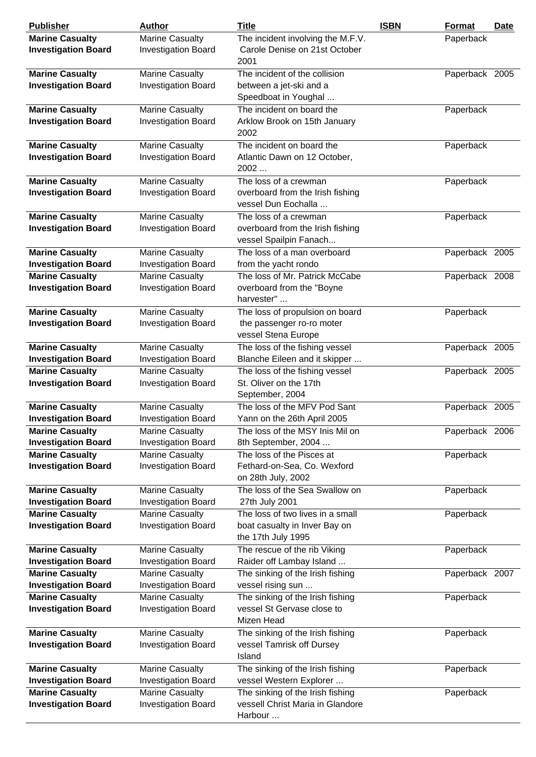| <b>Publisher</b>                                     | <b>Author</b>              | <b>Title</b>                                               | <b>ISBN</b> | <b>Format</b>  | <b>Date</b> |
|------------------------------------------------------|----------------------------|------------------------------------------------------------|-------------|----------------|-------------|
| <b>Marine Casualty</b>                               | <b>Marine Casualty</b>     | The incident involving the M.F.V.                          |             | Paperback      |             |
| <b>Investigation Board</b>                           | <b>Investigation Board</b> | Carole Denise on 21st October                              |             |                |             |
|                                                      |                            | 2001                                                       |             |                |             |
| <b>Marine Casualty</b>                               | <b>Marine Casualty</b>     | The incident of the collision                              |             | Paperback 2005 |             |
| <b>Investigation Board</b>                           | <b>Investigation Board</b> | between a jet-ski and a                                    |             |                |             |
|                                                      |                            | Speedboat in Youghal                                       |             |                |             |
| <b>Marine Casualty</b>                               | <b>Marine Casualty</b>     | The incident on board the                                  |             | Paperback      |             |
| <b>Investigation Board</b>                           | <b>Investigation Board</b> | Arklow Brook on 15th January                               |             |                |             |
|                                                      |                            | 2002                                                       |             |                |             |
| <b>Marine Casualty</b>                               | <b>Marine Casualty</b>     | The incident on board the                                  |             | Paperback      |             |
| <b>Investigation Board</b>                           | <b>Investigation Board</b> | Atlantic Dawn on 12 October,                               |             |                |             |
|                                                      |                            | 2002                                                       |             |                |             |
| <b>Marine Casualty</b>                               | <b>Marine Casualty</b>     | The loss of a crewman                                      |             | Paperback      |             |
| <b>Investigation Board</b>                           | <b>Investigation Board</b> | overboard from the Irish fishing                           |             |                |             |
|                                                      |                            | vessel Dun Eochalla                                        |             |                |             |
|                                                      | <b>Marine Casualty</b>     | The loss of a crewman                                      |             |                |             |
| <b>Marine Casualty</b>                               |                            |                                                            |             | Paperback      |             |
| <b>Investigation Board</b>                           | <b>Investigation Board</b> | overboard from the Irish fishing<br>vessel Spailpin Fanach |             |                |             |
|                                                      |                            | The loss of a man overboard                                |             |                |             |
| <b>Marine Casualty</b><br><b>Investigation Board</b> | Marine Casualty            | from the yacht rondo                                       |             | Paperback 2005 |             |
|                                                      | <b>Investigation Board</b> |                                                            |             |                |             |
| <b>Marine Casualty</b>                               | <b>Marine Casualty</b>     | The loss of Mr. Patrick McCabe                             |             | Paperback 2008 |             |
| <b>Investigation Board</b>                           | <b>Investigation Board</b> | overboard from the "Boyne                                  |             |                |             |
|                                                      |                            | harvester"                                                 |             |                |             |
| <b>Marine Casualty</b>                               | <b>Marine Casualty</b>     | The loss of propulsion on board                            |             | Paperback      |             |
| <b>Investigation Board</b>                           | <b>Investigation Board</b> | the passenger ro-ro moter                                  |             |                |             |
|                                                      |                            | vessel Stena Europe                                        |             |                |             |
| <b>Marine Casualty</b>                               | <b>Marine Casualty</b>     | The loss of the fishing vessel                             |             | Paperback 2005 |             |
| <b>Investigation Board</b>                           | <b>Investigation Board</b> | Blanche Eileen and it skipper                              |             |                |             |
| <b>Marine Casualty</b>                               | <b>Marine Casualty</b>     | The loss of the fishing vessel                             |             | Paperback 2005 |             |
| <b>Investigation Board</b>                           | <b>Investigation Board</b> | St. Oliver on the 17th                                     |             |                |             |
|                                                      |                            | September, 2004                                            |             |                |             |
| <b>Marine Casualty</b>                               | <b>Marine Casualty</b>     | The loss of the MFV Pod Sant                               |             | Paperback 2005 |             |
| <b>Investigation Board</b>                           | <b>Investigation Board</b> | Yann on the 26th April 2005                                |             |                |             |
| <b>Marine Casualty</b>                               | <b>Marine Casualty</b>     | The loss of the MSY Inis Mil on                            |             | Paperback 2006 |             |
| <b>Investigation Board</b>                           | <b>Investigation Board</b> | 8th September, 2004                                        |             |                |             |
| <b>Marine Casualty</b>                               | <b>Marine Casualty</b>     | The loss of the Pisces at                                  |             | Paperback      |             |
| <b>Investigation Board</b>                           | <b>Investigation Board</b> | Fethard-on-Sea, Co. Wexford                                |             |                |             |
|                                                      |                            | on 28th July, 2002                                         |             |                |             |
| <b>Marine Casualty</b>                               | <b>Marine Casualty</b>     | The loss of the Sea Swallow on                             |             | Paperback      |             |
| <b>Investigation Board</b>                           | <b>Investigation Board</b> | 27th July 2001                                             |             |                |             |
| <b>Marine Casualty</b>                               | <b>Marine Casualty</b>     | The loss of two lives in a small                           |             | Paperback      |             |
| <b>Investigation Board</b>                           | <b>Investigation Board</b> | boat casualty in Inver Bay on                              |             |                |             |
|                                                      |                            | the 17th July 1995                                         |             |                |             |
| <b>Marine Casualty</b>                               | <b>Marine Casualty</b>     | The rescue of the rib Viking                               |             | Paperback      |             |
| <b>Investigation Board</b>                           | <b>Investigation Board</b> | Raider off Lambay Island                                   |             |                |             |
| <b>Marine Casualty</b>                               | <b>Marine Casualty</b>     | The sinking of the Irish fishing                           |             | Paperback 2007 |             |
| <b>Investigation Board</b>                           | <b>Investigation Board</b> | vessel rising sun                                          |             |                |             |
| <b>Marine Casualty</b>                               | Marine Casualty            | The sinking of the Irish fishing                           |             | Paperback      |             |
| <b>Investigation Board</b>                           | <b>Investigation Board</b> | vessel St Gervase close to                                 |             |                |             |
|                                                      |                            | Mizen Head                                                 |             |                |             |
| <b>Marine Casualty</b>                               | <b>Marine Casualty</b>     | The sinking of the Irish fishing                           |             | Paperback      |             |
| <b>Investigation Board</b>                           | <b>Investigation Board</b> | vessel Tamrisk off Dursey                                  |             |                |             |
|                                                      |                            | Island                                                     |             |                |             |
| <b>Marine Casualty</b>                               | <b>Marine Casualty</b>     | The sinking of the Irish fishing                           |             | Paperback      |             |
| <b>Investigation Board</b>                           | <b>Investigation Board</b> | vessel Western Explorer                                    |             |                |             |
| <b>Marine Casualty</b>                               | <b>Marine Casualty</b>     | The sinking of the Irish fishing                           |             | Paperback      |             |
| <b>Investigation Board</b>                           | <b>Investigation Board</b> | vessell Christ Maria in Glandore                           |             |                |             |
|                                                      |                            | Harbour                                                    |             |                |             |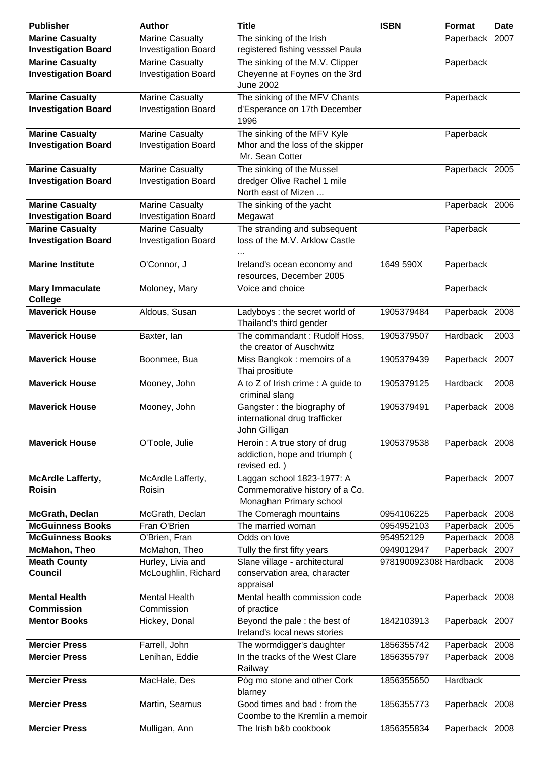| <b>Publisher</b>                                     | <b>Author</b>                                        | <b>Title</b>                                                                            | <b>ISBN</b>            | Format         | <b>Date</b> |
|------------------------------------------------------|------------------------------------------------------|-----------------------------------------------------------------------------------------|------------------------|----------------|-------------|
| <b>Marine Casualty</b>                               | <b>Marine Casualty</b>                               | The sinking of the Irish                                                                |                        | Paperback 2007 |             |
| <b>Investigation Board</b>                           | <b>Investigation Board</b>                           | registered fishing vesssel Paula                                                        |                        |                |             |
| <b>Marine Casualty</b>                               | <b>Marine Casualty</b>                               | The sinking of the M.V. Clipper                                                         |                        | Paperback      |             |
| <b>Investigation Board</b>                           | <b>Investigation Board</b>                           | Cheyenne at Foynes on the 3rd<br><b>June 2002</b>                                       |                        |                |             |
| <b>Marine Casualty</b>                               | <b>Marine Casualty</b>                               | The sinking of the MFV Chants                                                           |                        | Paperback      |             |
| <b>Investigation Board</b>                           | <b>Investigation Board</b>                           | d'Esperance on 17th December<br>1996                                                    |                        |                |             |
| <b>Marine Casualty</b>                               | <b>Marine Casualty</b>                               | The sinking of the MFV Kyle                                                             |                        | Paperback      |             |
| <b>Investigation Board</b>                           | <b>Investigation Board</b>                           | Mhor and the loss of the skipper                                                        |                        |                |             |
|                                                      |                                                      | Mr. Sean Cotter                                                                         |                        |                |             |
| <b>Marine Casualty</b>                               | <b>Marine Casualty</b>                               | The sinking of the Mussel                                                               |                        | Paperback 2005 |             |
| <b>Investigation Board</b>                           | <b>Investigation Board</b>                           | dredger Olive Rachel 1 mile                                                             |                        |                |             |
|                                                      |                                                      | North east of Mizen                                                                     |                        |                |             |
| <b>Marine Casualty</b>                               | <b>Marine Casualty</b>                               | The sinking of the yacht                                                                |                        | Paperback 2006 |             |
| <b>Investigation Board</b>                           | <b>Investigation Board</b><br><b>Marine Casualty</b> | Megawat                                                                                 |                        |                |             |
| <b>Marine Casualty</b><br><b>Investigation Board</b> |                                                      | The stranding and subsequent<br>loss of the M.V. Arklow Castle                          |                        | Paperback      |             |
|                                                      | <b>Investigation Board</b>                           |                                                                                         |                        |                |             |
| <b>Marine Institute</b>                              | O'Connor, J                                          | Ireland's ocean economy and<br>resources, December 2005                                 | 1649 590X              | Paperback      |             |
| <b>Mary Immaculate</b><br><b>College</b>             | Moloney, Mary                                        | Voice and choice                                                                        |                        | Paperback      |             |
| <b>Maverick House</b>                                | Aldous, Susan                                        | Ladyboys : the secret world of<br>Thailand's third gender                               | 1905379484             | Paperback 2008 |             |
| <b>Maverick House</b>                                | Baxter, lan                                          | The commandant: Rudolf Hoss,<br>the creator of Auschwitz                                | 1905379507             | Hardback       | 2003        |
| <b>Maverick House</b>                                | Boonmee, Bua                                         | Miss Bangkok: memoirs of a<br>Thai prositiute                                           | 1905379439             | Paperback 2007 |             |
| <b>Maverick House</b>                                | Mooney, John                                         | A to Z of Irish crime : A guide to<br>criminal slang                                    | 1905379125             | Hardback       | 2008        |
| <b>Maverick House</b>                                | Mooney, John                                         | Gangster: the biography of<br>international drug trafficker<br>John Gilligan            | 1905379491             | Paperback 2008 |             |
| <b>Maverick House</b>                                | O'Toole, Julie                                       | Heroin: A true story of drug<br>addiction, hope and triumph (<br>revised ed.)           | 1905379538             | Paperback 2008 |             |
| <b>McArdle Lafferty,</b><br><b>Roisin</b>            | McArdle Lafferty,<br>Roisin                          | Laggan school 1823-1977: A<br>Commemorative history of a Co.<br>Monaghan Primary school |                        | Paperback 2007 |             |
| McGrath, Declan                                      | McGrath, Declan                                      | The Comeragh mountains                                                                  | 0954106225             | Paperback 2008 |             |
| <b>McGuinness Books</b>                              | Fran O'Brien                                         | The married woman                                                                       | 0954952103             | Paperback      | 2005        |
| <b>McGuinness Books</b>                              | O'Brien, Fran                                        | Odds on love                                                                            | 954952129              | Paperback      | 2008        |
| <b>McMahon, Theo</b>                                 | McMahon, Theo                                        | Tully the first fifty years                                                             | 0949012947             | Paperback 2007 |             |
| <b>Meath County</b>                                  | Hurley, Livia and                                    | Slane village - architectural                                                           | 9781900923088 Hardback |                | 2008        |
| <b>Council</b>                                       | McLoughlin, Richard                                  | conservation area, character<br>appraisal                                               |                        |                |             |
| <b>Mental Health</b>                                 | <b>Mental Health</b>                                 | Mental health commission code                                                           |                        | Paperback 2008 |             |
| <b>Commission</b>                                    | Commission                                           | of practice                                                                             |                        |                |             |
| <b>Mentor Books</b>                                  | Hickey, Donal                                        | Beyond the pale : the best of<br>Ireland's local news stories                           | 1842103913             | Paperback 2007 |             |
| <b>Mercier Press</b>                                 | Farrell, John                                        | The wormdigger's daughter                                                               | 1856355742             | Paperback 2008 |             |
| <b>Mercier Press</b>                                 | Lenihan, Eddie                                       | In the tracks of the West Clare<br>Railway                                              | 1856355797             | Paperback 2008 |             |
| <b>Mercier Press</b>                                 | MacHale, Des                                         | Póg mo stone and other Cork<br>blarney                                                  | 1856355650             | Hardback       |             |
| <b>Mercier Press</b>                                 | Martin, Seamus                                       | Good times and bad: from the<br>Coombe to the Kremlin a memoir                          | 1856355773             | Paperback 2008 |             |
| <b>Mercier Press</b>                                 | Mulligan, Ann                                        | The Irish b&b cookbook                                                                  | 1856355834             | Paperback 2008 |             |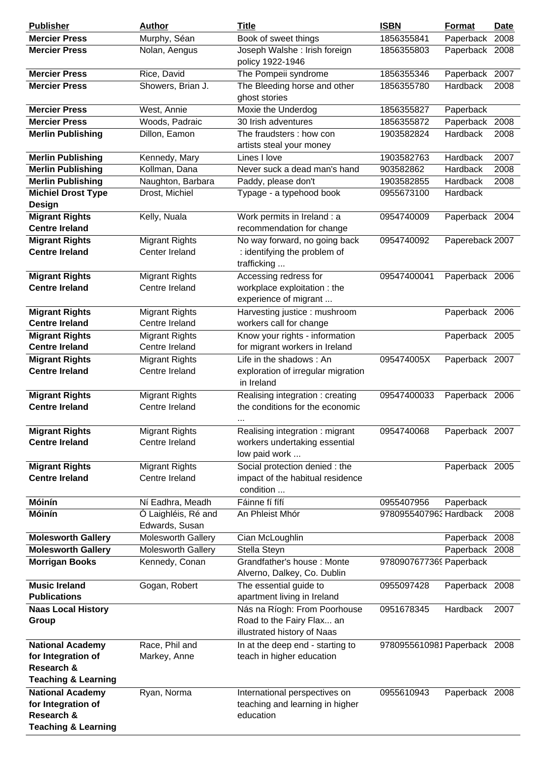| <b>Publisher</b>                 | <b>Author</b>         | <b>Title</b>                               | <b>ISBN</b>                  | Format          | <b>Date</b> |
|----------------------------------|-----------------------|--------------------------------------------|------------------------------|-----------------|-------------|
| <b>Mercier Press</b>             | Murphy, Séan          | Book of sweet things                       | 1856355841                   | Paperback       | 2008        |
| <b>Mercier Press</b>             | Nolan, Aengus         | Joseph Walshe: Irish foreign               | 1856355803                   | Paperback 2008  |             |
|                                  |                       | policy 1922-1946                           |                              |                 |             |
| <b>Mercier Press</b>             | Rice, David           | The Pompeii syndrome                       | 1856355346                   | Paperback       | 2007        |
| <b>Mercier Press</b>             | Showers, Brian J.     | The Bleeding horse and other               | 1856355780                   | Hardback        | 2008        |
|                                  |                       | ghost stories                              |                              |                 |             |
| <b>Mercier Press</b>             | West, Annie           | Moxie the Underdog                         | 1856355827                   | Paperback       |             |
| <b>Mercier Press</b>             | Woods, Padraic        | 30 Irish adventures                        | 1856355872                   | Paperback       | 2008        |
| <b>Merlin Publishing</b>         | Dillon, Eamon         | The fraudsters : how con                   | 1903582824                   | Hardback        | 2008        |
|                                  |                       | artists steal your money                   |                              |                 |             |
| <b>Merlin Publishing</b>         | Kennedy, Mary         | Lines I love                               | 1903582763                   | Hardback        | 2007        |
| <b>Merlin Publishing</b>         | Kollman, Dana         | Never suck a dead man's hand               | 903582862                    | Hardback        | 2008        |
| <b>Merlin Publishing</b>         | Naughton, Barbara     | Paddy, please don't                        | 1903582855                   | Hardback        | 2008        |
| <b>Michiel Drost Type</b>        | Drost, Michiel        | Typage - a typehood book                   | 0955673100                   | Hardback        |             |
| <b>Design</b>                    |                       |                                            |                              |                 |             |
| <b>Migrant Rights</b>            | Kelly, Nuala          | Work permits in Ireland : a                | 0954740009                   | Paperback 2004  |             |
| <b>Centre Ireland</b>            |                       | recommendation for change                  |                              |                 |             |
| <b>Migrant Rights</b>            | <b>Migrant Rights</b> | No way forward, no going back              | 0954740092                   | Papereback 2007 |             |
| <b>Centre Ireland</b>            | Center Ireland        | : identifying the problem of               |                              |                 |             |
|                                  |                       | trafficking                                |                              |                 |             |
| <b>Migrant Rights</b>            | <b>Migrant Rights</b> | Accessing redress for                      | 09547400041                  | Paperback 2006  |             |
| <b>Centre Ireland</b>            | Centre Ireland        | workplace exploitation : the               |                              |                 |             |
|                                  |                       | experience of migrant                      |                              |                 |             |
| <b>Migrant Rights</b>            | <b>Migrant Rights</b> | Harvesting justice : mushroom              |                              | Paperback 2006  |             |
| <b>Centre Ireland</b>            | Centre Ireland        | workers call for change                    |                              |                 |             |
| <b>Migrant Rights</b>            | <b>Migrant Rights</b> | Know your rights - information             |                              | Paperback 2005  |             |
| <b>Centre Ireland</b>            | Centre Ireland        | for migrant workers in Ireland             |                              |                 |             |
| <b>Migrant Rights</b>            | <b>Migrant Rights</b> | Life in the shadows: An                    | 095474005X                   | Paperback 2007  |             |
| <b>Centre Ireland</b>            | Centre Ireland        | exploration of irregular migration         |                              |                 |             |
|                                  |                       | in Ireland                                 |                              |                 |             |
| <b>Migrant Rights</b>            | <b>Migrant Rights</b> | Realising integration: creating            | 09547400033                  | Paperback 2006  |             |
| <b>Centre Ireland</b>            | Centre Ireland        | the conditions for the economic            |                              |                 |             |
|                                  |                       |                                            |                              |                 |             |
| <b>Migrant Rights</b>            | <b>Migrant Rights</b> | $\cdots$<br>Realising integration: migrant | 0954740068                   | Paperback 2007  |             |
| <b>Centre Ireland</b>            | Centre Ireland        | workers undertaking essential              |                              |                 |             |
|                                  |                       | low paid work                              |                              |                 |             |
| <b>Migrant Rights</b>            | <b>Migrant Rights</b> | Social protection denied : the             |                              | Paperback 2005  |             |
| <b>Centre Ireland</b>            | Centre Ireland        | impact of the habitual residence           |                              |                 |             |
|                                  |                       | condition                                  |                              |                 |             |
| Móinín                           | Ní Eadhra, Meadh      | Fáinne fí fífí                             | 0955407956                   | Paperback       |             |
| Móinín                           | Ó Laighléis, Ré and   | An Phleist Mhór                            | 9780955407963 Hardback       |                 | 2008        |
|                                  | Edwards, Susan        |                                            |                              |                 |             |
| <b>Molesworth Gallery</b>        | Molesworth Gallery    | Cian McLoughlin                            |                              | Paperback 2008  |             |
| <b>Molesworth Gallery</b>        | Molesworth Gallery    | Stella Steyn                               |                              | Paperback       | 2008        |
| <b>Morrigan Books</b>            | Kennedy, Conan        | Grandfather's house: Monte                 | 9780907677369 Paperback      |                 |             |
|                                  |                       | Alverno, Dalkey, Co. Dublin                |                              |                 |             |
| <b>Music Ireland</b>             | Gogan, Robert         | The essential guide to                     | 0955097428                   | Paperback 2008  |             |
| <b>Publications</b>              |                       | apartment living in Ireland                |                              |                 |             |
| <b>Naas Local History</b>        |                       | Nás na Ríogh: From Poorhouse               | 0951678345                   | Hardback        | 2007        |
| Group                            |                       | Road to the Fairy Flax an                  |                              |                 |             |
|                                  |                       | illustrated history of Naas                |                              |                 |             |
| <b>National Academy</b>          | Race, Phil and        | In at the deep end - starting to           | 9780955610981 Paperback 2008 |                 |             |
| for Integration of               | Markey, Anne          | teach in higher education                  |                              |                 |             |
| Research &                       |                       |                                            |                              |                 |             |
| <b>Teaching &amp; Learning</b>   |                       |                                            |                              |                 |             |
|                                  |                       |                                            |                              |                 |             |
| <b>National Academy</b>          | Ryan, Norma           | International perspectives on              | 0955610943                   | Paperback 2008  |             |
| for Integration of<br>Research & |                       | teaching and learning in higher            |                              |                 |             |
|                                  |                       | education                                  |                              |                 |             |
| <b>Teaching &amp; Learning</b>   |                       |                                            |                              |                 |             |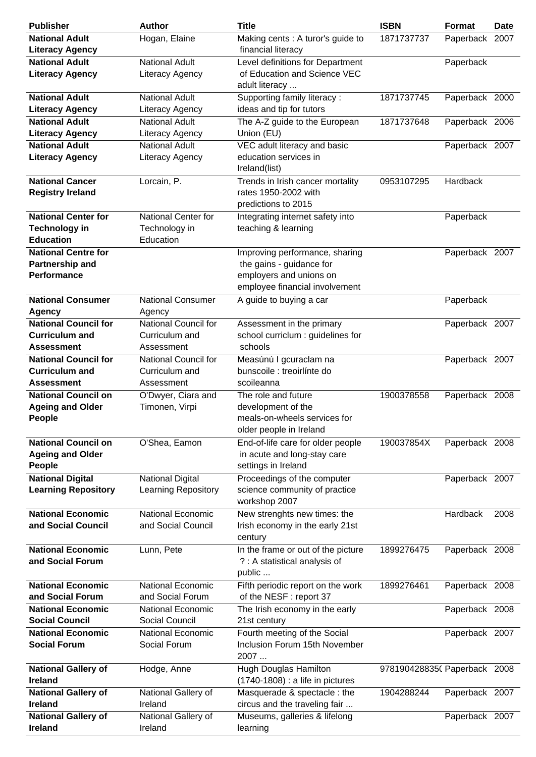| <b>Publisher</b>                                                          | <b>Author</b>                                               | <b>Title</b>                                                                                                            | <b>ISBN</b>                  | <b>Format</b>  | <b>Date</b> |
|---------------------------------------------------------------------------|-------------------------------------------------------------|-------------------------------------------------------------------------------------------------------------------------|------------------------------|----------------|-------------|
| <b>National Adult</b><br><b>Literacy Agency</b>                           | Hogan, Elaine                                               | Making cents : A turor's guide to<br>financial literacy                                                                 | 1871737737                   | Paperback      | 2007        |
| <b>National Adult</b><br><b>Literacy Agency</b>                           | <b>National Adult</b><br>Literacy Agency                    | Level definitions for Department<br>of Education and Science VEC<br>adult literacy                                      |                              | Paperback      |             |
| <b>National Adult</b><br><b>Literacy Agency</b>                           | <b>National Adult</b><br>Literacy Agency                    | Supporting family literacy:<br>ideas and tip for tutors                                                                 | 1871737745                   | Paperback 2000 |             |
| <b>National Adult</b><br><b>Literacy Agency</b>                           | <b>National Adult</b>                                       | The A-Z guide to the European<br>Union (EU)                                                                             | 1871737648                   | Paperback 2006 |             |
| <b>National Adult</b><br><b>Literacy Agency</b>                           | Literacy Agency<br><b>National Adult</b><br>Literacy Agency | VEC adult literacy and basic<br>education services in<br>Ireland(list)                                                  |                              | Paperback 2007 |             |
| <b>National Cancer</b><br><b>Registry Ireland</b>                         | Lorcain, P.                                                 | Trends in Irish cancer mortality<br>rates 1950-2002 with<br>predictions to 2015                                         | 0953107295                   | Hardback       |             |
| <b>National Center for</b><br><b>Technology in</b><br><b>Education</b>    | National Center for<br>Technology in<br>Education           | Integrating internet safety into<br>teaching & learning                                                                 |                              | Paperback      |             |
| <b>National Centre for</b><br>Partnership and<br><b>Performance</b>       |                                                             | Improving performance, sharing<br>the gains - guidance for<br>employers and unions on<br>employee financial involvement |                              | Paperback 2007 |             |
| <b>National Consumer</b><br><b>Agency</b>                                 | <b>National Consumer</b><br>Agency                          | A guide to buying a car                                                                                                 |                              | Paperback      |             |
| <b>National Council for</b><br><b>Curriculum and</b><br><b>Assessment</b> | National Council for<br>Curriculum and<br>Assessment        | Assessment in the primary<br>school curriclum : guidelines for<br>schools                                               |                              | Paperback 2007 |             |
| <b>National Council for</b><br><b>Curriculum and</b><br>Assessment        | National Council for<br>Curriculum and<br>Assessment        | Measúnú I gcuraclam na<br>bunscoile : treoirlínte do<br>scoileanna                                                      |                              | Paperback 2007 |             |
| <b>National Council on</b><br><b>Ageing and Older</b><br><b>People</b>    | O'Dwyer, Ciara and<br>Timonen, Virpi                        | The role and future<br>development of the<br>meals-on-wheels services for<br>older people in Ireland                    | 1900378558                   | Paperback 2008 |             |
| <b>National Council on</b><br><b>Ageing and Older</b><br>People           | O'Shea, Eamon                                               | End-of-life care for older people<br>in acute and long-stay care<br>settings in Ireland                                 | 190037854X                   | Paperback 2008 |             |
| <b>National Digital</b><br><b>Learning Repository</b>                     | <b>National Digital</b><br><b>Learning Repository</b>       | Proceedings of the computer<br>science community of practice<br>workshop 2007                                           |                              | Paperback 2007 |             |
| <b>National Economic</b><br>and Social Council                            | <b>National Economic</b><br>and Social Council              | New strenghts new times: the<br>Irish economy in the early 21st<br>century                                              |                              | Hardback       | 2008        |
| <b>National Economic</b><br>and Social Forum                              | Lunn, Pete                                                  | In the frame or out of the picture<br>? : A statistical analysis of<br>public                                           | 1899276475                   | Paperback 2008 |             |
| <b>National Economic</b><br>and Social Forum                              | <b>National Economic</b><br>and Social Forum                | Fifth periodic report on the work<br>of the NESF : report 37                                                            | 1899276461                   | Paperback 2008 |             |
| <b>National Economic</b><br><b>Social Council</b>                         | <b>National Economic</b><br>Social Council                  | The Irish economy in the early<br>21st century                                                                          |                              | Paperback 2008 |             |
| <b>National Economic</b><br><b>Social Forum</b>                           | <b>National Economic</b><br>Social Forum                    | Fourth meeting of the Social<br>Inclusion Forum 15th November<br>2007                                                   |                              | Paperback 2007 |             |
| <b>National Gallery of</b><br><b>Ireland</b>                              | Hodge, Anne                                                 | Hugh Douglas Hamilton<br>(1740-1808) : a life in pictures                                                               | 9781904288350 Paperback 2008 |                |             |
| <b>National Gallery of</b><br><b>Ireland</b>                              | National Gallery of<br>Ireland                              | Masquerade & spectacle: the<br>circus and the traveling fair                                                            | 1904288244                   | Paperback 2007 |             |
| <b>National Gallery of</b><br>Ireland                                     | National Gallery of<br>Ireland                              | Museums, galleries & lifelong<br>learning                                                                               |                              | Paperback 2007 |             |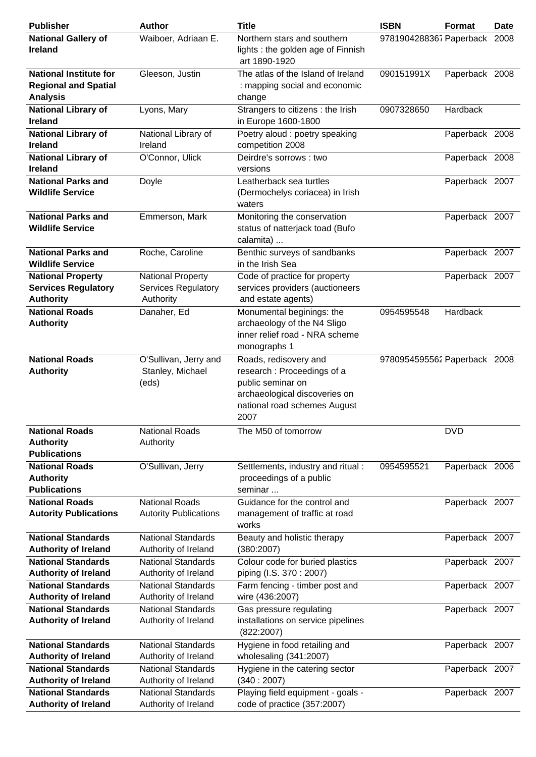| <b>Publisher</b>                                                                | <b>Author</b>                                                       | <b>Title</b>                                                                                                                                       | <b>ISBN</b>                  | <b>Format</b>  | <u>Date</u> |
|---------------------------------------------------------------------------------|---------------------------------------------------------------------|----------------------------------------------------------------------------------------------------------------------------------------------------|------------------------------|----------------|-------------|
| <b>National Gallery of</b><br>Ireland                                           | Waiboer, Adriaan E.                                                 | Northern stars and southern<br>lights: the golden age of Finnish<br>art 1890-1920                                                                  | 9781904288367 Paperback 2008 |                |             |
| <b>National Institute for</b><br><b>Regional and Spatial</b><br><b>Analysis</b> | Gleeson, Justin                                                     | The atlas of the Island of Ireland<br>: mapping social and economic<br>change                                                                      | 090151991X                   | Paperback 2008 |             |
| <b>National Library of</b><br><b>Ireland</b>                                    | Lyons, Mary                                                         | Strangers to citizens : the Irish<br>in Europe 1600-1800                                                                                           | 0907328650                   | Hardback       |             |
| <b>National Library of</b><br><b>Ireland</b>                                    | National Library of<br>Ireland                                      | Poetry aloud : poetry speaking<br>competition 2008                                                                                                 |                              | Paperback 2008 |             |
| <b>National Library of</b><br><b>Ireland</b>                                    | O'Connor, Ulick                                                     | Deirdre's sorrows : two<br>versions                                                                                                                |                              | Paperback 2008 |             |
| <b>National Parks and</b><br><b>Wildlife Service</b>                            | Doyle                                                               | Leatherback sea turtles<br>(Dermochelys coriacea) in Irish<br>waters                                                                               |                              | Paperback 2007 |             |
| <b>National Parks and</b><br><b>Wildlife Service</b>                            | Emmerson, Mark                                                      | Monitoring the conservation<br>status of natterjack toad (Bufo<br>calamita)                                                                        |                              | Paperback 2007 |             |
| <b>National Parks and</b><br><b>Wildlife Service</b>                            | Roche, Caroline                                                     | Benthic surveys of sandbanks<br>in the Irish Sea                                                                                                   |                              | Paperback 2007 |             |
| <b>National Property</b><br><b>Services Regulatory</b><br><b>Authority</b>      | <b>National Property</b><br><b>Services Regulatory</b><br>Authority | Code of practice for property<br>services providers (auctioneers<br>and estate agents)                                                             |                              | Paperback 2007 |             |
| <b>National Roads</b><br><b>Authority</b>                                       | Danaher, Ed                                                         | Monumental beginings: the<br>archaeology of the N4 Sligo<br>inner relief road - NRA scheme<br>monographs 1                                         | 0954595548                   | Hardback       |             |
| <b>National Roads</b><br><b>Authority</b>                                       | O'Sullivan, Jerry and<br>Stanley, Michael<br>(eds)                  | Roads, redisovery and<br>research : Proceedings of a<br>public seminar on<br>archaeological discoveries on<br>national road schemes August<br>2007 | 9780954595562 Paperback 2008 |                |             |
| <b>National Roads</b><br><b>Authority</b><br><b>Publications</b>                | <b>National Roads</b><br>Authority                                  | The M50 of tomorrow                                                                                                                                |                              | <b>DVD</b>     |             |
| <b>National Roads</b><br><b>Authority</b><br><b>Publications</b>                | O'Sullivan, Jerry                                                   | Settlements, industry and ritual :<br>proceedings of a public<br>seminar                                                                           | 0954595521                   | Paperback 2006 |             |
| <b>National Roads</b><br><b>Autority Publications</b>                           | <b>National Roads</b><br><b>Autority Publications</b>               | Guidance for the control and<br>management of traffic at road<br>works                                                                             |                              | Paperback 2007 |             |
| <b>National Standards</b><br><b>Authority of Ireland</b>                        | <b>National Standards</b><br>Authority of Ireland                   | Beauty and holistic therapy<br>(380:2007)                                                                                                          |                              | Paperback 2007 |             |
| <b>National Standards</b><br><b>Authority of Ireland</b>                        | <b>National Standards</b><br>Authority of Ireland                   | Colour code for buried plastics<br>piping (I.S. 370: 2007)                                                                                         |                              | Paperback 2007 |             |
| <b>National Standards</b><br><b>Authority of Ireland</b>                        | <b>National Standards</b><br>Authority of Ireland                   | Farm fencing - timber post and<br>wire (436:2007)                                                                                                  |                              | Paperback 2007 |             |
| <b>National Standards</b><br><b>Authority of Ireland</b>                        | <b>National Standards</b><br>Authority of Ireland                   | Gas pressure regulating<br>installations on service pipelines<br>(822:2007)                                                                        |                              | Paperback 2007 |             |
| <b>National Standards</b><br><b>Authority of Ireland</b>                        | <b>National Standards</b><br>Authority of Ireland                   | Hygiene in food retailing and<br>wholesaling (341:2007)                                                                                            |                              | Paperback 2007 |             |
| <b>National Standards</b><br><b>Authority of Ireland</b>                        | <b>National Standards</b><br>Authority of Ireland                   | Hygiene in the catering sector<br>(340:2007)                                                                                                       |                              | Paperback 2007 |             |
| <b>National Standards</b><br><b>Authority of Ireland</b>                        | <b>National Standards</b><br>Authority of Ireland                   | Playing field equipment - goals -<br>code of practice (357:2007)                                                                                   |                              | Paperback 2007 |             |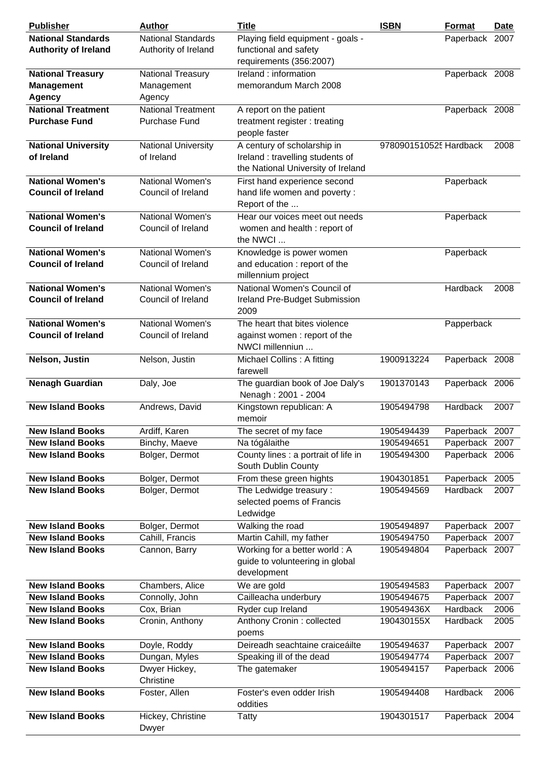| <b>Publisher</b>                                               | <b>Author</b>                                     | <b>Title</b>                                                                                          | <b>ISBN</b>            | <b>Format</b>   | <b>Date</b> |
|----------------------------------------------------------------|---------------------------------------------------|-------------------------------------------------------------------------------------------------------|------------------------|-----------------|-------------|
| <b>National Standards</b><br><b>Authority of Ireland</b>       | <b>National Standards</b><br>Authority of Ireland | Playing field equipment - goals -<br>functional and safety<br>requirements (356:2007)                 |                        | Paperback 2007  |             |
| <b>National Treasury</b><br><b>Management</b><br><b>Agency</b> | National Treasury<br>Management<br>Agency         | Ireland : information<br>memorandum March 2008                                                        |                        | Paperback 2008  |             |
| <b>National Treatment</b><br><b>Purchase Fund</b>              | <b>National Treatment</b><br><b>Purchase Fund</b> | A report on the patient<br>treatment register: treating<br>people faster                              |                        | Paperback 2008  |             |
| <b>National University</b><br>of Ireland                       | <b>National University</b><br>of Ireland          | A century of scholarship in<br>Ireland : travelling students of<br>the National University of Ireland | 9780901510525 Hardback |                 | 2008        |
| <b>National Women's</b><br><b>Council of Ireland</b>           | National Women's<br>Council of Ireland            | First hand experience second<br>hand life women and poverty :<br>Report of the                        |                        | Paperback       |             |
| <b>National Women's</b><br><b>Council of Ireland</b>           | National Women's<br>Council of Ireland            | Hear our voices meet out needs<br>women and health : report of<br>the NWCI                            |                        | Paperback       |             |
| <b>National Women's</b><br><b>Council of Ireland</b>           | National Women's<br>Council of Ireland            | Knowledge is power women<br>and education : report of the<br>millennium project                       |                        | Paperback       |             |
| <b>National Women's</b><br><b>Council of Ireland</b>           | National Women's<br>Council of Ireland            | National Women's Council of<br>Ireland Pre-Budget Submission<br>2009                                  |                        | Hardback        | 2008        |
| <b>National Women's</b><br><b>Council of Ireland</b>           | National Women's<br>Council of Ireland            | The heart that bites violence<br>against women: report of the<br>NWCI millenniun                      |                        | Papperback      |             |
| Nelson, Justin                                                 | Nelson, Justin                                    | Michael Collins: A fitting<br>farewell                                                                | 1900913224             | Paperback 2008  |             |
| <b>Nenagh Guardian</b>                                         | Daly, Joe                                         | The guardian book of Joe Daly's<br>Nenagh: 2001 - 2004                                                | 1901370143             | Paperback 2006  |             |
| <b>New Island Books</b>                                        | Andrews, David                                    | Kingstown republican: A<br>memoir                                                                     | 1905494798             | <b>Hardback</b> | 2007        |
| <b>New Island Books</b>                                        | Ardiff, Karen                                     | The secret of my face                                                                                 | 1905494439             | Paperback 2007  |             |
| <b>New Island Books</b>                                        | Binchy, Maeve                                     | Na tógálaithe                                                                                         | 1905494651             | Paperback 2007  |             |
| <b>New Island Books</b>                                        | Bolger, Dermot                                    | County lines : a portrait of life in<br>South Dublin County                                           | 1905494300             | Paperback 2006  |             |
| <b>New Island Books</b>                                        | Bolger, Dermot                                    | From these green hights                                                                               | 1904301851             | Paperback       | 2005        |
| <b>New Island Books</b>                                        | Bolger, Dermot                                    | The Ledwidge treasury :<br>selected poems of Francis<br>Ledwidge                                      | 1905494569             | Hardback        | 2007        |
| <b>New Island Books</b>                                        | Bolger, Dermot                                    | Walking the road                                                                                      | 1905494897             | Paperback 2007  |             |
| <b>New Island Books</b>                                        | Cahill, Francis                                   | Martin Cahill, my father                                                                              | 1905494750             | Paperback       | 2007        |
| <b>New Island Books</b>                                        | Cannon, Barry                                     | Working for a better world: A<br>guide to volunteering in global<br>development                       | 1905494804             | Paperback 2007  |             |
| <b>New Island Books</b>                                        | Chambers, Alice                                   | We are gold                                                                                           | 1905494583             | Paperback       | 2007        |
| <b>New Island Books</b>                                        | Connolly, John                                    | Cailleacha underbury                                                                                  | 1905494675             | Paperback       | 2007        |
| <b>New Island Books</b>                                        | Cox, Brian                                        | Ryder cup Ireland                                                                                     | 190549436X             | Hardback        | 2006        |
| <b>New Island Books</b>                                        | Cronin, Anthony                                   | Anthony Cronin : collected<br>poems                                                                   | 190430155X             | Hardback        | 2005        |
| <b>New Island Books</b>                                        | Doyle, Roddy                                      | Deireadh seachtaine craiceáilte                                                                       | 1905494637             | Paperback       | 2007        |
| <b>New Island Books</b>                                        | Dungan, Myles                                     | Speaking ill of the dead                                                                              | 1905494774             | Paperback 2007  |             |
| <b>New Island Books</b>                                        | Dwyer Hickey,<br>Christine                        | The gatemaker                                                                                         | 1905494157             | Paperback 2006  |             |
| <b>New Island Books</b>                                        | Foster, Allen                                     | Foster's even odder Irish<br>oddities                                                                 | 1905494408             | Hardback        | 2006        |
| <b>New Island Books</b>                                        | Hickey, Christine<br>Dwyer                        | Tatty                                                                                                 | 1904301517             | Paperback 2004  |             |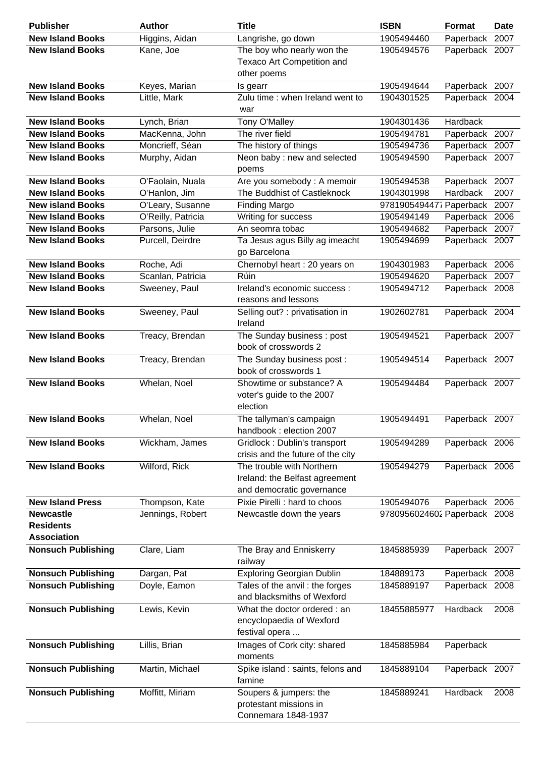| <b>Publisher</b>          | <b>Author</b>      | <b>Title</b>                      | <b>ISBN</b>                  | <b>Format</b>   | <b>Date</b> |
|---------------------------|--------------------|-----------------------------------|------------------------------|-----------------|-------------|
| <b>New Island Books</b>   | Higgins, Aidan     | Langrishe, go down                | 1905494460                   | Paperback       | 2007        |
| <b>New Island Books</b>   | Kane, Joe          | The boy who nearly won the        | 1905494576                   | Paperback 2007  |             |
|                           |                    | Texaco Art Competition and        |                              |                 |             |
|                           |                    | other poems                       |                              |                 |             |
| <b>New Island Books</b>   | Keyes, Marian      | Is gearr                          | 1905494644                   | Paperback 2007  |             |
| <b>New Island Books</b>   | Little, Mark       | Zulu time : when Ireland went to  | 1904301525                   | Paperback 2004  |             |
|                           |                    | war                               |                              |                 |             |
| <b>New Island Books</b>   | Lynch, Brian       | Tony O'Malley                     | 1904301436                   | Hardback        |             |
| <b>New Island Books</b>   | MacKenna, John     | The river field                   | 1905494781                   | Paperback 2007  |             |
| <b>New Island Books</b>   | Moncrieff, Séan    | The history of things             | 1905494736                   | Paperback 2007  |             |
| <b>New Island Books</b>   | Murphy, Aidan      | Neon baby : new and selected      | 1905494590                   | Paperback 2007  |             |
|                           |                    | poems                             |                              |                 |             |
| <b>New Island Books</b>   | O'Faolain, Nuala   | Are you somebody: A memoir        | 1905494538                   | Paperback 2007  |             |
| <b>New Island Books</b>   | O'Hanlon, Jim      | The Buddhist of Castleknock       | 1904301998                   | <b>Hardback</b> | 2007        |
| <b>New island Books</b>   | O'Leary, Susanne   | <b>Finding Margo</b>              | 9781905494477 Paperback 2007 |                 |             |
| <b>New Island Books</b>   | O'Reilly, Patricia | Writing for success               | 1905494149                   | Paperback       | 2006        |
| <b>New Island Books</b>   | Parsons, Julie     | An seomra tobac                   | 1905494682                   | Paperback       | 2007        |
| <b>New Island Books</b>   | Purcell, Deirdre   | Ta Jesus agus Billy ag imeacht    | 1905494699                   | Paperback 2007  |             |
|                           |                    | go Barcelona                      |                              |                 |             |
| <b>New Island Books</b>   | Roche, Adi         | Chernobyl heart : 20 years on     | 1904301983                   | Paperback 2006  |             |
| <b>New Island Books</b>   | Scanlan, Patricia  | Rúin                              | 1905494620                   | Paperback 2007  |             |
| <b>New Island Books</b>   | Sweeney, Paul      | Ireland's economic success :      | 1905494712                   | Paperback 2008  |             |
|                           |                    | reasons and lessons               |                              |                 |             |
| <b>New Island Books</b>   | Sweeney, Paul      | Selling out? : privatisation in   | 1902602781                   | Paperback 2004  |             |
|                           |                    | Ireland                           |                              |                 |             |
| <b>New Island Books</b>   | Treacy, Brendan    | The Sunday business: post         | 1905494521                   | Paperback 2007  |             |
|                           |                    | book of crosswords 2              |                              |                 |             |
| <b>New Island Books</b>   | Treacy, Brendan    | The Sunday business post:         | 1905494514                   | Paperback 2007  |             |
|                           |                    | book of crosswords 1              |                              |                 |             |
| <b>New Island Books</b>   | Whelan, Noel       | Showtime or substance? A          | 1905494484                   | Paperback 2007  |             |
|                           |                    | voter's guide to the 2007         |                              |                 |             |
|                           |                    | election                          |                              |                 |             |
| <b>New Island Books</b>   | Whelan, Noel       | The tallyman's campaign           | 1905494491                   | Paperback 2007  |             |
|                           |                    | handbook: election 2007           |                              |                 |             |
| <b>New Island Books</b>   | Wickham, James     | Gridlock: Dublin's transport      | 1905494289                   | Paperback 2006  |             |
|                           |                    | crisis and the future of the city |                              |                 |             |
| <b>New Island Books</b>   | Wilford, Rick      | The trouble with Northern         | 1905494279                   | Paperback 2006  |             |
|                           |                    | Ireland: the Belfast agreement    |                              |                 |             |
|                           |                    | and democratic governance         |                              |                 |             |
| <b>New Island Press</b>   | Thompson, Kate     | Pixie Pirelli : hard to choos     | 1905494076                   | Paperback 2006  |             |
| <b>Newcastle</b>          | Jennings, Robert   | Newcastle down the years          | 9780956024602 Paperback 2008 |                 |             |
| <b>Residents</b>          |                    |                                   |                              |                 |             |
| <b>Association</b>        |                    |                                   |                              |                 |             |
| <b>Nonsuch Publishing</b> | Clare, Liam        | The Bray and Enniskerry           | 1845885939                   | Paperback 2007  |             |
|                           |                    | railway                           |                              |                 |             |
| <b>Nonsuch Publishing</b> | Dargan, Pat        | <b>Exploring Georgian Dublin</b>  | 184889173                    | Paperback 2008  |             |
| <b>Nonsuch Publishing</b> | Doyle, Eamon       | Tales of the anvil: the forges    | 1845889197                   | Paperback 2008  |             |
|                           |                    | and blacksmiths of Wexford        |                              |                 |             |
| <b>Nonsuch Publishing</b> | Lewis, Kevin       | What the doctor ordered : an      | 18455885977                  | Hardback        | 2008        |
|                           |                    | encyclopaedia of Wexford          |                              |                 |             |
|                           |                    | festival opera                    |                              |                 |             |
| <b>Nonsuch Publishing</b> | Lillis, Brian      | Images of Cork city: shared       | 1845885984                   | Paperback       |             |
|                           |                    | moments                           |                              |                 |             |
| <b>Nonsuch Publishing</b> | Martin, Michael    | Spike island : saints, felons and | 1845889104                   | Paperback 2007  |             |
|                           |                    | famine                            |                              |                 |             |
| <b>Nonsuch Publishing</b> | Moffitt, Miriam    | Soupers & jumpers: the            | 1845889241                   | Hardback        | 2008        |
|                           |                    | protestant missions in            |                              |                 |             |
|                           |                    | Connemara 1848-1937               |                              |                 |             |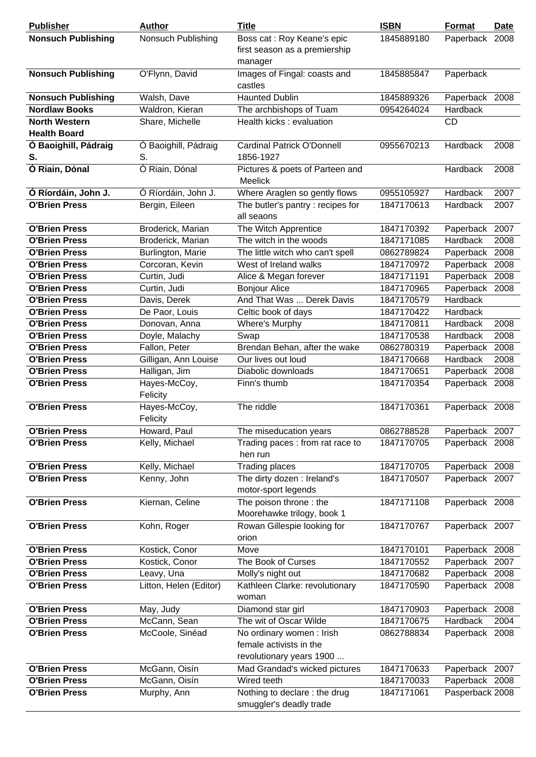| <b>Publisher</b>                            | <b>Author</b>            | <b>Title</b>                                                                    | <b>ISBN</b> | <b>Format</b>   | <b>Date</b> |
|---------------------------------------------|--------------------------|---------------------------------------------------------------------------------|-------------|-----------------|-------------|
| <b>Nonsuch Publishing</b>                   | Nonsuch Publishing       | Boss cat : Roy Keane's epic<br>first season as a premiership<br>manager         | 1845889180  | Paperback       | 2008        |
| <b>Nonsuch Publishing</b>                   | O'Flynn, David           | Images of Fingal: coasts and<br>castles                                         | 1845885847  | Paperback       |             |
| <b>Nonsuch Publishing</b>                   | Walsh, Dave              | <b>Haunted Dublin</b>                                                           | 1845889326  | Paperback 2008  |             |
| <b>Nordlaw Books</b>                        | Waldron, Kieran          | The archbishops of Tuam                                                         | 0954264024  | Hardback        |             |
| <b>North Western</b><br><b>Health Board</b> | Share, Michelle          | Health kicks: evaluation                                                        |             | CD              |             |
| Ó Baoighill, Pádraig                        | Ó Baoighill, Pádraig     | <b>Cardinal Patrick O'Donnell</b>                                               | 0955670213  | Hardback        | 2008        |
| S.                                          | S.                       | 1856-1927                                                                       |             |                 |             |
| Ó Riain, Dónal                              | Ó Riain, Dónal           | Pictures & poets of Parteen and<br><b>Meelick</b>                               |             | Hardback        | 2008        |
| Ó Ríordáin, John J.                         | Ó Ríordáin, John J.      | Where Araglen so gently flows                                                   | 0955105927  | Hardback        | 2007        |
| <b>O'Brien Press</b>                        | Bergin, Eileen           | The butler's pantry: recipes for<br>all seaons                                  | 1847170613  | Hardback        | 2007        |
| <b>O'Brien Press</b>                        | Broderick, Marian        | The Witch Apprentice                                                            | 1847170392  | Paperback       | 2007        |
| <b>O'Brien Press</b>                        | Broderick, Marian        | The witch in the woods                                                          | 1847171085  | Hardback        | 2008        |
| <b>O'Brien Press</b>                        | Burlington, Marie        | The little witch who can't spell                                                | 0862789824  | Paperback 2008  |             |
| <b>O'Brien Press</b>                        | Corcoran, Kevin          | West of Ireland walks                                                           | 1847170972  | Paperback 2008  |             |
| <b>O'Brien Press</b>                        | Curtin, Judi             | Alice & Megan forever                                                           | 1847171191  | Paperback       | 2008        |
| <b>O'Brien Press</b>                        | Curtin, Judi             | <b>Bonjour Alice</b>                                                            | 1847170965  | Paperback 2008  |             |
| <b>O'Brien Press</b>                        | Davis, Derek             | And That Was  Derek Davis                                                       | 1847170579  | Hardback        |             |
| <b>O'Brien Press</b>                        | De Paor, Louis           | Celtic book of days                                                             | 1847170422  | Hardback        |             |
| <b>O'Brien Press</b>                        | Donovan, Anna            | Where's Murphy                                                                  | 1847170811  | Hardback        | 2008        |
| <b>O'Brien Press</b>                        | Doyle, Malachy           | Swap                                                                            | 1847170538  | Hardback        | 2008        |
| <b>O'Brien Press</b>                        | Fallon, Peter            | Brendan Behan, after the wake                                                   | 0862780319  | Paperback       | 2008        |
| <b>O'Brien Press</b>                        | Gilligan, Ann Louise     | Our lives out loud                                                              | 1847170668  | Hardback        | 2008        |
| <b>O'Brien Press</b>                        | Halligan, Jim            | Diabolic downloads                                                              | 1847170651  | Paperback       | 2008        |
| <b>O'Brien Press</b>                        | Hayes-McCoy,<br>Felicity | Finn's thumb                                                                    | 1847170354  | Paperback 2008  |             |
| <b>O'Brien Press</b>                        | Hayes-McCoy,<br>Felicity | The riddle                                                                      | 1847170361  | Paperback 2008  |             |
| <b>O'Brien Press</b>                        | Howard, Paul             | The miseducation years                                                          | 0862788528  | Paperback 2007  |             |
| <b>O'Brien Press</b>                        | Kelly, Michael           | Trading paces : from rat race to<br>hen run                                     | 1847170705  | Paperback 2008  |             |
| <b>O'Brien Press</b>                        | Kelly, Michael           | <b>Trading places</b>                                                           | 1847170705  | Paperback 2008  |             |
| <b>O'Brien Press</b>                        | Kenny, John              | The dirty dozen : Ireland's                                                     | 1847170507  | Paperback 2007  |             |
|                                             |                          | motor-sport legends                                                             |             |                 |             |
| <b>O'Brien Press</b>                        | Kiernan, Celine          | The poison throne: the<br>Moorehawke trilogy, book 1                            | 1847171108  | Paperback 2008  |             |
| <b>O'Brien Press</b>                        | Kohn, Roger              | Rowan Gillespie looking for<br>orion                                            | 1847170767  | Paperback 2007  |             |
| <b>O'Brien Press</b>                        | Kostick, Conor           | Move                                                                            | 1847170101  | Paperback 2008  |             |
| <b>O'Brien Press</b>                        | Kostick, Conor           | The Book of Curses                                                              | 1847170552  | Paperback 2007  |             |
| <b>O'Brien Press</b>                        | Leavy, Una               | Molly's night out                                                               | 1847170682  | Paperback       | 2008        |
| <b>O'Brien Press</b>                        | Litton, Helen (Editor)   | Kathleen Clarke: revolutionary<br>woman                                         | 1847170590  | Paperback 2008  |             |
| <b>O'Brien Press</b>                        | May, Judy                | Diamond star girl                                                               | 1847170903  | Paperback 2008  |             |
| <b>O'Brien Press</b>                        | McCann, Sean             | The wit of Oscar Wilde                                                          | 1847170675  | Hardback        | 2004        |
| <b>O'Brien Press</b>                        | McCoole, Sinéad          | No ordinary women: Irish<br>female activists in the<br>revolutionary years 1900 | 0862788834  | Paperback 2008  |             |
| <b>O'Brien Press</b>                        | McGann, Oisín            | Mad Grandad's wicked pictures                                                   | 1847170633  | Paperback 2007  |             |
| <b>O'Brien Press</b>                        | McGann, Oisín            | Wired teeth                                                                     | 1847170033  | Paperback 2008  |             |
| <b>O'Brien Press</b>                        | Murphy, Ann              | Nothing to declare: the drug<br>smuggler's deadly trade                         | 1847171061  | Pasperback 2008 |             |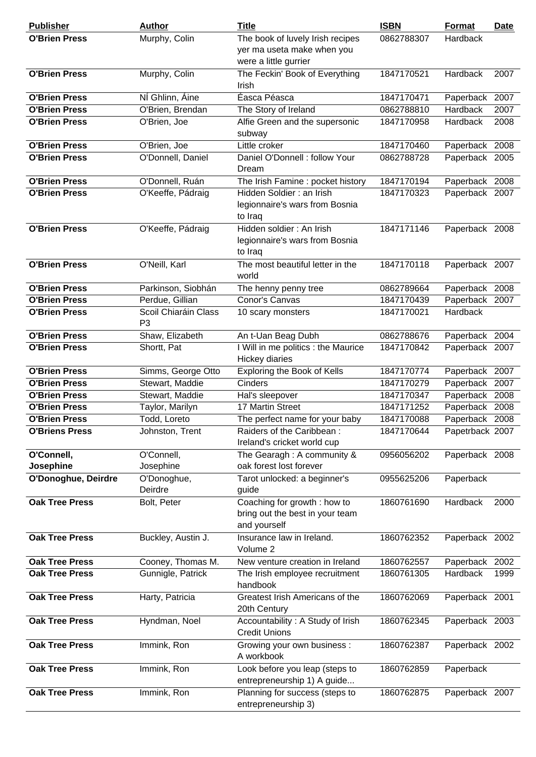| <b>Publisher</b>                 | <b>Author</b>                          | <b>Title</b>                                                                            | <b>ISBN</b> | <b>Format</b>   | Date |
|----------------------------------|----------------------------------------|-----------------------------------------------------------------------------------------|-------------|-----------------|------|
| <b>O'Brien Press</b>             | Murphy, Colin                          | The book of luvely Irish recipes<br>yer ma useta make when you<br>were a little gurrier | 0862788307  | Hardback        |      |
| <b>O'Brien Press</b>             | Murphy, Colin                          | The Feckin' Book of Everything<br><b>Irish</b>                                          | 1847170521  | Hardback        | 2007 |
| <b>O'Brien Press</b>             | NÍ Ghlinn, Áine                        | Éasca Péasca                                                                            | 1847170471  | Paperback       | 2007 |
| <b>O'Brien Press</b>             | O'Brien, Brendan                       | The Story of Ireland                                                                    | 0862788810  | Hardback        | 2007 |
| <b>O'Brien Press</b>             | O'Brien, Joe                           | Alfie Green and the supersonic<br>subway                                                | 1847170958  | Hardback        | 2008 |
| <b>O'Brien Press</b>             | O'Brien, Joe                           | Little croker                                                                           | 1847170460  | Paperback 2008  |      |
| <b>O'Brien Press</b>             | O'Donnell, Daniel                      | Daniel O'Donnell : follow Your<br>Dream                                                 | 0862788728  | Paperback 2005  |      |
| <b>O'Brien Press</b>             | O'Donnell, Ruán                        | The Irish Famine : pocket history                                                       | 1847170194  | Paperback 2008  |      |
| <b>O'Brien Press</b>             | O'Keeffe, Pádraig                      | Hidden Soldier: an Irish<br>legionnaire's wars from Bosnia<br>to Iraq                   | 1847170323  | Paperback 2007  |      |
| <b>O'Brien Press</b>             | O'Keeffe, Pádraig                      | Hidden soldier : An Irish<br>legionnaire's wars from Bosnia<br>to Iraq                  | 1847171146  | Paperback 2008  |      |
| <b>O'Brien Press</b>             | O'Neill, Karl                          | The most beautiful letter in the<br>world                                               | 1847170118  | Paperback 2007  |      |
| <b>O'Brien Press</b>             | Parkinson, Siobhán                     | The henny penny tree                                                                    | 0862789664  | Paperback 2008  |      |
| <b>O'Brien Press</b>             | Perdue, Gillian                        | Conor's Canvas                                                                          | 1847170439  | Paperback 2007  |      |
| <b>O'Brien Press</b>             | Scoil Chiaráin Class<br>P <sub>3</sub> | 10 scary monsters                                                                       | 1847170021  | Hardback        |      |
| <b>O'Brien Press</b>             | Shaw, Elizabeth                        | An t-Uan Beag Dubh                                                                      | 0862788676  | Paperback 2004  |      |
| <b>O'Brien Press</b>             | Shortt, Pat                            | I Will in me politics : the Maurice<br><b>Hickey diaries</b>                            | 1847170842  | Paperback 2007  |      |
| <b>O'Brien Press</b>             | Simms, George Otto                     | Exploring the Book of Kells                                                             | 1847170774  | Paperback 2007  |      |
| <b>O'Brien Press</b>             | Stewart, Maddie                        | Cinders                                                                                 | 1847170279  | Paperback 2007  |      |
| <b>O'Brien Press</b>             | Stewart, Maddie                        | Hal's sleepover                                                                         | 1847170347  | Paperback 2008  |      |
| <b>O'Brien Press</b>             | Taylor, Marilyn                        | 17 Martin Street                                                                        | 1847171252  | Paperback       | 2008 |
| <b>O'Brien Press</b>             | Todd, Loreto                           | The perfect name for your baby                                                          | 1847170088  | Paperback 2008  |      |
| <b>O'Briens Press</b>            | Johnston, Trent                        | Raiders of the Caribbean:<br>Ireland's cricket world cup                                | 1847170644  | Papetrback 2007 |      |
| O'Connell,                       | O'Connell,                             | The Gearagh: A community &                                                              | 0956056202  | Paperback 2008  |      |
| Josephine<br>O'Donoghue, Deirdre | Josephine<br>O'Donoghue,               | oak forest lost forever<br>Tarot unlocked: a beginner's                                 | 0955625206  | Paperback       |      |
|                                  | Deirdre                                | guide                                                                                   |             |                 |      |
| <b>Oak Tree Press</b>            | Bolt, Peter                            | Coaching for growth: how to<br>bring out the best in your team<br>and yourself          | 1860761690  | Hardback        | 2000 |
| <b>Oak Tree Press</b>            | Buckley, Austin J.                     | Insurance law in Ireland.<br>Volume 2                                                   | 1860762352  | Paperback 2002  |      |
| <b>Oak Tree Press</b>            | Cooney, Thomas M.                      | New venture creation in Ireland                                                         | 1860762557  | Paperback 2002  |      |
| <b>Oak Tree Press</b>            | Gunnigle, Patrick                      | The Irish employee recruitment<br>handbook                                              | 1860761305  | Hardback        | 1999 |
| <b>Oak Tree Press</b>            | Harty, Patricia                        | Greatest Irish Americans of the<br>20th Century                                         | 1860762069  | Paperback 2001  |      |
| <b>Oak Tree Press</b>            | Hyndman, Noel                          | Accountability: A Study of Irish<br><b>Credit Unions</b>                                | 1860762345  | Paperback 2003  |      |
| <b>Oak Tree Press</b>            | Immink, Ron                            | Growing your own business :<br>A workbook                                               | 1860762387  | Paperback 2002  |      |
| <b>Oak Tree Press</b>            | Immink, Ron                            | Look before you leap (steps to<br>entrepreneurship 1) A guide                           | 1860762859  | Paperback       |      |
| <b>Oak Tree Press</b>            | Immink, Ron                            | Planning for success (steps to<br>entrepreneurship 3)                                   | 1860762875  | Paperback 2007  |      |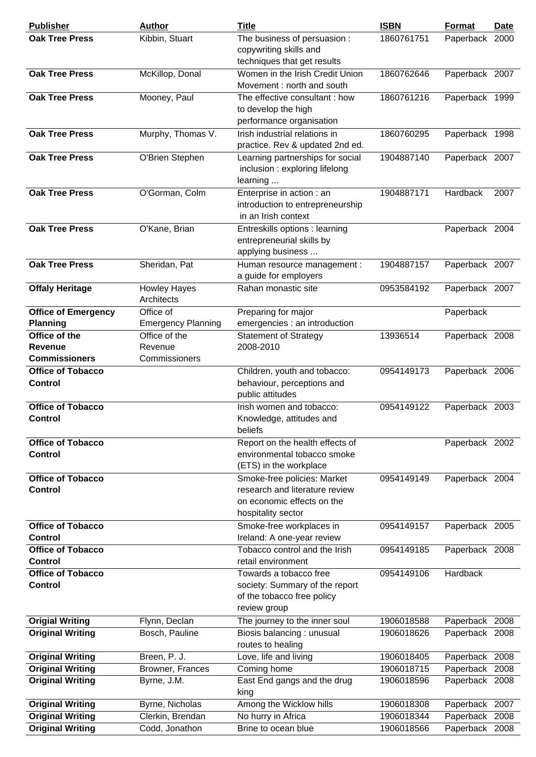| <b>Publisher</b>                           | <b>Author</b>                     | <b>Title</b>                                                                                                      | <b>ISBN</b> | <b>Format</b>  | <b>Date</b> |
|--------------------------------------------|-----------------------------------|-------------------------------------------------------------------------------------------------------------------|-------------|----------------|-------------|
| <b>Oak Tree Press</b>                      | Kibbin, Stuart                    | The business of persuasion :<br>copywriting skills and<br>techniques that get results                             | 1860761751  | Paperback 2000 |             |
| <b>Oak Tree Press</b>                      | McKillop, Donal                   | Women in the Irish Credit Union<br>Movement: north and south                                                      | 1860762646  | Paperback 2007 |             |
| <b>Oak Tree Press</b>                      | Mooney, Paul                      | The effective consultant: how<br>to develop the high<br>performance organisation                                  | 1860761216  | Paperback 1999 |             |
| <b>Oak Tree Press</b>                      | Murphy, Thomas V.                 | Irish industrial relations in<br>practice. Rev & updated 2nd ed.                                                  | 1860760295  | Paperback 1998 |             |
| <b>Oak Tree Press</b>                      | O'Brien Stephen                   | Learning partnerships for social<br>inclusion: exploring lifelong<br>learning                                     | 1904887140  | Paperback 2007 |             |
| <b>Oak Tree Press</b>                      | O'Gorman, Colm                    | Enterprise in action : an<br>introduction to entrepreneurship<br>in an Irish context                              | 1904887171  | Hardback       | 2007        |
| <b>Oak Tree Press</b>                      | O'Kane, Brian                     | Entreskills options : learning<br>entrepreneurial skills by<br>applying business                                  |             | Paperback 2004 |             |
| <b>Oak Tree Press</b>                      | Sheridan, Pat                     | Human resource management :<br>a guide for employers                                                              | 1904887157  | Paperback 2007 |             |
| <b>Offaly Heritage</b>                     | <b>Howley Hayes</b><br>Architects | Rahan monastic site                                                                                               | 0953584192  | Paperback 2007 |             |
| <b>Office of Emergency</b>                 | Office of                         | Preparing for major                                                                                               |             | Paperback      |             |
| <b>Planning</b>                            | <b>Emergency Planning</b>         | emergencies : an introduction                                                                                     |             |                |             |
| Office of the                              | Office of the                     | <b>Statement of Strategy</b>                                                                                      | 13936514    | Paperback 2008 |             |
| Revenue                                    | Revenue                           | 2008-2010                                                                                                         |             |                |             |
| <b>Commissioners</b>                       | Commissioners                     |                                                                                                                   |             |                |             |
| <b>Office of Tobacco</b><br><b>Control</b> |                                   | Children, youth and tobacco:<br>behaviour, perceptions and<br>public attitudes                                    | 0954149173  | Paperback 2006 |             |
| <b>Office of Tobacco</b><br><b>Control</b> |                                   | Irish women and tobacco:<br>Knowledge, attitudes and<br>beliefs                                                   | 0954149122  | Paperback 2003 |             |
| <b>Office of Tobacco</b><br><b>Control</b> |                                   | Report on the health effects of<br>environmental tobacco smoke<br>(ETS) in the workplace                          |             | Paperback 2002 |             |
| <b>Office of Tobacco</b><br><b>Control</b> |                                   | Smoke-free policies: Market<br>research and literature review<br>on economic effects on the<br>hospitality sector | 0954149149  | Paperback 2004 |             |
| <b>Office of Tobacco</b><br><b>Control</b> |                                   | Smoke-free workplaces in<br>Ireland: A one-year review                                                            | 0954149157  | Paperback 2005 |             |
| <b>Office of Tobacco</b><br><b>Control</b> |                                   | Tobacco control and the Irish<br>retail environment                                                               | 0954149185  | Paperback 2008 |             |
| <b>Office of Tobacco</b><br><b>Control</b> |                                   | Towards a tobacco free<br>society: Summary of the report<br>of the tobacco free policy<br>review group            | 0954149106  | Hardback       |             |
| <b>Origial Writing</b>                     | Flynn, Declan                     | The journey to the inner soul                                                                                     | 1906018588  | Paperback 2008 |             |
| <b>Original Writing</b>                    | Bosch, Pauline                    | Biosis balancing: unusual<br>routes to healing                                                                    | 1906018626  | Paperback 2008 |             |
| <b>Original Writing</b>                    | Breen, P. J.                      | Love, life and living                                                                                             | 1906018405  | Paperback 2008 |             |
| <b>Original Writing</b>                    | Browner, Frances                  | Coming home                                                                                                       | 1906018715  | Paperback 2008 |             |
| <b>Original Writing</b>                    | Byrne, J.M.                       | East End gangs and the drug<br>king                                                                               | 1906018596  | Paperback 2008 |             |
| <b>Original Writing</b>                    | Byrne, Nicholas                   | Among the Wicklow hills                                                                                           | 1906018308  | Paperback 2007 |             |
| <b>Original Writing</b>                    | Clerkin, Brendan                  | No hurry in Africa                                                                                                | 1906018344  | Paperback 2008 |             |
| <b>Original Writing</b>                    | Codd, Jonathon                    | Brine to ocean blue                                                                                               | 1906018566  | Paperback 2008 |             |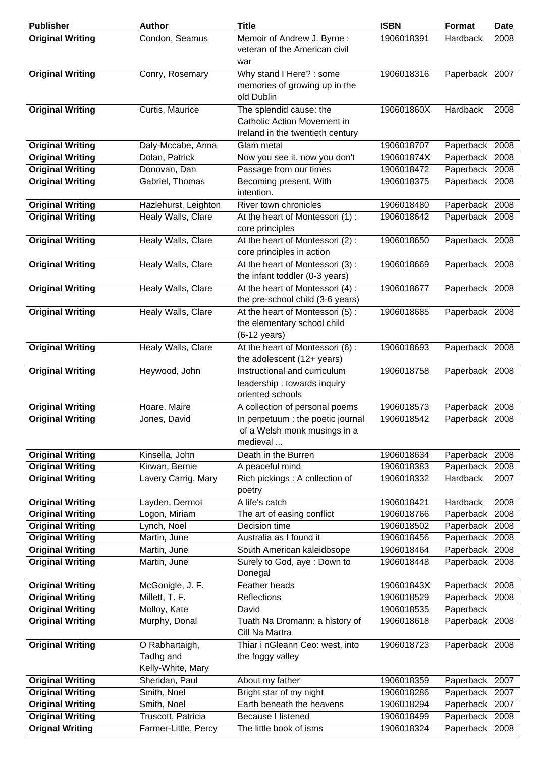| <b>Publisher</b>                                   | <b>Author</b>                                    | <b>Title</b>                                                                               | <b>ISBN</b>              | <b>Format</b>               | <b>Date</b> |
|----------------------------------------------------|--------------------------------------------------|--------------------------------------------------------------------------------------------|--------------------------|-----------------------------|-------------|
| <b>Original Writing</b>                            | Condon, Seamus                                   | Memoir of Andrew J. Byrne:<br>veteran of the American civil<br>war                         | 1906018391               | Hardback                    | 2008        |
| <b>Original Writing</b>                            | Conry, Rosemary                                  | Why stand I Here? : some<br>memories of growing up in the<br>old Dublin                    | 1906018316               | Paperback 2007              |             |
| <b>Original Writing</b>                            | Curtis, Maurice                                  | The splendid cause: the<br>Catholic Action Movement in<br>Ireland in the twentieth century | 190601860X               | Hardback                    | 2008        |
| <b>Original Writing</b>                            | Daly-Mccabe, Anna                                | Glam metal                                                                                 | 1906018707               | Paperback 2008              |             |
| <b>Original Writing</b>                            | Dolan, Patrick                                   | Now you see it, now you don't                                                              | 190601874X               | Paperback                   | 2008        |
| <b>Original Writing</b>                            | Donovan, Dan                                     | Passage from our times                                                                     | 1906018472               | Paperback 2008              |             |
| <b>Original Writing</b>                            | Gabriel, Thomas                                  | Becoming present. With<br>intention.                                                       | 1906018375               | Paperback 2008              |             |
| <b>Original Writing</b>                            | Hazlehurst, Leighton                             | River town chronicles                                                                      | 1906018480               | Paperback 2008              |             |
| <b>Original Writing</b>                            | Healy Walls, Clare                               | At the heart of Montessori (1):<br>core principles                                         | 1906018642               | Paperback 2008              |             |
| <b>Original Writing</b>                            | Healy Walls, Clare                               | At the heart of Montessori (2):<br>core principles in action                               | 1906018650               | Paperback 2008              |             |
| <b>Original Writing</b>                            | Healy Walls, Clare                               | At the heart of Montessori (3):<br>the infant toddler (0-3 years)                          | 1906018669               | Paperback 2008              |             |
| <b>Original Writing</b>                            | Healy Walls, Clare                               | At the heart of Montessori (4):<br>the pre-school child (3-6 years)                        | 1906018677               | Paperback 2008              |             |
| <b>Original Writing</b>                            | Healy Walls, Clare                               | At the heart of Montessori (5):<br>the elementary school child<br>$(6-12 \text{ years})$   | 1906018685               | Paperback 2008              |             |
| <b>Original Writing</b>                            | Healy Walls, Clare                               | At the heart of Montessori (6):<br>the adolescent (12+ years)                              | 1906018693               | Paperback 2008              |             |
| <b>Original Writing</b>                            | Heywood, John                                    | Instructional and curriculum<br>leadership: towards inquiry<br>oriented schools            | 1906018758               | Paperback 2008              |             |
| <b>Original Writing</b>                            | Hoare, Maire                                     | A collection of personal poems                                                             | 1906018573               | Paperback 2008              |             |
| <b>Original Writing</b>                            | Jones, David                                     | In perpetuum : the poetic journal<br>of a Welsh monk musings in a<br>medieval              | 1906018542               | Paperback 2008              |             |
| <b>Original Writing</b>                            | Kinsella, John                                   | Death in the Burren                                                                        | 1906018634               | Paperback                   | 2008        |
| <b>Original Writing</b>                            | Kirwan, Bernie                                   | A peaceful mind                                                                            | 1906018383               | Paperback                   | 2008        |
| <b>Original Writing</b>                            | Lavery Carrig, Mary                              | Rich pickings : A collection of<br>poetry                                                  | 1906018332               | Hardback                    | 2007        |
| <b>Original Writing</b>                            | Layden, Dermot                                   | A life's catch                                                                             | 1906018421               | Hardback                    | 2008        |
| <b>Original Writing</b>                            | Logon, Miriam                                    | The art of easing conflict                                                                 | 1906018766               | Paperback                   | 2008        |
| <b>Original Writing</b><br><b>Original Writing</b> | Lynch, Noel                                      | Decision time                                                                              | 1906018502<br>1906018456 | Paperback<br>Paperback      | 2008        |
| <b>Original Writing</b>                            | Martin, June<br>Martin, June                     | Australia as I found it<br>South American kaleidosope                                      | 1906018464               | Paperback 2008              | 2008        |
| <b>Original Writing</b>                            | Martin, June                                     | Surely to God, aye: Down to<br>Donegal                                                     | 1906018448               | Paperback 2008              |             |
| <b>Original Writing</b>                            | McGonigle, J. F.                                 | Feather heads                                                                              | 190601843X               | Paperback 2008              |             |
| <b>Original Writing</b>                            | Millett, T. F.                                   | Reflections                                                                                | 1906018529               | Paperback 2008              |             |
| <b>Original Writing</b>                            | Molloy, Kate                                     | David                                                                                      | 1906018535               | Paperback                   |             |
| <b>Original Writing</b>                            | Murphy, Donal                                    | Tuath Na Dromann: a history of<br>Cill Na Martra                                           | 1906018618               | Paperback 2008              |             |
| <b>Original Writing</b>                            | O Rabhartaigh,<br>Tadhg and<br>Kelly-White, Mary | Thiar i nGleann Ceo: west, into<br>the foggy valley                                        | 1906018723               | Paperback 2008              |             |
| <b>Original Writing</b>                            | Sheridan, Paul                                   | About my father                                                                            | 1906018359               | Paperback 2007              |             |
| <b>Original Writing</b>                            | Smith, Noel                                      | Bright star of my night                                                                    | 1906018286               | Paperback                   | 2007        |
| <b>Original Writing</b>                            | Smith, Noel                                      | Earth beneath the heavens                                                                  | 1906018294               | Paperback 2007              |             |
| <b>Original Writing</b><br><b>Orignal Writing</b>  | Truscott, Patricia<br>Farmer-Little, Percy       | <b>Because I listened</b><br>The little book of isms                                       | 1906018499<br>1906018324 | Paperback<br>Paperback 2008 | 2008        |
|                                                    |                                                  |                                                                                            |                          |                             |             |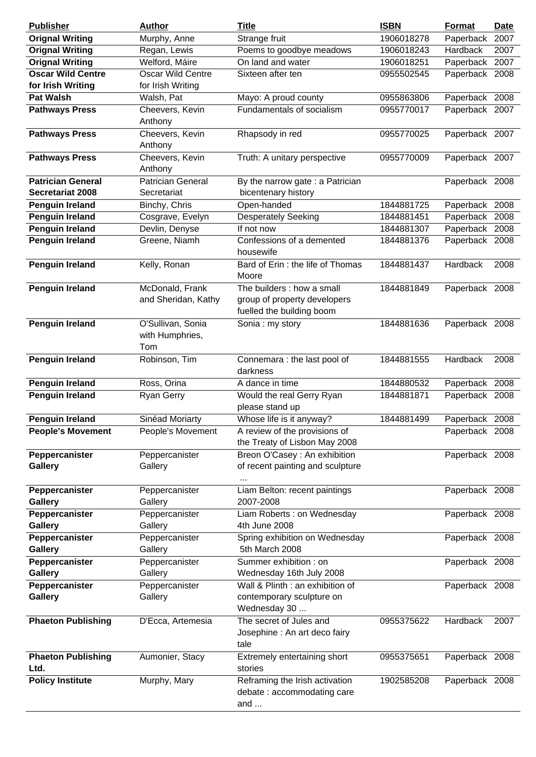| <b>Publisher</b>                              | <b>Author</b>                               | <b>Title</b>                                                                            | <b>ISBN</b> | <b>Format</b>  | <b>Date</b> |
|-----------------------------------------------|---------------------------------------------|-----------------------------------------------------------------------------------------|-------------|----------------|-------------|
| <b>Orignal Writing</b>                        | Murphy, Anne                                | Strange fruit                                                                           | 1906018278  | Paperback      | 2007        |
| <b>Orignal Writing</b>                        | Regan, Lewis                                | Poems to goodbye meadows                                                                | 1906018243  | Hardback       | 2007        |
| <b>Orignal Writing</b>                        | Welford, Máire                              | On land and water                                                                       | 1906018251  | Paperback 2007 |             |
| <b>Oscar Wild Centre</b><br>for Irish Writing | Oscar Wild Centre<br>for Irish Writing      | Sixteen after ten                                                                       | 0955502545  | Paperback 2008 |             |
| <b>Pat Walsh</b>                              | Walsh, Pat                                  | Mayo: A proud county                                                                    | 0955863806  | Paperback 2008 |             |
| <b>Pathways Press</b>                         | Cheevers, Kevin                             | Fundamentals of socialism                                                               | 0955770017  | Paperback 2007 |             |
|                                               | Anthony                                     |                                                                                         |             |                |             |
| <b>Pathways Press</b>                         | Cheevers, Kevin<br>Anthony                  | Rhapsody in red                                                                         | 0955770025  | Paperback 2007 |             |
| <b>Pathways Press</b>                         | Cheevers, Kevin<br>Anthony                  | Truth: A unitary perspective                                                            | 0955770009  | Paperback 2007 |             |
| <b>Patrician General</b>                      | <b>Patrician General</b>                    | By the narrow gate : a Patrician                                                        |             | Paperback 2008 |             |
| <b>Secretariat 2008</b>                       | Secretariat                                 | bicentenary history                                                                     |             |                |             |
| <b>Penguin Ireland</b>                        | Binchy, Chris                               | Open-handed                                                                             | 1844881725  | Paperback 2008 |             |
| <b>Penguin Ireland</b>                        | Cosgrave, Evelyn                            | <b>Desperately Seeking</b>                                                              | 1844881451  | Paperback 2008 |             |
| <b>Penguin Ireland</b>                        | Devlin, Denyse                              | If not now                                                                              | 1844881307  | Paperback 2008 |             |
| <b>Penguin Ireland</b>                        | Greene, Niamh                               | Confessions of a demented                                                               | 1844881376  | Paperback 2008 |             |
| <b>Penguin Ireland</b>                        |                                             | housewife<br>Bard of Erin : the life of Thomas                                          | 1844881437  | Hardback       | 2008        |
|                                               | Kelly, Ronan                                | Moore                                                                                   |             |                |             |
| <b>Penguin Ireland</b>                        | McDonald, Frank<br>and Sheridan, Kathy      | The builders : how a small<br>group of property developers<br>fuelled the building boom | 1844881849  | Paperback 2008 |             |
| <b>Penguin Ireland</b>                        | O'Sullivan, Sonia<br>with Humphries,<br>Tom | Sonia: my story                                                                         | 1844881636  | Paperback 2008 |             |
| <b>Penguin Ireland</b>                        | Robinson, Tim                               | Connemara : the last pool of<br>darkness                                                | 1844881555  | Hardback       | 2008        |
| <b>Penguin Ireland</b>                        | Ross, Orina                                 | A dance in time                                                                         | 1844880532  | Paperback 2008 |             |
| Penguin Ireland                               | <b>Ryan Gerry</b>                           | Would the real Gerry Ryan<br>please stand up                                            | 1844881871  | Paperback 2008 |             |
| <b>Penguin Ireland</b>                        | Sinéad Moriarty                             | Whose life is it anyway?                                                                | 1844881499  | Paperback 2008 |             |
| <b>People's Movement</b>                      | People's Movement                           | A review of the provisions of<br>the Treaty of Lisbon May 2008                          |             | Paperback 2008 |             |
| Peppercanister<br><b>Gallery</b>              | Peppercanister<br>Gallery                   | Breon O'Casey : An exhibition<br>of recent painting and sculpture                       |             | Paperback 2008 |             |
| Peppercanister<br><b>Gallery</b>              | Peppercanister<br>Gallery                   | Liam Belton: recent paintings<br>2007-2008                                              |             | Paperback 2008 |             |
| Peppercanister<br><b>Gallery</b>              | Peppercanister<br>Gallery                   | Liam Roberts: on Wednesday<br>4th June 2008                                             |             | Paperback 2008 |             |
| Peppercanister<br><b>Gallery</b>              | Peppercanister<br>Gallery                   | Spring exhibition on Wednesday<br>5th March 2008                                        |             | Paperback 2008 |             |
| Peppercanister<br><b>Gallery</b>              | Peppercanister<br>Gallery                   | Summer exhibition : on<br>Wednesday 16th July 2008                                      |             | Paperback 2008 |             |
|                                               |                                             |                                                                                         |             |                |             |
| Peppercanister<br><b>Gallery</b>              | Peppercanister<br>Gallery                   | Wall & Plinth : an exhibition of<br>contemporary sculpture on<br>Wednesday 30           |             | Paperback 2008 |             |
| <b>Phaeton Publishing</b>                     | D'Ecca, Artemesia                           | The secret of Jules and<br>Josephine : An art deco fairy<br>tale                        | 0955375622  | Hardback       | 2007        |
| <b>Phaeton Publishing</b><br>Ltd.             | Aumonier, Stacy                             | Extremely entertaining short<br>stories                                                 | 0955375651  | Paperback 2008 |             |
| <b>Policy Institute</b>                       | Murphy, Mary                                | Reframing the Irish activation<br>debate: accommodating care<br>and $\dots$             | 1902585208  | Paperback 2008 |             |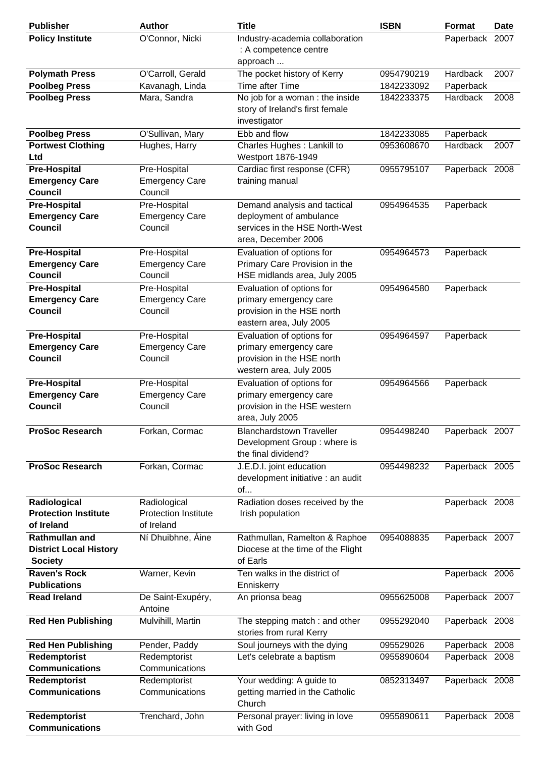| <b>Publisher</b>                                                         | <b>Author</b>                                             | <b>Title</b>                                                                                                     | <b>ISBN</b> | Format          | <b>Date</b> |
|--------------------------------------------------------------------------|-----------------------------------------------------------|------------------------------------------------------------------------------------------------------------------|-------------|-----------------|-------------|
| <b>Policy Institute</b>                                                  | O'Connor, Nicki                                           | Industry-academia collaboration<br>: A competence centre<br>approach                                             |             | Paperback       | 2007        |
| <b>Polymath Press</b>                                                    | O'Carroll, Gerald                                         | The pocket history of Kerry                                                                                      | 0954790219  | Hardback        | 2007        |
| <b>Poolbeg Press</b>                                                     | Kavanagh, Linda                                           | Time after Time                                                                                                  | 1842233092  | Paperback       |             |
| <b>Poolbeg Press</b>                                                     | Mara, Sandra                                              | No job for a woman : the inside<br>story of Ireland's first female<br>investigator                               | 1842233375  | <b>Hardback</b> | 2008        |
| <b>Poolbeg Press</b>                                                     | O'Sullivan, Mary                                          | Ebb and flow                                                                                                     | 1842233085  | Paperback       |             |
| <b>Portwest Clothing</b><br>Ltd                                          | Hughes, Harry                                             | Charles Hughes : Lankill to<br>Westport 1876-1949                                                                | 0953608670  | Hardback        | 2007        |
| <b>Pre-Hospital</b><br><b>Emergency Care</b><br><b>Council</b>           | Pre-Hospital<br><b>Emergency Care</b><br>Council          | Cardiac first response (CFR)<br>training manual                                                                  | 0955795107  | Paperback 2008  |             |
| <b>Pre-Hospital</b><br><b>Emergency Care</b><br><b>Council</b>           | Pre-Hospital<br><b>Emergency Care</b><br>Council          | Demand analysis and tactical<br>deployment of ambulance<br>services in the HSE North-West<br>area, December 2006 | 0954964535  | Paperback       |             |
| <b>Pre-Hospital</b><br><b>Emergency Care</b><br><b>Council</b>           | Pre-Hospital<br><b>Emergency Care</b><br>Council          | Evaluation of options for<br>Primary Care Provision in the<br>HSE midlands area, July 2005                       | 0954964573  | Paperback       |             |
| <b>Pre-Hospital</b><br><b>Emergency Care</b><br><b>Council</b>           | Pre-Hospital<br><b>Emergency Care</b><br>Council          | Evaluation of options for<br>primary emergency care<br>provision in the HSE north<br>eastern area, July 2005     | 0954964580  | Paperback       |             |
| <b>Pre-Hospital</b><br><b>Emergency Care</b><br><b>Council</b>           | Pre-Hospital<br><b>Emergency Care</b><br>Council          | Evaluation of options for<br>primary emergency care<br>provision in the HSE north<br>western area, July 2005     | 0954964597  | Paperback       |             |
| <b>Pre-Hospital</b><br><b>Emergency Care</b><br><b>Council</b>           | Pre-Hospital<br><b>Emergency Care</b><br>Council          | Evaluation of options for<br>primary emergency care<br>provision in the HSE western<br>area, July 2005           | 0954964566  | Paperback       |             |
| <b>ProSoc Research</b>                                                   | Forkan, Cormac                                            | <b>Blanchardstown Traveller</b><br>Development Group: where is<br>the final dividend?                            | 0954498240  | Paperback 2007  |             |
| <b>ProSoc Research</b>                                                   | Forkan, Cormac                                            | J.E.D.I. joint education<br>development initiative : an audit<br>of                                              | 0954498232  | Paperback 2005  |             |
| Radiological<br><b>Protection Institute</b><br>of Ireland                | Radiological<br><b>Protection Institute</b><br>of Ireland | Radiation doses received by the<br>Irish population                                                              |             | Paperback 2008  |             |
| <b>Rathmullan and</b><br><b>District Local History</b><br><b>Society</b> | Ní Dhuibhne, Áine                                         | Rathmullan, Ramelton & Raphoe<br>Diocese at the time of the Flight<br>of Earls                                   | 0954088835  | Paperback 2007  |             |
| <b>Raven's Rock</b><br><b>Publications</b>                               | Warner, Kevin                                             | Ten walks in the district of<br>Enniskerry                                                                       |             | Paperback 2006  |             |
| <b>Read Ireland</b>                                                      | De Saint-Exupéry,<br>Antoine                              | An prionsa beag                                                                                                  | 0955625008  | Paperback 2007  |             |
| <b>Red Hen Publishing</b>                                                | Mulvihill, Martin                                         | The stepping match: and other<br>stories from rural Kerry                                                        | 0955292040  | Paperback 2008  |             |
| <b>Red Hen Publishing</b>                                                | Pender, Paddy                                             | Soul journeys with the dying                                                                                     | 095529026   | Paperback 2008  |             |
| Redemptorist                                                             | Redemptorist                                              | Let's celebrate a baptism                                                                                        | 0955890604  | Paperback 2008  |             |
| <b>Communications</b>                                                    | Communications                                            |                                                                                                                  |             |                 |             |
| Redemptorist<br><b>Communications</b>                                    | Redemptorist<br>Communications                            | Your wedding: A guide to<br>getting married in the Catholic<br>Church                                            | 0852313497  | Paperback 2008  |             |
| Redemptorist<br><b>Communications</b>                                    | Trenchard, John                                           | Personal prayer: living in love<br>with God                                                                      | 0955890611  | Paperback 2008  |             |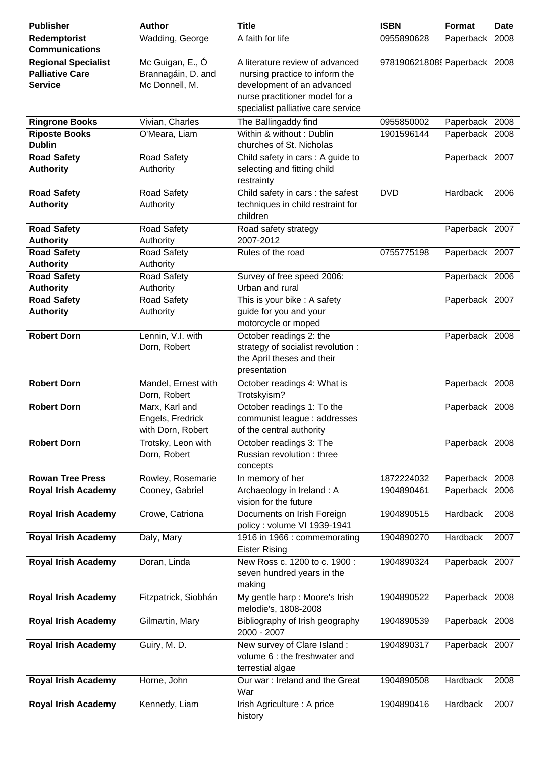| <b>Publisher</b>           | <b>Author</b>                     | <b>Title</b>                                                  | <b>ISBN</b>                  | Format         | <b>Date</b> |
|----------------------------|-----------------------------------|---------------------------------------------------------------|------------------------------|----------------|-------------|
| Redemptorist               | Wadding, George                   | A faith for life                                              | 0955890628                   | Paperback 2008 |             |
| <b>Communications</b>      |                                   |                                                               |                              |                |             |
| <b>Regional Specialist</b> | Mc Guigan, E., Ó                  | A literature review of advanced                               | 9781906218089 Paperback 2008 |                |             |
| <b>Palliative Care</b>     | Brannagáin, D. and                | nursing practice to inform the                                |                              |                |             |
| <b>Service</b>             | Mc Donnell, M.                    | development of an advanced                                    |                              |                |             |
|                            |                                   | nurse practitioner model for a                                |                              |                |             |
|                            |                                   | specialist palliative care service                            |                              |                |             |
| <b>Ringrone Books</b>      | Vivian, Charles                   | The Ballingaddy find                                          | 0955850002                   | Paperback 2008 |             |
| <b>Riposte Books</b>       | O'Meara, Liam                     | Within & without: Dublin                                      | 1901596144                   | Paperback 2008 |             |
| <b>Dublin</b>              |                                   | churches of St. Nicholas                                      |                              |                |             |
| <b>Road Safety</b>         | <b>Road Safety</b>                | Child safety in cars: A guide to                              |                              | Paperback 2007 |             |
| <b>Authority</b>           | Authority                         | selecting and fitting child                                   |                              |                |             |
|                            |                                   | restrainty                                                    |                              |                |             |
| <b>Road Safety</b>         | <b>Road Safety</b>                | Child safety in cars: the safest                              | <b>DVD</b>                   | Hardback       | 2006        |
| <b>Authority</b>           | Authority                         | techniques in child restraint for                             |                              |                |             |
|                            |                                   | children                                                      |                              |                |             |
| <b>Road Safety</b>         | <b>Road Safety</b>                | Road safety strategy                                          |                              | Paperback 2007 |             |
| <b>Authority</b>           | Authority                         | 2007-2012                                                     |                              |                |             |
| <b>Road Safety</b>         | <b>Road Safety</b>                | Rules of the road                                             | 0755775198                   | Paperback 2007 |             |
| <b>Authority</b>           | Authority                         |                                                               |                              |                |             |
| <b>Road Safety</b>         | Road Safety                       | Survey of free speed 2006:                                    |                              | Paperback 2006 |             |
| <b>Authority</b>           | Authority                         | Urban and rural                                               |                              |                |             |
| <b>Road Safety</b>         | <b>Road Safety</b>                | This is your bike : A safety                                  |                              | Paperback 2007 |             |
| <b>Authority</b>           | Authority                         | guide for you and your<br>motorcycle or moped                 |                              |                |             |
| <b>Robert Dorn</b>         |                                   |                                                               |                              |                |             |
|                            | Lennin, V.I. with<br>Dorn, Robert | October readings 2: the<br>strategy of socialist revolution : |                              | Paperback 2008 |             |
|                            |                                   | the April theses and their                                    |                              |                |             |
|                            |                                   | presentation                                                  |                              |                |             |
| <b>Robert Dorn</b>         | Mandel, Ernest with               | October readings 4: What is                                   |                              | Paperback 2008 |             |
|                            | Dorn, Robert                      | Trotskyism?                                                   |                              |                |             |
| <b>Robert Dorn</b>         | Marx, Karl and                    | October readings 1: To the                                    |                              | Paperback 2008 |             |
|                            | Engels, Fredrick                  | communist league : addresses                                  |                              |                |             |
|                            | with Dorn, Robert                 | of the central authority                                      |                              |                |             |
| <b>Robert Dorn</b>         | Trotsky, Leon with                | October readings 3: The                                       |                              | Paperback 2008 |             |
|                            | Dorn, Robert                      | Russian revolution: three                                     |                              |                |             |
|                            |                                   | concepts                                                      |                              |                |             |
| <b>Rowan Tree Press</b>    | Rowley, Rosemarie                 | In memory of her                                              | 1872224032                   | Paperback 2008 |             |
| <b>Royal Irish Academy</b> | Cooney, Gabriel                   | Archaeology in Ireland: A                                     | 1904890461                   | Paperback 2006 |             |
|                            |                                   | vision for the future                                         |                              |                |             |
| <b>Royal Irish Academy</b> | Crowe, Catriona                   | Documents on Irish Foreign                                    | 1904890515                   | Hardback       | 2008        |
|                            |                                   | policy: volume VI 1939-1941                                   |                              |                |             |
| <b>Royal Irish Academy</b> | Daly, Mary                        | 1916 in 1966 : commemorating                                  | 1904890270                   | Hardback       | 2007        |
|                            |                                   | <b>Eister Rising</b>                                          |                              |                |             |
| <b>Royal Irish Academy</b> | Doran, Linda                      | New Ross c. 1200 to c. 1900 :                                 | 1904890324                   | Paperback 2007 |             |
|                            |                                   | seven hundred years in the                                    |                              |                |             |
|                            |                                   | making                                                        |                              |                |             |
| <b>Royal Irish Academy</b> | Fitzpatrick, Siobhán              | My gentle harp : Moore's Irish                                | 1904890522                   | Paperback 2008 |             |
|                            |                                   | melodie's, 1808-2008                                          |                              |                |             |
| <b>Royal Irish Academy</b> | Gilmartin, Mary                   | Bibliography of Irish geography<br>2000 - 2007                | 1904890539                   | Paperback 2008 |             |
| <b>Royal Irish Academy</b> | Guiry, M. D.                      | New survey of Clare Island:                                   | 1904890317                   | Paperback 2007 |             |
|                            |                                   | volume 6 : the freshwater and                                 |                              |                |             |
|                            |                                   | terrestial algae                                              |                              |                |             |
| <b>Royal Irish Academy</b> | Horne, John                       | Our war: Ireland and the Great                                | 1904890508                   | Hardback       | 2008        |
|                            |                                   | War                                                           |                              |                |             |
| <b>Royal Irish Academy</b> | Kennedy, Liam                     | Irish Agriculture: A price                                    | 1904890416                   | Hardback       | 2007        |
|                            |                                   | history                                                       |                              |                |             |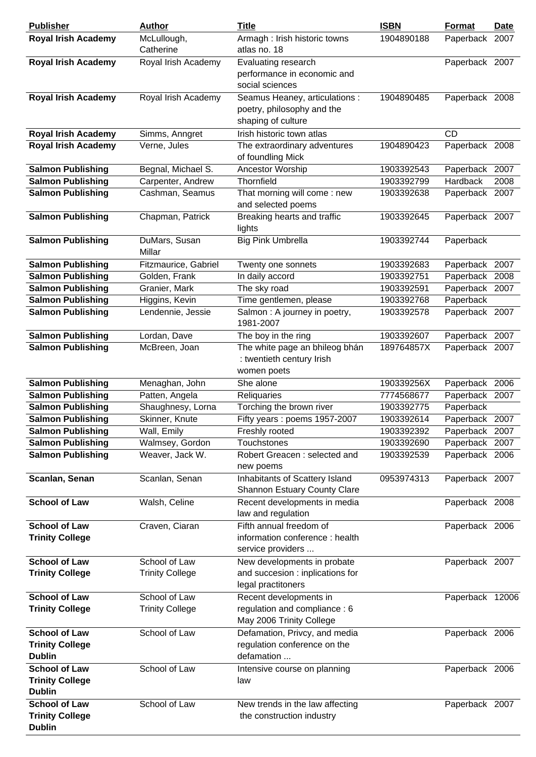| <b>Publisher</b>                                                | <b>Author</b>            | <b>Title</b>                                                                       | <b>ISBN</b> | <b>Format</b>   | <b>Date</b> |
|-----------------------------------------------------------------|--------------------------|------------------------------------------------------------------------------------|-------------|-----------------|-------------|
| <b>Royal Irish Academy</b>                                      | McLullough,<br>Catherine | Armagh : Irish historic towns<br>atlas no. 18                                      | 1904890188  | Paperback       | 2007        |
| <b>Royal Irish Academy</b>                                      | Royal Irish Academy      | Evaluating research<br>performance in economic and<br>social sciences              |             | Paperback 2007  |             |
| <b>Royal Irish Academy</b>                                      | Royal Irish Academy      | Seamus Heaney, articulations :<br>poetry, philosophy and the<br>shaping of culture | 1904890485  | Paperback 2008  |             |
| <b>Royal Irish Academy</b>                                      | Simms, Anngret           | Irish historic town atlas                                                          |             | <b>CD</b>       |             |
| <b>Royal Irish Academy</b>                                      | Verne, Jules             | The extraordinary adventures<br>of foundling Mick                                  | 1904890423  | Paperback 2008  |             |
| <b>Salmon Publishing</b>                                        | Begnal, Michael S.       | Ancestor Worship                                                                   | 1903392543  | Paperback 2007  |             |
| <b>Salmon Publishing</b>                                        | Carpenter, Andrew        | Thornfield                                                                         | 1903392799  | Hardback        | 2008        |
| <b>Salmon Publishing</b>                                        | Cashman, Seamus          | That morning will come: new<br>and selected poems                                  | 1903392638  | Paperback 2007  |             |
| <b>Salmon Publishing</b>                                        | Chapman, Patrick         | Breaking hearts and traffic<br>lights                                              | 1903392645  | Paperback 2007  |             |
| <b>Salmon Publishing</b>                                        | DuMars, Susan<br>Millar  | <b>Big Pink Umbrella</b>                                                           | 1903392744  | Paperback       |             |
| <b>Salmon Publishing</b>                                        | Fitzmaurice, Gabriel     | Twenty one sonnets                                                                 | 1903392683  | Paperback 2007  |             |
| <b>Salmon Publishing</b>                                        | Golden, Frank            | In daily accord                                                                    | 1903392751  | Paperback 2008  |             |
| <b>Salmon Publishing</b>                                        | Granier, Mark            | The sky road                                                                       | 1903392591  | Paperback 2007  |             |
| <b>Salmon Publishing</b>                                        | Higgins, Kevin           | Time gentlemen, please                                                             | 1903392768  | Paperback       |             |
| <b>Salmon Publishing</b>                                        | Lendennie, Jessie        | Salmon : A journey in poetry,<br>1981-2007                                         | 1903392578  | Paperback 2007  |             |
| <b>Salmon Publishing</b>                                        | Lordan, Dave             | The boy in the ring                                                                | 1903392607  | Paperback 2007  |             |
| <b>Salmon Publishing</b>                                        | McBreen, Joan            | The white page an bhileog bhán                                                     | 189764857X  | Paperback 2007  |             |
|                                                                 |                          | : twentieth century Irish                                                          |             |                 |             |
| <b>Salmon Publishing</b>                                        | Menaghan, John           | women poets<br>She alone                                                           | 190339256X  | Paperback 2006  |             |
| <b>Salmon Publishing</b>                                        | Patten, Angela           | Reliquaries                                                                        | 7774568677  | Paperback 2007  |             |
| <b>Salmon Publishing</b>                                        | Shaughnesy, Lorna        | Torching the brown river                                                           | 1903392775  | Paperback       |             |
| <b>Salmon Publishing</b>                                        | Skinner, Knute           | Fifty years : poems 1957-2007                                                      | 1903392614  | Paperback 2007  |             |
| <b>Salmon Publishing</b>                                        | Wall, Emily              | Freshly rooted                                                                     | 1903392392  | Paperback 2007  |             |
| <b>Salmon Publishing</b>                                        | Walmsey, Gordon          | Touchstones                                                                        | 1903392690  | Paperback 2007  |             |
| <b>Salmon Publishing</b>                                        | Weaver, Jack W.          | Robert Greacen: selected and                                                       | 1903392539  | Paperback 2006  |             |
|                                                                 |                          | new poems                                                                          |             |                 |             |
| Scanlan, Senan                                                  | Scanlan, Senan           | Inhabitants of Scattery Island<br><b>Shannon Estuary County Clare</b>              | 0953974313  | Paperback 2007  |             |
| <b>School of Law</b>                                            | Walsh, Celine            | Recent developments in media<br>law and regulation                                 |             | Paperback 2008  |             |
| <b>School of Law</b>                                            | Craven, Ciaran           | Fifth annual freedom of                                                            |             | Paperback 2006  |             |
| <b>Trinity College</b>                                          |                          | information conference : health<br>service providers                               |             |                 |             |
| <b>School of Law</b>                                            | School of Law            | New developments in probate                                                        |             | Paperback 2007  |             |
| <b>Trinity College</b>                                          | <b>Trinity College</b>   | and succesion : inplications for<br>legal practitoners                             |             |                 |             |
| <b>School of Law</b>                                            | School of Law            | Recent developments in                                                             |             | Paperback 12006 |             |
| <b>Trinity College</b>                                          | <b>Trinity College</b>   | regulation and compliance: 6<br>May 2006 Trinity College                           |             |                 |             |
| <b>School of Law</b><br><b>Trinity College</b><br><b>Dublin</b> | School of Law            | Defamation, Privcy, and media<br>regulation conference on the<br>defamation        |             | Paperback 2006  |             |
| <b>School of Law</b>                                            | School of Law            | Intensive course on planning                                                       |             | Paperback 2006  |             |
| <b>Trinity College</b><br><b>Dublin</b>                         |                          | law                                                                                |             |                 |             |
| <b>School of Law</b>                                            | School of Law            | New trends in the law affecting                                                    |             | Paperback 2007  |             |
| <b>Trinity College</b><br><b>Dublin</b>                         |                          | the construction industry                                                          |             |                 |             |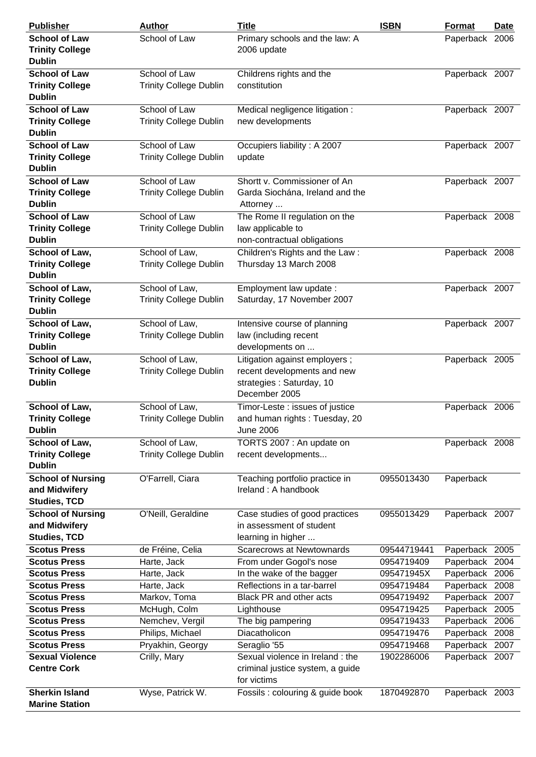| <b>Publisher</b>                         | <b>Author</b>                 | <b>Title</b>                                      | <b>ISBN</b> | <b>Format</b>  | <b>Date</b> |
|------------------------------------------|-------------------------------|---------------------------------------------------|-------------|----------------|-------------|
| <b>School of Law</b>                     | School of Law                 | Primary schools and the law: A                    |             | Paperback 2006 |             |
| <b>Trinity College</b>                   |                               | 2006 update                                       |             |                |             |
| <b>Dublin</b>                            |                               |                                                   |             |                |             |
| <b>School of Law</b>                     | School of Law                 | Childrens rights and the                          |             | Paperback 2007 |             |
| <b>Trinity College</b>                   | <b>Trinity College Dublin</b> | constitution                                      |             |                |             |
| <b>Dublin</b>                            |                               |                                                   |             |                |             |
| <b>School of Law</b>                     | School of Law                 | Medical negligence litigation :                   |             | Paperback 2007 |             |
| <b>Trinity College</b>                   | <b>Trinity College Dublin</b> | new developments                                  |             |                |             |
| <b>Dublin</b>                            |                               |                                                   |             |                |             |
| <b>School of Law</b>                     | School of Law                 | Occupiers liability: A 2007                       |             | Paperback 2007 |             |
| <b>Trinity College</b>                   | <b>Trinity College Dublin</b> | update                                            |             |                |             |
| <b>Dublin</b>                            |                               |                                                   |             |                |             |
| <b>School of Law</b>                     | School of Law                 | Shortt v. Commissioner of An                      |             | Paperback 2007 |             |
| <b>Trinity College</b>                   | <b>Trinity College Dublin</b> | Garda Siochána, Ireland and the                   |             |                |             |
| <b>Dublin</b>                            |                               | Attorney                                          |             |                |             |
| <b>School of Law</b>                     | School of Law                 | The Rome II regulation on the                     |             | Paperback 2008 |             |
| <b>Trinity College</b>                   | <b>Trinity College Dublin</b> | law applicable to                                 |             |                |             |
| <b>Dublin</b>                            |                               | non-contractual obligations                       |             |                |             |
| School of Law,                           | School of Law,                | Children's Rights and the Law:                    |             | Paperback 2008 |             |
| <b>Trinity College</b>                   | <b>Trinity College Dublin</b> | Thursday 13 March 2008                            |             |                |             |
| <b>Dublin</b>                            |                               |                                                   |             |                |             |
| School of Law,                           | School of Law,                | Employment law update:                            |             | Paperback 2007 |             |
| <b>Trinity College</b>                   | <b>Trinity College Dublin</b> | Saturday, 17 November 2007                        |             |                |             |
| <b>Dublin</b>                            |                               |                                                   |             |                |             |
| School of Law,                           | School of Law,                | Intensive course of planning                      |             | Paperback 2007 |             |
| <b>Trinity College</b>                   | <b>Trinity College Dublin</b> | law (including recent                             |             |                |             |
| <b>Dublin</b>                            |                               | developments on                                   |             |                |             |
| School of Law,                           | School of Law,                | Litigation against employers;                     |             | Paperback 2005 |             |
| <b>Trinity College</b>                   | <b>Trinity College Dublin</b> | recent developments and new                       |             |                |             |
| <b>Dublin</b>                            |                               | strategies : Saturday, 10                         |             |                |             |
|                                          |                               | December 2005                                     |             |                |             |
|                                          |                               |                                                   |             |                |             |
| School of Law,                           | School of Law,                | Timor-Leste : issues of justice                   |             | Paperback 2006 |             |
| <b>Trinity College</b><br><b>Dublin</b>  | <b>Trinity College Dublin</b> | and human rights: Tuesday, 20<br><b>June 2006</b> |             |                |             |
|                                          | School of Law,                |                                                   |             |                |             |
| School of Law,<br><b>Trinity College</b> | <b>Trinity College Dublin</b> | TORTS 2007 : An update on<br>recent developments  |             | Paperback 2008 |             |
| <b>Dublin</b>                            |                               |                                                   |             |                |             |
| <b>School of Nursing</b>                 | O'Farrell, Ciara              | Teaching portfolio practice in                    | 0955013430  | Paperback      |             |
| and Midwifery                            |                               | Ireland: A handbook                               |             |                |             |
| <b>Studies, TCD</b>                      |                               |                                                   |             |                |             |
| <b>School of Nursing</b>                 | O'Neill, Geraldine            | Case studies of good practices                    | 0955013429  | Paperback 2007 |             |
| and Midwifery                            |                               | in assessment of student                          |             |                |             |
| <b>Studies, TCD</b>                      |                               | learning in higher                                |             |                |             |
| <b>Scotus Press</b>                      | de Fréine, Celia              | <b>Scarecrows at Newtownards</b>                  | 09544719441 | Paperback 2005 |             |
| <b>Scotus Press</b>                      | Harte, Jack                   | From under Gogol's nose                           | 0954719409  | Paperback 2004 |             |
| <b>Scotus Press</b>                      | Harte, Jack                   | In the wake of the bagger                         | 095471945X  | Paperback 2006 |             |
| <b>Scotus Press</b>                      |                               | Reflections in a tar-barrel                       | 0954719484  | Paperback      | 2008        |
| <b>Scotus Press</b>                      | Harte, Jack<br>Markov, Toma   | Black PR and other acts                           | 0954719492  | Paperback      | 2007        |
| <b>Scotus Press</b>                      | McHugh, Colm                  | Lighthouse                                        | 0954719425  | Paperback      | 2005        |
| <b>Scotus Press</b>                      | Nemchev, Vergil               | The big pampering                                 | 0954719433  | Paperback 2006 |             |
| <b>Scotus Press</b>                      | Philips, Michael              | Diacatholicon                                     | 0954719476  | Paperback 2008 |             |
| <b>Scotus Press</b>                      | Pryakhin, Georgy              | Seraglio '55                                      | 0954719468  | Paperback      | 2007        |
| <b>Sexual Violence</b>                   | Crilly, Mary                  | Sexual violence in Ireland : the                  | 1902286006  | Paperback 2007 |             |
| <b>Centre Cork</b>                       |                               | criminal justice system, a guide                  |             |                |             |
|                                          |                               | for victims                                       |             |                |             |
| <b>Sherkin Island</b>                    | Wyse, Patrick W.              | Fossils : colouring & guide book                  | 1870492870  | Paperback 2003 |             |
| <b>Marine Station</b>                    |                               |                                                   |             |                |             |
|                                          |                               |                                                   |             |                |             |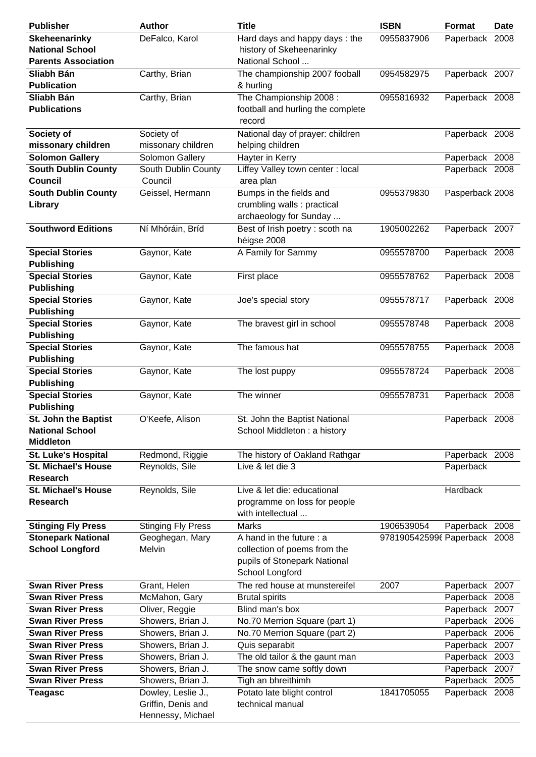| <b>Publisher</b>           | <b>Author</b>             | <b>Title</b>                      | <b>ISBN</b>                  | <b>Format</b>   | <b>Date</b> |
|----------------------------|---------------------------|-----------------------------------|------------------------------|-----------------|-------------|
| Skeheenarinky              | DeFalco, Karol            | Hard days and happy days: the     | 0955837906                   | Paperback 2008  |             |
| <b>National School</b>     |                           | history of Skeheenarinky          |                              |                 |             |
| <b>Parents Association</b> |                           | National School                   |                              |                 |             |
| Sliabh Bán                 | Carthy, Brian             | The championship 2007 fooball     | 0954582975                   | Paperback 2007  |             |
| <b>Publication</b>         |                           | & hurling                         |                              |                 |             |
| Sliabh Bán                 | Carthy, Brian             | The Championship 2008:            | 0955816932                   | Paperback 2008  |             |
| <b>Publications</b>        |                           | football and hurling the complete |                              |                 |             |
|                            |                           | record                            |                              |                 |             |
| Society of                 | Society of                | National day of prayer: children  |                              | Paperback 2008  |             |
| missonary children         | missonary children        | helping children                  |                              |                 |             |
| <b>Solomon Gallery</b>     | Solomon Gallery           | Hayter in Kerry                   |                              | Paperback 2008  |             |
|                            |                           |                                   |                              |                 |             |
| <b>South Dublin County</b> | South Dublin County       | Liffey Valley town center : local |                              | Paperback 2008  |             |
| <b>Council</b>             | Council                   | area plan                         |                              |                 |             |
| <b>South Dublin County</b> | Geissel, Hermann          | Bumps in the fields and           | 0955379830                   | Pasperback 2008 |             |
| Library                    |                           | crumbling walls : practical       |                              |                 |             |
|                            |                           | archaeology for Sunday            |                              |                 |             |
| <b>Southword Editions</b>  | Ní Mhóráin, Bríd          | Best of Irish poetry : scoth na   | 1905002262                   | Paperback 2007  |             |
|                            |                           | héigse 2008                       |                              |                 |             |
| <b>Special Stories</b>     | Gaynor, Kate              | A Family for Sammy                | 0955578700                   | Paperback 2008  |             |
| <b>Publishing</b>          |                           |                                   |                              |                 |             |
| <b>Special Stories</b>     | Gaynor, Kate              | First place                       | 0955578762                   | Paperback 2008  |             |
| <b>Publishing</b>          |                           |                                   |                              |                 |             |
| <b>Special Stories</b>     | Gaynor, Kate              | Joe's special story               | 0955578717                   | Paperback 2008  |             |
| <b>Publishing</b>          |                           |                                   |                              |                 |             |
| <b>Special Stories</b>     | Gaynor, Kate              | The bravest girl in school        | 0955578748                   | Paperback 2008  |             |
| <b>Publishing</b>          |                           |                                   |                              |                 |             |
| <b>Special Stories</b>     | Gaynor, Kate              | The famous hat                    | 0955578755                   | Paperback 2008  |             |
| <b>Publishing</b>          |                           |                                   |                              |                 |             |
| <b>Special Stories</b>     | Gaynor, Kate              | The lost puppy                    | 0955578724                   | Paperback 2008  |             |
| <b>Publishing</b>          |                           |                                   |                              |                 |             |
|                            |                           |                                   |                              |                 |             |
| <b>Special Stories</b>     | Gaynor, Kate              | The winner                        | 0955578731                   | Paperback 2008  |             |
| <b>Publishing</b>          |                           |                                   |                              |                 |             |
| St. John the Baptist       | O'Keefe, Alison           | St. John the Baptist National     |                              | Paperback 2008  |             |
| <b>National School</b>     |                           | School Middleton: a history       |                              |                 |             |
| <b>Middleton</b>           |                           |                                   |                              |                 |             |
| <b>St. Luke's Hospital</b> | Redmond, Riggie           | The history of Oakland Rathgar    |                              | Paperback 2008  |             |
| <b>St. Michael's House</b> | Reynolds, Sile            | Live & let die 3                  |                              | Paperback       |             |
| <b>Research</b>            |                           |                                   |                              |                 |             |
| <b>St. Michael's House</b> | Reynolds, Sile            | Live & let die: educational       |                              | Hardback        |             |
| <b>Research</b>            |                           | programme on loss for people      |                              |                 |             |
|                            |                           | with intellectual                 |                              |                 |             |
| <b>Stinging Fly Press</b>  | <b>Stinging Fly Press</b> | Marks                             | 1906539054                   | Paperback 2008  |             |
| <b>Stonepark National</b>  | Geoghegan, Mary           | A hand in the future : a          | 9781905425996 Paperback 2008 |                 |             |
| <b>School Longford</b>     | Melvin                    | collection of poems from the      |                              |                 |             |
|                            |                           | pupils of Stonepark National      |                              |                 |             |
|                            |                           | School Longford                   |                              |                 |             |
| <b>Swan River Press</b>    | Grant, Helen              | The red house at munstereifel     | 2007                         | Paperback 2007  |             |
| <b>Swan River Press</b>    | McMahon, Gary             | <b>Brutal spirits</b>             |                              | Paperback 2008  |             |
| <b>Swan River Press</b>    | Oliver, Reggie            | Blind man's box                   |                              | Paperback       | 2007        |
| <b>Swan River Press</b>    | Showers, Brian J.         | No.70 Merrion Square (part 1)     |                              | Paperback 2006  |             |
| <b>Swan River Press</b>    |                           |                                   |                              |                 |             |
|                            | Showers, Brian J.         | No.70 Merrion Square (part 2)     |                              | Paperback 2006  |             |
| <b>Swan River Press</b>    | Showers, Brian J.         | Quis separabit                    |                              | Paperback       | 2007        |
| <b>Swan River Press</b>    | Showers, Brian J.         | The old tailor & the gaunt man    |                              | Paperback       | 2003        |
| <b>Swan River Press</b>    | Showers, Brian J.         | The snow came softly down         |                              | Paperback 2007  |             |
| <b>Swan River Press</b>    | Showers, Brian J.         | Tigh an bhreithimh                |                              | Paperback 2005  |             |
| <b>Teagasc</b>             | Dowley, Leslie J.,        | Potato late blight control        | 1841705055                   | Paperback 2008  |             |
|                            | Griffin, Denis and        | technical manual                  |                              |                 |             |
|                            | Hennessy, Michael         |                                   |                              |                 |             |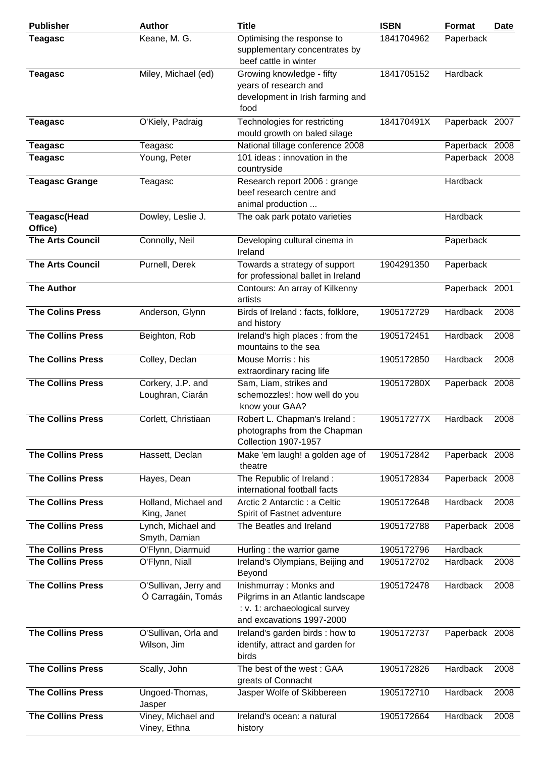| <b>Publisher</b>                | <b>Author</b>                               | <b>Title</b>                                                                                                              | <b>ISBN</b> | <b>Format</b>  | <b>Date</b> |
|---------------------------------|---------------------------------------------|---------------------------------------------------------------------------------------------------------------------------|-------------|----------------|-------------|
| <b>Teagasc</b>                  | Keane, M. G.                                | Optimising the response to<br>supplementary concentrates by<br>beef cattle in winter                                      | 1841704962  | Paperback      |             |
| <b>Teagasc</b>                  | Miley, Michael (ed)                         | Growing knowledge - fifty<br>years of research and<br>development in Irish farming and<br>food                            | 1841705152  | Hardback       |             |
| <b>Teagasc</b>                  | O'Kiely, Padraig                            | Technologies for restricting<br>mould growth on baled silage                                                              | 184170491X  | Paperback 2007 |             |
| <b>Teagasc</b>                  | Teagasc                                     | National tillage conference 2008                                                                                          |             | Paperback 2008 |             |
| <b>Teagasc</b>                  | Young, Peter                                | 101 ideas : innovation in the<br>countryside                                                                              |             | Paperback 2008 |             |
| <b>Teagasc Grange</b>           | Teagasc                                     | Research report 2006 : grange<br>beef research centre and<br>animal production                                            |             | Hardback       |             |
| <b>Teagasc</b> (Head<br>Office) | Dowley, Leslie J.                           | The oak park potato varieties                                                                                             |             | Hardback       |             |
| <b>The Arts Council</b>         | Connolly, Neil                              | Developing cultural cinema in<br>Ireland                                                                                  |             | Paperback      |             |
| <b>The Arts Council</b>         | Purnell, Derek                              | Towards a strategy of support<br>for professional ballet in Ireland                                                       | 1904291350  | Paperback      |             |
| <b>The Author</b>               |                                             | Contours: An array of Kilkenny<br>artists                                                                                 |             | Paperback 2001 |             |
| <b>The Colins Press</b>         | Anderson, Glynn                             | Birds of Ireland : facts, folklore,<br>and history                                                                        | 1905172729  | Hardback       | 2008        |
| <b>The Collins Press</b>        | Beighton, Rob                               | Ireland's high places: from the<br>mountains to the sea                                                                   | 1905172451  | Hardback       | 2008        |
| <b>The Collins Press</b>        | Colley, Declan                              | Mouse Morris: his<br>extraordinary racing life                                                                            | 1905172850  | Hardback       | 2008        |
| <b>The Collins Press</b>        | Corkery, J.P. and<br>Loughran, Ciarán       | Sam, Liam, strikes and<br>schemozzles!: how well do you<br>know your GAA?                                                 | 190517280X  | Paperback 2008 |             |
| <b>The Collins Press</b>        | Corlett, Christiaan                         | Robert L. Chapman's Ireland :<br>photographs from the Chapman<br><b>Collection 1907-1957</b>                              | 190517277X  | Hardback       | 2008        |
| <b>The Collins Press</b>        | Hassett, Declan                             | Make 'em laugh! a golden age of<br>theatre                                                                                | 1905172842  | Paperback 2008 |             |
| <b>The Collins Press</b>        | Hayes, Dean                                 | The Republic of Ireland:<br>international football facts                                                                  | 1905172834  | Paperback 2008 |             |
| <b>The Collins Press</b>        | Holland, Michael and<br>King, Janet         | Arctic 2 Antarctic : a Celtic<br>Spirit of Fastnet adventure                                                              | 1905172648  | Hardback       | 2008        |
| <b>The Collins Press</b>        | Lynch, Michael and<br>Smyth, Damian         | The Beatles and Ireland                                                                                                   | 1905172788  | Paperback 2008 |             |
| <b>The Collins Press</b>        | O'Flynn, Diarmuid                           | Hurling : the warrior game                                                                                                | 1905172796  | Hardback       |             |
| <b>The Collins Press</b>        | O'Flynn, Niall                              | Ireland's Olympians, Beijing and<br>Beyond                                                                                | 1905172702  | Hardback       | 2008        |
| <b>The Collins Press</b>        | O'Sullivan, Jerry and<br>Ó Carragáin, Tomás | Inishmurray: Monks and<br>Pilgrims in an Atlantic landscape<br>: v. 1: archaeological survey<br>and excavations 1997-2000 | 1905172478  | Hardback       | 2008        |
| <b>The Collins Press</b>        | O'Sullivan, Orla and<br>Wilson, Jim         | Ireland's garden birds : how to<br>identify, attract and garden for<br>birds                                              | 1905172737  | Paperback 2008 |             |
| <b>The Collins Press</b>        | Scally, John                                | The best of the west: GAA<br>greats of Connacht                                                                           | 1905172826  | Hardback       | 2008        |
| <b>The Collins Press</b>        | Ungoed-Thomas,<br>Jasper                    | Jasper Wolfe of Skibbereen                                                                                                | 1905172710  | Hardback       | 2008        |
| <b>The Collins Press</b>        | Viney, Michael and<br>Viney, Ethna          | Ireland's ocean: a natural<br>history                                                                                     | 1905172664  | Hardback       | 2008        |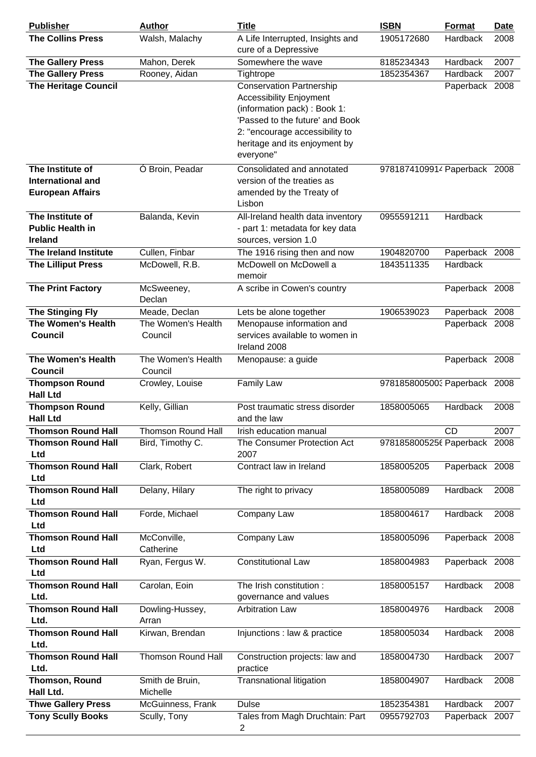| <b>Publisher</b>                                       | <b>Author</b>                 | <b>Title</b>                                                                                                                                                                                                         | <b>ISBN</b>                  | Format                     | <b>Date</b> |
|--------------------------------------------------------|-------------------------------|----------------------------------------------------------------------------------------------------------------------------------------------------------------------------------------------------------------------|------------------------------|----------------------------|-------------|
| <b>The Collins Press</b>                               | Walsh, Malachy                | A Life Interrupted, Insights and<br>cure of a Depressive                                                                                                                                                             | 1905172680                   | Hardback                   | 2008        |
| <b>The Gallery Press</b>                               | Mahon, Derek                  | Somewhere the wave                                                                                                                                                                                                   | 8185234343                   | Hardback                   | 2007        |
| <b>The Gallery Press</b>                               | Rooney, Aidan                 | Tightrope                                                                                                                                                                                                            | 1852354367                   | Hardback                   | 2007        |
| <b>The Heritage Council</b>                            |                               | <b>Conservation Partnership</b><br><b>Accessibility Enjoyment</b><br>(information pack) : Book 1:<br>'Passed to the future' and Book<br>2: "encourage accessibility to<br>heritage and its enjoyment by<br>everyone" |                              | Paperback 2008             |             |
| The Institute of                                       | Ó Broin, Peadar               | Consolidated and annotated                                                                                                                                                                                           | 9781874109914 Paperback 2008 |                            |             |
| International and<br><b>European Affairs</b>           |                               | version of the treaties as<br>amended by the Treaty of<br>Lisbon                                                                                                                                                     |                              |                            |             |
| The Institute of<br><b>Public Health in</b><br>Ireland | Balanda, Kevin                | All-Ireland health data inventory<br>- part 1: metadata for key data<br>sources, version 1.0                                                                                                                         | 0955591211                   | Hardback                   |             |
| The Ireland Institute                                  | Cullen, Finbar                | The 1916 rising then and now                                                                                                                                                                                         | 1904820700                   | Paperback 2008             |             |
| <b>The Lilliput Press</b>                              | McDowell, R.B.                | McDowell on McDowell a<br>memoir                                                                                                                                                                                     | 1843511335                   | Hardback                   |             |
| <b>The Print Factory</b>                               | McSweeney,<br>Declan          | A scribe in Cowen's country                                                                                                                                                                                          |                              | Paperback 2008             |             |
| The Stinging Fly                                       | Meade, Declan                 | Lets be alone together                                                                                                                                                                                               | 1906539023                   | Paperback 2008             |             |
| <b>The Women's Health</b><br><b>Council</b>            | The Women's Health<br>Council | Menopause information and<br>services available to women in<br>Ireland 2008                                                                                                                                          |                              | Paperback 2008             |             |
| The Women's Health                                     | The Women's Health            | Menopause: a guide                                                                                                                                                                                                   |                              | Paperback 2008             |             |
| <b>Council</b>                                         | Council                       |                                                                                                                                                                                                                      |                              |                            |             |
| <b>Thompson Round</b><br><b>Hall Ltd</b>               | Crowley, Louise               | <b>Family Law</b>                                                                                                                                                                                                    | 9781858005003 Paperback 2008 |                            |             |
| <b>Thompson Round</b><br><b>Hall Ltd</b>               | Kelly, Gillian                | Post traumatic stress disorder<br>and the law                                                                                                                                                                        | 1858005065                   | <b>Hardback</b>            | 2008        |
| <b>Thomson Round Hall</b>                              | <b>Thomson Round Hall</b>     | Irish education manual                                                                                                                                                                                               |                              | <b>CD</b>                  | 2007        |
| <b>Thomson Round Hall</b><br>Ltd                       | Bird, Timothy C.              | The Consumer Protection Act<br>2007                                                                                                                                                                                  | 9781858005256 Paperback 2008 |                            |             |
| <b>Thomson Round Hall</b><br>Ltd                       | Clark, Robert                 | Contract law in Ireland                                                                                                                                                                                              | 1858005205                   | Paperback 2008             |             |
| <b>Thomson Round Hall</b><br>Ltd                       | Delany, Hilary                | The right to privacy                                                                                                                                                                                                 | 1858005089                   | Hardback                   | 2008        |
| <b>Thomson Round Hall</b><br>Ltd                       | Forde, Michael                | Company Law                                                                                                                                                                                                          | 1858004617                   | Hardback                   | 2008        |
| <b>Thomson Round Hall</b><br>Ltd                       | McConville,<br>Catherine      | Company Law                                                                                                                                                                                                          | 1858005096                   | Paperback 2008             |             |
| <b>Thomson Round Hall</b><br>Ltd                       | Ryan, Fergus W.               | <b>Constitutional Law</b>                                                                                                                                                                                            | 1858004983                   | Paperback 2008             |             |
| <b>Thomson Round Hall</b><br>Ltd.                      | Carolan, Eoin                 | The Irish constitution:<br>governance and values                                                                                                                                                                     | 1858005157                   | Hardback                   | 2008        |
| <b>Thomson Round Hall</b><br>Ltd.                      | Dowling-Hussey,<br>Arran      | <b>Arbitration Law</b>                                                                                                                                                                                               | 1858004976                   | Hardback                   | 2008        |
| <b>Thomson Round Hall</b><br>Ltd.                      | Kirwan, Brendan               | Injunctions : law & practice                                                                                                                                                                                         | 1858005034                   | Hardback                   | 2008        |
| <b>Thomson Round Hall</b><br>Ltd.                      | <b>Thomson Round Hall</b>     | Construction projects: law and<br>practice                                                                                                                                                                           | 1858004730                   | Hardback                   | 2007        |
| Thomson, Round                                         | Smith de Bruin,               | Transnational litigation                                                                                                                                                                                             | 1858004907                   | Hardback                   | 2008        |
| Hall Ltd.                                              | Michelle                      |                                                                                                                                                                                                                      |                              |                            |             |
| <b>Thwe Gallery Press</b>                              | McGuinness, Frank             | <b>Dulse</b><br>Tales from Magh Druchtain: Part                                                                                                                                                                      | 1852354381<br>0955792703     | Hardback<br>Paperback 2007 | 2007        |
| <b>Tony Scully Books</b>                               | Scully, Tony                  | 2                                                                                                                                                                                                                    |                              |                            |             |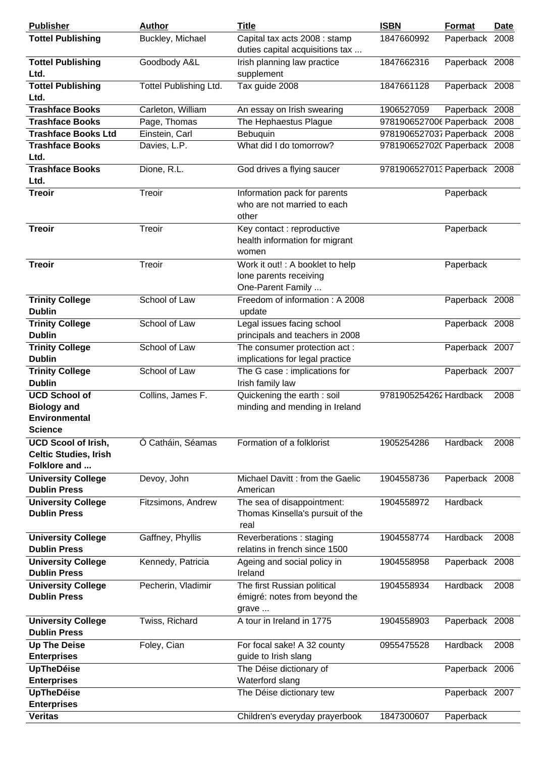| <b>Publisher</b>                                                                     | <b>Author</b>          | <b>Title</b>                                                                    | <b>ISBN</b>                  | Format         | <b>Date</b> |
|--------------------------------------------------------------------------------------|------------------------|---------------------------------------------------------------------------------|------------------------------|----------------|-------------|
| <b>Tottel Publishing</b>                                                             | Buckley, Michael       | Capital tax acts 2008 : stamp<br>duties capital acquisitions tax                | 1847660992                   | Paperback 2008 |             |
| <b>Tottel Publishing</b><br>Ltd.                                                     | Goodbody A&L           | Irish planning law practice<br>supplement                                       | 1847662316                   | Paperback 2008 |             |
| <b>Tottel Publishing</b><br>Ltd.                                                     | Tottel Publishing Ltd. | Tax guide 2008                                                                  | 1847661128                   | Paperback 2008 |             |
| <b>Trashface Books</b>                                                               | Carleton, William      | An essay on Irish swearing                                                      | 1906527059                   | Paperback 2008 |             |
| <b>Trashface Books</b>                                                               | Page, Thomas           | The Hephaestus Plague                                                           | 9781906527006 Paperback      |                | 2008        |
| <b>Trashface Books Ltd</b>                                                           | Einstein, Carl         | Bebuquin                                                                        | 9781906527037 Paperback 2008 |                |             |
| <b>Trashface Books</b>                                                               | Davies, L.P.           | What did I do tomorrow?                                                         | 9781906527020 Paperback 2008 |                |             |
| Ltd.                                                                                 |                        |                                                                                 |                              |                |             |
| <b>Trashface Books</b><br>Ltd.                                                       | Dione, R.L.            | God drives a flying saucer                                                      | 9781906527013 Paperback 2008 |                |             |
| <b>Treoir</b>                                                                        | Treoir                 | Information pack for parents<br>who are not married to each<br>other            |                              | Paperback      |             |
| <b>Treoir</b>                                                                        | Treoir                 | Key contact : reproductive<br>health information for migrant<br>women           |                              | Paperback      |             |
| <b>Treoir</b>                                                                        | Treoir                 | Work it out! : A booklet to help<br>lone parents receiving<br>One-Parent Family |                              | Paperback      |             |
| <b>Trinity College</b><br><b>Dublin</b>                                              | School of Law          | Freedom of information: A 2008<br>update                                        |                              | Paperback 2008 |             |
| <b>Trinity College</b><br><b>Dublin</b>                                              | School of Law          | Legal issues facing school<br>principals and teachers in 2008                   |                              | Paperback 2008 |             |
| <b>Trinity College</b><br><b>Dublin</b>                                              | School of Law          | The consumer protection act:<br>implications for legal practice                 |                              | Paperback 2007 |             |
| <b>Trinity College</b><br><b>Dublin</b>                                              | School of Law          | The G case : implications for<br>Irish family law                               |                              | Paperback 2007 |             |
| <b>UCD School of</b><br><b>Biology and</b><br><b>Environmental</b><br><b>Science</b> | Collins, James F.      | Quickening the earth : soil<br>minding and mending in Ireland                   | 9781905254262 Hardback       |                | 2008        |
| <b>UCD Scool of Irish,</b><br><b>Celtic Studies, Irish</b><br>Folklore and           | Ó Catháin, Séamas      | Formation of a folklorist                                                       | 1905254286                   | Hardback       | 2008        |
| <b>University College</b><br><b>Dublin Press</b>                                     | Devoy, John            | Michael Davitt: from the Gaelic<br>American                                     | 1904558736                   | Paperback 2008 |             |
| <b>University College</b><br><b>Dublin Press</b>                                     | Fitzsimons, Andrew     | The sea of disappointment:<br>Thomas Kinsella's pursuit of the<br>real          | 1904558972                   | Hardback       |             |
| <b>University College</b><br><b>Dublin Press</b>                                     | Gaffney, Phyllis       | Reverberations: staging<br>relatins in french since 1500                        | 1904558774                   | Hardback       | 2008        |
| <b>University College</b><br><b>Dublin Press</b>                                     | Kennedy, Patricia      | Ageing and social policy in<br>Ireland                                          | 1904558958                   | Paperback 2008 |             |
| <b>University College</b><br><b>Dublin Press</b>                                     | Pecherin, Vladimir     | The first Russian political<br>émigré: notes from beyond the<br>grave           | 1904558934                   | Hardback       | 2008        |
| <b>University College</b><br><b>Dublin Press</b>                                     | Twiss, Richard         | A tour in Ireland in 1775                                                       | 1904558903                   | Paperback 2008 |             |
| <b>Up The Deise</b>                                                                  | Foley, Cian            | For focal sake! A 32 county                                                     | 0955475528                   | Hardback       | 2008        |
| <b>Enterprises</b>                                                                   |                        | guide to Irish slang                                                            |                              |                |             |
| <b>UpTheDéise</b>                                                                    |                        | The Déise dictionary of                                                         |                              | Paperback 2006 |             |
| <b>Enterprises</b><br><b>UpTheDéise</b>                                              |                        | Waterford slang                                                                 |                              |                |             |
| <b>Enterprises</b>                                                                   |                        | The Déise dictionary tew                                                        |                              | Paperback 2007 |             |
| <b>Veritas</b>                                                                       |                        | Children's everyday prayerbook                                                  | 1847300607                   | Paperback      |             |
|                                                                                      |                        |                                                                                 |                              |                |             |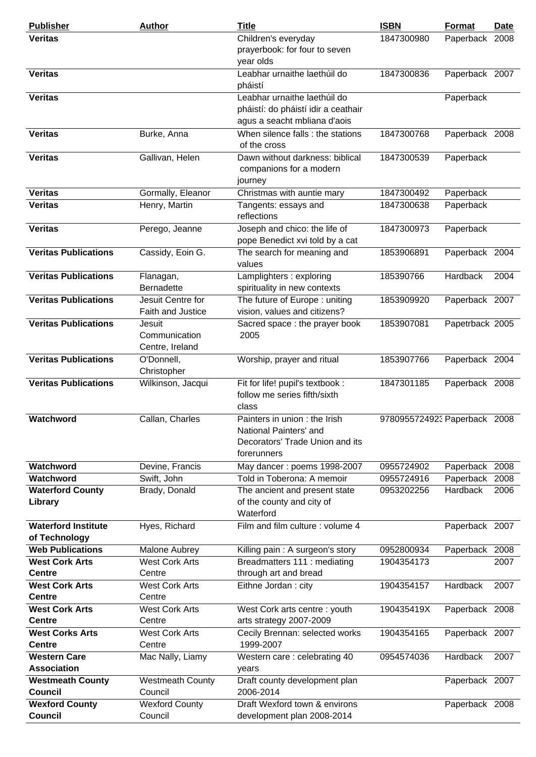| <b>Publisher</b>                                                  | <b>Author</b>                                    | <b>Title</b>                                                                                             | <b>ISBN</b>                  | <b>Format</b>                | <b>Date</b>  |
|-------------------------------------------------------------------|--------------------------------------------------|----------------------------------------------------------------------------------------------------------|------------------------------|------------------------------|--------------|
| <b>Veritas</b>                                                    |                                                  | Children's everyday<br>prayerbook: for four to seven<br>year olds                                        | 1847300980                   | Paperback 2008               |              |
| <b>Veritas</b>                                                    |                                                  | Leabhar urnaithe laethúil do<br>pháistí                                                                  | 1847300836                   | Paperback 2007               |              |
| <b>Veritas</b>                                                    |                                                  | Leabhar urnaithe laethúil do<br>pháistí: do pháistí idir a ceathair<br>agus a seacht mbliana d'aois      |                              | Paperback                    |              |
| <b>Veritas</b>                                                    | Burke, Anna                                      | When silence falls : the stations<br>of the cross                                                        | 1847300768                   | Paperback 2008               |              |
| <b>Veritas</b>                                                    | Gallivan, Helen                                  | Dawn without darkness: biblical<br>companions for a modern<br>journey                                    | 1847300539                   | Paperback                    |              |
| <b>Veritas</b>                                                    | Gormally, Eleanor                                | Christmas with auntie mary                                                                               | 1847300492                   | Paperback                    |              |
| <b>Veritas</b>                                                    | Henry, Martin                                    | Tangents: essays and<br>reflections                                                                      | 1847300638                   | Paperback                    |              |
| <b>Veritas</b>                                                    | Perego, Jeanne                                   | Joseph and chico: the life of<br>pope Benedict xvi told by a cat                                         | 1847300973                   | Paperback                    |              |
| <b>Veritas Publications</b>                                       | Cassidy, Eoin G.                                 | The search for meaning and<br>values                                                                     | 1853906891                   | Paperback 2004               |              |
| <b>Veritas Publications</b>                                       | Flanagan,<br><b>Bernadette</b>                   | Lamplighters: exploring<br>spirituality in new contexts                                                  | 185390766                    | Hardback                     | 2004         |
| <b>Veritas Publications</b>                                       | Jesuit Centre for<br>Faith and Justice           | The future of Europe: uniting<br>vision, values and citizens?                                            | 1853909920                   | Paperback 2007               |              |
| <b>Veritas Publications</b>                                       | Jesuit<br>Communication<br>Centre, Ireland       | Sacred space : the prayer book<br>2005                                                                   | 1853907081                   | Papetrback 2005              |              |
| <b>Veritas Publications</b>                                       | O'Donnell,<br>Christopher                        | Worship, prayer and ritual                                                                               | 1853907766                   | Paperback 2004               |              |
| <b>Veritas Publications</b>                                       | Wilkinson, Jacqui                                | Fit for life! pupil's textbook :<br>follow me series fifth/sixth<br>class                                | 1847301185                   | Paperback 2008               |              |
| Watchword                                                         | Callan, Charles                                  | Painters in union: the Irish<br>National Painters' and<br>Decorators' Trade Union and its<br>forerunners | 9780955724923 Paperback 2008 |                              |              |
| Watchword                                                         | Devine, Francis                                  | May dancer: poems 1998-2007                                                                              | 0955724902                   | Paperback 2008               |              |
| Watchword<br><b>Waterford County</b><br>Library                   | Swift, John<br>Brady, Donald                     | Told in Toberona: A memoir<br>The ancient and present state<br>of the county and city of<br>Waterford    | 0955724916<br>0953202256     | Paperback<br><b>Hardback</b> | 2008<br>2006 |
| <b>Waterford Institute</b><br>of Technology                       | Hyes, Richard                                    | Film and film culture: volume 4                                                                          |                              | Paperback 2007               |              |
| <b>Web Publications</b><br><b>West Cork Arts</b><br><b>Centre</b> | Malone Aubrey<br><b>West Cork Arts</b><br>Centre | Killing pain: A surgeon's story<br>Breadmatters 111 : mediating<br>through art and bread                 | 0952800934<br>1904354173     | Paperback 2008               | 2007         |
| <b>West Cork Arts</b><br><b>Centre</b>                            | <b>West Cork Arts</b><br>Centre                  | Eithne Jordan: city                                                                                      | 1904354157                   | <b>Hardback</b>              | 2007         |
| <b>West Cork Arts</b><br><b>Centre</b>                            | <b>West Cork Arts</b><br>Centre                  | West Cork arts centre : youth<br>arts strategy 2007-2009                                                 | 190435419X                   | Paperback 2008               |              |
| <b>West Corks Arts</b><br><b>Centre</b>                           | <b>West Cork Arts</b><br>Centre                  | Cecily Brennan: selected works<br>1999-2007                                                              | 1904354165                   | Paperback 2007               |              |
| <b>Western Care</b><br><b>Association</b>                         | Mac Nally, Liamy                                 | Western care: celebrating 40<br>years                                                                    | 0954574036                   | <b>Hardback</b>              | 2007         |
| <b>Westmeath County</b><br>Council                                | <b>Westmeath County</b><br>Council               | Draft county development plan<br>2006-2014                                                               |                              | Paperback 2007               |              |
| <b>Wexford County</b>                                             | <b>Wexford County</b>                            | Draft Wexford town & environs                                                                            |                              | Paperback 2008               |              |
| <b>Council</b>                                                    | Council                                          | development plan 2008-2014                                                                               |                              |                              |              |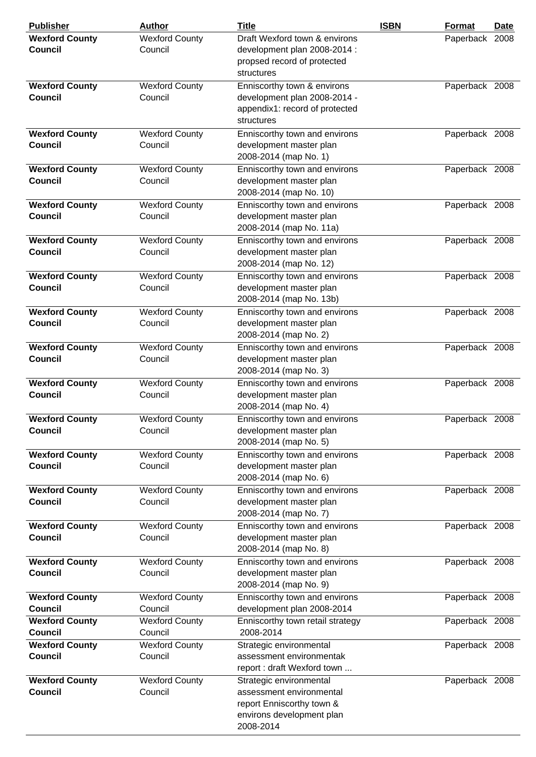| <b>Publisher</b>                        | <b>Author</b>                    | <b>Title</b>                                                                                                               | <b>ISBN</b> | Format         | Date |
|-----------------------------------------|----------------------------------|----------------------------------------------------------------------------------------------------------------------------|-------------|----------------|------|
| <b>Wexford County</b><br><b>Council</b> | <b>Wexford County</b><br>Council | Draft Wexford town & environs<br>development plan 2008-2014 :<br>propsed record of protected<br>structures                 |             | Paperback 2008 |      |
| <b>Wexford County</b><br><b>Council</b> | <b>Wexford County</b><br>Council | Enniscorthy town & environs<br>development plan 2008-2014 -<br>appendix1: record of protected<br>structures                |             | Paperback 2008 |      |
| <b>Wexford County</b><br><b>Council</b> | <b>Wexford County</b><br>Council | Enniscorthy town and environs<br>development master plan<br>2008-2014 (map No. 1)                                          |             | Paperback 2008 |      |
| <b>Wexford County</b><br><b>Council</b> | <b>Wexford County</b><br>Council | Enniscorthy town and environs<br>development master plan<br>2008-2014 (map No. 10)                                         |             | Paperback 2008 |      |
| <b>Wexford County</b><br><b>Council</b> | <b>Wexford County</b><br>Council | Enniscorthy town and environs<br>development master plan<br>2008-2014 (map No. 11a)                                        |             | Paperback 2008 |      |
| <b>Wexford County</b><br><b>Council</b> | <b>Wexford County</b><br>Council | Enniscorthy town and environs<br>development master plan<br>2008-2014 (map No. 12)                                         |             | Paperback 2008 |      |
| <b>Wexford County</b><br>Council        | <b>Wexford County</b><br>Council | Enniscorthy town and environs<br>development master plan<br>2008-2014 (map No. 13b)                                        |             | Paperback 2008 |      |
| <b>Wexford County</b><br><b>Council</b> | <b>Wexford County</b><br>Council | Enniscorthy town and environs<br>development master plan<br>2008-2014 (map No. 2)                                          |             | Paperback 2008 |      |
| <b>Wexford County</b><br><b>Council</b> | <b>Wexford County</b><br>Council | Enniscorthy town and environs<br>development master plan<br>2008-2014 (map No. 3)                                          |             | Paperback 2008 |      |
| <b>Wexford County</b><br><b>Council</b> | <b>Wexford County</b><br>Council | Enniscorthy town and environs<br>development master plan<br>2008-2014 (map No. 4)                                          |             | Paperback 2008 |      |
| <b>Wexford County</b><br><b>Council</b> | <b>Wexford County</b><br>Council | Enniscorthy town and environs<br>development master plan<br>2008-2014 (map No. 5)                                          |             | Paperback 2008 |      |
| <b>Wexford County</b><br><b>Council</b> | <b>Wexford County</b><br>Council | Enniscorthy town and environs<br>development master plan<br>2008-2014 (map No. 6)                                          |             | Paperback 2008 |      |
| <b>Wexford County</b><br><b>Council</b> | <b>Wexford County</b><br>Council | Enniscorthy town and environs<br>development master plan<br>2008-2014 (map No. 7)                                          |             | Paperback 2008 |      |
| <b>Wexford County</b><br>Council        | <b>Wexford County</b><br>Council | Enniscorthy town and environs<br>development master plan<br>2008-2014 (map No. 8)                                          |             | Paperback 2008 |      |
| <b>Wexford County</b><br><b>Council</b> | <b>Wexford County</b><br>Council | Enniscorthy town and environs<br>development master plan<br>2008-2014 (map No. 9)                                          |             | Paperback 2008 |      |
| <b>Wexford County</b>                   | <b>Wexford County</b>            | Enniscorthy town and environs                                                                                              |             | Paperback 2008 |      |
| Council                                 | Council                          | development plan 2008-2014                                                                                                 |             |                |      |
| <b>Wexford County</b><br>Council        | <b>Wexford County</b><br>Council | Enniscorthy town retail strategy<br>2008-2014                                                                              |             | Paperback 2008 |      |
| <b>Wexford County</b>                   | <b>Wexford County</b>            | Strategic environmental                                                                                                    |             | Paperback 2008 |      |
| <b>Council</b>                          | Council                          | assessment environmentak<br>report: draft Wexford town                                                                     |             |                |      |
| <b>Wexford County</b><br><b>Council</b> | <b>Wexford County</b><br>Council | Strategic environmental<br>assessment environmental<br>report Enniscorthy town &<br>environs development plan<br>2008-2014 |             | Paperback 2008 |      |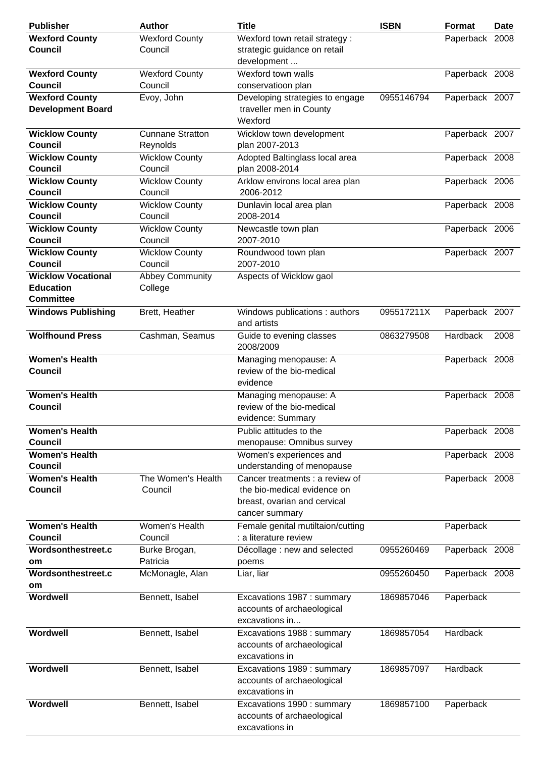| <b>Publisher</b>                        | <b>Author</b>                       | <b>Title</b>                                                               | <b>ISBN</b> | Format         | <b>Date</b> |
|-----------------------------------------|-------------------------------------|----------------------------------------------------------------------------|-------------|----------------|-------------|
| <b>Wexford County</b>                   | <b>Wexford County</b>               | Wexford town retail strategy :                                             |             | Paperback 2008 |             |
| <b>Council</b>                          | Council                             | strategic guidance on retail<br>development                                |             |                |             |
| <b>Wexford County</b><br><b>Council</b> | <b>Wexford County</b><br>Council    | Wexford town walls<br>conservatioon plan                                   |             | Paperback 2008 |             |
| <b>Wexford County</b>                   | Evoy, John                          | Developing strategies to engage                                            | 0955146794  | Paperback 2007 |             |
| <b>Development Board</b>                |                                     | traveller men in County<br>Wexford                                         |             |                |             |
| <b>Wicklow County</b><br><b>Council</b> | <b>Cunnane Stratton</b><br>Reynolds | Wicklow town development<br>plan 2007-2013                                 |             | Paperback 2007 |             |
| <b>Wicklow County</b><br><b>Council</b> | <b>Wicklow County</b><br>Council    | Adopted Baltinglass local area<br>plan 2008-2014                           |             | Paperback 2008 |             |
| <b>Wicklow County</b><br><b>Council</b> | <b>Wicklow County</b><br>Council    | Arklow environs local area plan<br>2006-2012                               |             | Paperback 2006 |             |
| <b>Wicklow County</b>                   | <b>Wicklow County</b>               | Dunlavin local area plan                                                   |             | Paperback 2008 |             |
| <b>Council</b>                          | Council                             | 2008-2014                                                                  |             |                |             |
| <b>Wicklow County</b>                   | <b>Wicklow County</b>               | Newcastle town plan                                                        |             | Paperback 2006 |             |
| <b>Council</b>                          | Council                             | 2007-2010                                                                  |             |                |             |
| <b>Wicklow County</b>                   | <b>Wicklow County</b>               | Roundwood town plan                                                        |             | Paperback 2007 |             |
| <b>Council</b>                          | Council                             | 2007-2010                                                                  |             |                |             |
| <b>Wicklow Vocational</b>               | <b>Abbey Community</b>              | Aspects of Wicklow gaol                                                    |             |                |             |
| <b>Education</b><br><b>Committee</b>    | College                             |                                                                            |             |                |             |
| <b>Windows Publishing</b>               | Brett, Heather                      | Windows publications : authors<br>and artists                              | 095517211X  | Paperback 2007 |             |
| <b>Wolfhound Press</b>                  | Cashman, Seamus                     | Guide to evening classes<br>2008/2009                                      | 0863279508  | Hardback       | 2008        |
| <b>Women's Health</b>                   |                                     | Managing menopause: A                                                      |             | Paperback 2008 |             |
| <b>Council</b>                          |                                     | review of the bio-medical                                                  |             |                |             |
|                                         |                                     | evidence                                                                   |             |                |             |
| <b>Women's Health</b>                   |                                     | Managing menopause: A                                                      |             | Paperback 2008 |             |
| <b>Council</b>                          |                                     | review of the bio-medical                                                  |             |                |             |
|                                         |                                     | evidence: Summary                                                          |             |                |             |
| <b>Women's Health</b>                   |                                     | Public attitudes to the                                                    |             | Paperback 2008 |             |
| Council                                 |                                     | menopause: Omnibus survey                                                  |             |                |             |
| <b>Women's Health</b>                   |                                     | Women's experiences and                                                    |             | Paperback 2008 |             |
| <b>Council</b>                          |                                     | understanding of menopause                                                 |             |                |             |
| <b>Women's Health</b>                   | The Women's Health                  | Cancer treatments : a review of                                            |             | Paperback 2008 |             |
| <b>Council</b>                          | Council                             | the bio-medical evidence on                                                |             |                |             |
|                                         |                                     | breast, ovarian and cervical                                               |             |                |             |
|                                         |                                     | cancer summary                                                             |             |                |             |
| <b>Women's Health</b>                   | Women's Health                      | Female genital mutiltaion/cutting                                          |             |                |             |
| <b>Council</b>                          | Council                             | : a literature review                                                      |             | Paperback      |             |
| Wordsonthestreet.c                      |                                     |                                                                            |             |                |             |
|                                         | Burke Brogan,<br>Patricia           | Décollage : new and selected                                               | 0955260469  | Paperback 2008 |             |
| om                                      |                                     | poems                                                                      |             |                |             |
| Wordsonthestreet.c                      | McMonagle, Alan                     | Liar, liar                                                                 | 0955260450  | Paperback 2008 |             |
| om                                      |                                     |                                                                            |             |                |             |
| Wordwell                                | Bennett, Isabel                     | Excavations 1987 : summary<br>accounts of archaeological<br>excavations in | 1869857046  | Paperback      |             |
| Wordwell                                | Bennett, Isabel                     | Excavations 1988 : summary<br>accounts of archaeological<br>excavations in | 1869857054  | Hardback       |             |
| Wordwell                                | Bennett, Isabel                     | Excavations 1989 : summary<br>accounts of archaeological                   | 1869857097  | Hardback       |             |
|                                         |                                     | excavations in                                                             |             |                |             |
| Wordwell                                | Bennett, Isabel                     | Excavations 1990 : summary<br>accounts of archaeological<br>excavations in | 1869857100  | Paperback      |             |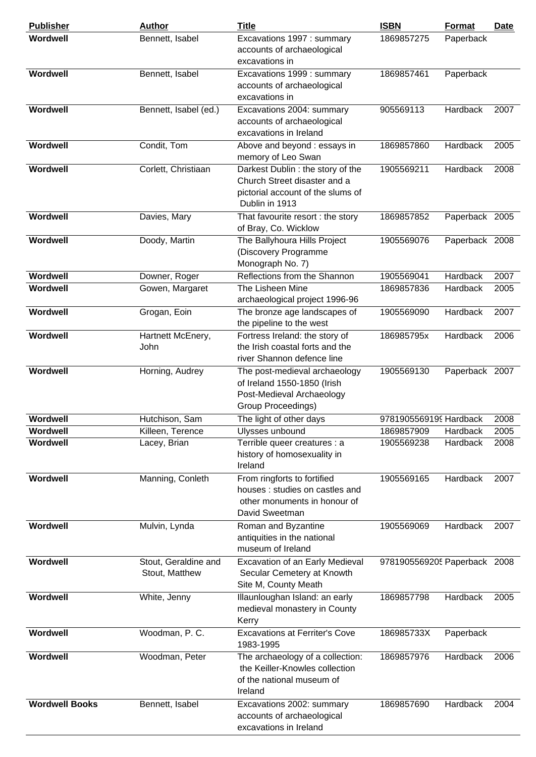| <b>Publisher</b>      | <b>Author</b>                          | <b>Title</b>                                                                                                            | <b>ISBN</b>                  | <b>Format</b>  | <b>Date</b> |
|-----------------------|----------------------------------------|-------------------------------------------------------------------------------------------------------------------------|------------------------------|----------------|-------------|
| Wordwell              | Bennett, Isabel                        | Excavations 1997 : summary<br>accounts of archaeological<br>excavations in                                              | 1869857275                   | Paperback      |             |
| Wordwell              | Bennett, Isabel                        | Excavations 1999 : summary<br>accounts of archaeological<br>excavations in                                              | 1869857461                   | Paperback      |             |
| Wordwell              | Bennett, Isabel (ed.)                  | Excavations 2004: summary<br>accounts of archaeological<br>excavations in Ireland                                       | 905569113                    | Hardback       | 2007        |
| Wordwell              | Condit, Tom                            | Above and beyond : essays in<br>memory of Leo Swan                                                                      | 1869857860                   | Hardback       | 2005        |
| Wordwell              | Corlett, Christiaan                    | Darkest Dublin: the story of the<br>Church Street disaster and a<br>pictorial account of the slums of<br>Dublin in 1913 | 1905569211                   | Hardback       | 2008        |
| Wordwell              | Davies, Mary                           | That favourite resort : the story<br>of Bray, Co. Wicklow                                                               | 1869857852                   | Paperback 2005 |             |
| Wordwell              | Doody, Martin                          | The Ballyhoura Hills Project<br>(Discovery Programme<br>Monograph No. 7)                                                | 1905569076                   | Paperback 2008 |             |
| Wordwell              | Downer, Roger                          | Reflections from the Shannon                                                                                            | 1905569041                   | Hardback       | 2007        |
| Wordwell              | Gowen, Margaret                        | The Lisheen Mine<br>archaeological project 1996-96                                                                      | 1869857836                   | Hardback       | 2005        |
| Wordwell              | Grogan, Eoin                           | The bronze age landscapes of<br>the pipeline to the west                                                                | 1905569090                   | Hardback       | 2007        |
| Wordwell              | Hartnett McEnery,<br>John              | Fortress Ireland: the story of<br>the Irish coastal forts and the<br>river Shannon defence line                         | 186985795x                   | Hardback       | 2006        |
| Wordwell              | Horning, Audrey                        | The post-medieval archaeology<br>of Ireland 1550-1850 (Irish<br>Post-Medieval Archaeology<br>Group Proceedings)         | 1905569130                   | Paperback 2007 |             |
| Wordwell              | Hutchison, Sam                         | The light of other days                                                                                                 | 9781905569199 Hardback       |                | 2008        |
| Wordwell              | Killeen, Terence                       | Ulysses unbound                                                                                                         | 1869857909                   | Hardback       | 2005        |
| Wordwell              | Lacey, Brian                           | Terrible queer creatures : a<br>history of homosexuality in<br>Ireland                                                  | 1905569238                   | Hardback       | 2008        |
| Wordwell              | Manning, Conleth                       | From ringforts to fortified<br>houses: studies on castles and<br>other monuments in honour of<br>David Sweetman         | 1905569165                   | Hardback       | 2007        |
| Wordwell              | Mulvin, Lynda                          | Roman and Byzantine<br>antiquities in the national<br>museum of Ireland                                                 | 1905569069                   | Hardback       | 2007        |
| Wordwell              | Stout, Geraldine and<br>Stout, Matthew | Excavation of an Early Medieval<br>Secular Cemetery at Knowth<br>Site M, County Meath                                   | 9781905569205 Paperback 2008 |                |             |
| Wordwell              | White, Jenny                           | Illaunloughan Island: an early<br>medieval monastery in County<br>Kerry                                                 | 1869857798                   | Hardback       | 2005        |
| Wordwell              | Woodman, P.C.                          | <b>Excavations at Ferriter's Cove</b><br>1983-1995                                                                      | 186985733X                   | Paperback      |             |
| Wordwell              | Woodman, Peter                         | The archaeology of a collection:<br>the Keiller-Knowles collection<br>of the national museum of<br>Ireland              | 1869857976                   | Hardback       | 2006        |
| <b>Wordwell Books</b> | Bennett, Isabel                        | Excavations 2002: summary<br>accounts of archaeological<br>excavations in Ireland                                       | 1869857690                   | Hardback       | 2004        |